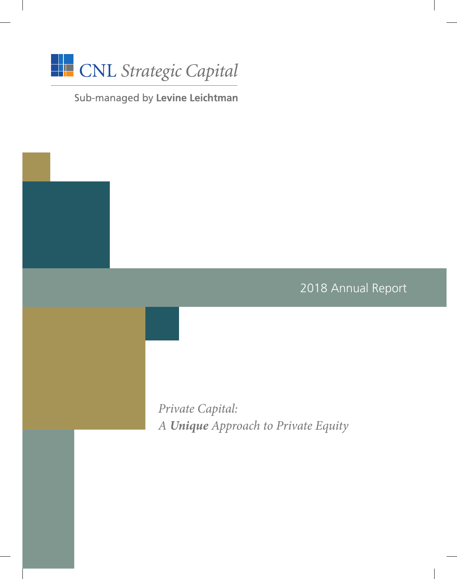

# Sub-managed by Levine Leichtman

# 2018 Annual Report

*Private Capital: A Unique Approach to Private Equity*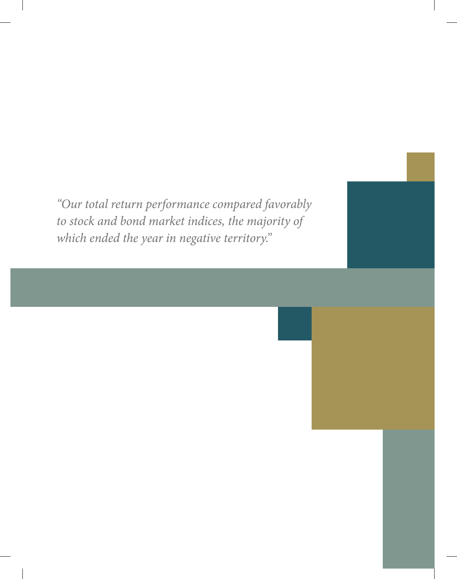*"Our total return performance compared favorably to stock and bond market indices, the majority of which ended the year in negative territory."*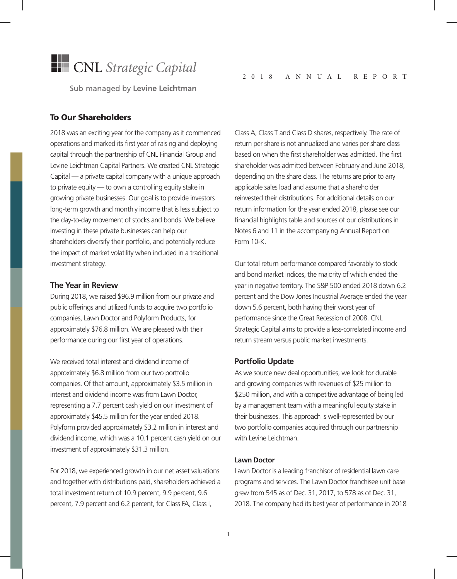

Sub-managed by Levine Leichtman

# To Our Shareholders

2018 was an exciting year for the company as it commenced operations and marked its first year of raising and deploying capital through the partnership of CNL Financial Group and Levine Leichtman Capital Partners. We created CNL Strategic Capital — a private capital company with a unique approach to private equity — to own a controlling equity stake in growing private businesses. Our goal is to provide investors long-term growth and monthly income that is less subject to the day-to-day movement of stocks and bonds. We believe investing in these private businesses can help our shareholders diversify their portfolio, and potentially reduce the impact of market volatility when included in a traditional investment strategy.

# **The Year in Review**

During 2018, we raised \$96.9 million from our private and public offerings and utilized funds to acquire two portfolio companies, Lawn Doctor and Polyform Products, for approximately \$76.8 million. We are pleased with their performance during our first year of operations.

We received total interest and dividend income of approximately \$6.8 million from our two portfolio companies. Of that amount, approximately \$3.5 million in interest and dividend income was from Lawn Doctor, representing a 7.7 percent cash yield on our investment of approximately \$45.5 million for the year ended 2018. Polyform provided approximately \$3.2 million in interest and dividend income, which was a 10.1 percent cash yield on our investment of approximately \$31.3 million.

For 2018, we experienced growth in our net asset valuations and together with distributions paid, shareholders achieved a total investment return of 10.9 percent, 9.9 percent, 9.6 percent, 7.9 percent and 6.2 percent, for Class FA, Class I,

Class A, Class T and Class D shares, respectively. The rate of return per share is not annualized and varies per share class based on when the first shareholder was admitted. The first shareholder was admitted between February and June 2018, depending on the share class. The returns are prior to any applicable sales load and assume that a shareholder reinvested their distributions. For additional details on our return information for the year ended 2018, please see our financial highlights table and sources of our distributions in Notes 6 and 11 in the accompanying Annual Report on Form 10-K.

Our total return performance compared favorably to stock and bond market indices, the majority of which ended the year in negative territory. The S&P 500 ended 2018 down 6.2 percent and the Dow Jones Industrial Average ended the year down 5.6 percent, both having their worst year of performance since the Great Recession of 2008. CNL Strategic Capital aims to provide a less-correlated income and return stream versus public market investments.

# **Portfolio Update**

As we source new deal opportunities, we look for durable and growing companies with revenues of \$25 million to \$250 million, and with a competitive advantage of being led by a management team with a meaningful equity stake in their businesses. This approach is well-represented by our two portfolio companies acquired through our partnership with Levine Leichtman.

# **Lawn Doctor**

Lawn Doctor is a leading franchisor of residential lawn care programs and services. The Lawn Doctor franchisee unit base grew from 545 as of Dec. 31, 2017, to 578 as of Dec. 31, 2018. The company had its best year of performance in 2018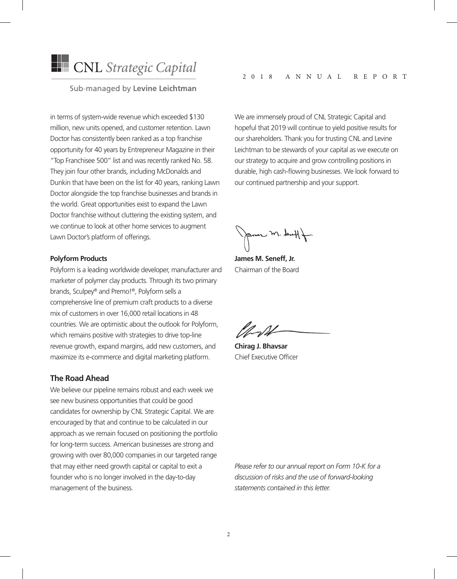# **CNL** Strategic Capital

# Sub-managed by Levine Leichtman

in terms of system-wide revenue which exceeded \$130 million, new units opened, and customer retention. Lawn Doctor has consistently been ranked as a top franchise opportunity for 40 years by Entrepreneur Magazine in their "Top Franchisee 500" list and was recently ranked No. 58. They join four other brands, including McDonalds and Dunkin that have been on the list for 40 years, ranking Lawn Doctor alongside the top franchise businesses and brands in the world. Great opportunities exist to expand the Lawn Doctor franchise without cluttering the existing system, and we continue to look at other home services to augment Lawn Doctor's platform of offerings.

# **Polyform Products**

Polyform is a leading worldwide developer, manufacturer and marketer of polymer clay products. Through its two primary brands, Sculpey® and Premo!®, Polyform sells a comprehensive line of premium craft products to a diverse mix of customers in over 16,000 retail locations in 48 countries. We are optimistic about the outlook for Polyform, which remains positive with strategies to drive top-line revenue growth, expand margins, add new customers, and maximize its e-commerce and digital marketing platform.

# **The Road Ahead**

We believe our pipeline remains robust and each week we see new business opportunities that could be good candidates for ownership by CNL Strategic Capital. We are encouraged by that and continue to be calculated in our approach as we remain focused on positioning the portfolio for long-term success. American businesses are strong and growing with over 80,000 companies in our targeted range that may either need growth capital or capital to exit a founder who is no longer involved in the day-to-day management of the business.

#### 2018 ANNUAL REPORT

We are immensely proud of CNL Strategic Capital and hopeful that 2019 will continue to yield positive results for our shareholders. Thank you for trusting CNL and Levine Leichtman to be stewards of your capital as we execute on our strategy to acquire and grow controlling positions in durable, high cash-flowing businesses. We look forward to our continued partnership and your support.

pamer M. Seneff

**James M. Seneff, Jr.** Chairman of the Board

World

**Chirag J. Bhavsar** Chief Executive Officer

*Please refer to our annual report on Form 10-K for a discussion of risks and the use of forward-looking statements contained in this letter.*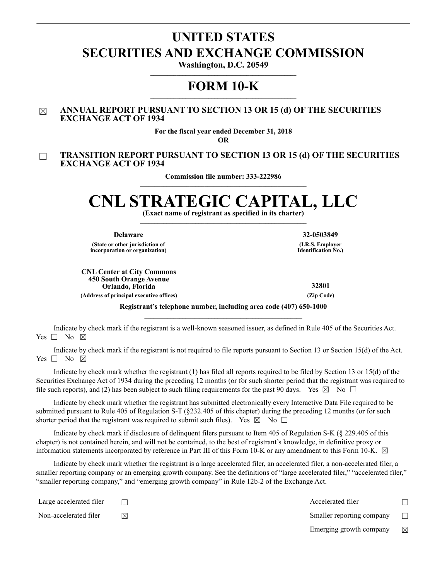# **UNITED STATES SECURITIES AND EXCHANGE COMMISSION**

**Washington, D.C. 20549 \_\_\_\_\_\_\_\_\_\_\_\_\_\_\_\_\_\_\_\_\_\_\_\_\_\_\_\_\_\_\_\_\_\_\_\_\_\_\_\_\_\_\_\_\_\_\_\_\_\_**

# **FORM 10-K \_\_\_\_\_\_\_\_\_\_\_\_\_\_\_\_\_\_\_\_\_\_\_\_\_\_\_\_\_\_\_\_\_\_\_\_\_\_\_\_\_\_\_\_\_\_\_\_\_\_**

#### **ANNUAL REPORT PURSUANT TO SECTION 13 OR 15 (d) OF THE SECURITIES**  $\boxtimes$ **EXCHANGE ACT OF 1934**

**For the fiscal year ended December 31, 2018** 

**OR**

#### **TRANSITION REPORT PURSUANT TO SECTION 13 OR 15 (d) OF THE SECURITIES**  $\Box$ **EXCHANGE ACT OF 1934**

**Commission file number: 333-222986 \_\_\_\_\_\_\_\_\_\_\_\_\_\_\_\_\_\_\_\_\_\_\_\_\_\_\_\_\_\_\_\_\_\_\_\_\_\_\_\_\_\_\_\_\_\_\_\_\_\_\_\_\_\_\_\_\_**

# **CNL STRATEGIC CAPITAL, LLC**

**(Exact name of registrant as specified in its charter) \_\_\_\_\_\_\_\_\_\_\_\_\_\_\_\_\_\_\_\_\_\_\_\_\_\_\_\_\_\_\_\_\_\_\_\_\_\_\_\_\_\_\_\_\_\_\_\_\_\_\_\_\_\_\_\_\_**

**Delaware 32-0503849**

**(State or other jurisdiction of incorporation or organization)**

**(I.R.S. Employer Identification No.)**

**CNL Center at City Commons 450 South Orange Avenue Orlando, Florida 32801 (Address of principal executive offices) (Zip Code)**

**Registrant's telephone number, including area code (407) 650-1000 \_\_\_\_\_\_\_\_\_\_\_\_\_\_\_\_\_\_\_\_\_\_\_\_\_\_\_\_\_\_\_\_\_\_\_\_\_\_\_\_\_\_\_\_\_\_\_\_\_\_\_\_\_\_**

Indicate by check mark if the registrant is a well-known seasoned issuer, as defined in Rule 405 of the Securities Act. Yes  $\Box$  No  $\boxtimes$ 

Indicate by check mark if the registrant is not required to file reports pursuant to Section 13 or Section 15(d) of the Act. Yes  $\Box$  No  $\boxtimes$ 

Indicate by check mark whether the registrant (1) has filed all reports required to be filed by Section 13 or 15(d) of the Securities Exchange Act of 1934 during the preceding 12 months (or for such shorter period that the registrant was required to file such reports), and (2) has been subject to such filing requirements for the past 90 days. Yes  $\boxtimes$  No  $\Box$ 

Indicate by check mark whether the registrant has submitted electronically every Interactive Data File required to be submitted pursuant to Rule 405 of Regulation S-T (§232.405 of this chapter) during the preceding 12 months (or for such shorter period that the registrant was required to submit such files). Yes  $\boxtimes$  No  $\Box$ 

Indicate by check mark if disclosure of delinquent filers pursuant to Item 405 of Regulation S-K (§ 229.405 of this chapter) is not contained herein, and will not be contained, to the best of registrant's knowledge, in definitive proxy or information statements incorporated by reference in Part III of this Form 10-K or any amendment to this Form 10-K.  $\boxtimes$ 

Indicate by check mark whether the registrant is a large accelerated filer, an accelerated filer, a non-accelerated filer, a smaller reporting company or an emerging growth company. See the definitions of "large accelerated filer," "accelerated filer," "smaller reporting company," and "emerging growth company" in Rule 12b-2 of the Exchange Act.

| Large accelerated filer |   | Accelerated filer         |             |
|-------------------------|---|---------------------------|-------------|
| Non-accelerated filer   | M | Smaller reporting company | $\Box$      |
|                         |   | Emerging growth company   | $\boxtimes$ |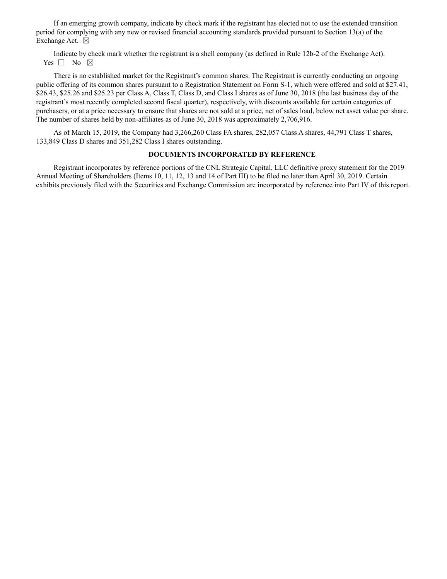If an emerging growth company, indicate by check mark if the registrant has elected not to use the extended transition period for complying with any new or revised financial accounting standards provided pursuant to Section 13(a) of the Exchange Act.  $\boxtimes$ 

Indicate by check mark whether the registrant is a shell company (as defined in Rule 12b-2 of the Exchange Act). Yes  $\Box$  No  $\boxtimes$ 

There is no established market for the Registrant's common shares. The Registrant is currently conducting an ongoing public offering of its common shares pursuant to a Registration Statement on Form S-1, which were offered and sold at \$27.41, \$26.43, \$25.26 and \$25.23 per Class A, Class T, Class D, and Class I shares as of June 30, 2018 (the last business day of the registrant's most recently completed second fiscal quarter), respectively, with discounts available for certain categories of purchasers, or at a price necessary to ensure that shares are not sold at a price, net of sales load, below net asset value per share. The number of shares held by non-affiliates as of June 30, 2018 was approximately 2,706,916.

As of March 15, 2019, the Company had 3,266,260 Class FA shares, 282,057 Class A shares, 44,791 Class T shares, 133,849 Class D shares and 351,282 Class I shares outstanding.

#### **DOCUMENTS INCORPORATED BY REFERENCE**

Registrant incorporates by reference portions of the CNL Strategic Capital, LLC definitive proxy statement for the 2019 Annual Meeting of Shareholders (Items 10, 11, 12, 13 and 14 of Part III) to be filed no later than April 30, 2019. Certain exhibits previously filed with the Securities and Exchange Commission are incorporated by reference into Part IV of this report.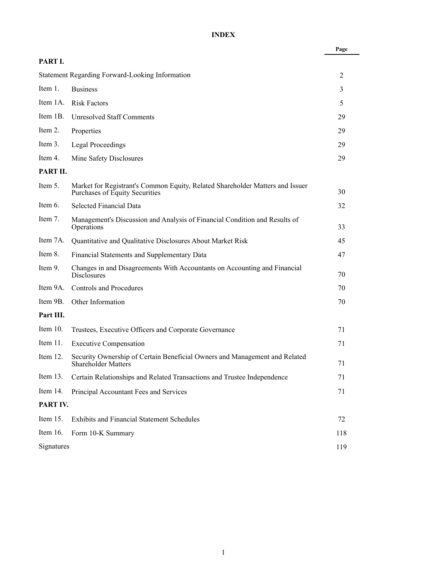|             |                                                                                                                 | Page           |
|-------------|-----------------------------------------------------------------------------------------------------------------|----------------|
| PART I.     |                                                                                                                 |                |
|             | <b>Statement Regarding Forward-Looking Information</b>                                                          | $\overline{2}$ |
| Item 1.     | <b>Business</b>                                                                                                 | 3              |
| Item 1A.    | <b>Risk Factors</b>                                                                                             | 5              |
| Item 1B.    | <b>Unresolved Staff Comments</b>                                                                                | 29             |
| Item 2.     | Properties                                                                                                      | 29             |
| Item 3.     | <b>Legal Proceedings</b>                                                                                        | 29             |
| Item 4.     | Mine Safety Disclosures                                                                                         | 29             |
| PART II.    |                                                                                                                 |                |
| Item 5.     | Market for Registrant's Common Equity, Related Shareholder Matters and Issuer<br>Purchases of Equity Securities | 30             |
| Item $61$   | Selected Financial Data                                                                                         | 32             |
| Item 7.     | Management's Discussion and Analysis of Financial Condition and Results of<br>Operations                        | 33             |
| Item 7A.    | Quantitative and Qualitative Disclosures About Market Risk                                                      | 45             |
| Item 8.     | Financial Statements and Supplementary Data                                                                     | 47             |
| Item 9.     | Changes in and Disagreements With Accountants on Accounting and Financial<br><b>Disclosures</b>                 | 70             |
| Item 9A.    | Controls and Procedures                                                                                         | 70             |
| Item 9B.    | Other Information                                                                                               | 70             |
| Part III.   |                                                                                                                 |                |
| Item $10$ . | Trustees, Executive Officers and Corporate Governance                                                           | 71             |
| Item $11$ . | <b>Executive Compensation</b>                                                                                   | 71             |
| Item 12.    | Security Ownership of Certain Beneficial Owners and Management and Related<br><b>Shareholder Matters</b>        | 71             |
| Item 13.    | Certain Relationships and Related Transactions and Trustee Independence                                         | 71             |
| Item 14.    | Principal Accountant Fees and Services                                                                          | 71             |
| PART IV.    |                                                                                                                 |                |
| Item 15.    | <b>Exhibits and Financial Statement Schedules</b>                                                               | 72             |
| Item 16.    | Form 10-K Summary                                                                                               | 118            |
| Signatures  |                                                                                                                 | 119            |

# **INDEX**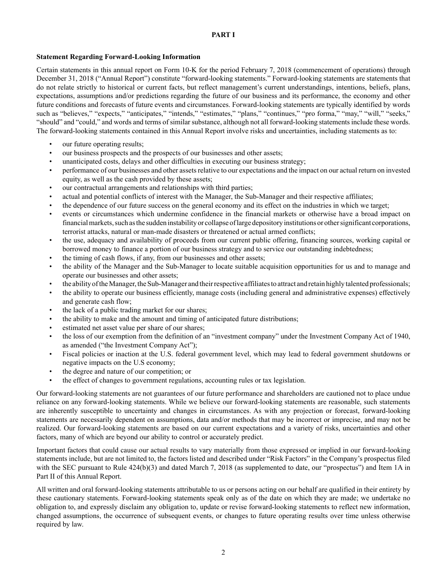#### **PART I**

#### **Statement Regarding Forward-Looking Information**

Certain statements in this annual report on Form 10-K for the period February 7, 2018 (commencement of operations) through December 31, 2018 ("Annual Report") constitute "forward-looking statements." Forward-looking statements are statements that do not relate strictly to historical or current facts, but reflect management's current understandings, intentions, beliefs, plans, expectations, assumptions and/or predictions regarding the future of our business and its performance, the economy and other future conditions and forecasts of future events and circumstances. Forward-looking statements are typically identified by words such as "believes," "expects," "anticipates," "intends," "estimates," "plans," "continues," "pro forma," "may," "will," "seeks," "should" and "could," and words and terms of similar substance, although not all forward-looking statements include these words. The forward-looking statements contained in this Annual Report involve risks and uncertainties, including statements as to:

- our future operating results;
- our business prospects and the prospects of our businesses and other assets;
- unanticipated costs, delays and other difficulties in executing our business strategy;
- performance of our businesses and other assets relative to our expectations and the impact on our actual return on invested equity, as well as the cash provided by these assets;
- our contractual arrangements and relationships with third parties;
- actual and potential conflicts of interest with the Manager, the Sub-Manager and their respective affiliates;
- the dependence of our future success on the general economy and its effect on the industries in which we target;
- events or circumstances which undermine confidence in the financial markets or otherwise have a broad impact on financial markets, such as the sudden instability or collapse of large depository institutions or other significant corporations, terrorist attacks, natural or man-made disasters or threatened or actual armed conflicts;
- the use, adequacy and availability of proceeds from our current public offering, financing sources, working capital or borrowed money to finance a portion of our business strategy and to service our outstanding indebtedness;
- the timing of cash flows, if any, from our businesses and other assets;
- the ability of the Manager and the Sub-Manager to locate suitable acquisition opportunities for us and to manage and operate our businesses and other assets;
- the ability of the Manager, the Sub-Manager and their respective affiliates to attract and retain highly talented professionals;
- the ability to operate our business efficiently, manage costs (including general and administrative expenses) effectively and generate cash flow;
- the lack of a public trading market for our shares;
- the ability to make and the amount and timing of anticipated future distributions;
- estimated net asset value per share of our shares;
- the loss of our exemption from the definition of an "investment company" under the Investment Company Act of 1940, as amended ("the Investment Company Act");
- Fiscal policies or inaction at the U.S. federal government level, which may lead to federal government shutdowns or negative impacts on the U.S economy;
- the degree and nature of our competition; or
- the effect of changes to government regulations, accounting rules or tax legislation.

Our forward-looking statements are not guarantees of our future performance and shareholders are cautioned not to place undue reliance on any forward-looking statements. While we believe our forward-looking statements are reasonable, such statements are inherently susceptible to uncertainty and changes in circumstances. As with any projection or forecast, forward-looking statements are necessarily dependent on assumptions, data and/or methods that may be incorrect or imprecise, and may not be realized. Our forward-looking statements are based on our current expectations and a variety of risks, uncertainties and other factors, many of which are beyond our ability to control or accurately predict.

Important factors that could cause our actual results to vary materially from those expressed or implied in our forward-looking statements include, but are not limited to, the factors listed and described under "Risk Factors" in the Company's prospectus filed with the SEC pursuant to Rule 424(b)(3) and dated March 7, 2018 (as supplemented to date, our "prospectus") and Item 1A in Part II of this Annual Report.

All written and oral forward-looking statements attributable to us or persons acting on our behalf are qualified in their entirety by these cautionary statements. Forward-looking statements speak only as of the date on which they are made; we undertake no obligation to, and expressly disclaim any obligation to, update or revise forward-looking statements to reflect new information, changed assumptions, the occurrence of subsequent events, or changes to future operating results over time unless otherwise required by law.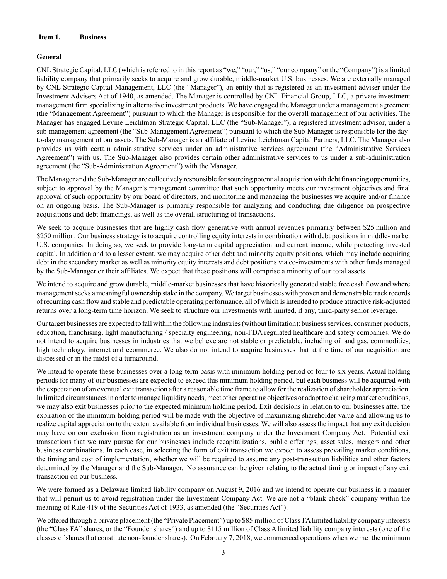#### **Item 1. Business**

# **General**

CNL Strategic Capital, LLC (which is referred to in this report as "we," "our," "us," "our company" or the "Company") is a limited liability company that primarily seeks to acquire and grow durable, middle-market U.S. businesses. We are externally managed by CNL Strategic Capital Management, LLC (the "Manager"), an entity that is registered as an investment adviser under the Investment Advisers Act of 1940, as amended. The Manager is controlled by CNL Financial Group, LLC, a private investment management firm specializing in alternative investment products. We have engaged the Manager under a management agreement (the "Management Agreement") pursuant to which the Manager is responsible for the overall management of our activities. The Manager has engaged Levine Leichtman Strategic Capital, LLC (the "Sub-Manager"), a registered investment advisor, under a sub-management agreement (the "Sub-Management Agreement") pursuant to which the Sub-Manager is responsible for the dayto-day management of our assets. The Sub-Manager is an affiliate of Levine Leichtman Capital Partners, LLC. The Manager also provides us with certain administrative services under an administrative services agreement (the "Administrative Services Agreement") with us. The Sub-Manager also provides certain other administrative services to us under a sub-administration agreement (the "Sub-Administration Agreement") with the Manager.

The Manager and the Sub-Manager are collectively responsible for sourcing potential acquisition with debt financing opportunities, subject to approval by the Manager's management committee that such opportunity meets our investment objectives and final approval of such opportunity by our board of directors, and monitoring and managing the businesses we acquire and/or finance on an ongoing basis. The Sub-Manager is primarily responsible for analyzing and conducting due diligence on prospective acquisitions and debt financings, as well as the overall structuring of transactions.

We seek to acquire businesses that are highly cash flow generative with annual revenues primarily between \$25 million and \$250 million. Our business strategy is to acquire controlling equity interests in combination with debt positions in middle-market U.S. companies. In doing so, we seek to provide long-term capital appreciation and current income, while protecting invested capital. In addition and to a lesser extent, we may acquire other debt and minority equity positions, which may include acquiring debt in the secondary market as well as minority equity interests and debt positions via co-investments with other funds managed by the Sub-Manager or their affiliates. We expect that these positions will comprise a minority of our total assets.

We intend to acquire and grow durable, middle-market businesses that have historically generated stable free cash flow and where management seeks a meaningful ownership stake in the company. We target businesses with proven and demonstrable track records of recurring cash flow and stable and predictable operating performance, all of which is intended to produce attractive risk-adjusted returns over a long-term time horizon. We seek to structure our investments with limited, if any, third-party senior leverage.

Our target businesses are expected to fall within the following industries (without limitation): business services, consumer products, education, franchising, light manufacturing / specialty engineering, non-FDA regulated healthcare and safety companies. We do not intend to acquire businesses in industries that we believe are not stable or predictable, including oil and gas, commodities, high technology, internet and ecommerce. We also do not intend to acquire businesses that at the time of our acquisition are distressed or in the midst of a turnaround.

We intend to operate these businesses over a long-term basis with minimum holding period of four to six years. Actual holding periods for many of our businesses are expected to exceed this minimum holding period, but each business will be acquired with the expectation of an eventual exit transaction after a reasonable time frame to allow for the realization of shareholder appreciation. In limited circumstances in order to manage liquidity needs, meet other operating objectives or adapt to changing market conditions, we may also exit businesses prior to the expected minimum holding period. Exit decisions in relation to our businesses after the expiration of the minimum holding period will be made with the objective of maximizing shareholder value and allowing us to realize capital appreciation to the extent available from individual businesses. We will also assess the impact that any exit decision may have on our exclusion from registration as an investment company under the Investment Company Act. Potential exit transactions that we may pursue for our businesses include recapitalizations, public offerings, asset sales, mergers and other business combinations. In each case, in selecting the form of exit transaction we expect to assess prevailing market conditions, the timing and cost of implementation, whether we will be required to assume any post-transaction liabilities and other factors determined by the Manager and the Sub-Manager. No assurance can be given relating to the actual timing or impact of any exit transaction on our business.

We were formed as a Delaware limited liability company on August 9, 2016 and we intend to operate our business in a manner that will permit us to avoid registration under the Investment Company Act. We are not a "blank check" company within the meaning of Rule 419 of the Securities Act of 1933, as amended (the "Securities Act").

We offered through a private placement (the "Private Placement") up to \$85 million of Class FA limited liability company interests (the "Class FA" shares, or the "Founder shares") and up to \$115 million of Class A limited liability company interests (one of the classes of shares that constitute non-founder shares). On February 7, 2018, we commenced operations when we met the minimum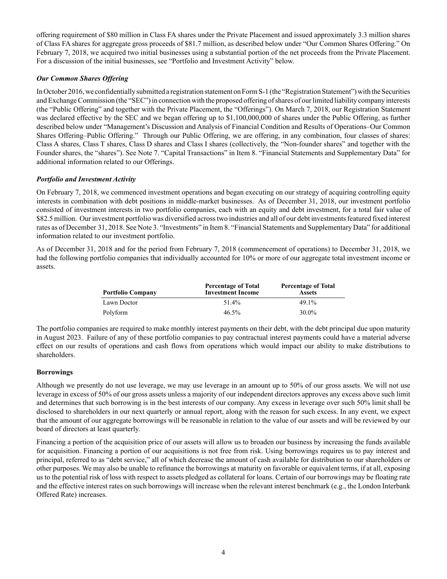offering requirement of \$80 million in Class FA shares under the Private Placement and issued approximately 3.3 million shares of Class FA shares for aggregate gross proceeds of \$81.7 million, as described below under "Our Common Shares Offering." On February 7, 2018, we acquired two initial businesses using a substantial portion of the net proceeds from the Private Placement. For a discussion of the initial businesses, see "Portfolio and Investment Activity" below.

#### *Our Common Shares Offering*

In October 2016, we confidentially submitted a registration statement on Form S-1 (the "Registration Statement") with the Securities and Exchange Commission (the "SEC") in connection with the proposed offering of shares of our limited liability company interests (the "Public Offering" and together with the Private Placement, the "Offerings"). On March 7, 2018, our Registration Statement was declared effective by the SEC and we began offering up to \$1,100,000,000 of shares under the Public Offering, as further described below under "Management's Discussion and Analysis of Financial Condition and Results of Operations–Our Common Shares Offering–Public Offering." Through our Public Offering, we are offering, in any combination, four classes of shares: Class A shares, Class T shares, Class D shares and Class I shares (collectively, the "Non-founder shares" and together with the Founder shares, the "shares"). See Note 7. "Capital Transactions" in Item 8. "Financial Statements and Supplementary Data" for additional information related to our Offerings.

# *Portfolio and Investment Activity*

On February 7, 2018, we commenced investment operations and began executing on our strategy of acquiring controlling equity interests in combination with debt positions in middle-market businesses. As of December 31, 2018, our investment portfolio consisted of investment interests in two portfolio companies, each with an equity and debt investment, for a total fair value of \$82.5 million. Our investment portfolio was diversified across two industries and all of our debt investments featured fixed interest rates as of December 31, 2018. See Note 3. "Investments" in Item 8. "Financial Statements and Supplementary Data" for additional information related to our investment portfolio.

As of December 31, 2018 and for the period from February 7, 2018 (commencement of operations) to December 31, 2018, we had the following portfolio companies that individually accounted for 10% or more of our aggregate total investment income or assets.

| Portfolio Company | <b>Percentage of Total</b><br><b>Investment Income</b> | <b>Percentage of Total</b><br><b>Assets</b> |
|-------------------|--------------------------------------------------------|---------------------------------------------|
| Lawn Doctor       | 51.4%                                                  | 49 $1\%$                                    |
| Polyform          | $46.5\%$                                               | 30.0%                                       |

The portfolio companies are required to make monthly interest payments on their debt, with the debt principal due upon maturity in August 2023. Failure of any of these portfolio companies to pay contractual interest payments could have a material adverse effect on our results of operations and cash flows from operations which would impact our ability to make distributions to shareholders.

#### **Borrowings**

Although we presently do not use leverage, we may use leverage in an amount up to 50% of our gross assets. We will not use leverage in excess of 50% of our gross assets unless a majority of our independent directors approves any excess above such limit and determines that such borrowing is in the best interests of our company. Any excess in leverage over such 50% limit shall be disclosed to shareholders in our next quarterly or annual report, along with the reason for such excess. In any event, we expect that the amount of our aggregate borrowings will be reasonable in relation to the value of our assets and will be reviewed by our board of directors at least quarterly.

Financing a portion of the acquisition price of our assets will allow us to broaden our business by increasing the funds available for acquisition. Financing a portion of our acquisitions is not free from risk. Using borrowings requires us to pay interest and principal, referred to as "debt service," all of which decrease the amount of cash available for distribution to our shareholders or other purposes. We may also be unable to refinance the borrowings at maturity on favorable or equivalent terms, if at all, exposing us to the potential risk of loss with respect to assets pledged as collateral for loans. Certain of our borrowings may be floating rate and the effective interest rates on such borrowings will increase when the relevant interest benchmark (e.g., the London Interbank Offered Rate) increases.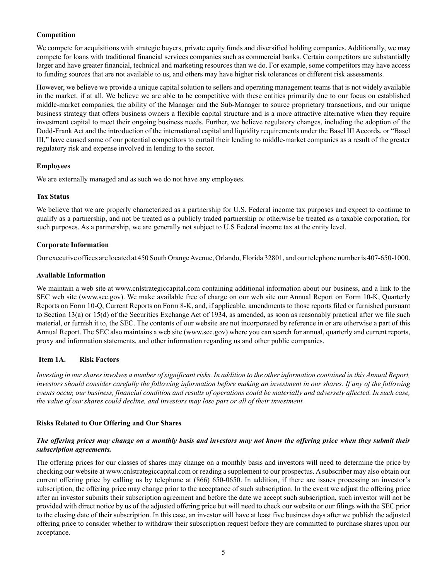# **Competition**

We compete for acquisitions with strategic buyers, private equity funds and diversified holding companies. Additionally, we may compete for loans with traditional financial services companies such as commercial banks. Certain competitors are substantially larger and have greater financial, technical and marketing resources than we do. For example, some competitors may have access to funding sources that are not available to us, and others may have higher risk tolerances or different risk assessments.

However, we believe we provide a unique capital solution to sellers and operating management teams that is not widely available in the market, if at all. We believe we are able to be competitive with these entities primarily due to our focus on established middle-market companies, the ability of the Manager and the Sub-Manager to source proprietary transactions, and our unique business strategy that offers business owners a flexible capital structure and is a more attractive alternative when they require investment capital to meet their ongoing business needs. Further, we believe regulatory changes, including the adoption of the Dodd-Frank Act and the introduction of the international capital and liquidity requirements under the Basel III Accords, or "Basel III," have caused some of our potential competitors to curtail their lending to middle-market companies as a result of the greater regulatory risk and expense involved in lending to the sector.

# **Employees**

We are externally managed and as such we do not have any employees.

# **Tax Status**

We believe that we are properly characterized as a partnership for U.S. Federal income tax purposes and expect to continue to qualify as a partnership, and not be treated as a publicly traded partnership or otherwise be treated as a taxable corporation, for such purposes. As a partnership, we are generally not subject to U.S Federal income tax at the entity level.

# **Corporate Information**

Our executive offices are located at 450 South Orange Avenue, Orlando, Florida 32801, and our telephone number is 407-650-1000.

# **Available Information**

We maintain a web site at www.cnlstrategiccapital.com containing additional information about our business, and a link to the SEC web site (www.sec.gov). We make available free of charge on our web site our Annual Report on Form 10-K, Quarterly Reports on Form 10-Q, Current Reports on Form 8-K, and, if applicable, amendments to those reports filed or furnished pursuant to Section 13(a) or 15(d) of the Securities Exchange Act of 1934, as amended, as soon as reasonably practical after we file such material, or furnish it to, the SEC. The contents of our website are not incorporated by reference in or are otherwise a part of this Annual Report. The SEC also maintains a web site (www.sec.gov) where you can search for annual, quarterly and current reports, proxy and information statements, and other information regarding us and other public companies.

# **Item 1A. Risk Factors**

*Investing in our shares involves a number of significant risks. In addition to the other information contained in this Annual Report, investors should consider carefully the following information before making an investment in our shares. If any of the following events occur, our business, financial condition and results of operations could be materially and adversely affected. In such case, the value of our shares could decline, and investors may lose part or all of their investment.*

#### **Risks Related to Our Offering and Our Shares**

# *The offering prices may change on a monthly basis and investors may not know the offering price when they submit their subscription agreements.*

The offering prices for our classes of shares may change on a monthly basis and investors will need to determine the price by checking our website at www.cnlstrategiccapital.com or reading a supplement to our prospectus. A subscriber may also obtain our current offering price by calling us by telephone at (866) 650-0650. In addition, if there are issues processing an investor's subscription, the offering price may change prior to the acceptance of such subscription. In the event we adjust the offering price after an investor submits their subscription agreement and before the date we accept such subscription, such investor will not be provided with direct notice by us of the adjusted offering price but will need to check our website or our filings with the SEC prior to the closing date of their subscription. In this case, an investor will have at least five business days after we publish the adjusted offering price to consider whether to withdraw their subscription request before they are committed to purchase shares upon our acceptance.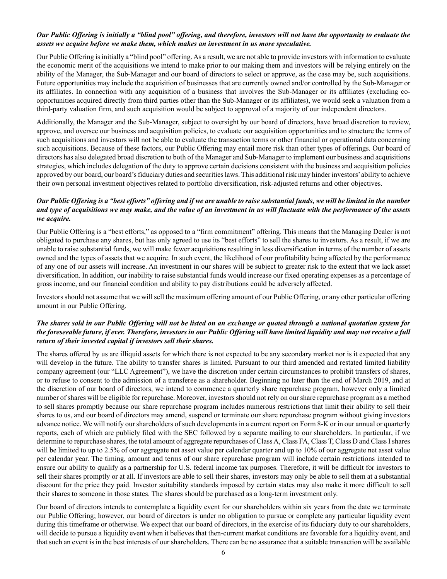#### *Our Public Offering is initially a "blind pool" offering, and therefore, investors will not have the opportunity to evaluate the assets we acquire before we make them, which makes an investment in us more speculative.*

Our Public Offering is initially a "blind pool" offering. As a result, we are not able to provide investors with information to evaluate the economic merit of the acquisitions we intend to make prior to our making them and investors will be relying entirely on the ability of the Manager, the Sub-Manager and our board of directors to select or approve, as the case may be, such acquisitions. Future opportunities may include the acquisition of businesses that are currently owned and/or controlled by the Sub-Manager or its affiliates. In connection with any acquisition of a business that involves the Sub-Manager or its affiliates (excluding coopportunities acquired directly from third parties other than the Sub-Manager or its affiliates), we would seek a valuation from a third-party valuation firm, and such acquisition would be subject to approval of a majority of our independent directors.

Additionally, the Manager and the Sub-Manager, subject to oversight by our board of directors, have broad discretion to review, approve, and oversee our business and acquisition policies, to evaluate our acquisition opportunities and to structure the terms of such acquisitions and investors will not be able to evaluate the transaction terms or other financial or operational data concerning such acquisitions. Because of these factors, our Public Offering may entail more risk than other types of offerings. Our board of directors has also delegated broad discretion to both of the Manager and Sub-Manager to implement our business and acquisitions strategies, which includes delegation of the duty to approve certain decisions consistent with the business and acquisition policies approved by our board, our board's fiduciary duties and securities laws. This additional risk may hinder investors' ability to achieve their own personal investment objectives related to portfolio diversification, risk-adjusted returns and other objectives.

#### *Our Public Offering is a "best efforts" offering and if we are unable to raise substantial funds, we will be limited in the number and type of acquisitions we may make, and the value of an investment in us will fluctuate with the performance of the assets we acquire.*

Our Public Offering is a "best efforts," as opposed to a "firm commitment" offering. This means that the Managing Dealer is not obligated to purchase any shares, but has only agreed to use its "best efforts" to sell the shares to investors. As a result, if we are unable to raise substantial funds, we will make fewer acquisitions resulting in less diversification in terms of the number of assets owned and the types of assets that we acquire. In such event, the likelihood of our profitability being affected by the performance of any one of our assets will increase. An investment in our shares will be subject to greater risk to the extent that we lack asset diversification. In addition, our inability to raise substantial funds would increase our fixed operating expenses as a percentage of gross income, and our financial condition and ability to pay distributions could be adversely affected.

Investors should not assume that we will sell the maximum offering amount of our Public Offering, or any other particular offering amount in our Public Offering.

# *The shares sold in our Public Offering will not be listed on an exchange or quoted through a national quotation system for the foreseeable future, if ever. Therefore, investors in our Public Offering will have limited liquidity and may not receive a full return of their invested capital if investors sell their shares.*

The shares offered by us are illiquid assets for which there is not expected to be any secondary market nor is it expected that any will develop in the future. The ability to transfer shares is limited. Pursuant to our third amended and restated limited liability company agreement (our "LLC Agreement"), we have the discretion under certain circumstances to prohibit transfers of shares, or to refuse to consent to the admission of a transferee as a shareholder. Beginning no later than the end of March 2019, and at the discretion of our board of directors, we intend to commence a quarterly share repurchase program, however only a limited number of shares will be eligible for repurchase. Moreover, investors should not rely on our share repurchase program as a method to sell shares promptly because our share repurchase program includes numerous restrictions that limit their ability to sell their shares to us, and our board of directors may amend, suspend or terminate our share repurchase program without giving investors advance notice. We will notify our shareholders of such developments in a current report on Form 8-K or in our annual or quarterly reports, each of which are publicly filed with the SEC followed by a separate mailing to our shareholders. In particular, if we determine to repurchase shares, the total amount of aggregate repurchases of Class A, Class FA, Class T, Class D and Class I shares will be limited to up to 2.5% of our aggregate net asset value per calendar quarter and up to 10% of our aggregate net asset value per calendar year. The timing, amount and terms of our share repurchase program will include certain restrictions intended to ensure our ability to qualify as a partnership for U.S. federal income tax purposes. Therefore, it will be difficult for investors to sell their shares promptly or at all. If investors are able to sell their shares, investors may only be able to sell them at a substantial discount for the price they paid. Investor suitability standards imposed by certain states may also make it more difficult to sell their shares to someone in those states. The shares should be purchased as a long-term investment only.

Our board of directors intends to contemplate a liquidity event for our shareholders within six years from the date we terminate our Public Offering; however, our board of directors is under no obligation to pursue or complete any particular liquidity event during this timeframe or otherwise. We expect that our board of directors, in the exercise of its fiduciary duty to our shareholders, will decide to pursue a liquidity event when it believes that then-current market conditions are favorable for a liquidity event, and that such an event is in the best interests of our shareholders. There can be no assurance that a suitable transaction will be available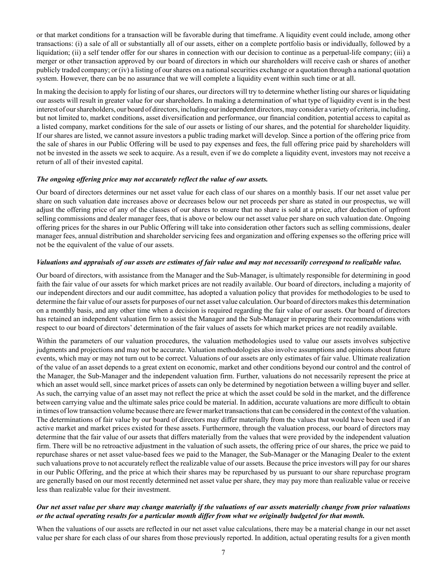or that market conditions for a transaction will be favorable during that timeframe. A liquidity event could include, among other transactions: (i) a sale of all or substantially all of our assets, either on a complete portfolio basis or individually, followed by a liquidation; (ii) a self tender offer for our shares in connection with our decision to continue as a perpetual-life company; (iii) a merger or other transaction approved by our board of directors in which our shareholders will receive cash or shares of another publicly traded company; or (iv) a listing of our shares on a national securities exchange or a quotation through a national quotation system. However, there can be no assurance that we will complete a liquidity event within such time or at all.

In making the decision to apply for listing of our shares, our directors will try to determine whether listing our shares or liquidating our assets will result in greater value for our shareholders. In making a determination of what type of liquidity event is in the best interest of our shareholders, our board of directors, including our independent directors, may consider a variety of criteria, including, but not limited to, market conditions, asset diversification and performance, our financial condition, potential access to capital as a listed company, market conditions for the sale of our assets or listing of our shares, and the potential for shareholder liquidity. If our shares are listed, we cannot assure investors a public trading market will develop. Since a portion of the offering price from the sale of shares in our Public Offering will be used to pay expenses and fees, the full offering price paid by shareholders will not be invested in the assets we seek to acquire. As a result, even if we do complete a liquidity event, investors may not receive a return of all of their invested capital.

#### *The ongoing offering price may not accurately reflect the value of our assets.*

Our board of directors determines our net asset value for each class of our shares on a monthly basis. If our net asset value per share on such valuation date increases above or decreases below our net proceeds per share as stated in our prospectus, we will adjust the offering price of any of the classes of our shares to ensure that no share is sold at a price, after deduction of upfront selling commissions and dealer manager fees, that is above or below our net asset value per share on such valuation date. Ongoing offering prices for the shares in our Public Offering will take into consideration other factors such as selling commissions, dealer manager fees, annual distribution and shareholder servicing fees and organization and offering expenses so the offering price will not be the equivalent of the value of our assets.

#### *Valuations and appraisals of our assets are estimates of fair value and may not necessarily correspond to realizable value.*

Our board of directors, with assistance from the Manager and the Sub-Manager, is ultimately responsible for determining in good faith the fair value of our assets for which market prices are not readily available. Our board of directors, including a majority of our independent directors and our audit committee, has adopted a valuation policy that provides for methodologies to be used to determine the fair value of our assets for purposes of our net asset value calculation. Our board of directors makes this determination on a monthly basis, and any other time when a decision is required regarding the fair value of our assets. Our board of directors has retained an independent valuation firm to assist the Manager and the Sub-Manager in preparing their recommendations with respect to our board of directors' determination of the fair values of assets for which market prices are not readily available.

Within the parameters of our valuation procedures, the valuation methodologies used to value our assets involves subjective judgments and projections and may not be accurate. Valuation methodologies also involve assumptions and opinions about future events, which may or may not turn out to be correct. Valuations of our assets are only estimates of fair value. Ultimate realization of the value of an asset depends to a great extent on economic, market and other conditions beyond our control and the control of the Manager, the Sub-Manager and the independent valuation firm. Further, valuations do not necessarily represent the price at which an asset would sell, since market prices of assets can only be determined by negotiation between a willing buyer and seller. As such, the carrying value of an asset may not reflect the price at which the asset could be sold in the market, and the difference between carrying value and the ultimate sales price could be material. In addition, accurate valuations are more difficult to obtain in times of low transaction volume because there are fewer market transactions that can be considered in the context of the valuation. The determinations of fair value by our board of directors may differ materially from the values that would have been used if an active market and market prices existed for these assets. Furthermore, through the valuation process, our board of directors may determine that the fair value of our assets that differs materially from the values that were provided by the independent valuation firm. There will be no retroactive adjustment in the valuation of such assets, the offering price of our shares, the price we paid to repurchase shares or net asset value-based fees we paid to the Manager, the Sub-Manager or the Managing Dealer to the extent such valuations prove to not accurately reflect the realizable value of our assets. Because the price investors will pay for our shares in our Public Offering, and the price at which their shares may be repurchased by us pursuant to our share repurchase program are generally based on our most recently determined net asset value per share, they may pay more than realizable value or receive less than realizable value for their investment.

#### *Our net asset value per share may change materially if the valuations of our assets materially change from prior valuations or the actual operating results for a particular month differ from what we originally budgeted for that month.*

When the valuations of our assets are reflected in our net asset value calculations, there may be a material change in our net asset value per share for each class of our shares from those previously reported. In addition, actual operating results for a given month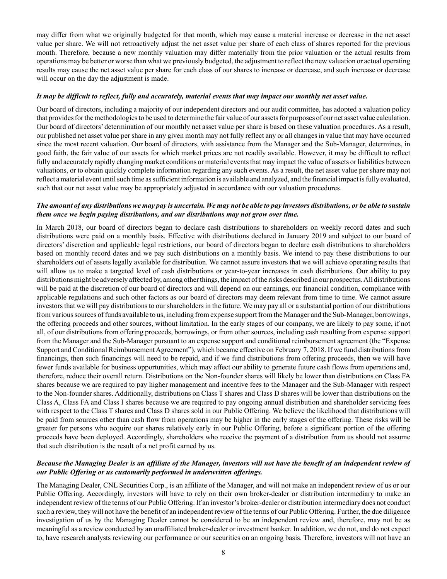may differ from what we originally budgeted for that month, which may cause a material increase or decrease in the net asset value per share. We will not retroactively adjust the net asset value per share of each class of shares reported for the previous month. Therefore, because a new monthly valuation may differ materially from the prior valuation or the actual results from operations may be better or worse than what we previously budgeted, the adjustment to reflect the new valuation or actual operating results may cause the net asset value per share for each class of our shares to increase or decrease, and such increase or decrease will occur on the day the adjustment is made.

#### *It may be difficult to reflect, fully and accurately, material events that may impact our monthly net asset value.*

Our board of directors, including a majority of our independent directors and our audit committee, has adopted a valuation policy that provides for the methodologies to be used to determine the fair value of our assets for purposes of our net asset value calculation. Our board of directors' determination of our monthly net asset value per share is based on these valuation procedures. As a result, our published net asset value per share in any given month may not fully reflect any or all changes in value that may have occurred since the most recent valuation. Our board of directors, with assistance from the Manager and the Sub-Manager, determines, in good faith, the fair value of our assets for which market prices are not readily available. However, it may be difficult to reflect fully and accurately rapidly changing market conditions or material events that may impact the value of assets or liabilities between valuations, or to obtain quickly complete information regarding any such events. As a result, the net asset value per share may not reflect a material event until such time as sufficient information is available and analyzed, and the financial impact is fully evaluated, such that our net asset value may be appropriately adjusted in accordance with our valuation procedures.

#### *The amount of any distributions we may pay is uncertain. We may not be able to pay investors distributions, or be able to sustain them once we begin paying distributions, and our distributions may not grow over time.*

In March 2018, our board of directors began to declare cash distributions to shareholders on weekly record dates and such distributions were paid on a monthly basis. Effective with distributions declared in January 2019 and subject to our board of directors' discretion and applicable legal restrictions, our board of directors began to declare cash distributions to shareholders based on monthly record dates and we pay such distributions on a monthly basis. We intend to pay these distributions to our shareholders out of assets legally available for distribution. We cannot assure investors that we will achieve operating results that will allow us to make a targeted level of cash distributions or year-to-year increases in cash distributions. Our ability to pay distributions might be adversely affected by, among other things, the impact of the risks described in our prospectus. All distributions will be paid at the discretion of our board of directors and will depend on our earnings, our financial condition, compliance with applicable regulations and such other factors as our board of directors may deem relevant from time to time. We cannot assure investors that we will pay distributions to our shareholders in the future. We may pay all or a substantial portion of our distributions from various sources of funds available to us, including from expense support from the Manager and the Sub-Manager, borrowings, the offering proceeds and other sources, without limitation. In the early stages of our company, we are likely to pay some, if not all, of our distributions from offering proceeds, borrowings, or from other sources, including cash resulting from expense support from the Manager and the Sub-Manager pursuant to an expense support and conditional reimbursement agreement (the "Expense Support and Conditional Reimbursement Agreement"), which became effective on February 7, 2018. If we fund distributions from financings, then such financings will need to be repaid, and if we fund distributions from offering proceeds, then we will have fewer funds available for business opportunities, which may affect our ability to generate future cash flows from operations and, therefore, reduce their overall return. Distributions on the Non-founder shares will likely be lower than distributions on Class FA shares because we are required to pay higher management and incentive fees to the Manager and the Sub-Manager with respect to the Non-founder shares. Additionally, distributions on Class T shares and Class D shares will be lower than distributions on the Class A, Class FA and Class I shares because we are required to pay ongoing annual distribution and shareholder servicing fees with respect to the Class T shares and Class D shares sold in our Public Offering. We believe the likelihood that distributions will be paid from sources other than cash flow from operations may be higher in the early stages of the offering. These risks will be greater for persons who acquire our shares relatively early in our Public Offering, before a significant portion of the offering proceeds have been deployed. Accordingly, shareholders who receive the payment of a distribution from us should not assume that such distribution is the result of a net profit earned by us.

# *Because the Managing Dealer is an affiliate of the Manager, investors will not have the benefit of an independent review of our Public Offering or us customarily performed in underwritten offerings.*

The Managing Dealer, CNL Securities Corp., is an affiliate of the Manager, and will not make an independent review of us or our Public Offering. Accordingly, investors will have to rely on their own broker-dealer or distribution intermediary to make an independent review of the terms of our Public Offering. If an investor's broker-dealer or distribution intermediary does not conduct such a review, they will not have the benefit of an independent review of the terms of our Public Offering. Further, the due diligence investigation of us by the Managing Dealer cannot be considered to be an independent review and, therefore, may not be as meaningful as a review conducted by an unaffiliated broker-dealer or investment banker. In addition, we do not, and do not expect to, have research analysts reviewing our performance or our securities on an ongoing basis. Therefore, investors will not have an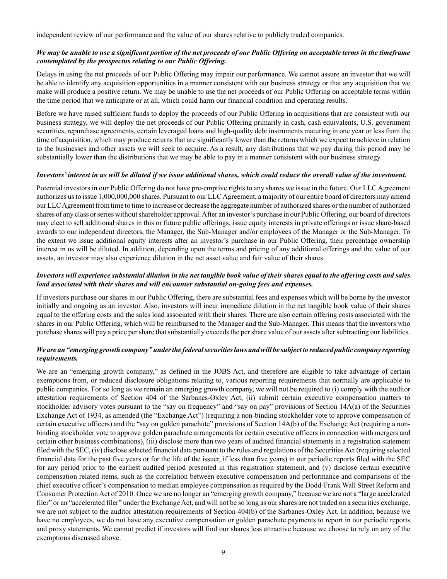independent review of our performance and the value of our shares relative to publicly traded companies.

# *We may be unable to use a significant portion of the net proceeds of our Public Offering on acceptable terms in the timeframe contemplated by the prospectus relating to our Public Offering.*

Delays in using the net proceeds of our Public Offering may impair our performance. We cannot assure an investor that we will be able to identify any acquisition opportunities in a manner consistent with our business strategy or that any acquisition that we make will produce a positive return. We may be unable to use the net proceeds of our Public Offering on acceptable terms within the time period that we anticipate or at all, which could harm our financial condition and operating results.

Before we have raised sufficient funds to deploy the proceeds of our Public Offering in acquisitions that are consistent with our business strategy, we will deploy the net proceeds of our Public Offering primarily in cash, cash equivalents, U.S. government securities, repurchase agreements, certain leveraged loans and high-quality debt instruments maturing in one year or less from the time of acquisition, which may produce returns that are significantly lower than the returns which we expect to achieve in relation to the businesses and other assets we will seek to acquire. As a result, any distributions that we pay during this period may be substantially lower than the distributions that we may be able to pay in a manner consistent with our business strategy.

#### *Investors' interest in us will be diluted if we issue additional shares, which could reduce the overall value of the investment.*

Potential investors in our Public Offering do not have pre-emptive rights to any shares we issue in the future. Our LLC Agreement authorizes us to issue 1,000,000,000 shares. Pursuant to our LLC Agreement, a majority of our entire board of directors may amend our LLC Agreement from time to time to increase or decrease the aggregate number of authorized shares or the number of authorized shares of any class or series without shareholder approval. After an investor's purchase in our Public Offering, our board of directors may elect to sell additional shares in this or future public offerings, issue equity interests in private offerings or issue share-based awards to our independent directors, the Manager, the Sub-Manager and/or employees of the Manager or the Sub-Manager. To the extent we issue additional equity interests after an investor's purchase in our Public Offering, their percentage ownership interest in us will be diluted. In addition, depending upon the terms and pricing of any additional offerings and the value of our assets, an investor may also experience dilution in the net asset value and fair value of their shares.

#### *Investors will experience substantial dilution in the net tangible book value of their shares equal to the offering costs and sales load associated with their shares and will encounter substantial on-going fees and expenses.*

If investors purchase our shares in our Public Offering, there are substantial fees and expenses which will be borne by the investor initially and ongoing as an investor. Also, investors will incur immediate dilution in the net tangible book value of their shares equal to the offering costs and the sales load associated with their shares. There are also certain offering costs associated with the shares in our Public Offering, which will be reimbursed to the Manager and the Sub-Manager. This means that the investors who purchase shares will pay a price per share that substantially exceeds the per share value of our assets after subtracting our liabilities.

#### *We are an "emerging growth company" under the federal securities laws and will be subject to reduced public company reporting requirements.*

We are an "emerging growth company," as defined in the JOBS Act, and therefore are eligible to take advantage of certain exemptions from, or reduced disclosure obligations relating to, various reporting requirements that normally are applicable to public companies. For so long as we remain an emerging growth company, we will not be required to (i) comply with the auditor attestation requirements of Section 404 of the Sarbanes-Oxley Act, (ii) submit certain executive compensation matters to stockholder advisory votes pursuant to the "say on frequency" and "say on pay" provisions of Section 14A(a) of the Securities Exchange Act of 1934, as amended (the "Exchange Act") (requiring a non-binding stockholder vote to approve compensation of certain executive officers) and the "say on golden parachute" provisions of Section 14A(b) of the Exchange Act (requiring a nonbinding stockholder vote to approve golden parachute arrangements for certain executive officers in connection with mergers and certain other business combinations), (iii) disclose more than two years of audited financial statements in a registration statement filed with the SEC, (iv) disclose selected financial data pursuant to the rules and regulations of the Securities Act (requiring selected financial data for the past five years or for the life of the issuer, if less than five years) in our periodic reports filed with the SEC for any period prior to the earliest audited period presented in this registration statement, and (v) disclose certain executive compensation related items, such as the correlation between executive compensation and performance and comparisons of the chief executive officer's compensation to median employee compensation as required by the Dodd-Frank Wall Street Reform and Consumer Protection Act of 2010. Once we are no longer an "emerging growth company," because we are not a "large accelerated filer" or an "accelerated filer" under the Exchange Act, and will not be so long as our shares are not traded on a securities exchange, we are not subject to the auditor attestation requirements of Section 404(b) of the Sarbanes-Oxley Act. In addition, because we have no employees, we do not have any executive compensation or golden parachute payments to report in our periodic reports and proxy statements. We cannot predict if investors will find our shares less attractive because we choose to rely on any of the exemptions discussed above.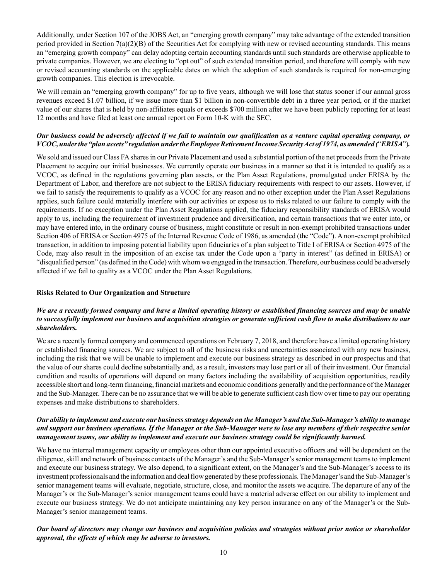Additionally, under Section 107 of the JOBS Act, an "emerging growth company" may take advantage of the extended transition period provided in Section 7(a)(2)(B) of the Securities Act for complying with new or revised accounting standards. This means an "emerging growth company" can delay adopting certain accounting standards until such standards are otherwise applicable to private companies. However, we are electing to "opt out" of such extended transition period, and therefore will comply with new or revised accounting standards on the applicable dates on which the adoption of such standards is required for non-emerging growth companies. This election is irrevocable.

We will remain an "emerging growth company" for up to five years, although we will lose that status sooner if our annual gross revenues exceed \$1.07 billion, if we issue more than \$1 billion in non-convertible debt in a three year period, or if the market value of our shares that is held by non-affiliates equals or exceeds \$700 million after we have been publicly reporting for at least 12 months and have filed at least one annual report on Form 10-K with the SEC.

## *Our business could be adversely affected if we fail to maintain our qualification as a venture capital operating company, or VCOC, under the "plan assets" regulation under the Employee Retirement Income Security Act of 1974, as amended (*"*ERISA*")*.*

We sold and issued our Class FA shares in our Private Placement and used a substantial portion of the net proceeds from the Private Placement to acquire our initial businesses. We currently operate our business in a manner so that it is intended to qualify as a VCOC, as defined in the regulations governing plan assets, or the Plan Asset Regulations, promulgated under ERISA by the Department of Labor, and therefore are not subject to the ERISA fiduciary requirements with respect to our assets. However, if we fail to satisfy the requirements to qualify as a VCOC for any reason and no other exception under the Plan Asset Regulations applies, such failure could materially interfere with our activities or expose us to risks related to our failure to comply with the requirements. If no exception under the Plan Asset Regulations applied, the fiduciary responsibility standards of ERISA would apply to us, including the requirement of investment prudence and diversification, and certain transactions that we enter into, or may have entered into, in the ordinary course of business, might constitute or result in non-exempt prohibited transactions under Section 406 of ERISA or Section 4975 of the Internal Revenue Code of 1986, as amended (the "Code"). A non-exempt prohibited transaction, in addition to imposing potential liability upon fiduciaries of a plan subject to Title I of ERISA or Section 4975 of the Code, may also result in the imposition of an excise tax under the Code upon a "party in interest" (as defined in ERISA) or "disqualified person" (as defined in the Code) with whom we engaged in the transaction. Therefore, our business could be adversely affected if we fail to quality as a VCOC under the Plan Asset Regulations.

#### **Risks Related to Our Organization and Structure**

#### *We are a recently formed company and have a limited operating history or established financing sources and may be unable to successfully implement our business and acquisition strategies or generate sufficient cash flow to make distributions to our shareholders.*

We are a recently formed company and commenced operations on February 7, 2018, and therefore have a limited operating history or established financing sources. We are subject to all of the business risks and uncertainties associated with any new business, including the risk that we will be unable to implement and execute our business strategy as described in our prospectus and that the value of our shares could decline substantially and, as a result, investors may lose part or all of their investment. Our financial condition and results of operations will depend on many factors including the availability of acquisition opportunities, readily accessible short and long-term financing, financial markets and economic conditions generally and the performance of the Manager and the Sub-Manager. There can be no assurance that we will be able to generate sufficient cash flow over time to pay our operating expenses and make distributions to shareholders.

#### *Our ability to implement and execute our business strategy depends on the Manager's and the Sub-Manager's ability to manage and support our business operations. If the Manager or the Sub-Manager were to lose any members of their respective senior management teams, our ability to implement and execute our business strategy could be significantly harmed.*

We have no internal management capacity or employees other than our appointed executive officers and will be dependent on the diligence, skill and network of business contacts of the Manager's and the Sub-Manager's senior management teams to implement and execute our business strategy. We also depend, to a significant extent, on the Manager's and the Sub-Manager's access to its investment professionals and the information and deal flow generated by these professionals. The Manager's and the Sub-Manager's senior management teams will evaluate, negotiate, structure, close, and monitor the assets we acquire. The departure of any of the Manager's or the Sub-Manager's senior management teams could have a material adverse effect on our ability to implement and execute our business strategy. We do not anticipate maintaining any key person insurance on any of the Manager's or the Sub-Manager's senior management teams.

# *Our board of directors may change our business and acquisition policies and strategies without prior notice or shareholder approval, the effects of which may be adverse to investors.*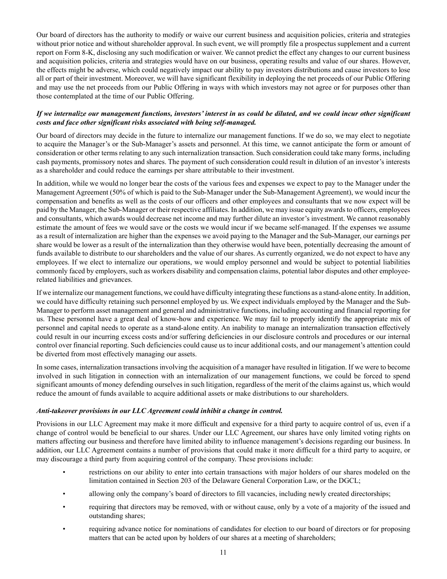Our board of directors has the authority to modify or waive our current business and acquisition policies, criteria and strategies without prior notice and without shareholder approval. In such event, we will promptly file a prospectus supplement and a current report on Form 8-K, disclosing any such modification or waiver. We cannot predict the effect any changes to our current business and acquisition policies, criteria and strategies would have on our business, operating results and value of our shares. However, the effects might be adverse, which could negatively impact our ability to pay investors distributions and cause investors to lose all or part of their investment. Moreover, we will have significant flexibility in deploying the net proceeds of our Public Offering and may use the net proceeds from our Public Offering in ways with which investors may not agree or for purposes other than those contemplated at the time of our Public Offering.

## *If we internalize our management functions, investors' interest in us could be diluted, and we could incur other significant costs and face other significant risks associated with being self-managed.*

Our board of directors may decide in the future to internalize our management functions. If we do so, we may elect to negotiate to acquire the Manager's or the Sub-Manager's assets and personnel. At this time, we cannot anticipate the form or amount of consideration or other terms relating to any such internalization transaction. Such consideration could take many forms, including cash payments, promissory notes and shares. The payment of such consideration could result in dilution of an investor's interests as a shareholder and could reduce the earnings per share attributable to their investment.

In addition, while we would no longer bear the costs of the various fees and expenses we expect to pay to the Manager under the Management Agreement (50% of which is paid to the Sub-Manager under the Sub-Management Agreement), we would incur the compensation and benefits as well as the costs of our officers and other employees and consultants that we now expect will be paid by the Manager, the Sub-Manager or their respective affiliates. In addition, we may issue equity awards to officers, employees and consultants, which awards would decrease net income and may further dilute an investor's investment. We cannot reasonably estimate the amount of fees we would save or the costs we would incur if we became self-managed. If the expenses we assume as a result of internalization are higher than the expenses we avoid paying to the Manager and the Sub-Manager, our earnings per share would be lower as a result of the internalization than they otherwise would have been, potentially decreasing the amount of funds available to distribute to our shareholders and the value of our shares. As currently organized, we do not expect to have any employees. If we elect to internalize our operations, we would employ personnel and would be subject to potential liabilities commonly faced by employers, such as workers disability and compensation claims, potential labor disputes and other employeerelated liabilities and grievances.

If we internalize our management functions, we could have difficulty integrating these functions as a stand-alone entity. In addition, we could have difficulty retaining such personnel employed by us. We expect individuals employed by the Manager and the Sub-Manager to perform asset management and general and administrative functions, including accounting and financial reporting for us. These personnel have a great deal of know-how and experience. We may fail to properly identify the appropriate mix of personnel and capital needs to operate as a stand-alone entity. An inability to manage an internalization transaction effectively could result in our incurring excess costs and/or suffering deficiencies in our disclosure controls and procedures or our internal control over financial reporting. Such deficiencies could cause us to incur additional costs, and our management's attention could be diverted from most effectively managing our assets.

In some cases, internalization transactions involving the acquisition of a manager have resulted in litigation. If we were to become involved in such litigation in connection with an internalization of our management functions, we could be forced to spend significant amounts of money defending ourselves in such litigation, regardless of the merit of the claims against us, which would reduce the amount of funds available to acquire additional assets or make distributions to our shareholders.

#### *Anti-takeover provisions in our LLC Agreement could inhibit a change in control.*

Provisions in our LLC Agreement may make it more difficult and expensive for a third party to acquire control of us, even if a change of control would be beneficial to our shares. Under our LLC Agreement, our shares have only limited voting rights on matters affecting our business and therefore have limited ability to influence management's decisions regarding our business. In addition, our LLC Agreement contains a number of provisions that could make it more difficult for a third party to acquire, or may discourage a third party from acquiring control of the company. These provisions include:

- restrictions on our ability to enter into certain transactions with major holders of our shares modeled on the limitation contained in Section 203 of the Delaware General Corporation Law, or the DGCL;
- allowing only the company's board of directors to fill vacancies, including newly created directorships;
- requiring that directors may be removed, with or without cause, only by a vote of a majority of the issued and outstanding shares;
- requiring advance notice for nominations of candidates for election to our board of directors or for proposing matters that can be acted upon by holders of our shares at a meeting of shareholders;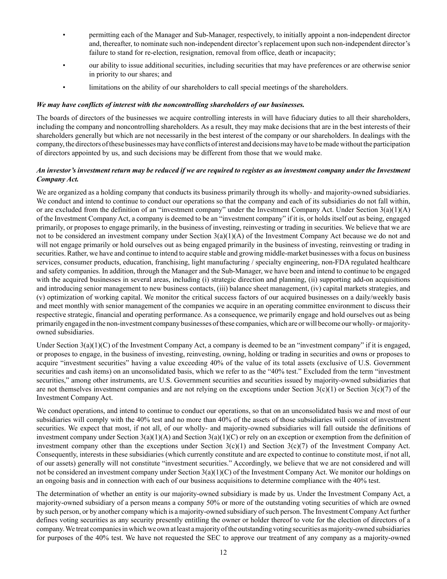- permitting each of the Manager and Sub-Manager, respectively, to initially appoint a non-independent director and, thereafter, to nominate such non-independent director's replacement upon such non-independent director's failure to stand for re-election, resignation, removal from office, death or incapacity;
- our ability to issue additional securities, including securities that may have preferences or are otherwise senior in priority to our shares; and
- limitations on the ability of our shareholders to call special meetings of the shareholders.

#### *We may have conflicts of interest with the noncontrolling shareholders of our businesses.*

The boards of directors of the businesses we acquire controlling interests in will have fiduciary duties to all their shareholders, including the company and noncontrolling shareholders. As a result, they may make decisions that are in the best interests of their shareholders generally but which are not necessarily in the best interest of the company or our shareholders. In dealings with the company, the directors of these businesses may have conflicts of interest and decisions may have to be made without the participation of directors appointed by us, and such decisions may be different from those that we would make.

#### *An investor's investment return may be reduced if we are required to register as an investment company under the Investment Company Act.*

We are organized as a holding company that conducts its business primarily through its wholly- and majority-owned subsidiaries. We conduct and intend to continue to conduct our operations so that the company and each of its subsidiaries do not fall within, or are excluded from the definition of an "investment company" under the Investment Company Act. Under Section  $3(a)(1)(A)$ of the Investment Company Act, a company is deemed to be an "investment company" if it is, or holds itself out as being, engaged primarily, or proposes to engage primarily, in the business of investing, reinvesting or trading in securities. We believe that we are not to be considered an investment company under Section  $3(a)(1)(A)$  of the Investment Company Act because we do not and will not engage primarily or hold ourselves out as being engaged primarily in the business of investing, reinvesting or trading in securities. Rather, we have and continue to intend to acquire stable and growing middle-market businesses with a focus on business services, consumer products, education, franchising, light manufacturing / specialty engineering, non-FDA regulated healthcare and safety companies. In addition, through the Manager and the Sub-Manager, we have been and intend to continue to be engaged with the acquired businesses in several areas, including (i) strategic direction and planning, (ii) supporting add-on acquisitions and introducing senior management to new business contacts, (iii) balance sheet management, (iv) capital markets strategies, and (v) optimization of working capital. We monitor the critical success factors of our acquired businesses on a daily/weekly basis and meet monthly with senior management of the companies we acquire in an operating committee environment to discuss their respective strategic, financial and operating performance. As a consequence, we primarily engage and hold ourselves out as being primarily engaged in the non-investment company businesses of these companies, which are or will become our wholly- or majorityowned subsidiaries.

Under Section  $3(a)(1)(C)$  of the Investment Company Act, a company is deemed to be an "investment company" if it is engaged, or proposes to engage, in the business of investing, reinvesting, owning, holding or trading in securities and owns or proposes to acquire "investment securities" having a value exceeding 40% of the value of its total assets (exclusive of U.S. Government securities and cash items) on an unconsolidated basis, which we refer to as the "40% test." Excluded from the term "investment securities," among other instruments, are U.S. Government securities and securities issued by majority-owned subsidiaries that are not themselves investment companies and are not relying on the exceptions under Section 3(c)(1) or Section 3(c)(7) of the Investment Company Act.

We conduct operations, and intend to continue to conduct our operations, so that on an unconsolidated basis we and most of our subsidiaries will comply with the 40% test and no more than 40% of the assets of those subsidiaries will consist of investment securities. We expect that most, if not all, of our wholly- and majority-owned subsidiaries will fall outside the definitions of investment company under Section  $3(a)(1)(A)$  and Section  $3(a)(1)(C)$  or rely on an exception or exemption from the definition of investment company other than the exceptions under Section  $3(c)(1)$  and Section  $3(c)(7)$  of the Investment Company Act. Consequently, interests in these subsidiaries (which currently constitute and are expected to continue to constitute most, if not all, of our assets) generally will not constitute "investment securities." Accordingly, we believe that we are not considered and will not be considered an investment company under Section  $3(a)(1)(C)$  of the Investment Company Act. We monitor our holdings on an ongoing basis and in connection with each of our business acquisitions to determine compliance with the 40% test.

The determination of whether an entity is our majority-owned subsidiary is made by us. Under the Investment Company Act, a majority-owned subsidiary of a person means a company 50% or more of the outstanding voting securities of which are owned by such person, or by another company which is a majority-owned subsidiary of such person. The Investment Company Act further defines voting securities as any security presently entitling the owner or holder thereof to vote for the election of directors of a company. We treat companies in which we own at least a majority of the outstanding voting securities as majority-owned subsidiaries for purposes of the 40% test. We have not requested the SEC to approve our treatment of any company as a majority-owned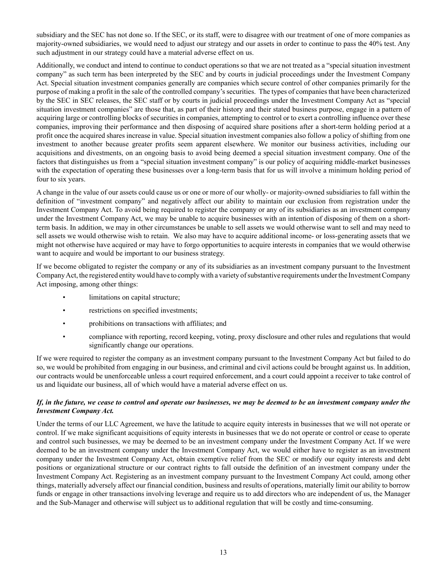subsidiary and the SEC has not done so. If the SEC, or its staff, were to disagree with our treatment of one of more companies as majority-owned subsidiaries, we would need to adjust our strategy and our assets in order to continue to pass the 40% test. Any such adjustment in our strategy could have a material adverse effect on us.

Additionally, we conduct and intend to continue to conduct operations so that we are not treated as a "special situation investment company" as such term has been interpreted by the SEC and by courts in judicial proceedings under the Investment Company Act. Special situation investment companies generally are companies which secure control of other companies primarily for the purpose of making a profit in the sale of the controlled company's securities. The types of companies that have been characterized by the SEC in SEC releases, the SEC staff or by courts in judicial proceedings under the Investment Company Act as "special situation investment companies" are those that, as part of their history and their stated business purpose, engage in a pattern of acquiring large or controlling blocks of securities in companies, attempting to control or to exert a controlling influence over these companies, improving their performance and then disposing of acquired share positions after a short-term holding period at a profit once the acquired shares increase in value. Special situation investment companies also follow a policy of shifting from one investment to another because greater profits seem apparent elsewhere. We monitor our business activities, including our acquisitions and divestments, on an ongoing basis to avoid being deemed a special situation investment company. One of the factors that distinguishes us from a "special situation investment company" is our policy of acquiring middle-market businesses with the expectation of operating these businesses over a long-term basis that for us will involve a minimum holding period of four to six years.

A change in the value of our assets could cause us or one or more of our wholly- or majority-owned subsidiaries to fall within the definition of "investment company" and negatively affect our ability to maintain our exclusion from registration under the Investment Company Act. To avoid being required to register the company or any of its subsidiaries as an investment company under the Investment Company Act, we may be unable to acquire businesses with an intention of disposing of them on a shortterm basis. In addition, we may in other circumstances be unable to sell assets we would otherwise want to sell and may need to sell assets we would otherwise wish to retain. We also may have to acquire additional income- or loss-generating assets that we might not otherwise have acquired or may have to forgo opportunities to acquire interests in companies that we would otherwise want to acquire and would be important to our business strategy.

If we become obligated to register the company or any of its subsidiaries as an investment company pursuant to the Investment Company Act, the registered entity would have to comply with a variety of substantive requirements under the Investment Company Act imposing, among other things:

- limitations on capital structure;
- restrictions on specified investments;
- prohibitions on transactions with affiliates; and
- compliance with reporting, record keeping, voting, proxy disclosure and other rules and regulations that would significantly change our operations.

If we were required to register the company as an investment company pursuant to the Investment Company Act but failed to do so, we would be prohibited from engaging in our business, and criminal and civil actions could be brought against us. In addition, our contracts would be unenforceable unless a court required enforcement, and a court could appoint a receiver to take control of us and liquidate our business, all of which would have a material adverse effect on us.

#### *If, in the future, we cease to control and operate our businesses, we may be deemed to be an investment company under the Investment Company Act.*

Under the terms of our LLC Agreement, we have the latitude to acquire equity interests in businesses that we will not operate or control. If we make significant acquisitions of equity interests in businesses that we do not operate or control or cease to operate and control such businesses, we may be deemed to be an investment company under the Investment Company Act. If we were deemed to be an investment company under the Investment Company Act, we would either have to register as an investment company under the Investment Company Act, obtain exemptive relief from the SEC or modify our equity interests and debt positions or organizational structure or our contract rights to fall outside the definition of an investment company under the Investment Company Act. Registering as an investment company pursuant to the Investment Company Act could, among other things, materially adversely affect our financial condition, business and results of operations, materially limit our ability to borrow funds or engage in other transactions involving leverage and require us to add directors who are independent of us, the Manager and the Sub-Manager and otherwise will subject us to additional regulation that will be costly and time-consuming.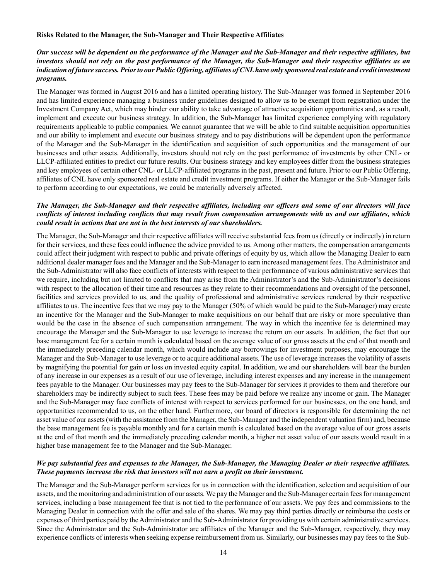#### **Risks Related to the Manager, the Sub-Manager and Their Respective Affiliates**

#### *Our success will be dependent on the performance of the Manager and the Sub-Manager and their respective affiliates, but investors should not rely on the past performance of the Manager, the Sub-Manager and their respective affiliates as an indication of future success. Prior to our Public Offering, affiliates of CNL have only sponsored real estate and credit investment programs.*

The Manager was formed in August 2016 and has a limited operating history. The Sub-Manager was formed in September 2016 and has limited experience managing a business under guidelines designed to allow us to be exempt from registration under the Investment Company Act, which may hinder our ability to take advantage of attractive acquisition opportunities and, as a result, implement and execute our business strategy. In addition, the Sub-Manager has limited experience complying with regulatory requirements applicable to public companies. We cannot guarantee that we will be able to find suitable acquisition opportunities and our ability to implement and execute our business strategy and to pay distributions will be dependent upon the performance of the Manager and the Sub-Manager in the identification and acquisition of such opportunities and the management of our businesses and other assets. Additionally, investors should not rely on the past performance of investments by other CNL- or LLCP-affiliated entities to predict our future results. Our business strategy and key employees differ from the business strategies and key employees of certain other CNL- or LLCP-affiliated programs in the past, present and future. Prior to our Public Offering, affiliates of CNL have only sponsored real estate and credit investment programs. If either the Manager or the Sub-Manager fails to perform according to our expectations, we could be materially adversely affected.

#### *The Manager, the Sub-Manager and their respective affiliates, including our officers and some of our directors will face conflicts of interest including conflicts that may result from compensation arrangements with us and our affiliates, which could result in actions that are not in the best interests of our shareholders.*

The Manager, the Sub-Manager and their respective affiliates will receive substantial fees from us (directly or indirectly) in return for their services, and these fees could influence the advice provided to us. Among other matters, the compensation arrangements could affect their judgment with respect to public and private offerings of equity by us, which allow the Managing Dealer to earn additional dealer manager fees and the Manager and the Sub-Manager to earn increased management fees. The Administrator and the Sub-Administrator will also face conflicts of interests with respect to their performance of various administrative services that we require, including but not limited to conflicts that may arise from the Administrator's and the Sub-Administrator's decisions with respect to the allocation of their time and resources as they relate to their recommendations and oversight of the personnel, facilities and services provided to us, and the quality of professional and administrative services rendered by their respective affiliates to us. The incentive fees that we may pay to the Manager (50% of which would be paid to the Sub-Manager) may create an incentive for the Manager and the Sub-Manager to make acquisitions on our behalf that are risky or more speculative than would be the case in the absence of such compensation arrangement. The way in which the incentive fee is determined may encourage the Manager and the Sub-Manager to use leverage to increase the return on our assets. In addition, the fact that our base management fee for a certain month is calculated based on the average value of our gross assets at the end of that month and the immediately preceding calendar month, which would include any borrowings for investment purposes, may encourage the Manager and the Sub-Manager to use leverage or to acquire additional assets. The use of leverage increases the volatility of assets by magnifying the potential for gain or loss on invested equity capital. In addition, we and our shareholders will bear the burden of any increase in our expenses as a result of our use of leverage, including interest expenses and any increase in the management fees payable to the Manager. Our businesses may pay fees to the Sub-Manager for services it provides to them and therefore our shareholders may be indirectly subject to such fees. These fees may be paid before we realize any income or gain. The Manager and the Sub-Manager may face conflicts of interest with respect to services performed for our businesses, on the one hand, and opportunities recommended to us, on the other hand. Furthermore, our board of directors is responsible for determining the net asset value of our assets (with the assistance from the Manager, the Sub-Manager and the independent valuation firm) and, because the base management fee is payable monthly and for a certain month is calculated based on the average value of our gross assets at the end of that month and the immediately preceding calendar month, a higher net asset value of our assets would result in a higher base management fee to the Manager and the Sub-Manager.

#### *We pay substantial fees and expenses to the Manager, the Sub-Manager, the Managing Dealer or their respective affiliates. These payments increase the risk that investors will not earn a profit on their investment.*

The Manager and the Sub-Manager perform services for us in connection with the identification, selection and acquisition of our assets, and the monitoring and administration of our assets. We pay the Manager and the Sub-Manager certain fees for management services, including a base management fee that is not tied to the performance of our assets. We pay fees and commissions to the Managing Dealer in connection with the offer and sale of the shares. We may pay third parties directly or reimburse the costs or expenses of third parties paid by the Administrator and the Sub-Administrator for providing us with certain administrative services. Since the Administrator and the Sub-Administrator are affiliates of the Manager and the Sub-Manager, respectively, they may experience conflicts of interests when seeking expense reimbursement from us. Similarly, our businesses may pay fees to the Sub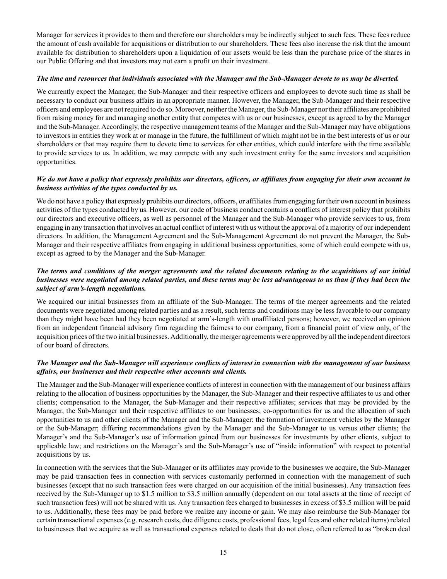Manager for services it provides to them and therefore our shareholders may be indirectly subject to such fees. These fees reduce the amount of cash available for acquisitions or distribution to our shareholders. These fees also increase the risk that the amount available for distribution to shareholders upon a liquidation of our assets would be less than the purchase price of the shares in our Public Offering and that investors may not earn a profit on their investment.

#### *The time and resources that individuals associated with the Manager and the Sub-Manager devote to us may be diverted.*

We currently expect the Manager, the Sub-Manager and their respective officers and employees to devote such time as shall be necessary to conduct our business affairs in an appropriate manner. However, the Manager, the Sub-Manager and their respective officers and employees are not required to do so. Moreover, neither the Manager, the Sub-Manager nor their affiliates are prohibited from raising money for and managing another entity that competes with us or our businesses, except as agreed to by the Manager and the Sub-Manager. Accordingly, the respective management teams of the Manager and the Sub-Manager may have obligations to investors in entities they work at or manage in the future, the fulfillment of which might not be in the best interests of us or our shareholders or that may require them to devote time to services for other entities, which could interfere with the time available to provide services to us. In addition, we may compete with any such investment entity for the same investors and acquisition opportunities.

#### *We do not have a policy that expressly prohibits our directors, officers, or affiliates from engaging for their own account in business activities of the types conducted by us.*

We do not have a policy that expressly prohibits our directors, officers, or affiliates from engaging for their own account in business activities of the types conducted by us. However, our code of business conduct contains a conflicts of interest policy that prohibits our directors and executive officers, as well as personnel of the Manager and the Sub-Manager who provide services to us, from engaging in any transaction that involves an actual conflict of interest with us without the approval of a majority of our independent directors. In addition, the Management Agreement and the Sub-Management Agreement do not prevent the Manager, the Sub-Manager and their respective affiliates from engaging in additional business opportunities, some of which could compete with us, except as agreed to by the Manager and the Sub-Manager.

#### *The terms and conditions of the merger agreements and the related documents relating to the acquisitions of our initial businesses were negotiated among related parties, and these terms may be less advantageous to us than if they had been the subject of arm's-length negotiations.*

We acquired our initial businesses from an affiliate of the Sub-Manager. The terms of the merger agreements and the related documents were negotiated among related parties and as a result, such terms and conditions may be less favorable to our company than they might have been had they been negotiated at arm's-length with unaffiliated persons; however, we received an opinion from an independent financial advisory firm regarding the fairness to our company, from a financial point of view only, of the acquisition prices of the two initial businesses. Additionally, the merger agreements were approved by all the independent directors of our board of directors.

#### *The Manager and the Sub-Manager will experience conflicts of interest in connection with the management of our business affairs, our businesses and their respective other accounts and clients.*

The Manager and the Sub-Manager will experience conflicts of interest in connection with the management of our business affairs relating to the allocation of business opportunities by the Manager, the Sub-Manager and their respective affiliates to us and other clients; compensation to the Manager, the Sub-Manager and their respective affiliates; services that may be provided by the Manager, the Sub-Manager and their respective affiliates to our businesses; co-opportunities for us and the allocation of such opportunities to us and other clients of the Manager and the Sub-Manager; the formation of investment vehicles by the Manager or the Sub-Manager; differing recommendations given by the Manager and the Sub-Manager to us versus other clients; the Manager's and the Sub-Manager's use of information gained from our businesses for investments by other clients, subject to applicable law; and restrictions on the Manager's and the Sub-Manager's use of "inside information" with respect to potential acquisitions by us.

In connection with the services that the Sub-Manager or its affiliates may provide to the businesses we acquire, the Sub-Manager may be paid transaction fees in connection with services customarily performed in connection with the management of such businesses (except that no such transaction fees were charged on our acquisition of the initial businesses). Any transaction fees received by the Sub-Manager up to \$1.5 million to \$3.5 million annually (dependent on our total assets at the time of receipt of such transaction fees) will not be shared with us. Any transaction fees charged to businesses in excess of \$3.5 million will be paid to us. Additionally, these fees may be paid before we realize any income or gain. We may also reimburse the Sub-Manager for certain transactional expenses (e.g. research costs, due diligence costs, professional fees, legal fees and other related items) related to businesses that we acquire as well as transactional expenses related to deals that do not close, often referred to as "broken deal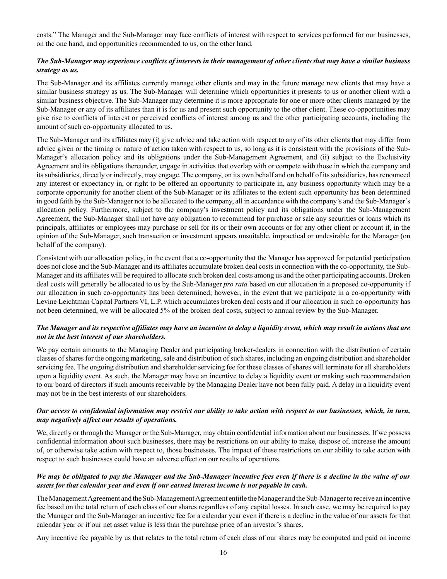costs." The Manager and the Sub-Manager may face conflicts of interest with respect to services performed for our businesses, on the one hand, and opportunities recommended to us, on the other hand.

# *The Sub-Manager may experience conflicts of interests in their management of other clients that may have a similar business strategy as us.*

The Sub-Manager and its affiliates currently manage other clients and may in the future manage new clients that may have a similar business strategy as us. The Sub-Manager will determine which opportunities it presents to us or another client with a similar business objective. The Sub-Manager may determine it is more appropriate for one or more other clients managed by the Sub-Manager or any of its affiliates than it is for us and present such opportunity to the other client. These co-opportunities may give rise to conflicts of interest or perceived conflicts of interest among us and the other participating accounts, including the amount of such co-opportunity allocated to us.

The Sub-Manager and its affiliates may (i) give advice and take action with respect to any of its other clients that may differ from advice given or the timing or nature of action taken with respect to us, so long as it is consistent with the provisions of the Sub-Manager's allocation policy and its obligations under the Sub-Management Agreement, and (ii) subject to the Exclusivity Agreement and its obligations thereunder, engage in activities that overlap with or compete with those in which the company and its subsidiaries, directly or indirectly, may engage. The company, on its own behalf and on behalf of its subsidiaries, has renounced any interest or expectancy in, or right to be offered an opportunity to participate in, any business opportunity which may be a corporate opportunity for another client of the Sub-Manager or its affiliates to the extent such opportunity has been determined in good faith by the Sub-Manager not to be allocated to the company, all in accordance with the company's and the Sub-Manager's allocation policy. Furthermore, subject to the company's investment policy and its obligations under the Sub-Management Agreement, the Sub-Manager shall not have any obligation to recommend for purchase or sale any securities or loans which its principals, affiliates or employees may purchase or sell for its or their own accounts or for any other client or account if, in the opinion of the Sub-Manager, such transaction or investment appears unsuitable, impractical or undesirable for the Manager (on behalf of the company).

Consistent with our allocation policy, in the event that a co-opportunity that the Manager has approved for potential participation does not close and the Sub-Manager and its affiliates accumulate broken deal costs in connection with the co-opportunity, the Sub-Manager and its affiliates will be required to allocate such broken deal costs among us and the other participating accounts. Broken deal costs will generally be allocated to us by the Sub-Manager *pro rata* based on our allocation in a proposed co-opportunity if our allocation in such co-opportunity has been determined; however, in the event that we participate in a co-opportunity with Levine Leichtman Capital Partners VI, L.P. which accumulates broken deal costs and if our allocation in such co-opportunity has not been determined, we will be allocated 5% of the broken deal costs, subject to annual review by the Sub-Manager.

# *The Manager and its respective affiliates may have an incentive to delay a liquidity event, which may result in actions that are not in the best interest of our shareholders.*

We pay certain amounts to the Managing Dealer and participating broker-dealers in connection with the distribution of certain classes of shares for the ongoing marketing, sale and distribution of such shares, including an ongoing distribution and shareholder servicing fee. The ongoing distribution and shareholder servicing fee for these classes of shares will terminate for all shareholders upon a liquidity event. As such, the Manager may have an incentive to delay a liquidity event or making such recommendation to our board of directors if such amounts receivable by the Managing Dealer have not been fully paid. A delay in a liquidity event may not be in the best interests of our shareholders.

# *Our access to confidential information may restrict our ability to take action with respect to our businesses, which, in turn, may negatively affect our results of operations.*

We, directly or through the Manager or the Sub-Manager, may obtain confidential information about our businesses. If we possess confidential information about such businesses, there may be restrictions on our ability to make, dispose of, increase the amount of, or otherwise take action with respect to, those businesses. The impact of these restrictions on our ability to take action with respect to such businesses could have an adverse effect on our results of operations.

#### *We may be obligated to pay the Manager and the Sub-Manager incentive fees even if there is a decline in the value of our assets for that calendar year and even if our earned interest income is not payable in cash.*

The Management Agreement and the Sub-Management Agreement entitle the Manager and the Sub-Manager to receive an incentive fee based on the total return of each class of our shares regardless of any capital losses. In such case, we may be required to pay the Manager and the Sub-Manager an incentive fee for a calendar year even if there is a decline in the value of our assets for that calendar year or if our net asset value is less than the purchase price of an investor's shares.

Any incentive fee payable by us that relates to the total return of each class of our shares may be computed and paid on income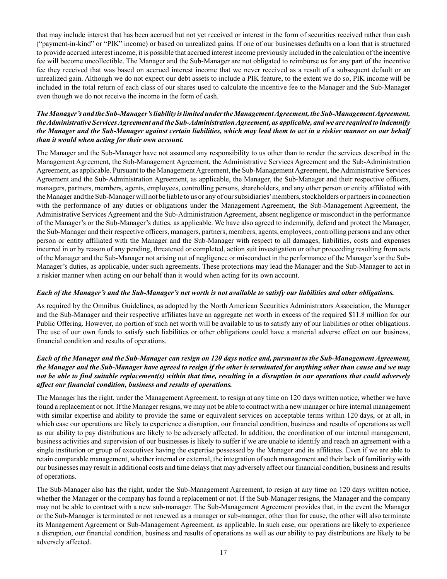that may include interest that has been accrued but not yet received or interest in the form of securities received rather than cash ("payment-in-kind" or "PIK" income) or based on unrealized gains. If one of our businesses defaults on a loan that is structured to provide accrued interest income, it is possible that accrued interest income previously included in the calculation of the incentive fee will become uncollectible. The Manager and the Sub-Manager are not obligated to reimburse us for any part of the incentive fee they received that was based on accrued interest income that we never received as a result of a subsequent default or an unrealized gain. Although we do not expect our debt assets to include a PIK feature, to the extent we do so, PIK income will be included in the total return of each class of our shares used to calculate the incentive fee to the Manager and the Sub-Manager even though we do not receive the income in the form of cash.

#### *The Manager's and the Sub-Manager's liability is limited under the Management Agreement, the Sub-Management Agreement, the Administrative Services Agreement and the Sub-Administration Agreement, as applicable, and we are required to indemnify the Manager and the Sub-Manager against certain liabilities, which may lead them to act in a riskier manner on our behalf than it would when acting for their own account.*

The Manager and the Sub-Manager have not assumed any responsibility to us other than to render the services described in the Management Agreement, the Sub-Management Agreement, the Administrative Services Agreement and the Sub-Administration Agreement, as applicable. Pursuant to the Management Agreement, the Sub-Management Agreement, the Administrative Services Agreement and the Sub-Administration Agreement, as applicable, the Manager, the Sub-Manager and their respective officers, managers, partners, members, agents, employees, controlling persons, shareholders, and any other person or entity affiliated with the Manager and the Sub-Manager will not be liable to us or any of our subsidiaries' members, stockholders or partners in connection with the performance of any duties or obligations under the Management Agreement, the Sub-Management Agreement, the Administrative Services Agreement and the Sub-Administration Agreement, absent negligence or misconduct in the performance of the Manager's or the Sub-Manager's duties, as applicable. We have also agreed to indemnify, defend and protect the Manager, the Sub-Manager and their respective officers, managers, partners, members, agents, employees, controlling persons and any other person or entity affiliated with the Manager and the Sub-Manager with respect to all damages, liabilities, costs and expenses incurred in or by reason of any pending, threatened or completed, action suit investigation or other proceeding resulting from acts of the Manager and the Sub-Manager not arising out of negligence or misconduct in the performance of the Manager's or the Sub-Manager's duties, as applicable, under such agreements. These protections may lead the Manager and the Sub-Manager to act in a riskier manner when acting on our behalf than it would when acting for its own account.

#### *Each of the Manager's and the Sub-Manager's net worth is not available to satisfy our liabilities and other obligations.*

As required by the Omnibus Guidelines, as adopted by the North American Securities Administrators Association, the Manager and the Sub-Manager and their respective affiliates have an aggregate net worth in excess of the required \$11.8 million for our Public Offering. However, no portion of such net worth will be available to us to satisfy any of our liabilities or other obligations. The use of our own funds to satisfy such liabilities or other obligations could have a material adverse effect on our business, financial condition and results of operations.

# *Each of the Manager and the Sub-Manager can resign on 120 days notice and, pursuant to the Sub-Management Agreement, the Manager and the Sub-Manager have agreed to resign if the other is terminated for anything other than cause and we may not be able to find suitable replacement(s) within that time, resulting in a disruption in our operations that could adversely affect our financial condition, business and results of operations.*

The Manager has the right, under the Management Agreement, to resign at any time on 120 days written notice, whether we have found a replacement or not. If the Manager resigns, we may not be able to contract with a new manager or hire internal management with similar expertise and ability to provide the same or equivalent services on acceptable terms within 120 days, or at all, in which case our operations are likely to experience a disruption, our financial condition, business and results of operations as well as our ability to pay distributions are likely to be adversely affected. In addition, the coordination of our internal management, business activities and supervision of our businesses is likely to suffer if we are unable to identify and reach an agreement with a single institution or group of executives having the expertise possessed by the Manager and its affiliates. Even if we are able to retain comparable management, whether internal or external, the integration of such management and their lack of familiarity with our businesses may result in additional costs and time delays that may adversely affect our financial condition, business and results of operations.

The Sub-Manager also has the right, under the Sub-Management Agreement, to resign at any time on 120 days written notice, whether the Manager or the company has found a replacement or not. If the Sub-Manager resigns, the Manager and the company may not be able to contract with a new sub-manager. The Sub-Management Agreement provides that, in the event the Manager or the Sub-Manager is terminated or not renewed as a manager or sub-manager, other than for cause, the other will also terminate its Management Agreement or Sub-Management Agreement, as applicable. In such case, our operations are likely to experience a disruption, our financial condition, business and results of operations as well as our ability to pay distributions are likely to be adversely affected.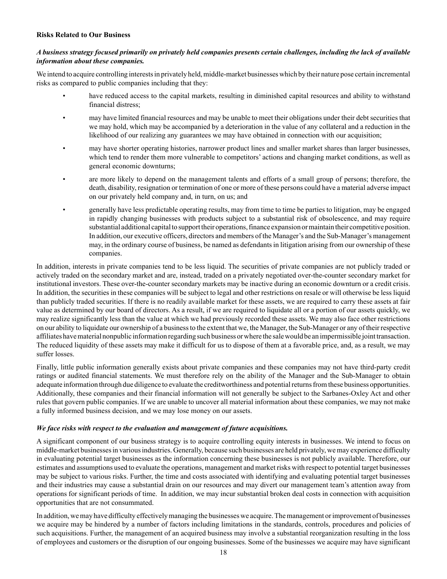#### **Risks Related to Our Business**

#### *A business strategy focused primarily on privately held companies presents certain challenges, including the lack of available information about these companies.*

We intend to acquire controlling interests in privately held, middle-market businesses which by their nature pose certain incremental risks as compared to public companies including that they:

- have reduced access to the capital markets, resulting in diminished capital resources and ability to withstand financial distress;
- may have limited financial resources and may be unable to meet their obligations under their debt securities that we may hold, which may be accompanied by a deterioration in the value of any collateral and a reduction in the likelihood of our realizing any guarantees we may have obtained in connection with our acquisition;
- may have shorter operating histories, narrower product lines and smaller market shares than larger businesses, which tend to render them more vulnerable to competitors' actions and changing market conditions, as well as general economic downturns;
- are more likely to depend on the management talents and efforts of a small group of persons; therefore, the death, disability, resignation or termination of one or more of these persons could have a material adverse impact on our privately held company and, in turn, on us; and
- generally have less predictable operating results, may from time to time be parties to litigation, may be engaged in rapidly changing businesses with products subject to a substantial risk of obsolescence, and may require substantial additional capital to support their operations, finance expansion or maintain their competitive position. In addition, our executive officers, directors and members of the Manager's and the Sub-Manager's management may, in the ordinary course of business, be named as defendants in litigation arising from our ownership of these companies.

In addition, interests in private companies tend to be less liquid. The securities of private companies are not publicly traded or actively traded on the secondary market and are, instead, traded on a privately negotiated over-the-counter secondary market for institutional investors. These over-the-counter secondary markets may be inactive during an economic downturn or a credit crisis. In addition, the securities in these companies will be subject to legal and other restrictions on resale or will otherwise be less liquid than publicly traded securities. If there is no readily available market for these assets, we are required to carry these assets at fair value as determined by our board of directors. As a result, if we are required to liquidate all or a portion of our assets quickly, we may realize significantly less than the value at which we had previously recorded these assets. We may also face other restrictions on our ability to liquidate our ownership of a business to the extent that we, the Manager, the Sub-Manager or any of their respective affiliates have material nonpublic information regarding such business or where the sale would be an impermissible joint transaction. The reduced liquidity of these assets may make it difficult for us to dispose of them at a favorable price, and, as a result, we may suffer losses.

Finally, little public information generally exists about private companies and these companies may not have third-party credit ratings or audited financial statements. We must therefore rely on the ability of the Manager and the Sub-Manager to obtain adequate information through due diligence to evaluate the creditworthiness and potential returns from these business opportunities. Additionally, these companies and their financial information will not generally be subject to the Sarbanes-Oxley Act and other rules that govern public companies. If we are unable to uncover all material information about these companies, we may not make a fully informed business decision, and we may lose money on our assets.

#### *We face risks with respect to the evaluation and management of future acquisitions.*

A significant component of our business strategy is to acquire controlling equity interests in businesses. We intend to focus on middle-market businesses in various industries. Generally, because such businesses are held privately, we may experience difficulty in evaluating potential target businesses as the information concerning these businesses is not publicly available. Therefore, our estimates and assumptions used to evaluate the operations, management and market risks with respect to potential target businesses may be subject to various risks. Further, the time and costs associated with identifying and evaluating potential target businesses and their industries may cause a substantial drain on our resources and may divert our management team's attention away from operations for significant periods of time. In addition, we may incur substantial broken deal costs in connection with acquisition opportunities that are not consummated.

In addition, we may have difficulty effectively managing the businesses we acquire. The management or improvement of businesses we acquire may be hindered by a number of factors including limitations in the standards, controls, procedures and policies of such acquisitions. Further, the management of an acquired business may involve a substantial reorganization resulting in the loss of employees and customers or the disruption of our ongoing businesses. Some of the businesses we acquire may have significant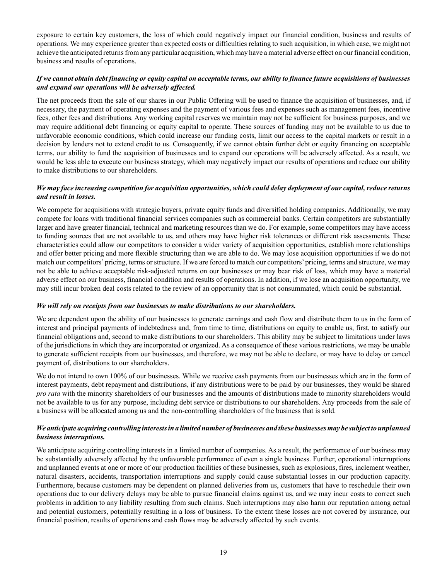exposure to certain key customers, the loss of which could negatively impact our financial condition, business and results of operations. We may experience greater than expected costs or difficulties relating to such acquisition, in which case, we might not achieve the anticipated returns from any particular acquisition, which may have a material adverse effect on our financial condition, business and results of operations.

# *If we cannot obtain debt financing or equity capital on acceptable terms, our ability to finance future acquisitions of businesses and expand our operations will be adversely affected.*

The net proceeds from the sale of our shares in our Public Offering will be used to finance the acquisition of businesses, and, if necessary, the payment of operating expenses and the payment of various fees and expenses such as management fees, incentive fees, other fees and distributions. Any working capital reserves we maintain may not be sufficient for business purposes, and we may require additional debt financing or equity capital to operate. These sources of funding may not be available to us due to unfavorable economic conditions, which could increase our funding costs, limit our access to the capital markets or result in a decision by lenders not to extend credit to us. Consequently, if we cannot obtain further debt or equity financing on acceptable terms, our ability to fund the acquisition of businesses and to expand our operations will be adversely affected. As a result, we would be less able to execute our business strategy, which may negatively impact our results of operations and reduce our ability to make distributions to our shareholders.

#### *We may face increasing competition for acquisition opportunities, which could delay deployment of our capital, reduce returns and result in losses.*

We compete for acquisitions with strategic buyers, private equity funds and diversified holding companies. Additionally, we may compete for loans with traditional financial services companies such as commercial banks. Certain competitors are substantially larger and have greater financial, technical and marketing resources than we do. For example, some competitors may have access to funding sources that are not available to us, and others may have higher risk tolerances or different risk assessments. These characteristics could allow our competitors to consider a wider variety of acquisition opportunities, establish more relationships and offer better pricing and more flexible structuring than we are able to do. We may lose acquisition opportunities if we do not match our competitors' pricing, terms or structure. If we are forced to match our competitors' pricing, terms and structure, we may not be able to achieve acceptable risk-adjusted returns on our businesses or may bear risk of loss, which may have a material adverse effect on our business, financial condition and results of operations. In addition, if we lose an acquisition opportunity, we may still incur broken deal costs related to the review of an opportunity that is not consummated, which could be substantial.

#### *We will rely on receipts from our businesses to make distributions to our shareholders.*

We are dependent upon the ability of our businesses to generate earnings and cash flow and distribute them to us in the form of interest and principal payments of indebtedness and, from time to time, distributions on equity to enable us, first, to satisfy our financial obligations and, second to make distributions to our shareholders. This ability may be subject to limitations under laws of the jurisdictions in which they are incorporated or organized. As a consequence of these various restrictions, we may be unable to generate sufficient receipts from our businesses, and therefore, we may not be able to declare, or may have to delay or cancel payment of, distributions to our shareholders.

We do not intend to own 100% of our businesses. While we receive cash payments from our businesses which are in the form of interest payments, debt repayment and distributions, if any distributions were to be paid by our businesses, they would be shared *pro rata* with the minority shareholders of our businesses and the amounts of distributions made to minority shareholders would not be available to us for any purpose, including debt service or distributions to our shareholders. Any proceeds from the sale of a business will be allocated among us and the non-controlling shareholders of the business that is sold.

#### *We anticipate acquiring controlling interests in a limited number of businesses and these businesses may be subject to unplanned business interruptions.*

We anticipate acquiring controlling interests in a limited number of companies. As a result, the performance of our business may be substantially adversely affected by the unfavorable performance of even a single business. Further, operational interruptions and unplanned events at one or more of our production facilities of these businesses, such as explosions, fires, inclement weather, natural disasters, accidents, transportation interruptions and supply could cause substantial losses in our production capacity. Furthermore, because customers may be dependent on planned deliveries from us, customers that have to reschedule their own operations due to our delivery delays may be able to pursue financial claims against us, and we may incur costs to correct such problems in addition to any liability resulting from such claims. Such interruptions may also harm our reputation among actual and potential customers, potentially resulting in a loss of business. To the extent these losses are not covered by insurance, our financial position, results of operations and cash flows may be adversely affected by such events.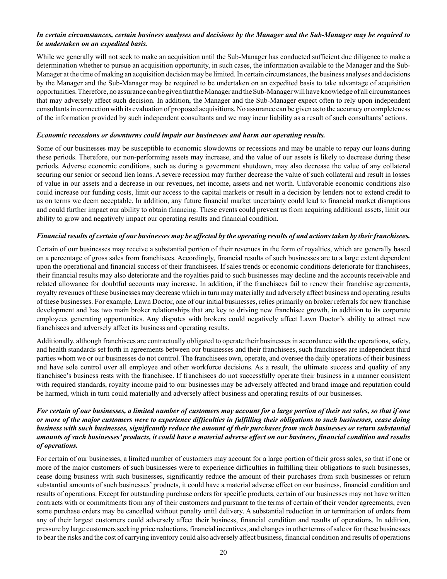#### *In certain circumstances, certain business analyses and decisions by the Manager and the Sub-Manager may be required to be undertaken on an expedited basis.*

While we generally will not seek to make an acquisition until the Sub-Manager has conducted sufficient due diligence to make a determination whether to pursue an acquisition opportunity, in such cases, the information available to the Manager and the Sub-Manager at the time of making an acquisition decision may be limited. In certain circumstances, the business analyses and decisions by the Manager and the Sub-Manager may be required to be undertaken on an expedited basis to take advantage of acquisition opportunities. Therefore, no assurance can be given that the Manager and the Sub-Manager will have knowledge of all circumstances that may adversely affect such decision. In addition, the Manager and the Sub-Manager expect often to rely upon independent consultants in connection with its evaluation of proposed acquisitions. No assurance can be given as to the accuracy or completeness of the information provided by such independent consultants and we may incur liability as a result of such consultants' actions.

#### *Economic recessions or downturns could impair our businesses and harm our operating results.*

Some of our businesses may be susceptible to economic slowdowns or recessions and may be unable to repay our loans during these periods. Therefore, our non-performing assets may increase, and the value of our assets is likely to decrease during these periods. Adverse economic conditions, such as during a government shutdown, may also decrease the value of any collateral securing our senior or second lien loans. A severe recession may further decrease the value of such collateral and result in losses of value in our assets and a decrease in our revenues, net income, assets and net worth. Unfavorable economic conditions also could increase our funding costs, limit our access to the capital markets or result in a decision by lenders not to extend credit to us on terms we deem acceptable. In addition, any future financial market uncertainty could lead to financial market disruptions and could further impact our ability to obtain financing. These events could prevent us from acquiring additional assets, limit our ability to grow and negatively impact our operating results and financial condition.

#### *Financial results of certain of our businesses may be affected by the operating results of and actions taken by their franchisees.*

Certain of our businesses may receive a substantial portion of their revenues in the form of royalties, which are generally based on a percentage of gross sales from franchisees. Accordingly, financial results of such businesses are to a large extent dependent upon the operational and financial success of their franchisees. If sales trends or economic conditions deteriorate for franchisees, their financial results may also deteriorate and the royalties paid to such businesses may decline and the accounts receivable and related allowance for doubtful accounts may increase. In addition, if the franchisees fail to renew their franchise agreements, royalty revenues of these businesses may decrease which in turn may materially and adversely affect business and operating results of these businesses. For example, Lawn Doctor, one of our initial businesses, relies primarily on broker referrals for new franchise development and has two main broker relationships that are key to driving new franchisee growth, in addition to its corporate employees generating opportunities. Any disputes with brokers could negatively affect Lawn Doctor's ability to attract new franchisees and adversely affect its business and operating results.

Additionally, although franchisees are contractually obligated to operate their businesses in accordance with the operations, safety, and health standards set forth in agreements between our businesses and their franchisees, such franchisees are independent third parties whom we or our businesses do not control. The franchisees own, operate, and oversee the daily operations of their business and have sole control over all employee and other workforce decisions. As a result, the ultimate success and quality of any franchisee's business rests with the franchisee. If franchisees do not successfully operate their business in a manner consistent with required standards, royalty income paid to our businesses may be adversely affected and brand image and reputation could be harmed, which in turn could materially and adversely affect business and operating results of our businesses.

#### *For certain of our businesses, a limited number of customers may account for a large portion of their net sales, so that if one or more of the major customers were to experience difficulties in fulfilling their obligations to such businesses, cease doing business with such businesses, significantly reduce the amount of their purchases from such businesses or return substantial amounts of such businesses' products, it could have a material adverse effect on our business, financial condition and results of operations.*

For certain of our businesses, a limited number of customers may account for a large portion of their gross sales, so that if one or more of the major customers of such businesses were to experience difficulties in fulfilling their obligations to such businesses, cease doing business with such businesses, significantly reduce the amount of their purchases from such businesses or return substantial amounts of such businesses' products, it could have a material adverse effect on our business, financial condition and results of operations. Except for outstanding purchase orders for specific products, certain of our businesses may not have written contracts with or commitments from any of their customers and pursuant to the terms of certain of their vendor agreements, even some purchase orders may be cancelled without penalty until delivery. A substantial reduction in or termination of orders from any of their largest customers could adversely affect their business, financial condition and results of operations. In addition, pressure by large customers seeking price reductions, financial incentives, and changes in other terms of sale or for these businesses to bear the risks and the cost of carrying inventory could also adversely affect business, financial condition and results of operations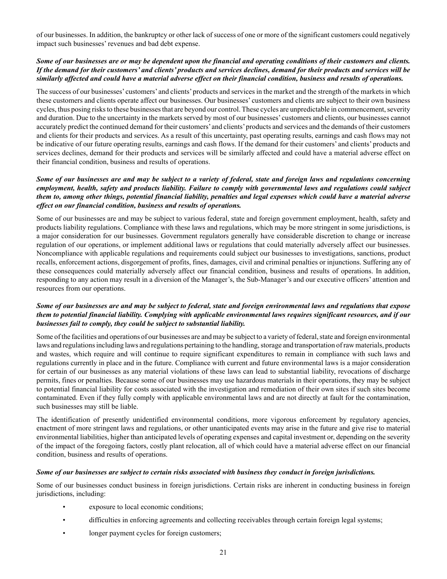of our businesses. In addition, the bankruptcy or other lack of success of one or more of the significant customers could negatively impact such businesses' revenues and bad debt expense.

# *Some of our businesses are or may be dependent upon the financial and operating conditions of their customers and clients. If the demand for their customers' and clients' products and services declines, demand for their products and services will be similarly affected and could have a material adverse effect on their financial condition, business and results of operations.*

The success of our businesses' customers' and clients' products and services in the market and the strength of the markets in which these customers and clients operate affect our businesses. Our businesses' customers and clients are subject to their own business cycles, thus posing risks to these businesses that are beyond our control. These cycles are unpredictable in commencement, severity and duration. Due to the uncertainty in the markets served by most of our businesses' customers and clients, our businesses cannot accurately predict the continued demand for their customers' and clients' products and services and the demands of their customers and clients for their products and services. As a result of this uncertainty, past operating results, earnings and cash flows may not be indicative of our future operating results, earnings and cash flows. If the demand for their customers' and clients' products and services declines, demand for their products and services will be similarly affected and could have a material adverse effect on their financial condition, business and results of operations.

# *Some of our businesses are and may be subject to a variety of federal, state and foreign laws and regulations concerning employment, health, safety and products liability. Failure to comply with governmental laws and regulations could subject them to, among other things, potential financial liability, penalties and legal expenses which could have a material adverse effect on our financial condition, business and results of operations.*

Some of our businesses are and may be subject to various federal, state and foreign government employment, health, safety and products liability regulations. Compliance with these laws and regulations, which may be more stringent in some jurisdictions, is a major consideration for our businesses. Government regulators generally have considerable discretion to change or increase regulation of our operations, or implement additional laws or regulations that could materially adversely affect our businesses. Noncompliance with applicable regulations and requirements could subject our businesses to investigations, sanctions, product recalls, enforcement actions, disgorgement of profits, fines, damages, civil and criminal penalties or injunctions. Suffering any of these consequences could materially adversely affect our financial condition, business and results of operations. In addition, responding to any action may result in a diversion of the Manager's, the Sub-Manager's and our executive officers' attention and resources from our operations.

#### *Some of our businesses are and may be subject to federal, state and foreign environmental laws and regulations that expose them to potential financial liability. Complying with applicable environmental laws requires significant resources, and if our businesses fail to comply, they could be subject to substantial liability.*

Some of the facilities and operations of our businesses are and may be subject to a variety of federal, state and foreign environmental laws and regulations including laws and regulations pertaining to the handling, storage and transportation of raw materials, products and wastes, which require and will continue to require significant expenditures to remain in compliance with such laws and regulations currently in place and in the future. Compliance with current and future environmental laws is a major consideration for certain of our businesses as any material violations of these laws can lead to substantial liability, revocations of discharge permits, fines or penalties. Because some of our businesses may use hazardous materials in their operations, they may be subject to potential financial liability for costs associated with the investigation and remediation of their own sites if such sites become contaminated. Even if they fully comply with applicable environmental laws and are not directly at fault for the contamination, such businesses may still be liable.

The identification of presently unidentified environmental conditions, more vigorous enforcement by regulatory agencies, enactment of more stringent laws and regulations, or other unanticipated events may arise in the future and give rise to material environmental liabilities, higher than anticipated levels of operating expenses and capital investment or, depending on the severity of the impact of the foregoing factors, costly plant relocation, all of which could have a material adverse effect on our financial condition, business and results of operations.

#### *Some of our businesses are subject to certain risks associated with business they conduct in foreign jurisdictions.*

Some of our businesses conduct business in foreign jurisdictions. Certain risks are inherent in conducting business in foreign jurisdictions, including:

- exposure to local economic conditions;
- difficulties in enforcing agreements and collecting receivables through certain foreign legal systems;
- longer payment cycles for foreign customers;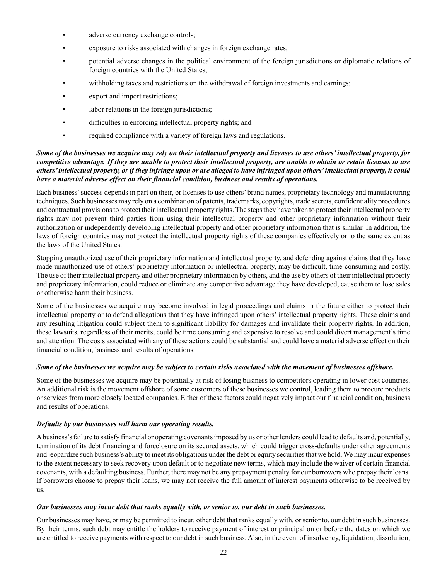- adverse currency exchange controls;
- exposure to risks associated with changes in foreign exchange rates;
- potential adverse changes in the political environment of the foreign jurisdictions or diplomatic relations of foreign countries with the United States;
- withholding taxes and restrictions on the withdrawal of foreign investments and earnings;
- export and import restrictions;
- labor relations in the foreign jurisdictions;
- difficulties in enforcing intellectual property rights; and
- required compliance with a variety of foreign laws and regulations.

## *Some of the businesses we acquire may rely on their intellectual property and licenses to use others' intellectual property, for competitive advantage. If they are unable to protect their intellectual property, are unable to obtain or retain licenses to use others' intellectual property, or if they infringe upon or are alleged to have infringed upon others' intellectual property, it could have a material adverse effect on their financial condition, business and results of operations.*

Each business' success depends in part on their, or licenses to use others' brand names, proprietary technology and manufacturing techniques. Such businesses may rely on a combination of patents, trademarks, copyrights, trade secrets, confidentiality procedures and contractual provisions to protect their intellectual property rights. The steps they have taken to protect their intellectual property rights may not prevent third parties from using their intellectual property and other proprietary information without their authorization or independently developing intellectual property and other proprietary information that is similar. In addition, the laws of foreign countries may not protect the intellectual property rights of these companies effectively or to the same extent as the laws of the United States.

Stopping unauthorized use of their proprietary information and intellectual property, and defending against claims that they have made unauthorized use of others' proprietary information or intellectual property, may be difficult, time-consuming and costly. The use of their intellectual property and other proprietary information by others, and the use by others of their intellectual property and proprietary information, could reduce or eliminate any competitive advantage they have developed, cause them to lose sales or otherwise harm their business.

Some of the businesses we acquire may become involved in legal proceedings and claims in the future either to protect their intellectual property or to defend allegations that they have infringed upon others' intellectual property rights. These claims and any resulting litigation could subject them to significant liability for damages and invalidate their property rights. In addition, these lawsuits, regardless of their merits, could be time consuming and expensive to resolve and could divert management's time and attention. The costs associated with any of these actions could be substantial and could have a material adverse effect on their financial condition, business and results of operations.

#### *Some of the businesses we acquire may be subject to certain risks associated with the movement of businesses offshore.*

Some of the businesses we acquire may be potentially at risk of losing business to competitors operating in lower cost countries. An additional risk is the movement offshore of some customers of these businesses we control, leading them to procure products or services from more closely located companies. Either of these factors could negatively impact our financial condition, business and results of operations.

#### *Defaults by our businesses will harm our operating results.*

A business's failure to satisfy financial or operating covenants imposed by us or other lenders could lead to defaults and, potentially, termination of its debt financing and foreclosure on its secured assets, which could trigger cross-defaults under other agreements and jeopardize such business's ability to meet its obligations under the debt or equity securities that we hold. We may incur expenses to the extent necessary to seek recovery upon default or to negotiate new terms, which may include the waiver of certain financial covenants, with a defaulting business. Further, there may not be any prepayment penalty for our borrowers who prepay their loans. If borrowers choose to prepay their loans, we may not receive the full amount of interest payments otherwise to be received by us.

#### *Our businesses may incur debt that ranks equally with, or senior to, our debt in such businesses.*

Our businesses may have, or may be permitted to incur, other debt that ranks equally with, or senior to, our debt in such businesses. By their terms, such debt may entitle the holders to receive payment of interest or principal on or before the dates on which we are entitled to receive payments with respect to our debt in such business. Also, in the event of insolvency, liquidation, dissolution,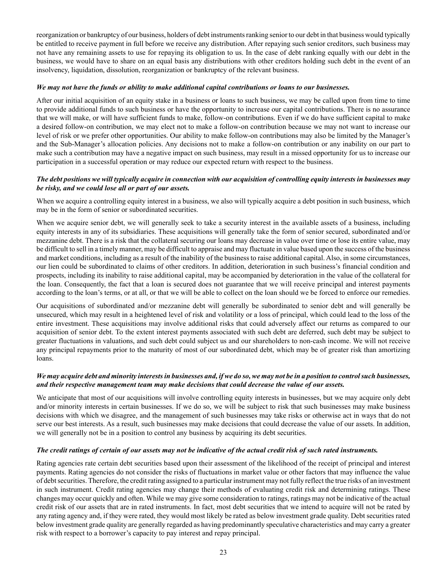reorganization or bankruptcy of our business, holders of debt instruments ranking senior to our debt in that business would typically be entitled to receive payment in full before we receive any distribution. After repaying such senior creditors, such business may not have any remaining assets to use for repaying its obligation to us. In the case of debt ranking equally with our debt in the business, we would have to share on an equal basis any distributions with other creditors holding such debt in the event of an insolvency, liquidation, dissolution, reorganization or bankruptcy of the relevant business.

#### *We may not have the funds or ability to make additional capital contributions or loans to our businesses.*

After our initial acquisition of an equity stake in a business or loans to such business, we may be called upon from time to time to provide additional funds to such business or have the opportunity to increase our capital contributions. There is no assurance that we will make, or will have sufficient funds to make, follow-on contributions. Even if we do have sufficient capital to make a desired follow-on contribution, we may elect not to make a follow-on contribution because we may not want to increase our level of risk or we prefer other opportunities. Our ability to make follow-on contributions may also be limited by the Manager's and the Sub-Manager's allocation policies. Any decisions not to make a follow-on contribution or any inability on our part to make such a contribution may have a negative impact on such business, may result in a missed opportunity for us to increase our participation in a successful operation or may reduce our expected return with respect to the business.

# *The debt positions we will typically acquire in connection with our acquisition of controlling equity interests in businesses may be risky, and we could lose all or part of our assets.*

When we acquire a controlling equity interest in a business, we also will typically acquire a debt position in such business, which may be in the form of senior or subordinated securities.

When we acquire senior debt, we will generally seek to take a security interest in the available assets of a business, including equity interests in any of its subsidiaries. These acquisitions will generally take the form of senior secured, subordinated and/or mezzanine debt. There is a risk that the collateral securing our loans may decrease in value over time or lose its entire value, may be difficult to sell in a timely manner, may be difficult to appraise and may fluctuate in value based upon the success of the business and market conditions, including as a result of the inability of the business to raise additional capital. Also, in some circumstances, our lien could be subordinated to claims of other creditors. In addition, deterioration in such business's financial condition and prospects, including its inability to raise additional capital, may be accompanied by deterioration in the value of the collateral for the loan. Consequently, the fact that a loan is secured does not guarantee that we will receive principal and interest payments according to the loan's terms, or at all, or that we will be able to collect on the loan should we be forced to enforce our remedies.

Our acquisitions of subordinated and/or mezzanine debt will generally be subordinated to senior debt and will generally be unsecured, which may result in a heightened level of risk and volatility or a loss of principal, which could lead to the loss of the entire investment. These acquisitions may involve additional risks that could adversely affect our returns as compared to our acquisition of senior debt. To the extent interest payments associated with such debt are deferred, such debt may be subject to greater fluctuations in valuations, and such debt could subject us and our shareholders to non-cash income. We will not receive any principal repayments prior to the maturity of most of our subordinated debt, which may be of greater risk than amortizing loans.

# *We may acquire debt and minority interests in businesses and, if we do so, we may not be in a position to control such businesses, and their respective management team may make decisions that could decrease the value of our assets.*

We anticipate that most of our acquisitions will involve controlling equity interests in businesses, but we may acquire only debt and/or minority interests in certain businesses. If we do so, we will be subject to risk that such businesses may make business decisions with which we disagree, and the management of such businesses may take risks or otherwise act in ways that do not serve our best interests. As a result, such businesses may make decisions that could decrease the value of our assets. In addition, we will generally not be in a position to control any business by acquiring its debt securities.

#### *The credit ratings of certain of our assets may not be indicative of the actual credit risk of such rated instruments.*

Rating agencies rate certain debt securities based upon their assessment of the likelihood of the receipt of principal and interest payments. Rating agencies do not consider the risks of fluctuations in market value or other factors that may influence the value of debt securities. Therefore, the credit rating assigned to a particular instrument may not fully reflect the true risks of an investment in such instrument. Credit rating agencies may change their methods of evaluating credit risk and determining ratings. These changes may occur quickly and often. While we may give some consideration to ratings, ratings may not be indicative of the actual credit risk of our assets that are in rated instruments. In fact, most debt securities that we intend to acquire will not be rated by any rating agency and, if they were rated, they would most likely be rated as below investment grade quality. Debt securities rated below investment grade quality are generally regarded as having predominantly speculative characteristics and may carry a greater risk with respect to a borrower's capacity to pay interest and repay principal.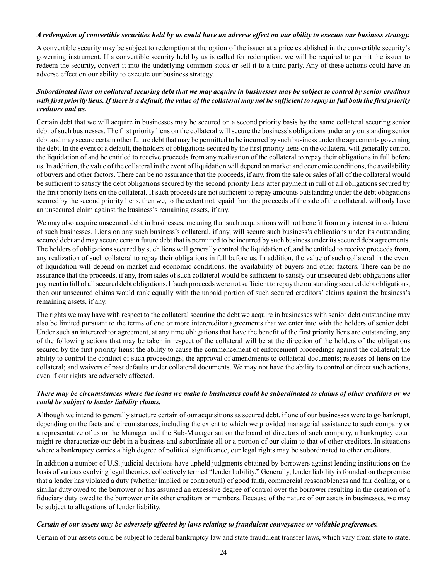#### *A redemption of convertible securities held by us could have an adverse effect on our ability to execute our business strategy.*

A convertible security may be subject to redemption at the option of the issuer at a price established in the convertible security's governing instrument. If a convertible security held by us is called for redemption, we will be required to permit the issuer to redeem the security, convert it into the underlying common stock or sell it to a third party. Any of these actions could have an adverse effect on our ability to execute our business strategy.

# *Subordinated liens on collateral securing debt that we may acquire in businesses may be subject to control by senior creditors with first priority liens. If there is a default, the value of the collateral may not be sufficient to repay in full both the first priority creditors and us.*

Certain debt that we will acquire in businesses may be secured on a second priority basis by the same collateral securing senior debt of such businesses. The first priority liens on the collateral will secure the business's obligations under any outstanding senior debt and may secure certain other future debt that may be permitted to be incurred by such business under the agreements governing the debt. In the event of a default, the holders of obligations secured by the first priority liens on the collateral will generally control the liquidation of and be entitled to receive proceeds from any realization of the collateral to repay their obligations in full before us. In addition, the value of the collateral in the event of liquidation will depend on market and economic conditions, the availability of buyers and other factors. There can be no assurance that the proceeds, if any, from the sale or sales of all of the collateral would be sufficient to satisfy the debt obligations secured by the second priority liens after payment in full of all obligations secured by the first priority liens on the collateral. If such proceeds are not sufficient to repay amounts outstanding under the debt obligations secured by the second priority liens, then we, to the extent not repaid from the proceeds of the sale of the collateral, will only have an unsecured claim against the business's remaining assets, if any.

We may also acquire unsecured debt in businesses, meaning that such acquisitions will not benefit from any interest in collateral of such businesses. Liens on any such business's collateral, if any, will secure such business's obligations under its outstanding secured debt and may secure certain future debt that is permitted to be incurred by such business under its secured debt agreements. The holders of obligations secured by such liens will generally control the liquidation of, and be entitled to receive proceeds from, any realization of such collateral to repay their obligations in full before us. In addition, the value of such collateral in the event of liquidation will depend on market and economic conditions, the availability of buyers and other factors. There can be no assurance that the proceeds, if any, from sales of such collateral would be sufficient to satisfy our unsecured debt obligations after payment in full of all secured debt obligations. If such proceeds were not sufficient to repay the outstanding secured debt obligations, then our unsecured claims would rank equally with the unpaid portion of such secured creditors' claims against the business's remaining assets, if any.

The rights we may have with respect to the collateral securing the debt we acquire in businesses with senior debt outstanding may also be limited pursuant to the terms of one or more intercreditor agreements that we enter into with the holders of senior debt. Under such an intercreditor agreement, at any time obligations that have the benefit of the first priority liens are outstanding, any of the following actions that may be taken in respect of the collateral will be at the direction of the holders of the obligations secured by the first priority liens: the ability to cause the commencement of enforcement proceedings against the collateral; the ability to control the conduct of such proceedings; the approval of amendments to collateral documents; releases of liens on the collateral; and waivers of past defaults under collateral documents. We may not have the ability to control or direct such actions, even if our rights are adversely affected.

# *There may be circumstances where the loans we make to businesses could be subordinated to claims of other creditors or we could be subject to lender liability claims.*

Although we intend to generally structure certain of our acquisitions as secured debt, if one of our businesses were to go bankrupt, depending on the facts and circumstances, including the extent to which we provided managerial assistance to such company or a representative of us or the Manager and the Sub-Manager sat on the board of directors of such company, a bankruptcy court might re-characterize our debt in a business and subordinate all or a portion of our claim to that of other creditors. In situations where a bankruptcy carries a high degree of political significance, our legal rights may be subordinated to other creditors.

In addition a number of U.S. judicial decisions have upheld judgments obtained by borrowers against lending institutions on the basis of various evolving legal theories, collectively termed "lender liability." Generally, lender liability is founded on the premise that a lender has violated a duty (whether implied or contractual) of good faith, commercial reasonableness and fair dealing, or a similar duty owed to the borrower or has assumed an excessive degree of control over the borrower resulting in the creation of a fiduciary duty owed to the borrower or its other creditors or members. Because of the nature of our assets in businesses, we may be subject to allegations of lender liability.

# *Certain of our assets may be adversely affected by laws relating to fraudulent conveyance or voidable preferences.*

Certain of our assets could be subject to federal bankruptcy law and state fraudulent transfer laws, which vary from state to state,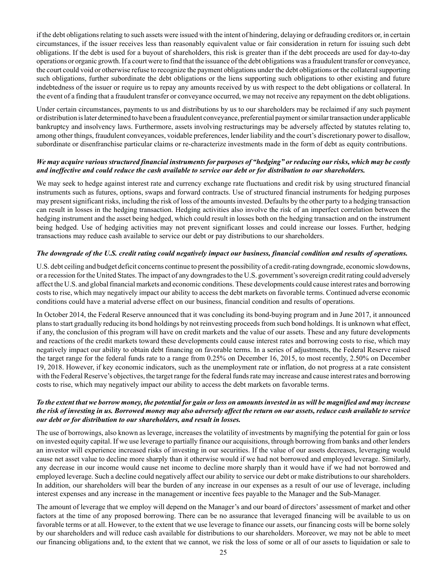if the debt obligations relating to such assets were issued with the intent of hindering, delaying or defrauding creditors or, in certain circumstances, if the issuer receives less than reasonably equivalent value or fair consideration in return for issuing such debt obligations. If the debt is used for a buyout of shareholders, this risk is greater than if the debt proceeds are used for day-to-day operations or organic growth. If a court were to find that the issuance of the debt obligations was a fraudulent transfer or conveyance, the court could void or otherwise refuse to recognize the payment obligations under the debt obligations or the collateral supporting such obligations, further subordinate the debt obligations or the liens supporting such obligations to other existing and future indebtedness of the issuer or require us to repay any amounts received by us with respect to the debt obligations or collateral. In the event of a finding that a fraudulent transfer or conveyance occurred, we may not receive any repayment on the debt obligations.

Under certain circumstances, payments to us and distributions by us to our shareholders may be reclaimed if any such payment or distribution is later determined to have been a fraudulent conveyance, preferential payment or similar transaction under applicable bankruptcy and insolvency laws. Furthermore, assets involving restructurings may be adversely affected by statutes relating to, among other things, fraudulent conveyances, voidable preferences, lender liability and the court's discretionary power to disallow, subordinate or disenfranchise particular claims or re-characterize investments made in the form of debt as equity contributions.

#### *We may acquire various structured financial instruments for purposes of "hedging" or reducing our risks, which may be costly and ineffective and could reduce the cash available to service our debt or for distribution to our shareholders.*

We may seek to hedge against interest rate and currency exchange rate fluctuations and credit risk by using structured financial instruments such as futures, options, swaps and forward contracts. Use of structured financial instruments for hedging purposes may present significant risks, including the risk of loss of the amounts invested. Defaults by the other party to a hedging transaction can result in losses in the hedging transaction. Hedging activities also involve the risk of an imperfect correlation between the hedging instrument and the asset being hedged, which could result in losses both on the hedging transaction and on the instrument being hedged. Use of hedging activities may not prevent significant losses and could increase our losses. Further, hedging transactions may reduce cash available to service our debt or pay distributions to our shareholders.

#### *The downgrade of the U.S. credit rating could negatively impact our business, financial condition and results of operations.*

U.S. debt ceiling and budget deficit concerns continue to present the possibility of a credit-rating downgrade, economic slowdowns, or a recession for the United States. The impact of any downgrades to the U.S. government's sovereign credit rating could adversely affect the U.S. and global financial markets and economic conditions. These developments could cause interest rates and borrowing costs to rise, which may negatively impact our ability to access the debt markets on favorable terms. Continued adverse economic conditions could have a material adverse effect on our business, financial condition and results of operations.

In October 2014, the Federal Reserve announced that it was concluding its bond-buying program and in June 2017, it announced plans to start gradually reducing its bond holdings by not reinvesting proceeds from such bond holdings. It is unknown what effect, if any, the conclusion of this program will have on credit markets and the value of our assets. These and any future developments and reactions of the credit markets toward these developments could cause interest rates and borrowing costs to rise, which may negatively impact our ability to obtain debt financing on favorable terms. In a series of adjustments, the Federal Reserve raised the target range for the federal funds rate to a range from 0.25% on December 16, 2015, to most recently, 2.50% on December 19, 2018. However, if key economic indicators, such as the unemployment rate or inflation, do not progress at a rate consistent with the Federal Reserve's objectives, the target range for the federal funds rate may increase and cause interest rates and borrowing costs to rise, which may negatively impact our ability to access the debt markets on favorable terms.

#### *To the extent that we borrow money, the potential for gain or loss on amounts invested in us will be magnified and may increase the risk of investing in us. Borrowed money may also adversely affect the return on our assets, reduce cash available to service our debt or for distribution to our shareholders, and result in losses.*

The use of borrowings, also known as leverage, increases the volatility of investments by magnifying the potential for gain or loss on invested equity capital. If we use leverage to partially finance our acquisitions, through borrowing from banks and other lenders an investor will experience increased risks of investing in our securities. If the value of our assets decreases, leveraging would cause net asset value to decline more sharply than it otherwise would if we had not borrowed and employed leverage. Similarly, any decrease in our income would cause net income to decline more sharply than it would have if we had not borrowed and employed leverage. Such a decline could negatively affect our ability to service our debt or make distributions to our shareholders. In addition, our shareholders will bear the burden of any increase in our expenses as a result of our use of leverage, including interest expenses and any increase in the management or incentive fees payable to the Manager and the Sub-Manager.

The amount of leverage that we employ will depend on the Manager's and our board of directors' assessment of market and other factors at the time of any proposed borrowing. There can be no assurance that leveraged financing will be available to us on favorable terms or at all. However, to the extent that we use leverage to finance our assets, our financing costs will be borne solely by our shareholders and will reduce cash available for distributions to our shareholders. Moreover, we may not be able to meet our financing obligations and, to the extent that we cannot, we risk the loss of some or all of our assets to liquidation or sale to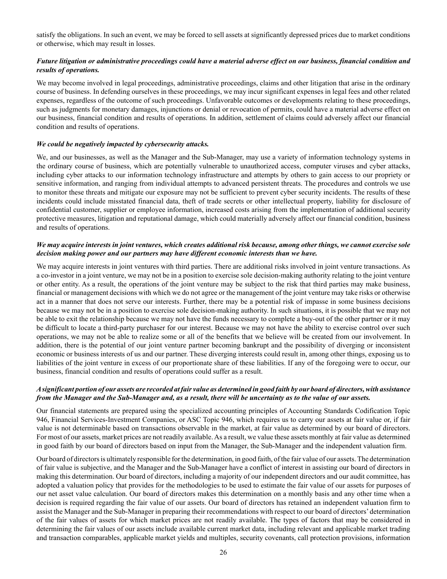satisfy the obligations. In such an event, we may be forced to sell assets at significantly depressed prices due to market conditions or otherwise, which may result in losses.

# *Future litigation or administrative proceedings could have a material adverse effect on our business, financial condition and results of operations.*

We may become involved in legal proceedings, administrative proceedings, claims and other litigation that arise in the ordinary course of business. In defending ourselves in these proceedings, we may incur significant expenses in legal fees and other related expenses, regardless of the outcome of such proceedings. Unfavorable outcomes or developments relating to these proceedings, such as judgments for monetary damages, injunctions or denial or revocation of permits, could have a material adverse effect on our business, financial condition and results of operations. In addition, settlement of claims could adversely affect our financial condition and results of operations.

#### *We could be negatively impacted by cybersecurity attacks.*

We, and our businesses, as well as the Manager and the Sub-Manager, may use a variety of information technology systems in the ordinary course of business, which are potentially vulnerable to unauthorized access, computer viruses and cyber attacks, including cyber attacks to our information technology infrastructure and attempts by others to gain access to our propriety or sensitive information, and ranging from individual attempts to advanced persistent threats. The procedures and controls we use to monitor these threats and mitigate our exposure may not be sufficient to prevent cyber security incidents. The results of these incidents could include misstated financial data, theft of trade secrets or other intellectual property, liability for disclosure of confidential customer, supplier or employee information, increased costs arising from the implementation of additional security protective measures, litigation and reputational damage, which could materially adversely affect our financial condition, business and results of operations.

#### *We may acquire interests in joint ventures, which creates additional risk because, among other things, we cannot exercise sole decision making power and our partners may have different economic interests than we have.*

We may acquire interests in joint ventures with third parties. There are additional risks involved in joint venture transactions. As a co-investor in a joint venture, we may not be in a position to exercise sole decision-making authority relating to the joint venture or other entity. As a result, the operations of the joint venture may be subject to the risk that third parties may make business, financial or management decisions with which we do not agree or the management of the joint venture may take risks or otherwise act in a manner that does not serve our interests. Further, there may be a potential risk of impasse in some business decisions because we may not be in a position to exercise sole decision-making authority. In such situations, it is possible that we may not be able to exit the relationship because we may not have the funds necessary to complete a buy-out of the other partner or it may be difficult to locate a third-party purchaser for our interest. Because we may not have the ability to exercise control over such operations, we may not be able to realize some or all of the benefits that we believe will be created from our involvement. In addition, there is the potential of our joint venture partner becoming bankrupt and the possibility of diverging or inconsistent economic or business interests of us and our partner. These diverging interests could result in, among other things, exposing us to liabilities of the joint venture in excess of our proportionate share of these liabilities. If any of the foregoing were to occur, our business, financial condition and results of operations could suffer as a result.

#### *A significant portion of our assets are recorded at fair value as determined in good faith by our board of directors, with assistance from the Manager and the Sub-Manager and, as a result, there will be uncertainty as to the value of our assets.*

Our financial statements are prepared using the specialized accounting principles of Accounting Standards Codification Topic 946, Financial Services-Investment Companies, or ASC Topic 946, which requires us to carry our assets at fair value or, if fair value is not determinable based on transactions observable in the market, at fair value as determined by our board of directors. For most of our assets, market prices are not readily available. As a result, we value these assets monthly at fair value as determined in good faith by our board of directors based on input from the Manager, the Sub-Manager and the independent valuation firm.

Our board of directors is ultimately responsible for the determination, in good faith, of the fair value of our assets. The determination of fair value is subjective, and the Manager and the Sub-Manager have a conflict of interest in assisting our board of directors in making this determination. Our board of directors, including a majority of our independent directors and our audit committee, has adopted a valuation policy that provides for the methodologies to be used to estimate the fair value of our assets for purposes of our net asset value calculation. Our board of directors makes this determination on a monthly basis and any other time when a decision is required regarding the fair value of our assets. Our board of directors has retained an independent valuation firm to assist the Manager and the Sub-Manager in preparing their recommendations with respect to our board of directors' determination of the fair values of assets for which market prices are not readily available. The types of factors that may be considered in determining the fair values of our assets include available current market data, including relevant and applicable market trading and transaction comparables, applicable market yields and multiples, security covenants, call protection provisions, information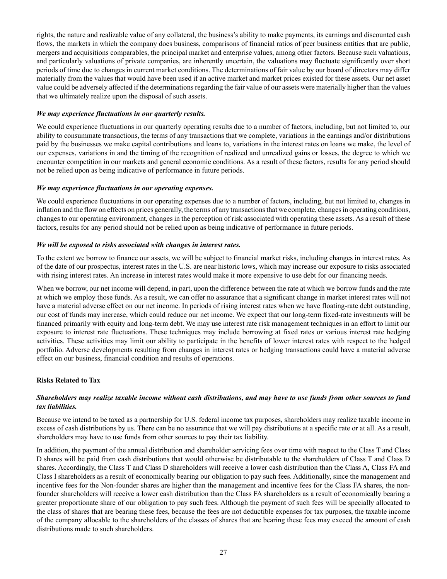rights, the nature and realizable value of any collateral, the business's ability to make payments, its earnings and discounted cash flows, the markets in which the company does business, comparisons of financial ratios of peer business entities that are public, mergers and acquisitions comparables, the principal market and enterprise values, among other factors. Because such valuations, and particularly valuations of private companies, are inherently uncertain, the valuations may fluctuate significantly over short periods of time due to changes in current market conditions. The determinations of fair value by our board of directors may differ materially from the values that would have been used if an active market and market prices existed for these assets. Our net asset value could be adversely affected if the determinations regarding the fair value of our assets were materially higher than the values that we ultimately realize upon the disposal of such assets.

#### *We may experience fluctuations in our quarterly results.*

We could experience fluctuations in our quarterly operating results due to a number of factors, including, but not limited to, our ability to consummate transactions, the terms of any transactions that we complete, variations in the earnings and/or distributions paid by the businesses we make capital contributions and loans to, variations in the interest rates on loans we make, the level of our expenses, variations in and the timing of the recognition of realized and unrealized gains or losses, the degree to which we encounter competition in our markets and general economic conditions. As a result of these factors, results for any period should not be relied upon as being indicative of performance in future periods.

# *We may experience fluctuations in our operating expenses.*

We could experience fluctuations in our operating expenses due to a number of factors, including, but not limited to, changes in inflation and the flow on effects on prices generally, the terms of any transactions that we complete, changes in operating conditions, changes to our operating environment, changes in the perception of risk associated with operating these assets. As a result of these factors, results for any period should not be relied upon as being indicative of performance in future periods.

# *We will be exposed to risks associated with changes in interest rates.*

To the extent we borrow to finance our assets, we will be subject to financial market risks, including changes in interest rates. As of the date of our prospectus, interest rates in the U.S. are near historic lows, which may increase our exposure to risks associated with rising interest rates. An increase in interest rates would make it more expensive to use debt for our financing needs.

When we borrow, our net income will depend, in part, upon the difference between the rate at which we borrow funds and the rate at which we employ those funds. As a result, we can offer no assurance that a significant change in market interest rates will not have a material adverse effect on our net income. In periods of rising interest rates when we have floating-rate debt outstanding, our cost of funds may increase, which could reduce our net income. We expect that our long-term fixed-rate investments will be financed primarily with equity and long-term debt. We may use interest rate risk management techniques in an effort to limit our exposure to interest rate fluctuations. These techniques may include borrowing at fixed rates or various interest rate hedging activities. These activities may limit our ability to participate in the benefits of lower interest rates with respect to the hedged portfolio. Adverse developments resulting from changes in interest rates or hedging transactions could have a material adverse effect on our business, financial condition and results of operations.

# **Risks Related to Tax**

# *Shareholders may realize taxable income without cash distributions, and may have to use funds from other sources to fund tax liabilities.*

Because we intend to be taxed as a partnership for U.S. federal income tax purposes, shareholders may realize taxable income in excess of cash distributions by us. There can be no assurance that we will pay distributions at a specific rate or at all. As a result, shareholders may have to use funds from other sources to pay their tax liability.

In addition, the payment of the annual distribution and shareholder servicing fees over time with respect to the Class T and Class D shares will be paid from cash distributions that would otherwise be distributable to the shareholders of Class T and Class D shares. Accordingly, the Class T and Class D shareholders will receive a lower cash distribution than the Class A, Class FA and Class I shareholders as a result of economically bearing our obligation to pay such fees. Additionally, since the management and incentive fees for the Non-founder shares are higher than the management and incentive fees for the Class FA shares, the nonfounder shareholders will receive a lower cash distribution than the Class FA shareholders as a result of economically bearing a greater proportionate share of our obligation to pay such fees. Although the payment of such fees will be specially allocated to the class of shares that are bearing these fees, because the fees are not deductible expenses for tax purposes, the taxable income of the company allocable to the shareholders of the classes of shares that are bearing these fees may exceed the amount of cash distributions made to such shareholders.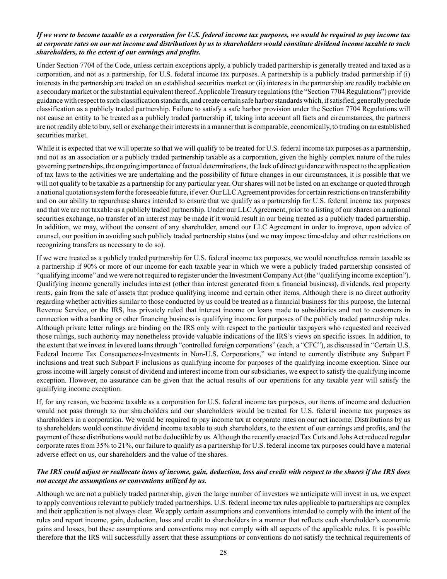#### *If we were to become taxable as a corporation for U.S. federal income tax purposes, we would be required to pay income tax at corporate rates on our net income and distributions by us to shareholders would constitute dividend income taxable to such shareholders, to the extent of our earnings and profits.*

Under Section 7704 of the Code, unless certain exceptions apply, a publicly traded partnership is generally treated and taxed as a corporation, and not as a partnership, for U.S. federal income tax purposes. A partnership is a publicly traded partnership if (i) interests in the partnership are traded on an established securities market or (ii) interests in the partnership are readily tradable on a secondary market or the substantial equivalent thereof. Applicable Treasury regulations (the "Section 7704 Regulations") provide guidance with respect to such classification standards, and create certain safe harbor standards which, if satisfied, generally preclude classification as a publicly traded partnership. Failure to satisfy a safe harbor provision under the Section 7704 Regulations will not cause an entity to be treated as a publicly traded partnership if, taking into account all facts and circumstances, the partners are not readily able to buy, sell or exchange their interests in a manner that is comparable, economically, to trading on an established securities market.

While it is expected that we will operate so that we will qualify to be treated for U.S. federal income tax purposes as a partnership, and not as an association or a publicly traded partnership taxable as a corporation, given the highly complex nature of the rules governing partnerships, the ongoing importance of factual determinations, the lack of direct guidance with respect to the application of tax laws to the activities we are undertaking and the possibility of future changes in our circumstances, it is possible that we will not qualify to be taxable as a partnership for any particular year. Our shares will not be listed on an exchange or quoted through a national quotation system for the foreseeable future, if ever. Our LLC Agreement provides for certain restrictions on transferability and on our ability to repurchase shares intended to ensure that we qualify as a partnership for U.S. federal income tax purposes and that we are not taxable as a publicly traded partnership. Under our LLC Agreement, prior to a listing of our shares on a national securities exchange, no transfer of an interest may be made if it would result in our being treated as a publicly traded partnership. In addition, we may, without the consent of any shareholder, amend our LLC Agreement in order to improve, upon advice of counsel, our position in avoiding such publicly traded partnership status (and we may impose time-delay and other restrictions on recognizing transfers as necessary to do so).

If we were treated as a publicly traded partnership for U.S. federal income tax purposes, we would nonetheless remain taxable as a partnership if 90% or more of our income for each taxable year in which we were a publicly traded partnership consisted of "qualifying income" and we were not required to register under the Investment Company Act (the "qualifying income exception"). Qualifying income generally includes interest (other than interest generated from a financial business), dividends, real property rents, gain from the sale of assets that produce qualifying income and certain other items. Although there is no direct authority regarding whether activities similar to those conducted by us could be treated as a financial business for this purpose, the Internal Revenue Service, or the IRS, has privately ruled that interest income on loans made to subsidiaries and not to customers in connection with a banking or other financing business is qualifying income for purposes of the publicly traded partnership rules. Although private letter rulings are binding on the IRS only with respect to the particular taxpayers who requested and received those rulings, such authority may nonetheless provide valuable indications of the IRS's views on specific issues. In addition, to the extent that we invest in levered loans through "controlled foreign corporations" (each, a "CFC"), as discussed in "Certain U.S. Federal Income Tax Consequences-Investments in Non-U.S. Corporations," we intend to currently distribute any Subpart F inclusions and treat such Subpart F inclusions as qualifying income for purposes of the qualifying income exception. Since our gross income will largely consist of dividend and interest income from our subsidiaries, we expect to satisfy the qualifying income exception. However, no assurance can be given that the actual results of our operations for any taxable year will satisfy the qualifying income exception.

If, for any reason, we become taxable as a corporation for U.S. federal income tax purposes, our items of income and deduction would not pass through to our shareholders and our shareholders would be treated for U.S. federal income tax purposes as shareholders in a corporation. We would be required to pay income tax at corporate rates on our net income. Distributions by us to shareholders would constitute dividend income taxable to such shareholders, to the extent of our earnings and profits, and the payment of these distributions would not be deductible by us. Although the recently enacted Tax Cuts and Jobs Act reduced regular corporate rates from 35% to 21%, our failure to qualify as a partnership for U.S. federal income tax purposes could have a material adverse effect on us, our shareholders and the value of the shares.

# *The IRS could adjust or reallocate items of income, gain, deduction, loss and credit with respect to the shares if the IRS does not accept the assumptions or conventions utilized by us.*

Although we are not a publicly traded partnership, given the large number of investors we anticipate will invest in us, we expect to apply conventions relevant to publicly traded partnerships. U.S. federal income tax rules applicable to partnerships are complex and their application is not always clear. We apply certain assumptions and conventions intended to comply with the intent of the rules and report income, gain, deduction, loss and credit to shareholders in a manner that reflects each shareholder's economic gains and losses, but these assumptions and conventions may not comply with all aspects of the applicable rules. It is possible therefore that the IRS will successfully assert that these assumptions or conventions do not satisfy the technical requirements of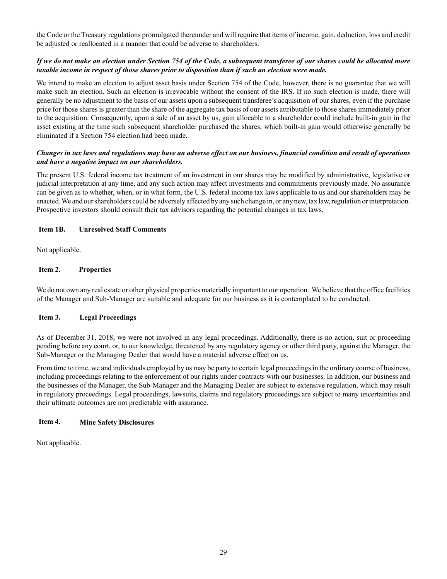the Code or the Treasury regulations promulgated thereunder and will require that items of income, gain, deduction, loss and credit be adjusted or reallocated in a manner that could be adverse to shareholders.

#### *If we do not make an election under Section 754 of the Code, a subsequent transferee of our shares could be allocated more taxable income in respect of those shares prior to disposition than if such an election were made.*

We intend to make an election to adjust asset basis under Section 754 of the Code, however, there is no guarantee that we will make such an election. Such an election is irrevocable without the consent of the IRS. If no such election is made, there will generally be no adjustment to the basis of our assets upon a subsequent transferee's acquisition of our shares, even if the purchase price for those shares is greater than the share of the aggregate tax basis of our assets attributable to those shares immediately prior to the acquisition. Consequently, upon a sale of an asset by us, gain allocable to a shareholder could include built-in gain in the asset existing at the time such subsequent shareholder purchased the shares, which built-in gain would otherwise generally be eliminated if a Section 754 election had been made.

#### *Changes in tax laws and regulations may have an adverse effect on our business, financial condition and result of operations and have a negative impact on our shareholders.*

The present U.S. federal income tax treatment of an investment in our shares may be modified by administrative, legislative or judicial interpretation at any time, and any such action may affect investments and commitments previously made. No assurance can be given as to whether, when, or in what form, the U.S. federal income tax laws applicable to us and our shareholders may be enacted. We and our shareholders could be adversely affected by any such change in, or any new, tax law, regulation or interpretation. Prospective investors should consult their tax advisors regarding the potential changes in tax laws.

# **Item 1B. Unresolved Staff Comments**

Not applicable.

# **Item 2. Properties**

We do not own any real estate or other physical properties materially important to our operation. We believe that the office facilities of the Manager and Sub-Manager are suitable and adequate for our business as it is contemplated to be conducted.

#### **Item 3. Legal Proceedings**

As of December 31, 2018, we were not involved in any legal proceedings. Additionally, there is no action, suit or proceeding pending before any court, or, to our knowledge, threatened by any regulatory agency or other third party, against the Manager, the Sub-Manager or the Managing Dealer that would have a material adverse effect on us.

From time to time, we and individuals employed by us may be party to certain legal proceedings in the ordinary course of business, including proceedings relating to the enforcement of our rights under contracts with our businesses. In addition, our business and the businesses of the Manager, the Sub-Manager and the Managing Dealer are subject to extensive regulation, which may result in regulatory proceedings. Legal proceedings, lawsuits, claims and regulatory proceedings are subject to many uncertainties and their ultimate outcomes are not predictable with assurance.

# **Item 4. Mine Safety Disclosures**

Not applicable.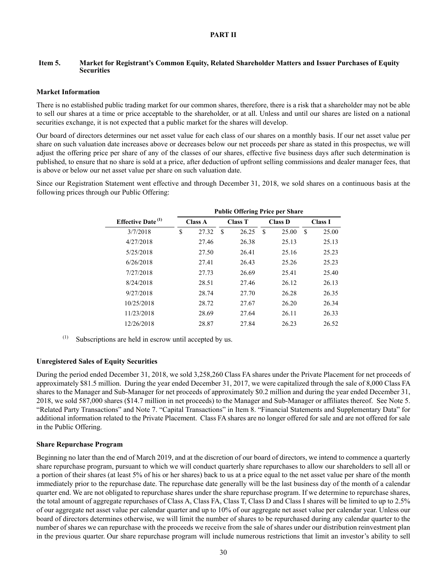#### **Item 5. Market for Registrant's Common Equity, Related Shareholder Matters and Issuer Purchases of Equity Securities**

#### **Market Information**

There is no established public trading market for our common shares, therefore, there is a risk that a shareholder may not be able to sell our shares at a time or price acceptable to the shareholder, or at all. Unless and until our shares are listed on a national securities exchange, it is not expected that a public market for the shares will develop.

Our board of directors determines our net asset value for each class of our shares on a monthly basis. If our net asset value per share on such valuation date increases above or decreases below our net proceeds per share as stated in this prospectus, we will adjust the offering price per share of any of the classes of our shares, effective five business days after such determination is published, to ensure that no share is sold at a price, after deduction of upfront selling commissions and dealer manager fees, that is above or below our net asset value per share on such valuation date.

Since our Registration Statement went effective and through December 31, 2018, we sold shares on a continuous basis at the following prices through our Public Offering:

|                               | <b>Public Offering Price per Share</b> |         |    |                |    |                |    |                |
|-------------------------------|----------------------------------------|---------|----|----------------|----|----------------|----|----------------|
| Effective Date <sup>(1)</sup> |                                        | Class A |    | <b>Class T</b> |    | <b>Class D</b> |    | <b>Class I</b> |
| 3/7/2018                      | <sup>\$</sup>                          | 27.32   | \$ | 26.25          | \$ | 25.00          | \$ | 25.00          |
| 4/27/2018                     |                                        | 27.46   |    | 26.38          |    | 25.13          |    | 25.13          |
| 5/25/2018                     |                                        | 27.50   |    | 26.41          |    | 25.16          |    | 25.23          |
| 6/26/2018                     |                                        | 27.41   |    | 26.43          |    | 25.26          |    | 25.23          |
| 7/27/2018                     |                                        | 27.73   |    | 26.69          |    | 25.41          |    | 25.40          |
| 8/24/2018                     |                                        | 28.51   |    | 27.46          |    | 26.12          |    | 26.13          |
| 9/27/2018                     |                                        | 28.74   |    | 27.70          |    | 26.28          |    | 26.35          |
| 10/25/2018                    |                                        | 28.72   |    | 27.67          |    | 26.20          |    | 26.34          |
| 11/23/2018                    |                                        | 28.69   |    | 27.64          |    | 26.11          |    | 26.33          |
| 12/26/2018                    |                                        | 28.87   |    | 27.84          |    | 26.23          |    | 26.52          |
|                               |                                        |         |    |                |    |                |    |                |

Subscriptions are held in escrow until accepted by us.

#### **Unregistered Sales of Equity Securities**

During the period ended December 31, 2018, we sold 3,258,260 Class FA shares under the Private Placement for net proceeds of approximately \$81.5 million. During the year ended December 31, 2017, we were capitalized through the sale of 8,000 Class FA shares to the Manager and Sub-Manager for net proceeds of approximately \$0.2 million and during the year ended December 31, 2018, we sold 587,000 shares (\$14.7 million in net proceeds) to the Manager and Sub-Manager or affiliates thereof. See Note 5. "Related Party Transactions" and Note 7. "Capital Transactions" in Item 8. "Financial Statements and Supplementary Data" for additional information related to the Private Placement. Class FA shares are no longer offered for sale and are not offered for sale in the Public Offering.

#### **Share Repurchase Program**

Beginning no later than the end of March 2019, and at the discretion of our board of directors, we intend to commence a quarterly share repurchase program, pursuant to which we will conduct quarterly share repurchases to allow our shareholders to sell all or a portion of their shares (at least 5% of his or her shares) back to us at a price equal to the net asset value per share of the month immediately prior to the repurchase date. The repurchase date generally will be the last business day of the month of a calendar quarter end. We are not obligated to repurchase shares under the share repurchase program. If we determine to repurchase shares, the total amount of aggregate repurchases of Class A, Class FA, Class T, Class D and Class I shares will be limited to up to 2.5% of our aggregate net asset value per calendar quarter and up to 10% of our aggregate net asset value per calendar year. Unless our board of directors determines otherwise, we will limit the number of shares to be repurchased during any calendar quarter to the number of shares we can repurchase with the proceeds we receive from the sale of shares under our distribution reinvestment plan in the previous quarter. Our share repurchase program will include numerous restrictions that limit an investor's ability to sell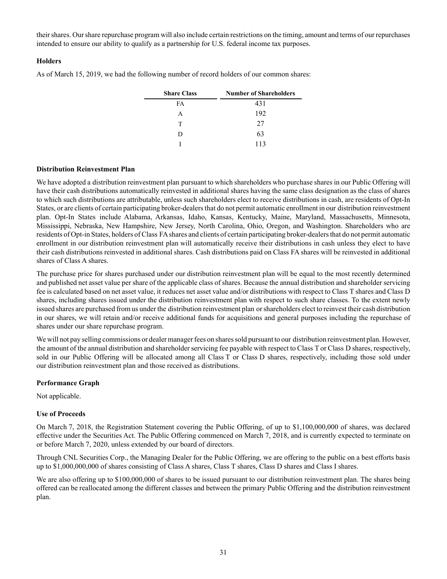their shares. Our share repurchase program will also include certain restrictions on the timing, amount and terms of our repurchases intended to ensure our ability to qualify as a partnership for U.S. federal income tax purposes.

## **Holders**

As of March 15, 2019, we had the following number of record holders of our common shares:

| <b>Share Class</b> | <b>Number of Shareholders</b> |
|--------------------|-------------------------------|
| FA                 | 431                           |
| A                  | 192                           |
| T                  | 27                            |
| Ð                  | 63                            |
|                    | 113                           |

## **Distribution Reinvestment Plan**

We have adopted a distribution reinvestment plan pursuant to which shareholders who purchase shares in our Public Offering will have their cash distributions automatically reinvested in additional shares having the same class designation as the class of shares to which such distributions are attributable, unless such shareholders elect to receive distributions in cash, are residents of Opt-In States, or are clients of certain participating broker-dealers that do not permit automatic enrollment in our distribution reinvestment plan. Opt-In States include Alabama, Arkansas, Idaho, Kansas, Kentucky, Maine, Maryland, Massachusetts, Minnesota, Mississippi, Nebraska, New Hampshire, New Jersey, North Carolina, Ohio, Oregon, and Washington. Shareholders who are residents of Opt-in States, holders of Class FA shares and clients of certain participating broker-dealers that do not permit automatic enrollment in our distribution reinvestment plan will automatically receive their distributions in cash unless they elect to have their cash distributions reinvested in additional shares. Cash distributions paid on Class FA shares will be reinvested in additional shares of Class A shares.

The purchase price for shares purchased under our distribution reinvestment plan will be equal to the most recently determined and published net asset value per share of the applicable class of shares. Because the annual distribution and shareholder servicing fee is calculated based on net asset value, it reduces net asset value and/or distributions with respect to Class T shares and Class D shares, including shares issued under the distribution reinvestment plan with respect to such share classes. To the extent newly issued shares are purchased from us under the distribution reinvestment plan or shareholders elect to reinvest their cash distribution in our shares, we will retain and/or receive additional funds for acquisitions and general purposes including the repurchase of shares under our share repurchase program.

We will not pay selling commissions or dealer manager fees on shares sold pursuant to our distribution reinvestment plan. However, the amount of the annual distribution and shareholder servicing fee payable with respect to Class T or Class D shares, respectively, sold in our Public Offering will be allocated among all Class T or Class D shares, respectively, including those sold under our distribution reinvestment plan and those received as distributions.

## **Performance Graph**

Not applicable.

## **Use of Proceeds**

On March 7, 2018, the Registration Statement covering the Public Offering, of up to \$1,100,000,000 of shares, was declared effective under the Securities Act. The Public Offering commenced on March 7, 2018, and is currently expected to terminate on or before March 7, 2020, unless extended by our board of directors.

Through CNL Securities Corp., the Managing Dealer for the Public Offering, we are offering to the public on a best efforts basis up to \$1,000,000,000 of shares consisting of Class A shares, Class T shares, Class D shares and Class I shares.

We are also offering up to \$100,000,000 of shares to be issued pursuant to our distribution reinvestment plan. The shares being offered can be reallocated among the different classes and between the primary Public Offering and the distribution reinvestment plan.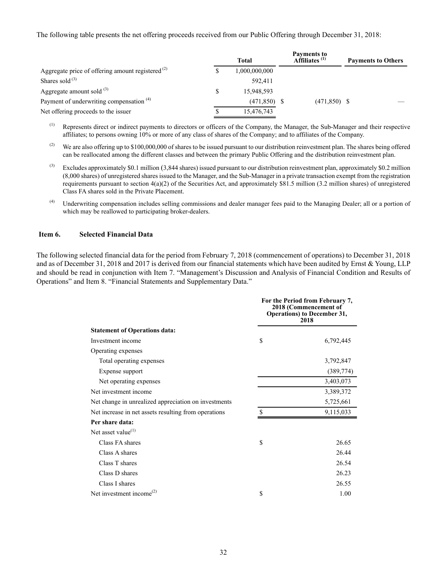The following table presents the net offering proceeds received from our Public Offering through December 31, 2018:

|                                                        |   | <b>Total</b>  | <b>Payments to</b><br>Affiliates <sup>(1)</sup> | <b>Payments to Others</b> |
|--------------------------------------------------------|---|---------------|-------------------------------------------------|---------------------------|
| Aggregate price of offering amount registered $^{(2)}$ |   | 1,000,000,000 |                                                 |                           |
| Shares sold $(3)$                                      |   | 592.411       |                                                 |                           |
| Aggregate amount sold $^{(3)}$                         | S | 15,948,593    |                                                 |                           |
| Payment of underwriting compensation <sup>(4)</sup>    |   | (471, 850)    | $(471,850)$ \$                                  |                           |
| Net offering proceeds to the issuer                    |   | 15,476,743    |                                                 |                           |

(1) Represents direct or indirect payments to directors or officers of the Company, the Manager, the Sub-Manager and their respective affiliates; to persons owning 10% or more of any class of shares of the Company; and to affiliates of the Company.

(2) We are also offering up to  $$100,000,000$  of shares to be issued pursuant to our distribution reinvestment plan. The shares being offered can be reallocated among the different classes and between the primary Public Offering and the distribution reinvestment plan.

 $^{(3)}$  Excludes approximately \$0.1 million (3,844 shares) issued pursuant to our distribution reinvestment plan, approximately \$0.2 million (8,000 shares) of unregistered shares issued to the Manager, and the Sub-Manager in a private transaction exempt from the registration requirements pursuant to section 4(a)(2) of the Securities Act, and approximately \$81.5 million (3.2 million shares) of unregistered Class FA shares sold in the Private Placement.

#### **Item 6. Selected Financial Data**

The following selected financial data for the period from February 7, 2018 (commencement of operations) to December 31, 2018 and as of December 31, 2018 and 2017 is derived from our financial statements which have been audited by Ernst & Young, LLP and should be read in conjunction with Item 7. "Management's Discussion and Analysis of Financial Condition and Results of Operations" and Item 8. "Financial Statements and Supplementary Data."

|                                                      | For the Period from February 7,<br>2018 (Commencement of<br><b>Operations</b> ) to December 31,<br>2018 |           |  |
|------------------------------------------------------|---------------------------------------------------------------------------------------------------------|-----------|--|
| <b>Statement of Operations data:</b>                 |                                                                                                         |           |  |
| Investment income                                    | \$                                                                                                      | 6,792,445 |  |
| Operating expenses                                   |                                                                                                         |           |  |
| Total operating expenses                             |                                                                                                         | 3,792,847 |  |
| Expense support                                      |                                                                                                         | (389,774) |  |
| Net operating expenses                               |                                                                                                         | 3,403,073 |  |
| Net investment income                                |                                                                                                         | 3,389,372 |  |
| Net change in unrealized appreciation on investments |                                                                                                         | 5,725,661 |  |
| Net increase in net assets resulting from operations | \$                                                                                                      | 9,115,033 |  |
| Per share data:                                      |                                                                                                         |           |  |
| Net asset value $^{(1)}$                             |                                                                                                         |           |  |
| Class FA shares                                      | S                                                                                                       | 26.65     |  |
| Class A shares                                       |                                                                                                         | 26.44     |  |
| Class T shares                                       |                                                                                                         | 26.54     |  |
| Class D shares                                       |                                                                                                         | 26.23     |  |
| Class I shares                                       |                                                                                                         | 26.55     |  |
| Net investment income <sup><math>(2)</math></sup>    | \$                                                                                                      | 1.00      |  |

<sup>(4)</sup> Underwriting compensation includes selling commissions and dealer manager fees paid to the Managing Dealer; all or a portion of which may be reallowed to participating broker-dealers.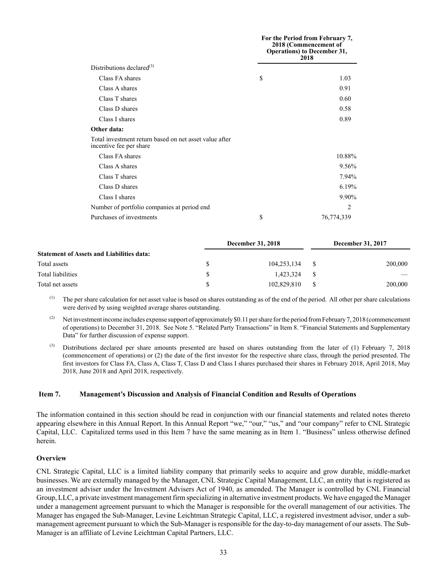|                                                                                   | For the Period from February 7,<br>2018 (Commencement of<br><b>Operations</b> ) to December 31,<br>2018 |                |
|-----------------------------------------------------------------------------------|---------------------------------------------------------------------------------------------------------|----------------|
| Distributions declared $^{(3)}$                                                   |                                                                                                         |                |
| Class FA shares                                                                   | \$                                                                                                      | 1.03           |
| Class A shares                                                                    |                                                                                                         | 0.91           |
| Class T shares                                                                    |                                                                                                         | 0.60           |
| Class D shares                                                                    |                                                                                                         | 0.58           |
| Class I shares                                                                    |                                                                                                         | 0.89           |
| Other data:                                                                       |                                                                                                         |                |
| Total investment return based on net asset value after<br>incentive fee per share |                                                                                                         |                |
| Class FA shares                                                                   |                                                                                                         | 10.88%         |
| Class A shares                                                                    |                                                                                                         | 9.56%          |
| Class T shares                                                                    |                                                                                                         | 7.94%          |
| Class D shares                                                                    |                                                                                                         | 6.19%          |
| Class I shares                                                                    |                                                                                                         | 9.90%          |
| Number of portfolio companies at period end                                       |                                                                                                         | $\overline{c}$ |
| Purchases of investments                                                          | \$                                                                                                      | 76,774,339     |
|                                                                                   |                                                                                                         |                |

|                                                  |   | December 31, 2018 |      | December 31, 2017 |
|--------------------------------------------------|---|-------------------|------|-------------------|
| <b>Statement of Assets and Liabilities data:</b> |   |                   |      |                   |
| Total assets                                     | S | 104,253,134       | - S  | 200,000           |
| Total liabilities                                | S | 1.423.324         | - \$ |                   |
| Total net assets                                 | S | 102,829,810       | -S   | 200,000           |

 $<sup>(1)</sup>$  The per share calculation for net asset value is based on shares outstanding as of the end of the period. All other per share calculations</sup> were derived by using weighted average shares outstanding.

(2) Net investment income includes expense support of approximately \$0.11 per share for the period from February 7, 2018 (commencement of operations) to December 31, 2018. See Note 5. "Related Party Transactions" in Item 8. "Financial Statements and Supplementary Data" for further discussion of expense support.

## **Item 7. Management's Discussion and Analysis of Financial Condition and Results of Operations**

The information contained in this section should be read in conjunction with our financial statements and related notes thereto appearing elsewhere in this Annual Report. In this Annual Report "we," "our," "us," and "our company" refer to CNL Strategic Capital, LLC. Capitalized terms used in this Item 7 have the same meaning as in Item 1. "Business" unless otherwise defined herein.

#### **Overview**

CNL Strategic Capital, LLC is a limited liability company that primarily seeks to acquire and grow durable, middle-market businesses. We are externally managed by the Manager, CNL Strategic Capital Management, LLC, an entity that is registered as an investment adviser under the Investment Advisers Act of 1940, as amended. The Manager is controlled by CNL Financial Group, LLC, a private investment management firm specializing in alternative investment products. We have engaged the Manager under a management agreement pursuant to which the Manager is responsible for the overall management of our activities. The Manager has engaged the Sub-Manager, Levine Leichtman Strategic Capital, LLC, a registered investment advisor, under a submanagement agreement pursuant to which the Sub-Manager is responsible for the day-to-day management of our assets. The Sub-Manager is an affiliate of Levine Leichtman Capital Partners, LLC.

<sup>(3)</sup> Distributions declared per share amounts presented are based on shares outstanding from the later of (1) February 7, 2018 (commencement of operations) or (2) the date of the first investor for the respective share class, through the period presented. The first investors for Class FA, Class A, Class T, Class D and Class I shares purchased their shares in February 2018, April 2018, May 2018, June 2018 and April 2018, respectively.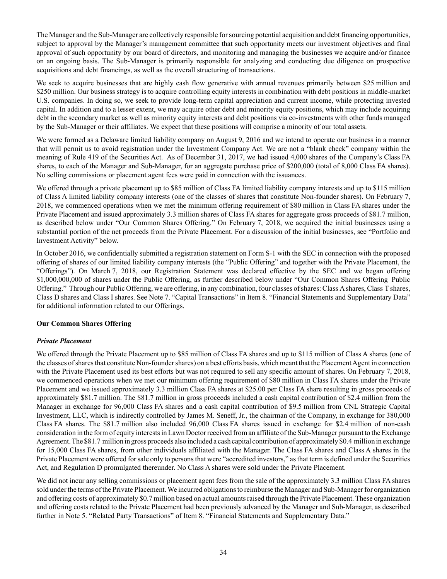The Manager and the Sub-Manager are collectively responsible for sourcing potential acquisition and debt financing opportunities, subject to approval by the Manager's management committee that such opportunity meets our investment objectives and final approval of such opportunity by our board of directors, and monitoring and managing the businesses we acquire and/or finance on an ongoing basis. The Sub-Manager is primarily responsible for analyzing and conducting due diligence on prospective acquisitions and debt financings, as well as the overall structuring of transactions.

We seek to acquire businesses that are highly cash flow generative with annual revenues primarily between \$25 million and \$250 million. Our business strategy is to acquire controlling equity interests in combination with debt positions in middle-market U.S. companies. In doing so, we seek to provide long-term capital appreciation and current income, while protecting invested capital. In addition and to a lesser extent, we may acquire other debt and minority equity positions, which may include acquiring debt in the secondary market as well as minority equity interests and debt positions via co-investments with other funds managed by the Sub-Manager or their affiliates. We expect that these positions will comprise a minority of our total assets.

We were formed as a Delaware limited liability company on August 9, 2016 and we intend to operate our business in a manner that will permit us to avoid registration under the Investment Company Act. We are not a "blank check" company within the meaning of Rule 419 of the Securities Act. As of December 31, 2017, we had issued 4,000 shares of the Company's Class FA shares, to each of the Manager and Sub-Manager, for an aggregate purchase price of \$200,000 (total of 8,000 Class FA shares). No selling commissions or placement agent fees were paid in connection with the issuances.

We offered through a private placement up to \$85 million of Class FA limited liability company interests and up to \$115 million of Class A limited liability company interests (one of the classes of shares that constitute Non-founder shares). On February 7, 2018, we commenced operations when we met the minimum offering requirement of \$80 million in Class FA shares under the Private Placement and issued approximately 3.3 million shares of Class FA shares for aggregate gross proceeds of \$81.7 million, as described below under "Our Common Shares Offering." On February 7, 2018, we acquired the initial businesses using a substantial portion of the net proceeds from the Private Placement. For a discussion of the initial businesses, see "Portfolio and Investment Activity" below.

In October 2016, we confidentially submitted a registration statement on Form S-1 with the SEC in connection with the proposed offering of shares of our limited liability company interests (the "Public Offering" and together with the Private Placement, the "Offerings"). On March 7, 2018, our Registration Statement was declared effective by the SEC and we began offering \$1,000,000,000 of shares under the Public Offering, as further described below under "Our Common Shares Offering–Public Offering." Through our Public Offering, we are offering, in any combination, four classes of shares: Class A shares, Class T shares, Class D shares and Class I shares. See Note 7. "Capital Transactions" in Item 8. "Financial Statements and Supplementary Data" for additional information related to our Offerings.

## **Our Common Shares Offering**

## *Private Placement*

We offered through the Private Placement up to \$85 million of Class FA shares and up to \$115 million of Class A shares (one of the classes of shares that constitute Non-founder shares) on a best efforts basis, which meant that the Placement Agent in connection with the Private Placement used its best efforts but was not required to sell any specific amount of shares. On February 7, 2018, we commenced operations when we met our minimum offering requirement of \$80 million in Class FA shares under the Private Placement and we issued approximately 3.3 million Class FA shares at \$25.00 per Class FA share resulting in gross proceeds of approximately \$81.7 million. The \$81.7 million in gross proceeds included a cash capital contribution of \$2.4 million from the Manager in exchange for 96,000 Class FA shares and a cash capital contribution of \$9.5 million from CNL Strategic Capital Investment, LLC, which is indirectly controlled by James M. Seneff, Jr., the chairman of the Company, in exchange for 380,000 Class FA shares. The \$81.7 million also included 96,000 Class FA shares issued in exchange for \$2.4 million of non-cash consideration in the form of equity interests in Lawn Doctor received from an affiliate of the Sub-Manager pursuant to the Exchange Agreement. The \$81.7 million in gross proceeds also included a cash capital contribution of approximately \$0.4 million in exchange for 15,000 Class FA shares, from other individuals affiliated with the Manager. The Class FA shares and Class A shares in the Private Placement were offered for sale only to persons that were "accredited investors," as that term is defined under the Securities Act, and Regulation D promulgated thereunder. No Class A shares were sold under the Private Placement.

We did not incur any selling commissions or placement agent fees from the sale of the approximately 3.3 million Class FA shares sold under the terms of the Private Placement. We incurred obligations to reimburse the Manager and Sub-Manager for organization and offering costs of approximately \$0.7 million based on actual amounts raised through the Private Placement. These organization and offering costs related to the Private Placement had been previously advanced by the Manager and Sub-Manager, as described further in Note 5. "Related Party Transactions" of Item 8. "Financial Statements and Supplementary Data."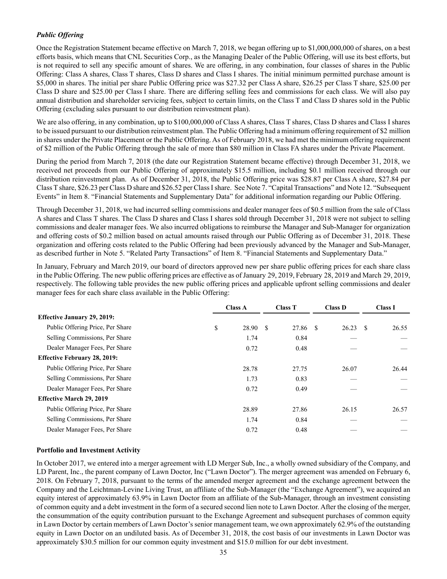## *Public Offering*

Once the Registration Statement became effective on March 7, 2018, we began offering up to \$1,000,000,000 of shares, on a best efforts basis, which means that CNL Securities Corp., as the Managing Dealer of the Public Offering, will use its best efforts, but is not required to sell any specific amount of shares. We are offering, in any combination, four classes of shares in the Public Offering: Class A shares, Class T shares, Class D shares and Class I shares. The initial minimum permitted purchase amount is \$5,000 in shares. The initial per share Public Offering price was \$27.32 per Class A share, \$26.25 per Class T share, \$25.00 per Class D share and \$25.00 per Class I share. There are differing selling fees and commissions for each class. We will also pay annual distribution and shareholder servicing fees, subject to certain limits, on the Class T and Class D shares sold in the Public Offering (excluding sales pursuant to our distribution reinvestment plan).

We are also offering, in any combination, up to \$100,000,000 of Class A shares, Class T shares, Class D shares and Class I shares to be issued pursuant to our distribution reinvestment plan. The Public Offering had a minimum offering requirement of \$2 million in shares under the Private Placement or the Public Offering. As of February 2018, we had met the minimum offering requirement of \$2 million of the Public Offering through the sale of more than \$80 million in Class FA shares under the Private Placement.

During the period from March 7, 2018 (the date our Registration Statement became effective) through December 31, 2018, we received net proceeds from our Public Offering of approximately \$15.5 million, including \$0.1 million received through our distribution reinvestment plan. As of December 31, 2018, the Public Offering price was \$28.87 per Class A share, \$27.84 per Class T share, \$26.23 per Class D share and \$26.52 per Class I share. See Note 7. "Capital Transactions" and Note 12. "Subsequent Events" in Item 8. "Financial Statements and Supplementary Data" for additional information regarding our Public Offering.

Through December 31, 2018, we had incurred selling commissions and dealer manager fees of \$0.5 million from the sale of Class A shares and Class T shares. The Class D shares and Class I shares sold through December 31, 2018 were not subject to selling commissions and dealer manager fees. We also incurred obligations to reimburse the Manager and Sub-Manager for organization and offering costs of \$0.2 million based on actual amounts raised through our Public Offering as of December 31, 2018. These organization and offering costs related to the Public Offering had been previously advanced by the Manager and Sub-Manager, as described further in Note 5. "Related Party Transactions" of Item 8. "Financial Statements and Supplementary Data."

In January, February and March 2019, our board of directors approved new per share public offering prices for each share class in the Public Offering. The new public offering prices are effective as of January 29, 2019, February 28, 2019 and March 29, 2019, respectively. The following table provides the new public offering prices and applicable upfront selling commissions and dealer manager fees for each share class available in the Public Offering:

|                                        | <b>Class A</b> | <b>Class T</b> | <b>Class D</b> | <b>Class I</b>        |
|----------------------------------------|----------------|----------------|----------------|-----------------------|
| <b>Effective January 29, 2019:</b>     |                |                |                |                       |
| Public Offering Price, Per Share<br>\$ | 28.90 S        | 27.86 \$       | 26.23          | $\mathbf{s}$<br>26.55 |
| Selling Commissions, Per Share         | 1.74           | 0.84           |                |                       |
| Dealer Manager Fees, Per Share         | 0.72           | 0.48           |                |                       |
| <b>Effective February 28, 2019:</b>    |                |                |                |                       |
| Public Offering Price, Per Share       | 28.78          | 27.75          | 26.07          | 26.44                 |
| Selling Commissions, Per Share         | 1.73           | 0.83           |                |                       |
| Dealer Manager Fees, Per Share         | 0.72           | 0.49           |                |                       |
| <b>Effective March 29, 2019</b>        |                |                |                |                       |
| Public Offering Price, Per Share       | 28.89          | 27.86          | 26.15          | 26.57                 |
| Selling Commissions, Per Share         | 1.74           | 0.84           |                |                       |
| Dealer Manager Fees, Per Share         | 0.72           | 0.48           |                |                       |

## **Portfolio and Investment Activity**

In October 2017, we entered into a merger agreement with LD Merger Sub, Inc., a wholly owned subsidiary of the Company, and LD Parent, Inc., the parent company of Lawn Doctor, Inc ("Lawn Doctor"). The merger agreement was amended on February 6, 2018. On February 7, 2018, pursuant to the terms of the amended merger agreement and the exchange agreement between the Company and the Leichtman-Levine Living Trust, an affiliate of the Sub-Manager (the "Exchange Agreement"), we acquired an equity interest of approximately 63.9% in Lawn Doctor from an affiliate of the Sub-Manager, through an investment consisting of common equity and a debt investment in the form of a secured second lien note to Lawn Doctor. After the closing of the merger, the consummation of the equity contribution pursuant to the Exchange Agreement and subsequent purchases of common equity in Lawn Doctor by certain members of Lawn Doctor's senior management team, we own approximately 62.9% of the outstanding equity in Lawn Doctor on an undiluted basis. As of December 31, 2018, the cost basis of our investments in Lawn Doctor was approximately \$30.5 million for our common equity investment and \$15.0 million for our debt investment.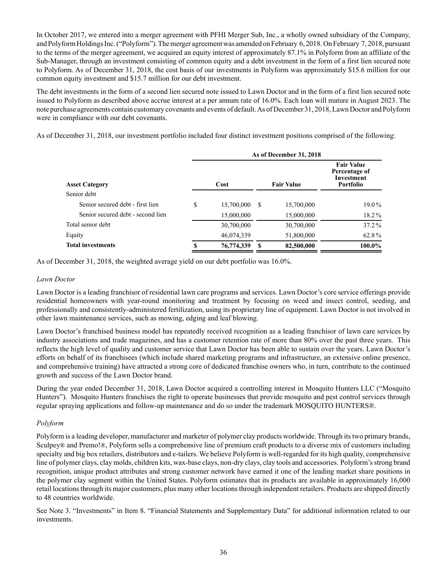In October 2017, we entered into a merger agreement with PFHI Merger Sub, Inc., a wholly owned subsidiary of the Company, and Polyform Holdings Inc. ("Polyform"). The merger agreement was amended on February 6, 2018. On February 7, 2018, pursuant to the terms of the merger agreement, we acquired an equity interest of approximately 87.1% in Polyform from an affiliate of the Sub-Manager, through an investment consisting of common equity and a debt investment in the form of a first lien secured note to Polyform. As of December 31, 2018, the cost basis of our investments in Polyform was approximately \$15.6 million for our common equity investment and \$15.7 million for our debt investment.

The debt investments in the form of a second lien secured note issued to Lawn Doctor and in the form of a first lien secured note issued to Polyform as described above accrue interest at a per annum rate of 16.0%. Each loan will mature in August 2023. The note purchase agreements contain customary covenants and events of default. As of December 31, 2018, Lawn Doctor and Polyform were in compliance with our debt covenants.

As of December 31, 2018, our investment portfolio included four distinct investment positions comprised of the following:

|                                   | As of December 31, 2018 |            |     |                   |                                                               |
|-----------------------------------|-------------------------|------------|-----|-------------------|---------------------------------------------------------------|
| <b>Asset Category</b>             |                         | Cost       |     | <b>Fair Value</b> | <b>Fair Value</b><br>Percentage of<br>Investment<br>Portfolio |
| Senior debt                       |                         |            |     |                   |                                                               |
| Senior secured debt - first lien  | \$                      | 15,700,000 | - S | 15,700,000        | $19.0\%$                                                      |
| Senior secured debt - second lien |                         | 15,000,000 |     | 15,000,000        | 18.2%                                                         |
| Total senior debt                 |                         | 30,700,000 |     | 30,700,000        | $37.2\%$                                                      |
| Equity                            |                         | 46,074,339 |     | 51,800,000        | 62.8%                                                         |
| <b>Total investments</b>          |                         | 76,774,339 | -S  | 82,500,000        | 100.0%                                                        |

As of December 31, 2018, the weighted average yield on our debt portfolio was 16.0%.

## *Lawn Doctor*

Lawn Doctor is a leading franchisor of residential lawn care programs and services. Lawn Doctor's core service offerings provide residential homeowners with year-round monitoring and treatment by focusing on weed and insect control, seeding, and professionally and consistently-administered fertilization, using its proprietary line of equipment. Lawn Doctor is not involved in other lawn maintenance services, such as mowing, edging and leaf blowing.

Lawn Doctor's franchised business model has repeatedly received recognition as a leading franchisor of lawn care services by industry associations and trade magazines, and has a customer retention rate of more than 80% over the past three years. This reflects the high level of quality and customer service that Lawn Doctor has been able to sustain over the years. Lawn Doctor's efforts on behalf of its franchisees (which include shared marketing programs and infrastructure, an extensive online presence, and comprehensive training) have attracted a strong core of dedicated franchise owners who, in turn, contribute to the continued growth and success of the Lawn Doctor brand.

During the year ended December 31, 2018, Lawn Doctor acquired a controlling interest in Mosquito Hunters LLC ("Mosquito Hunters"). Mosquito Hunters franchises the right to operate businesses that provide mosquito and pest control services through regular spraying applications and follow-up maintenance and do so under the trademark MOSQUITO HUNTERS®.

# *Polyform*

Polyform is a leading developer, manufacturer and marketer of polymer clay products worldwide. Through its two primary brands, Sculpey® and Premo!®, Polyform sells a comprehensive line of premium craft products to a diverse mix of customers including specialty and big box retailers, distributors and e-tailers. We believe Polyform is well-regarded for its high quality, comprehensive line of polymer clays, clay molds, children kits, wax-base clays, non-dry clays, clay tools and accessories. Polyform's strong brand recognition, unique product attributes and strong customer network have earned it one of the leading market share positions in the polymer clay segment within the United States. Polyform estimates that its products are available in approximately 16,000 retail locations through its major customers, plus many other locations through independent retailers. Products are shipped directly to 48 countries worldwide.

See Note 3. "Investments" in Item 8. "Financial Statements and Supplementary Data" for additional information related to our investments.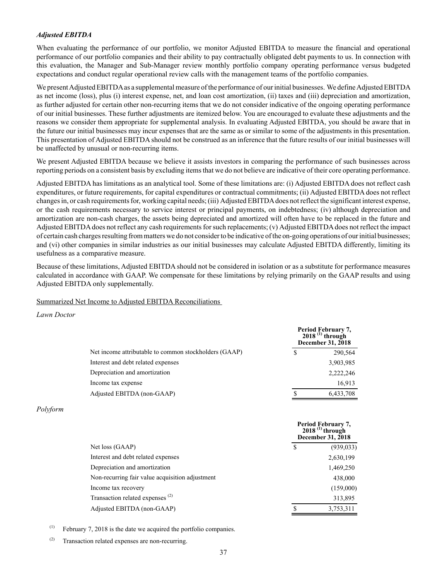#### *Adjusted EBITDA*

When evaluating the performance of our portfolio, we monitor Adjusted EBITDA to measure the financial and operational performance of our portfolio companies and their ability to pay contractually obligated debt payments to us. In connection with this evaluation, the Manager and Sub-Manager review monthly portfolio company operating performance versus budgeted expectations and conduct regular operational review calls with the management teams of the portfolio companies.

We present Adjusted EBITDA as a supplemental measure of the performance of our initial businesses. We define Adjusted EBITDA as net income (loss), plus (i) interest expense, net, and loan cost amortization, (ii) taxes and (iii) depreciation and amortization, as further adjusted for certain other non-recurring items that we do not consider indicative of the ongoing operating performance of our initial businesses. These further adjustments are itemized below. You are encouraged to evaluate these adjustments and the reasons we consider them appropriate for supplemental analysis. In evaluating Adjusted EBITDA, you should be aware that in the future our initial businesses may incur expenses that are the same as or similar to some of the adjustments in this presentation. This presentation of Adjusted EBITDA should not be construed as an inference that the future results of our initial businesses will be unaffected by unusual or non-recurring items.

We present Adjusted EBITDA because we believe it assists investors in comparing the performance of such businesses across reporting periods on a consistent basis by excluding items that we do not believe are indicative of their core operating performance.

Adjusted EBITDA has limitations as an analytical tool. Some of these limitations are: (i) Adjusted EBITDA does not reflect cash expenditures, or future requirements, for capital expenditures or contractual commitments; (ii) Adjusted EBITDA does not reflect changes in, or cash requirements for, working capital needs; (iii) Adjusted EBITDA does not reflect the significant interest expense, or the cash requirements necessary to service interest or principal payments, on indebtedness; (iv) although depreciation and amortization are non-cash charges, the assets being depreciated and amortized will often have to be replaced in the future and Adjusted EBITDA does not reflect any cash requirements for such replacements; (v) Adjusted EBITDA does not reflect the impact of certain cash charges resulting from matters we do not consider to be indicative of the on-going operations of our initial businesses; and (vi) other companies in similar industries as our initial businesses may calculate Adjusted EBITDA differently, limiting its usefulness as a comparative measure.

Because of these limitations, Adjusted EBITDA should not be considered in isolation or as a substitute for performance measures calculated in accordance with GAAP. We compensate for these limitations by relying primarily on the GAAP results and using Adjusted EBITDA only supplementally.

Summarized Net Income to Adjusted EBITDA Reconciliations

*Lawn Doctor*

|                                                       |   | Period February 7,<br>2018 <sup>(1)</sup> through<br><b>December 31, 2018</b> |
|-------------------------------------------------------|---|-------------------------------------------------------------------------------|
| Net income attributable to common stockholders (GAAP) | S | 290,564                                                                       |
| Interest and debt related expenses                    |   | 3,903,985                                                                     |
| Depreciation and amortization                         |   | 2,222,246                                                                     |
| Income tax expense                                    |   | 16,913                                                                        |
| Adjusted EBITDA (non-GAAP)                            |   | 6,433,708                                                                     |

*Polyform*

|                                                 |    | Period February 7,<br>2018 <sup>(1)</sup> through<br><b>December 31, 2018</b> |
|-------------------------------------------------|----|-------------------------------------------------------------------------------|
| Net loss (GAAP)                                 | \$ | (939, 033)                                                                    |
| Interest and debt related expenses              |    | 2,630,199                                                                     |
| Depreciation and amortization                   |    | 1,469,250                                                                     |
| Non-recurring fair value acquisition adjustment |    | 438,000                                                                       |
| Income tax recovery                             |    | (159,000)                                                                     |
| Transaction related expenses <sup>(2)</sup>     |    | 313,895                                                                       |
| Adjusted EBITDA (non-GAAP)                      | S  | 3,753,311                                                                     |

 $(1)$  February 7, 2018 is the date we acquired the portfolio companies.

(2) Transaction related expenses are non-recurring.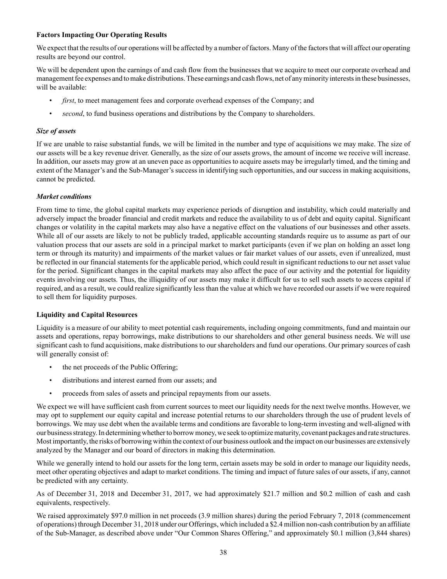## **Factors Impacting Our Operating Results**

We expect that the results of our operations will be affected by a number of factors. Many of the factors that will affect our operating results are beyond our control.

We will be dependent upon the earnings of and cash flow from the businesses that we acquire to meet our corporate overhead and management fee expenses and to make distributions. These earnings and cash flows, net of any minority interests in these businesses, will be available:

- *first*, to meet management fees and corporate overhead expenses of the Company; and
- *second*, to fund business operations and distributions by the Company to shareholders.

## *Size of assets*

If we are unable to raise substantial funds, we will be limited in the number and type of acquisitions we may make. The size of our assets will be a key revenue driver. Generally, as the size of our assets grows, the amount of income we receive will increase. In addition, our assets may grow at an uneven pace as opportunities to acquire assets may be irregularly timed, and the timing and extent of the Manager's and the Sub-Manager's success in identifying such opportunities, and our success in making acquisitions, cannot be predicted.

## *Market conditions*

From time to time, the global capital markets may experience periods of disruption and instability, which could materially and adversely impact the broader financial and credit markets and reduce the availability to us of debt and equity capital. Significant changes or volatility in the capital markets may also have a negative effect on the valuations of our businesses and other assets. While all of our assets are likely to not be publicly traded, applicable accounting standards require us to assume as part of our valuation process that our assets are sold in a principal market to market participants (even if we plan on holding an asset long term or through its maturity) and impairments of the market values or fair market values of our assets, even if unrealized, must be reflected in our financial statements for the applicable period, which could result in significant reductions to our net asset value for the period. Significant changes in the capital markets may also affect the pace of our activity and the potential for liquidity events involving our assets. Thus, the illiquidity of our assets may make it difficult for us to sell such assets to access capital if required, and as a result, we could realize significantly less than the value at which we have recorded our assets if we were required to sell them for liquidity purposes.

## **Liquidity and Capital Resources**

Liquidity is a measure of our ability to meet potential cash requirements, including ongoing commitments, fund and maintain our assets and operations, repay borrowings, make distributions to our shareholders and other general business needs. We will use significant cash to fund acquisitions, make distributions to our shareholders and fund our operations. Our primary sources of cash will generally consist of:

- the net proceeds of the Public Offering;
- distributions and interest earned from our assets; and
- proceeds from sales of assets and principal repayments from our assets.

We expect we will have sufficient cash from current sources to meet our liquidity needs for the next twelve months. However, we may opt to supplement our equity capital and increase potential returns to our shareholders through the use of prudent levels of borrowings. We may use debt when the available terms and conditions are favorable to long-term investing and well-aligned with our business strategy. In determining whether to borrow money, we seek to optimize maturity, covenant packages and rate structures. Most importantly, the risks of borrowing within the context of our business outlook and the impact on our businesses are extensively analyzed by the Manager and our board of directors in making this determination.

While we generally intend to hold our assets for the long term, certain assets may be sold in order to manage our liquidity needs, meet other operating objectives and adapt to market conditions. The timing and impact of future sales of our assets, if any, cannot be predicted with any certainty.

As of December 31, 2018 and December 31, 2017, we had approximately \$21.7 million and \$0.2 million of cash and cash equivalents, respectively.

We raised approximately \$97.0 million in net proceeds (3.9 million shares) during the period February 7, 2018 (commencement of operations) through December 31, 2018 under our Offerings, which included a \$2.4 million non-cash contribution by an affiliate of the Sub-Manager, as described above under "Our Common Shares Offering," and approximately \$0.1 million (3,844 shares)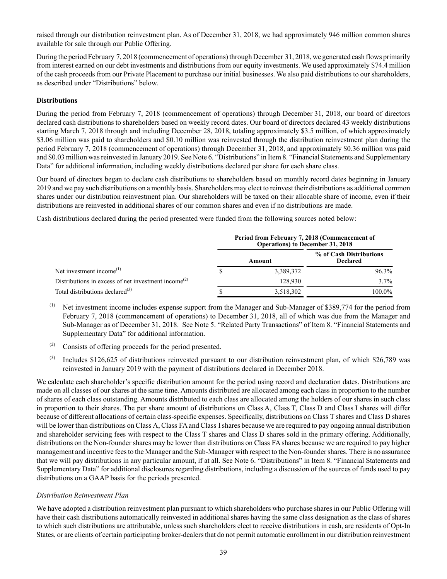raised through our distribution reinvestment plan. As of December 31, 2018, we had approximately 946 million common shares available for sale through our Public Offering.

During the period February 7, 2018 (commencement of operations) through December 31, 2018, we generated cash flows primarily from interest earned on our debt investments and distributions from our equity investments. We used approximately \$74.4 million of the cash proceeds from our Private Placement to purchase our initial businesses. We also paid distributions to our shareholders, as described under "Distributions" below.

## **Distributions**

During the period from February 7, 2018 (commencement of operations) through December 31, 2018, our board of directors declared cash distributions to shareholders based on weekly record dates. Our board of directors declared 43 weekly distributions starting March 7, 2018 through and including December 28, 2018, totaling approximately \$3.5 million, of which approximately \$3.06 million was paid to shareholders and \$0.10 million was reinvested through the distribution reinvestment plan during the period February 7, 2018 (commencement of operations) through December 31, 2018, and approximately \$0.36 million was paid and \$0.03 million was reinvested in January 2019. See Note 6. "Distributions" in Item 8. "Financial Statements and Supplementary Data" for additional information, including weekly distributions declared per share for each share class.

Our board of directors began to declare cash distributions to shareholders based on monthly record dates beginning in January 2019 and we pay such distributions on a monthly basis. Shareholders may elect to reinvest their distributions as additional common shares under our distribution reinvestment plan. Our shareholders will be taxed on their allocable share of income, even if their distributions are reinvested in additional shares of our common shares and even if no distributions are made.

Cash distributions declared during the period presented were funded from the following sources noted below:

|                                                                 | Period from February 7, 2018 (Commencement of<br><b>Operations</b> ) to December 31, 2018 |           |                                            |
|-----------------------------------------------------------------|-------------------------------------------------------------------------------------------|-----------|--------------------------------------------|
|                                                                 |                                                                                           | Amount    | % of Cash Distributions<br><b>Declared</b> |
| Net investment income $(1)$                                     | Y                                                                                         | 3,389,372 | 96.3%                                      |
| Distributions in excess of net investment income <sup>(2)</sup> |                                                                                           | 128.930   | $3.7\%$                                    |
| Total distributions declared <sup>(3)</sup>                     |                                                                                           | 3,518,302 | $100.0\%$                                  |

(1) Net investment income includes expense support from the Manager and Sub-Manager of \$389,774 for the period from February 7, 2018 (commencement of operations) to December 31, 2018, all of which was due from the Manager and Sub-Manager as of December 31, 2018. See Note 5. "Related Party Transactions" of Item 8. "Financial Statements and Supplementary Data" for additional information.

- (2) Consists of offering proceeds for the period presented.
- (3) Includes  $$126,625$  of distributions reinvested pursuant to our distribution reinvestment plan, of which  $$26,789$  was reinvested in January 2019 with the payment of distributions declared in December 2018.

We calculate each shareholder's specific distribution amount for the period using record and declaration dates. Distributions are made on all classes of our shares at the same time. Amounts distributed are allocated among each class in proportion to the number of shares of each class outstanding. Amounts distributed to each class are allocated among the holders of our shares in such class in proportion to their shares. The per share amount of distributions on Class A, Class T, Class D and Class I shares will differ because of different allocations of certain class-specific expenses. Specifically, distributions on Class T shares and Class D shares will be lower than distributions on Class A, Class FA and Class I shares because we are required to pay ongoing annual distribution and shareholder servicing fees with respect to the Class T shares and Class D shares sold in the primary offering. Additionally, distributions on the Non-founder shares may be lower than distributions on Class FA shares because we are required to pay higher management and incentive fees to the Manager and the Sub-Manager with respect to the Non-founder shares. There is no assurance that we will pay distributions in any particular amount, if at all. See Note 6. "Distributions" in Item 8. "Financial Statements and Supplementary Data" for additional disclosures regarding distributions, including a discussion of the sources of funds used to pay distributions on a GAAP basis for the periods presented.

## *Distribution Reinvestment Plan*

We have adopted a distribution reinvestment plan pursuant to which shareholders who purchase shares in our Public Offering will have their cash distributions automatically reinvested in additional shares having the same class designation as the class of shares to which such distributions are attributable, unless such shareholders elect to receive distributions in cash, are residents of Opt-In States, or are clients of certain participating broker-dealers that do not permit automatic enrollment in our distribution reinvestment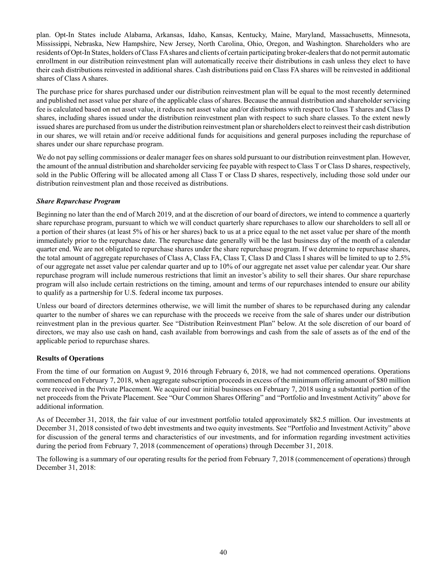plan. Opt-In States include Alabama, Arkansas, Idaho, Kansas, Kentucky, Maine, Maryland, Massachusetts, Minnesota, Mississippi, Nebraska, New Hampshire, New Jersey, North Carolina, Ohio, Oregon, and Washington. Shareholders who are residents of Opt-In States, holders of Class FA shares and clients of certain participating broker-dealers that do not permit automatic enrollment in our distribution reinvestment plan will automatically receive their distributions in cash unless they elect to have their cash distributions reinvested in additional shares. Cash distributions paid on Class FA shares will be reinvested in additional shares of Class A shares.

The purchase price for shares purchased under our distribution reinvestment plan will be equal to the most recently determined and published net asset value per share of the applicable class of shares. Because the annual distribution and shareholder servicing fee is calculated based on net asset value, it reduces net asset value and/or distributions with respect to Class T shares and Class D shares, including shares issued under the distribution reinvestment plan with respect to such share classes. To the extent newly issued shares are purchased from us under the distribution reinvestment plan or shareholders elect to reinvest their cash distribution in our shares, we will retain and/or receive additional funds for acquisitions and general purposes including the repurchase of shares under our share repurchase program.

We do not pay selling commissions or dealer manager fees on shares sold pursuant to our distribution reinvestment plan. However, the amount of the annual distribution and shareholder servicing fee payable with respect to Class T or Class D shares, respectively, sold in the Public Offering will be allocated among all Class T or Class D shares, respectively, including those sold under our distribution reinvestment plan and those received as distributions.

# *Share Repurchase Program*

Beginning no later than the end of March 2019, and at the discretion of our board of directors, we intend to commence a quarterly share repurchase program, pursuant to which we will conduct quarterly share repurchases to allow our shareholders to sell all or a portion of their shares (at least 5% of his or her shares) back to us at a price equal to the net asset value per share of the month immediately prior to the repurchase date. The repurchase date generally will be the last business day of the month of a calendar quarter end. We are not obligated to repurchase shares under the share repurchase program. If we determine to repurchase shares, the total amount of aggregate repurchases of Class A, Class FA, Class T, Class D and Class I shares will be limited to up to 2.5% of our aggregate net asset value per calendar quarter and up to 10% of our aggregate net asset value per calendar year. Our share repurchase program will include numerous restrictions that limit an investor's ability to sell their shares. Our share repurchase program will also include certain restrictions on the timing, amount and terms of our repurchases intended to ensure our ability to qualify as a partnership for U.S. federal income tax purposes.

Unless our board of directors determines otherwise, we will limit the number of shares to be repurchased during any calendar quarter to the number of shares we can repurchase with the proceeds we receive from the sale of shares under our distribution reinvestment plan in the previous quarter. See "Distribution Reinvestment Plan" below. At the sole discretion of our board of directors, we may also use cash on hand, cash available from borrowings and cash from the sale of assets as of the end of the applicable period to repurchase shares.

## **Results of Operations**

From the time of our formation on August 9, 2016 through February 6, 2018, we had not commenced operations. Operations commenced on February 7, 2018, when aggregate subscription proceeds in excess of the minimum offering amount of \$80 million were received in the Private Placement. We acquired our initial businesses on February 7, 2018 using a substantial portion of the net proceeds from the Private Placement. See "Our Common Shares Offering" and "Portfolio and Investment Activity" above for additional information.

As of December 31, 2018, the fair value of our investment portfolio totaled approximately \$82.5 million. Our investments at December 31, 2018 consisted of two debt investments and two equity investments. See "Portfolio and Investment Activity" above for discussion of the general terms and characteristics of our investments, and for information regarding investment activities during the period from February 7, 2018 (commencement of operations) through December 31, 2018.

The following is a summary of our operating results for the period from February 7, 2018 (commencement of operations) through December 31, 2018: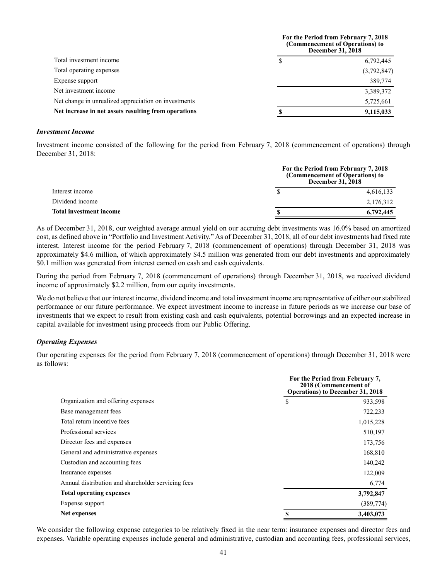|                                                      | For the Period from February 7, 2018<br>(Commencement of Operations) to<br>December 31, 2018 |
|------------------------------------------------------|----------------------------------------------------------------------------------------------|
| Total investment income                              | 6,792,445                                                                                    |
| Total operating expenses                             | (3,792,847)                                                                                  |
| Expense support                                      | 389,774                                                                                      |
| Net investment income                                | 3,389,372                                                                                    |
| Net change in unrealized appreciation on investments | 5,725,661                                                                                    |
| Net increase in net assets resulting from operations | 9,115,033                                                                                    |

#### *Investment Income*

Investment income consisted of the following for the period from February 7, 2018 (commencement of operations) through December 31, 2018:

|                                | For the Period from February 7, 2018<br>(Commencement of Operations) to<br><b>December 31, 2018</b> |           |
|--------------------------------|-----------------------------------------------------------------------------------------------------|-----------|
| Interest income                |                                                                                                     | 4,616,133 |
| Dividend income                |                                                                                                     | 2,176,312 |
| <b>Total investment income</b> |                                                                                                     | 6,792,445 |

As of December 31, 2018, our weighted average annual yield on our accruing debt investments was 16.0% based on amortized cost, as defined above in "Portfolio and Investment Activity." As of December 31, 2018, all of our debt investments had fixed rate interest. Interest income for the period February 7, 2018 (commencement of operations) through December 31, 2018 was approximately \$4.6 million, of which approximately \$4.5 million was generated from our debt investments and approximately \$0.1 million was generated from interest earned on cash and cash equivalents.

During the period from February 7, 2018 (commencement of operations) through December 31, 2018, we received dividend income of approximately \$2.2 million, from our equity investments.

We do not believe that our interest income, dividend income and total investment income are representative of either our stabilized performance or our future performance. We expect investment income to increase in future periods as we increase our base of investments that we expect to result from existing cash and cash equivalents, potential borrowings and an expected increase in capital available for investment using proceeds from our Public Offering.

## *Operating Expenses*

Our operating expenses for the period from February 7, 2018 (commencement of operations) through December 31, 2018 were as follows:

|                                                    | For the Period from February 7,<br>2018 (Commencement of<br><b>Operations</b> ) to December 31, 2018 |  |  |
|----------------------------------------------------|------------------------------------------------------------------------------------------------------|--|--|
| Organization and offering expenses                 | \$<br>933,598                                                                                        |  |  |
| Base management fees                               | 722,233                                                                                              |  |  |
| Total return incentive fees                        | 1,015,228                                                                                            |  |  |
| Professional services                              | 510,197                                                                                              |  |  |
| Director fees and expenses                         | 173,756                                                                                              |  |  |
| General and administrative expenses                | 168,810                                                                                              |  |  |
| Custodian and accounting fees                      | 140,242                                                                                              |  |  |
| Insurance expenses                                 | 122,009                                                                                              |  |  |
| Annual distribution and shareholder servicing fees | 6,774                                                                                                |  |  |
| <b>Total operating expenses</b>                    | 3,792,847                                                                                            |  |  |
| Expense support                                    | (389,774)                                                                                            |  |  |
| Net expenses                                       | \$<br>3,403,073                                                                                      |  |  |

We consider the following expense categories to be relatively fixed in the near term: insurance expenses and director fees and expenses. Variable operating expenses include general and administrative, custodian and accounting fees, professional services,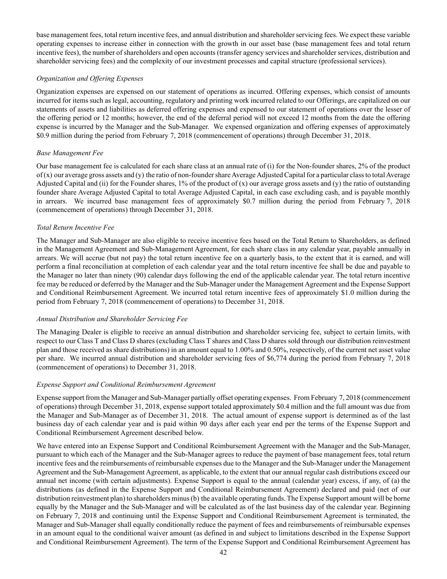base management fees, total return incentive fees, and annual distribution and shareholder servicing fees. We expect these variable operating expenses to increase either in connection with the growth in our asset base (base management fees and total return incentive fees), the number of shareholders and open accounts (transfer agency services and shareholder services, distribution and shareholder servicing fees) and the complexity of our investment processes and capital structure (professional services).

## *Organization and Offering Expenses*

Organization expenses are expensed on our statement of operations as incurred. Offering expenses, which consist of amounts incurred for items such as legal, accounting, regulatory and printing work incurred related to our Offerings, are capitalized on our statements of assets and liabilities as deferred offering expenses and expensed to our statement of operations over the lesser of the offering period or 12 months; however, the end of the deferral period will not exceed 12 months from the date the offering expense is incurred by the Manager and the Sub-Manager. We expensed organization and offering expenses of approximately \$0.9 million during the period from February 7, 2018 (commencement of operations) through December 31, 2018.

## *Base Management Fee*

Our base management fee is calculated for each share class at an annual rate of (i) for the Non-founder shares, 2% of the product of  $(x)$  our average gross assets and  $(y)$  the ratio of non-founder share Average Adjusted Capital for a particular class to total Average Adjusted Capital and (ii) for the Founder shares,  $1\%$  of the product of (x) our average gross assets and (y) the ratio of outstanding founder share Average Adjusted Capital to total Average Adjusted Capital, in each case excluding cash, and is payable monthly in arrears. We incurred base management fees of approximately \$0.7 million during the period from February 7, 2018 (commencement of operations) through December 31, 2018.

## *Total Return Incentive Fee*

The Manager and Sub-Manager are also eligible to receive incentive fees based on the Total Return to Shareholders, as defined in the Management Agreement and Sub-Management Agreement, for each share class in any calendar year, payable annually in arrears. We will accrue (but not pay) the total return incentive fee on a quarterly basis, to the extent that it is earned, and will perform a final reconciliation at completion of each calendar year and the total return incentive fee shall be due and payable to the Manager no later than ninety (90) calendar days following the end of the applicable calendar year. The total return incentive fee may be reduced or deferred by the Manager and the Sub-Manager under the Management Agreement and the Expense Support and Conditional Reimbursement Agreement. We incurred total return incentive fees of approximately \$1.0 million during the period from February 7, 2018 (commencement of operations) to December 31, 2018.

## *Annual Distribution and Shareholder Servicing Fee*

The Managing Dealer is eligible to receive an annual distribution and shareholder servicing fee, subject to certain limits, with respect to our Class T and Class D shares (excluding Class T shares and Class D shares sold through our distribution reinvestment plan and those received as share distributions) in an amount equal to 1.00% and 0.50%, respectively, of the current net asset value per share. We incurred annual distribution and shareholder servicing fees of \$6,774 during the period from February 7, 2018 (commencement of operations) to December 31, 2018.

## *Expense Support and Conditional Reimbursement Agreement*

Expense support from the Manager and Sub-Manager partially offset operating expenses. From February 7, 2018 (commencement of operations) through December 31, 2018, expense support totaled approximately \$0.4 million and the full amount was due from the Manager and Sub-Manager as of December 31, 2018. The actual amount of expense support is determined as of the last business day of each calendar year and is paid within 90 days after each year end per the terms of the Expense Support and Conditional Reimbursement Agreement described below.

We have entered into an Expense Support and Conditional Reimbursement Agreement with the Manager and the Sub-Manager, pursuant to which each of the Manager and the Sub-Manager agrees to reduce the payment of base management fees, total return incentive fees and the reimbursements of reimbursable expenses due to the Manager and the Sub-Manager under the Management Agreement and the Sub-Management Agreement, as applicable, to the extent that our annual regular cash distributions exceed our annual net income (with certain adjustments). Expense Support is equal to the annual (calendar year) excess, if any, of (a) the distributions (as defined in the Expense Support and Conditional Reimbursement Agreement) declared and paid (net of our distribution reinvestment plan) to shareholders minus (b) the available operating funds. The Expense Support amount will be borne equally by the Manager and the Sub-Manager and will be calculated as of the last business day of the calendar year. Beginning on February 7, 2018 and continuing until the Expense Support and Conditional Reimbursement Agreement is terminated, the Manager and Sub-Manager shall equally conditionally reduce the payment of fees and reimbursements of reimbursable expenses in an amount equal to the conditional waiver amount (as defined in and subject to limitations described in the Expense Support and Conditional Reimbursement Agreement). The term of the Expense Support and Conditional Reimbursement Agreement has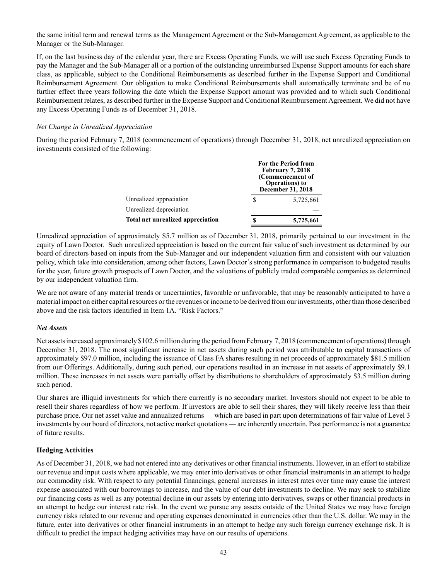the same initial term and renewal terms as the Management Agreement or the Sub-Management Agreement, as applicable to the Manager or the Sub-Manager.

If, on the last business day of the calendar year, there are Excess Operating Funds, we will use such Excess Operating Funds to pay the Manager and the Sub-Manager all or a portion of the outstanding unreimbursed Expense Support amounts for each share class, as applicable, subject to the Conditional Reimbursements as described further in the Expense Support and Conditional Reimbursement Agreement. Our obligation to make Conditional Reimbursements shall automatically terminate and be of no further effect three years following the date which the Expense Support amount was provided and to which such Conditional Reimbursement relates, as described further in the Expense Support and Conditional Reimbursement Agreement. We did not have any Excess Operating Funds as of December 31, 2018.

## *Net Change in Unrealized Appreciation*

During the period February 7, 2018 (commencement of operations) through December 31, 2018, net unrealized appreciation on investments consisted of the following:

|                                   | <b>For the Period from</b><br>February 7, 2018<br>(Commencement of<br><b>Operations</b> ) to<br><b>December 31, 2018</b> |
|-----------------------------------|--------------------------------------------------------------------------------------------------------------------------|
| Unrealized appreciation           | 5,725,661                                                                                                                |
| Unrealized depreciation           |                                                                                                                          |
| Total net unrealized appreciation | 5,725,661                                                                                                                |

Unrealized appreciation of approximately \$5.7 million as of December 31, 2018, primarily pertained to our investment in the equity of Lawn Doctor. Such unrealized appreciation is based on the current fair value of such investment as determined by our board of directors based on inputs from the Sub-Manager and our independent valuation firm and consistent with our valuation policy, which take into consideration, among other factors, Lawn Doctor's strong performance in comparison to budgeted results for the year, future growth prospects of Lawn Doctor, and the valuations of publicly traded comparable companies as determined by our independent valuation firm.

We are not aware of any material trends or uncertainties, favorable or unfavorable, that may be reasonably anticipated to have a material impact on either capital resources or the revenues or income to be derived from our investments, other than those described above and the risk factors identified in Item 1A. "Risk Factors."

#### *Net Assets*

Net assets increased approximately \$102.6 million during the period from February 7, 2018 (commencement of operations) through December 31, 2018. The most significant increase in net assets during such period was attributable to capital transactions of approximately \$97.0 million, including the issuance of Class FA shares resulting in net proceeds of approximately \$81.5 million from our Offerings. Additionally, during such period, our operations resulted in an increase in net assets of approximately \$9.1 million. These increases in net assets were partially offset by distributions to shareholders of approximately \$3.5 million during such period.

Our shares are illiquid investments for which there currently is no secondary market. Investors should not expect to be able to resell their shares regardless of how we perform. If investors are able to sell their shares, they will likely receive less than their purchase price. Our net asset value and annualized returns — which are based in part upon determinations of fair value of Level 3 investments by our board of directors, not active market quotations — are inherently uncertain. Past performance is not a guarantee of future results.

## **Hedging Activities**

As of December 31, 2018, we had not entered into any derivatives or other financial instruments. However, in an effort to stabilize our revenue and input costs where applicable, we may enter into derivatives or other financial instruments in an attempt to hedge our commodity risk. With respect to any potential financings, general increases in interest rates over time may cause the interest expense associated with our borrowings to increase, and the value of our debt investments to decline. We may seek to stabilize our financing costs as well as any potential decline in our assets by entering into derivatives, swaps or other financial products in an attempt to hedge our interest rate risk. In the event we pursue any assets outside of the United States we may have foreign currency risks related to our revenue and operating expenses denominated in currencies other than the U.S. dollar. We may in the future, enter into derivatives or other financial instruments in an attempt to hedge any such foreign currency exchange risk. It is difficult to predict the impact hedging activities may have on our results of operations.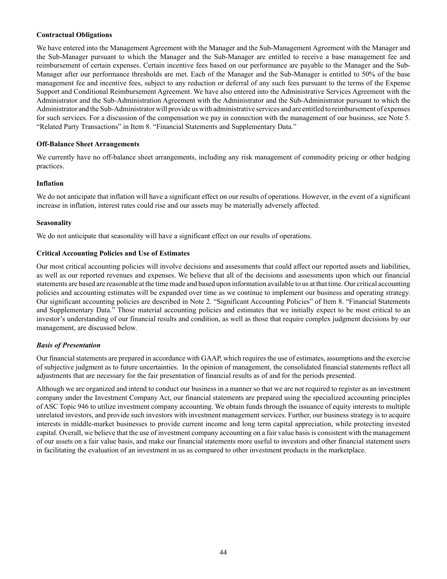#### **Contractual Obligations**

We have entered into the Management Agreement with the Manager and the Sub-Management Agreement with the Manager and the Sub-Manager pursuant to which the Manager and the Sub-Manager are entitled to receive a base management fee and reimbursement of certain expenses. Certain incentive fees based on our performance are payable to the Manager and the Sub-Manager after our performance thresholds are met. Each of the Manager and the Sub-Manager is entitled to 50% of the base management fee and incentive fees, subject to any reduction or deferral of any such fees pursuant to the terms of the Expense Support and Conditional Reimbursement Agreement. We have also entered into the Administrative Services Agreement with the Administrator and the Sub-Administration Agreement with the Administrator and the Sub-Administrator pursuant to which the Administrator and the Sub-Administrator will provide us with administrative services and are entitled to reimbursement of expenses for such services. For a discussion of the compensation we pay in connection with the management of our business, see Note 5. "Related Party Transactions" in Item 8. "Financial Statements and Supplementary Data."

#### **Off-Balance Sheet Arrangements**

We currently have no off-balance sheet arrangements, including any risk management of commodity pricing or other hedging practices.

#### **Inflation**

We do not anticipate that inflation will have a significant effect on our results of operations. However, in the event of a significant increase in inflation, interest rates could rise and our assets may be materially adversely affected.

#### **Seasonality**

We do not anticipate that seasonality will have a significant effect on our results of operations.

#### **Critical Accounting Policies and Use of Estimates**

Our most critical accounting policies will involve decisions and assessments that could affect our reported assets and liabilities, as well as our reported revenues and expenses. We believe that all of the decisions and assessments upon which our financial statements are based are reasonable at the time made and based upon information available to us at that time. Our critical accounting policies and accounting estimates will be expanded over time as we continue to implement our business and operating strategy. Our significant accounting policies are described in Note 2. "Significant Accounting Policies" of Item 8. "Financial Statements and Supplementary Data." Those material accounting policies and estimates that we initially expect to be most critical to an investor's understanding of our financial results and condition, as well as those that require complex judgment decisions by our management, are discussed below.

## *Basis of Presentation*

Our financial statements are prepared in accordance with GAAP, which requires the use of estimates, assumptions and the exercise of subjective judgment as to future uncertainties. In the opinion of management, the consolidated financial statements reflect all adjustments that are necessary for the fair presentation of financial results as of and for the periods presented.

Although we are organized and intend to conduct our business in a manner so that we are not required to register as an investment company under the Investment Company Act, our financial statements are prepared using the specialized accounting principles of ASC Topic 946 to utilize investment company accounting. We obtain funds through the issuance of equity interests to multiple unrelated investors, and provide such investors with investment management services. Further, our business strategy is to acquire interests in middle-market businesses to provide current income and long term capital appreciation, while protecting invested capital. Overall, we believe that the use of investment company accounting on a fair value basis is consistent with the management of our assets on a fair value basis, and make our financial statements more useful to investors and other financial statement users in facilitating the evaluation of an investment in us as compared to other investment products in the marketplace.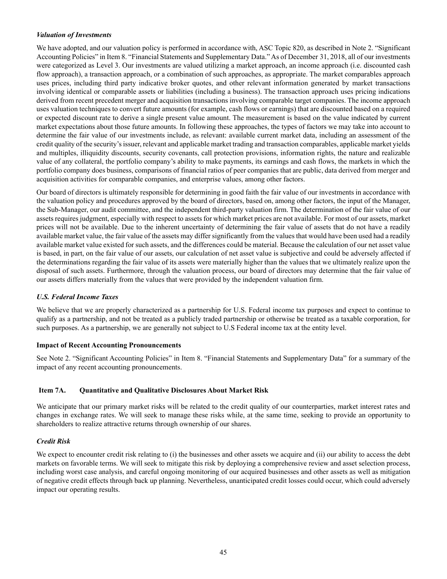#### *Valuation of Investments*

We have adopted, and our valuation policy is performed in accordance with, ASC Topic 820, as described in Note 2. "Significant Accounting Policies" in Item 8. "Financial Statements and Supplementary Data." As of December 31, 2018, all of our investments were categorized as Level 3. Our investments are valued utilizing a market approach, an income approach (i.e. discounted cash flow approach), a transaction approach, or a combination of such approaches, as appropriate. The market comparables approach uses prices, including third party indicative broker quotes, and other relevant information generated by market transactions involving identical or comparable assets or liabilities (including a business). The transaction approach uses pricing indications derived from recent precedent merger and acquisition transactions involving comparable target companies. The income approach uses valuation techniques to convert future amounts (for example, cash flows or earnings) that are discounted based on a required or expected discount rate to derive a single present value amount. The measurement is based on the value indicated by current market expectations about those future amounts. In following these approaches, the types of factors we may take into account to determine the fair value of our investments include, as relevant: available current market data, including an assessment of the credit quality of the security's issuer, relevant and applicable market trading and transaction comparables, applicable market yields and multiples, illiquidity discounts, security covenants, call protection provisions, information rights, the nature and realizable value of any collateral, the portfolio company's ability to make payments, its earnings and cash flows, the markets in which the portfolio company does business, comparisons of financial ratios of peer companies that are public, data derived from merger and acquisition activities for comparable companies, and enterprise values, among other factors.

Our board of directors is ultimately responsible for determining in good faith the fair value of our investments in accordance with the valuation policy and procedures approved by the board of directors, based on, among other factors, the input of the Manager, the Sub-Manager, our audit committee, and the independent third-party valuation firm. The determination of the fair value of our assets requires judgment, especially with respect to assets for which market prices are not available. For most of our assets, market prices will not be available. Due to the inherent uncertainty of determining the fair value of assets that do not have a readily available market value, the fair value of the assets may differ significantly from the values that would have been used had a readily available market value existed for such assets, and the differences could be material. Because the calculation of our net asset value is based, in part, on the fair value of our assets, our calculation of net asset value is subjective and could be adversely affected if the determinations regarding the fair value of its assets were materially higher than the values that we ultimately realize upon the disposal of such assets. Furthermore, through the valuation process, our board of directors may determine that the fair value of our assets differs materially from the values that were provided by the independent valuation firm.

## *U.S. Federal Income Taxes*

We believe that we are properly characterized as a partnership for U.S. Federal income tax purposes and expect to continue to qualify as a partnership, and not be treated as a publicly traded partnership or otherwise be treated as a taxable corporation, for such purposes. As a partnership, we are generally not subject to U.S Federal income tax at the entity level.

## **Impact of Recent Accounting Pronouncements**

See Note 2. "Significant Accounting Policies" in Item 8. "Financial Statements and Supplementary Data" for a summary of the impact of any recent accounting pronouncements.

## **Item 7A. Quantitative and Qualitative Disclosures About Market Risk**

We anticipate that our primary market risks will be related to the credit quality of our counterparties, market interest rates and changes in exchange rates. We will seek to manage these risks while, at the same time, seeking to provide an opportunity to shareholders to realize attractive returns through ownership of our shares.

## *Credit Risk*

We expect to encounter credit risk relating to (i) the businesses and other assets we acquire and (ii) our ability to access the debt markets on favorable terms. We will seek to mitigate this risk by deploying a comprehensive review and asset selection process, including worst case analysis, and careful ongoing monitoring of our acquired businesses and other assets as well as mitigation of negative credit effects through back up planning. Nevertheless, unanticipated credit losses could occur, which could adversely impact our operating results.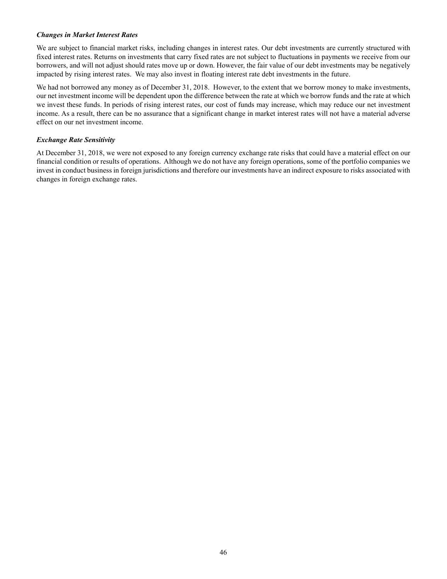#### *Changes in Market Interest Rates*

We are subject to financial market risks, including changes in interest rates. Our debt investments are currently structured with fixed interest rates. Returns on investments that carry fixed rates are not subject to fluctuations in payments we receive from our borrowers, and will not adjust should rates move up or down. However, the fair value of our debt investments may be negatively impacted by rising interest rates. We may also invest in floating interest rate debt investments in the future.

We had not borrowed any money as of December 31, 2018. However, to the extent that we borrow money to make investments, our net investment income will be dependent upon the difference between the rate at which we borrow funds and the rate at which we invest these funds. In periods of rising interest rates, our cost of funds may increase, which may reduce our net investment income. As a result, there can be no assurance that a significant change in market interest rates will not have a material adverse effect on our net investment income.

## *Exchange Rate Sensitivity*

At December 31, 2018, we were not exposed to any foreign currency exchange rate risks that could have a material effect on our financial condition or results of operations. Although we do not have any foreign operations, some of the portfolio companies we invest in conduct business in foreign jurisdictions and therefore our investments have an indirect exposure to risks associated with changes in foreign exchange rates.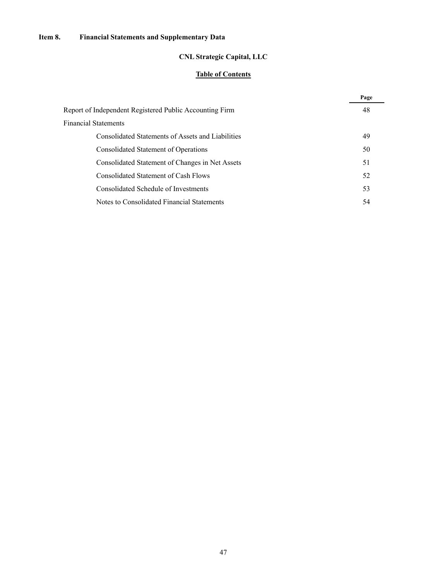# **Item 8. Financial Statements and Supplementary Data**

# **CNL Strategic Capital, LLC**

# **Table of Contents**

|                                                         | Page |
|---------------------------------------------------------|------|
| Report of Independent Registered Public Accounting Firm | 48   |
| <b>Financial Statements</b>                             |      |
| Consolidated Statements of Assets and Liabilities       | 49   |
| Consolidated Statement of Operations                    | 50   |
| Consolidated Statement of Changes in Net Assets         | 51   |
| Consolidated Statement of Cash Flows                    | 52   |
| Consolidated Schedule of Investments                    | 53   |
| Notes to Consolidated Financial Statements              | 54   |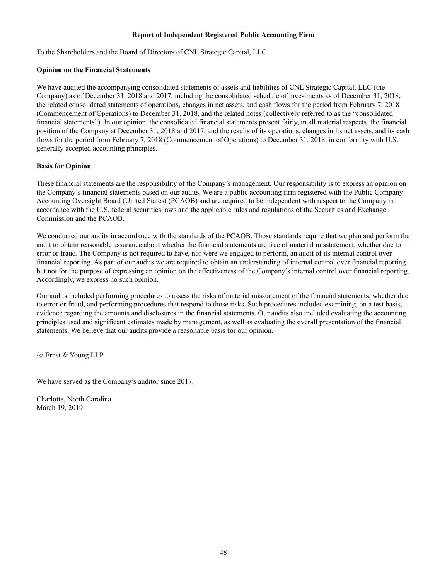#### **Report of Independent Registered Public Accounting Firm**

To the Shareholders and the Board of Directors of CNL Strategic Capital, LLC

## **Opinion on the Financial Statements**

We have audited the accompanying consolidated statements of assets and liabilities of CNL Strategic Capital, LLC (the Company) as of December 31, 2018 and 2017, including the consolidated schedule of investments as of December 31, 2018, the related consolidated statements of operations, changes in net assets, and cash flows for the period from February 7, 2018 (Commencement of Operations) to December 31, 2018, and the related notes (collectively referred to as the "consolidated financial statements"). In our opinion, the consolidated financial statements present fairly, in all material respects, the financial position of the Company at December 31, 2018 and 2017, and the results of its operations, changes in its net assets, and its cash flows for the period from February 7, 2018 (Commencement of Operations) to December 31, 2018, in conformity with U.S. generally accepted accounting principles.

## **Basis for Opinion**

These financial statements are the responsibility of the Company's management. Our responsibility is to express an opinion on the Company's financial statements based on our audits. We are a public accounting firm registered with the Public Company Accounting Oversight Board (United States) (PCAOB) and are required to be independent with respect to the Company in accordance with the U.S. federal securities laws and the applicable rules and regulations of the Securities and Exchange Commission and the PCAOB.

We conducted our audits in accordance with the standards of the PCAOB. Those standards require that we plan and perform the audit to obtain reasonable assurance about whether the financial statements are free of material misstatement, whether due to error or fraud. The Company is not required to have, nor were we engaged to perform, an audit of its internal control over financial reporting. As part of our audits we are required to obtain an understanding of internal control over financial reporting but not for the purpose of expressing an opinion on the effectiveness of the Company's internal control over financial reporting. Accordingly, we express no such opinion.

Our audits included performing procedures to assess the risks of material misstatement of the financial statements, whether due to error or fraud, and performing procedures that respond to those risks. Such procedures included examining, on a test basis, evidence regarding the amounts and disclosures in the financial statements. Our audits also included evaluating the accounting principles used and significant estimates made by management, as well as evaluating the overall presentation of the financial statements. We believe that our audits provide a reasonable basis for our opinion.

/s/ Ernst & Young LLP

We have served as the Company's auditor since 2017.

Charlotte, North Carolina March 19, 2019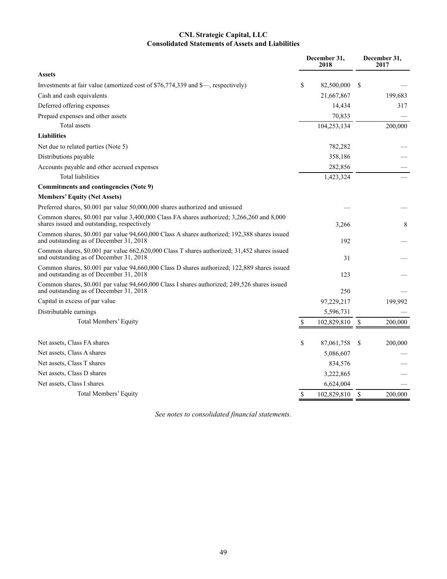# **CNL Strategic Capital, LLC Consolidated Statements of Assets and Liabilities**

|                                                                                                                                           |               | December 31,<br>2018 |    | December 31,<br>2017 |
|-------------------------------------------------------------------------------------------------------------------------------------------|---------------|----------------------|----|----------------------|
| <b>Assets</b>                                                                                                                             |               |                      |    |                      |
| Investments at fair value (amortized cost of \$76,774,339 and \$—, respectively)                                                          | <sup>\$</sup> | 82,500,000           | S  |                      |
| Cash and cash equivalents                                                                                                                 |               | 21,667,867           |    | 199,683              |
| Deferred offering expenses                                                                                                                |               | 14,434               |    | 317                  |
| Prepaid expenses and other assets                                                                                                         |               | 70,833               |    |                      |
| Total assets                                                                                                                              |               | 104,253,134          |    | 200,000              |
| <b>Liabilities</b>                                                                                                                        |               |                      |    |                      |
| Net due to related parties (Note 5)                                                                                                       |               | 782,282              |    |                      |
| Distributions payable                                                                                                                     |               | 358,186              |    |                      |
| Accounts payable and other accrued expenses                                                                                               |               | 282,856              |    |                      |
| <b>Total liabilities</b>                                                                                                                  |               | 1,423,324            |    |                      |
| <b>Commitments and contingencies (Note 9)</b>                                                                                             |               |                      |    |                      |
| <b>Members' Equity (Net Assets)</b>                                                                                                       |               |                      |    |                      |
| Preferred shares, \$0.001 par value 50,000,000 shares authorized and unissued                                                             |               |                      |    |                      |
| Common shares, \$0.001 par value 3,400,000 Class FA shares authorized; 3,266,260 and 8,000<br>shares issued and outstanding, respectively |               | 3,266                |    | 8                    |
| Common shares, \$0.001 par value 94,660,000 Class A shares authorized; 192,388 shares issued<br>and outstanding as of December 31, 2018   |               | 192                  |    |                      |
| Common shares, \$0.001 par value 662,620,000 Class T shares authorized; 31,452 shares issued<br>and outstanding as of December 31, 2018   |               | 31                   |    |                      |
| Common shares, \$0.001 par value 94,660,000 Class D shares authorized; 122,889 shares issued<br>and outstanding as of December 31, 2018   |               | 123                  |    |                      |
| Common shares, \$0.001 par value 94,660,000 Class I shares authorized; 249,526 shares issued<br>and outstanding as of December 31, 2018   |               | 250                  |    |                      |
| Capital in excess of par value                                                                                                            |               | 97,229,217           |    | 199,992              |
| Distributable earnings                                                                                                                    |               | 5,596,731            |    |                      |
| Total Members' Equity                                                                                                                     | \$            | 102,829,810          | \$ | 200,000              |
| Net assets, Class FA shares                                                                                                               | \$            | 87,061,758           | \$ | 200,000              |
| Net assets, Class A shares                                                                                                                |               | 5,086,607            |    |                      |
| Net assets, Class T shares                                                                                                                |               | 834,576              |    |                      |
| Net assets, Class D shares                                                                                                                |               | 3,222,865            |    |                      |
| Net assets, Class I shares                                                                                                                |               | 6,624,004            |    |                      |
| Total Members' Equity                                                                                                                     | \$            | 102,829,810          | \$ | 200,000              |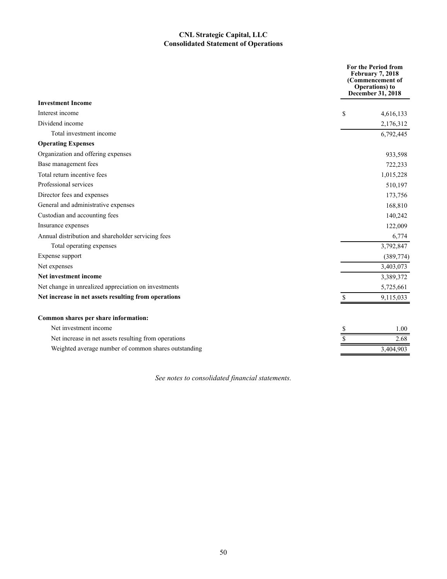# **CNL Strategic Capital, LLC Consolidated Statement of Operations**

|                                                      | For the Period from<br><b>February 7, 2018</b><br>(Commencement of<br><b>Operations</b> ) to<br>December 31, 2018 |            |
|------------------------------------------------------|-------------------------------------------------------------------------------------------------------------------|------------|
| <b>Investment Income</b>                             |                                                                                                                   |            |
| Interest income                                      | \$                                                                                                                | 4,616,133  |
| Dividend income                                      |                                                                                                                   | 2,176,312  |
| Total investment income                              |                                                                                                                   | 6,792,445  |
| <b>Operating Expenses</b>                            |                                                                                                                   |            |
| Organization and offering expenses                   |                                                                                                                   | 933,598    |
| Base management fees                                 |                                                                                                                   | 722,233    |
| Total return incentive fees                          |                                                                                                                   | 1,015,228  |
| Professional services                                |                                                                                                                   | 510,197    |
| Director fees and expenses                           |                                                                                                                   | 173,756    |
| General and administrative expenses                  |                                                                                                                   | 168,810    |
| Custodian and accounting fees                        |                                                                                                                   | 140,242    |
| Insurance expenses                                   |                                                                                                                   | 122,009    |
| Annual distribution and shareholder servicing fees   |                                                                                                                   | 6,774      |
| Total operating expenses                             |                                                                                                                   | 3,792,847  |
| Expense support                                      |                                                                                                                   | (389, 774) |
| Net expenses                                         |                                                                                                                   | 3,403,073  |
| Net investment income                                |                                                                                                                   | 3,389,372  |
| Net change in unrealized appreciation on investments |                                                                                                                   | 5,725,661  |
| Net increase in net assets resulting from operations | S                                                                                                                 | 9,115,033  |
| Common shares per share information:                 |                                                                                                                   |            |
| Net investment income                                | \$                                                                                                                | 1.00       |
| Net increase in net assets resulting from operations |                                                                                                                   | 2.68       |
| Weighted average number of common shares outstanding |                                                                                                                   | 3,404,903  |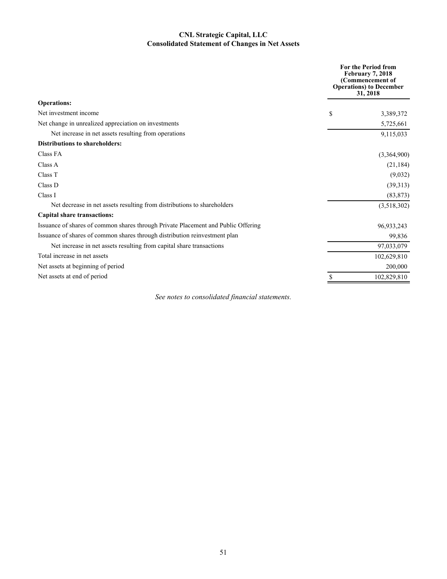# **CNL Strategic Capital, LLC Consolidated Statement of Changes in Net Assets**

|                                                                                   | <b>For the Period from</b><br><b>February 7, 2018</b><br>(Commencement of<br><b>Operations</b> ) to December<br>31, 2018 |
|-----------------------------------------------------------------------------------|--------------------------------------------------------------------------------------------------------------------------|
| <b>Operations:</b>                                                                |                                                                                                                          |
| Net investment income                                                             | \$<br>3,389,372                                                                                                          |
| Net change in unrealized appreciation on investments                              | 5,725,661                                                                                                                |
| Net increase in net assets resulting from operations                              | 9,115,033                                                                                                                |
| <b>Distributions to shareholders:</b>                                             |                                                                                                                          |
| Class FA                                                                          | (3,364,900)                                                                                                              |
| Class A                                                                           | (21, 184)                                                                                                                |
| Class T                                                                           | (9,032)                                                                                                                  |
| Class D                                                                           | (39,313)                                                                                                                 |
| Class I                                                                           | (83, 873)                                                                                                                |
| Net decrease in net assets resulting from distributions to shareholders           | (3,518,302)                                                                                                              |
| Capital share transactions:                                                       |                                                                                                                          |
| Issuance of shares of common shares through Private Placement and Public Offering | 96,933,243                                                                                                               |
| Issuance of shares of common shares through distribution reinvestment plan        | 99,836                                                                                                                   |
| Net increase in net assets resulting from capital share transactions              | 97,033,079                                                                                                               |
| Total increase in net assets                                                      | 102,629,810                                                                                                              |
| Net assets at beginning of period                                                 | 200,000                                                                                                                  |
| Net assets at end of period                                                       | 102,829,810                                                                                                              |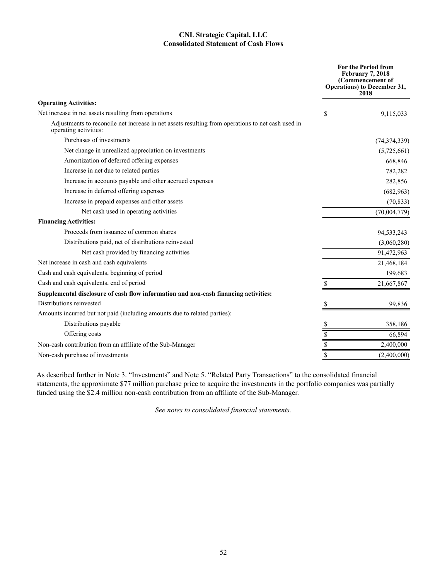## **CNL Strategic Capital, LLC Consolidated Statement of Cash Flows**

|                                                                                                                            |   | For the Period from<br><b>February 7, 2018</b><br>(Commencement of<br><b>Operations</b> ) to December 31,<br>2018 |
|----------------------------------------------------------------------------------------------------------------------------|---|-------------------------------------------------------------------------------------------------------------------|
| <b>Operating Activities:</b>                                                                                               |   |                                                                                                                   |
| Net increase in net assets resulting from operations                                                                       | S | 9,115,033                                                                                                         |
| Adjustments to reconcile net increase in net assets resulting from operations to net cash used in<br>operating activities: |   |                                                                                                                   |
| Purchases of investments                                                                                                   |   | (74, 374, 339)                                                                                                    |
| Net change in unrealized appreciation on investments                                                                       |   | (5,725,661)                                                                                                       |
| Amortization of deferred offering expenses                                                                                 |   | 668,846                                                                                                           |
| Increase in net due to related parties                                                                                     |   | 782,282                                                                                                           |
| Increase in accounts payable and other accrued expenses                                                                    |   | 282,856                                                                                                           |
| Increase in deferred offering expenses                                                                                     |   | (682,963)                                                                                                         |
| Increase in prepaid expenses and other assets                                                                              |   | (70, 833)                                                                                                         |
| Net cash used in operating activities                                                                                      |   | (70,004,779)                                                                                                      |
| <b>Financing Activities:</b>                                                                                               |   |                                                                                                                   |
| Proceeds from issuance of common shares                                                                                    |   | 94, 533, 243                                                                                                      |
| Distributions paid, net of distributions reinvested                                                                        |   | (3,060,280)                                                                                                       |
| Net cash provided by financing activities                                                                                  |   | 91,472,963                                                                                                        |
| Net increase in cash and cash equivalents                                                                                  |   | 21,468,184                                                                                                        |
| Cash and cash equivalents, beginning of period                                                                             |   | 199,683                                                                                                           |
| Cash and cash equivalents, end of period                                                                                   |   | 21,667,867                                                                                                        |
| Supplemental disclosure of cash flow information and non-cash financing activities:                                        |   |                                                                                                                   |
| Distributions reinvested                                                                                                   |   | 99,836                                                                                                            |
| Amounts incurred but not paid (including amounts due to related parties):                                                  |   |                                                                                                                   |
| Distributions payable                                                                                                      | S | 358,186                                                                                                           |
| Offering costs                                                                                                             |   | 66,894                                                                                                            |
| Non-cash contribution from an affiliate of the Sub-Manager                                                                 |   | 2,400,000                                                                                                         |
| Non-cash purchase of investments                                                                                           | S | (2,400,000)                                                                                                       |
|                                                                                                                            |   |                                                                                                                   |

As described further in Note 3. "Investments" and Note 5. "Related Party Transactions" to the consolidated financial statements, the approximate \$77 million purchase price to acquire the investments in the portfolio companies was partially funded using the \$2.4 million non-cash contribution from an affiliate of the Sub-Manager.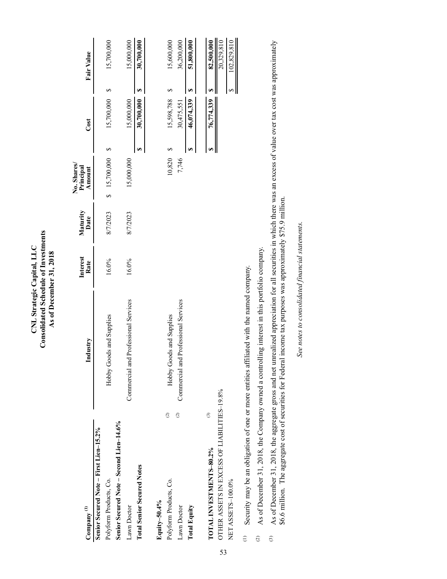CNL Strategic Capital, LLC<br>Consolidated Schedule of Investments **Consolidated Schedule of Investments CNL Strategic Capital, LLC** As of December 31, 2018 **As of December 31, 2018** 

| $\bf{Company}^{(1)}$                        | Industry                                                                                 | Interest<br>Rate | Maturity<br>Date | No. Shares/<br>Principal<br>Amount | Cost       |   | Fair Value  |
|---------------------------------------------|------------------------------------------------------------------------------------------|------------------|------------------|------------------------------------|------------|---|-------------|
| Senior Secured Note - First Lien-15.2%      |                                                                                          |                  |                  |                                    |            |   |             |
| Polyform Products, Co.                      | Hobby Goods and Supplies                                                                 | 16.0%            | 8/7/2023         | \$15,700,000                       | 15,700,000 |   | 15,700,000  |
| Senior Secured Note - Second Lien-14.6%     |                                                                                          |                  |                  |                                    |            |   |             |
| Lawn Doctor                                 | Commercial and Professional Services                                                     | 16.0%            | 8/7/2023         | 15,000,000                         | 15,000,000 |   | 15,000,000  |
| <b>Total Senior Secured Notes</b>           |                                                                                          |                  |                  |                                    | 30,700,000 | S | 30,700,000  |
| Equity-50.4%                                |                                                                                          |                  |                  |                                    |            |   |             |
| Polyform Products, Co.                      | Hobby Goods and Supplies<br>$\widehat{\circ}$                                            |                  |                  | 10,820                             | 15,598,788 |   | 15,600,000  |
| Lawn Doctor                                 | Commercial and Professional Services<br>$\widehat{\alpha}$                               |                  |                  | 7,746                              | 30,475,551 |   | 36,200,000  |
| <b>Total Equity</b>                         |                                                                                          |                  |                  |                                    | 46,074,339 |   | 51,800,000  |
|                                             |                                                                                          |                  |                  |                                    |            |   |             |
| TOTAL INVESTMENTS-80.2%                     | ම                                                                                        |                  |                  |                                    | 76,774,339 |   | 82,500,000  |
| OTHER ASSETS IN EXCESS OF LIABILITIES-19.8% |                                                                                          |                  |                  |                                    |            |   | 20,329,810  |
| NETASSETS-100.0%                            |                                                                                          |                  |                  |                                    |            |   | 102,829,810 |
|                                             | Security may be an obligation of one or more entities affiliated with the named company. |                  |                  |                                    |            |   |             |

As of December 31, 2018, the Company owned a controlling interest in this portfolio company. (2) As of December 31, 2018, the Company owned a controlling interest in this portfolio company.  $\odot$ 

As of December 31, 2018, the aggregate gross and net unrealized appreciation for all securities in which there was an excess of value over tax cost was approximately \$6.6 million. The aggregate cost of securities for Feder <sup>(3)</sup> As of December 31, 2018, the aggregate gross and net unrealized appreciation for all securities in which there was an excess of value over tax cost was approximately \$6.6 million. The aggregate cost of securities for Federal income tax purposes was approximately \$75.9 million.  $\odot$ 

See notes to consolidated financial statements. *See notes to consolidated financial statements.*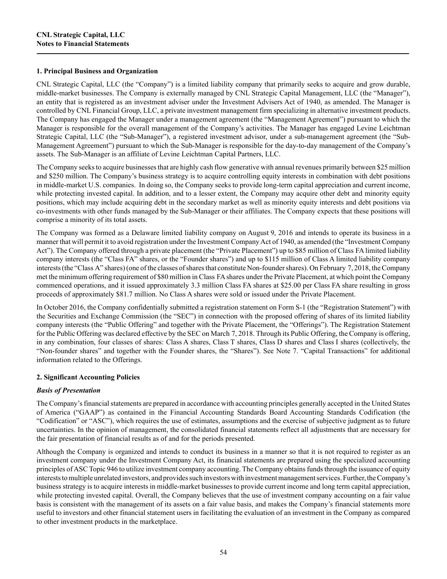## **1. Principal Business and Organization**

CNL Strategic Capital, LLC (the "Company") is a limited liability company that primarily seeks to acquire and grow durable, middle-market businesses. The Company is externally managed by CNL Strategic Capital Management, LLC (the "Manager"), an entity that is registered as an investment adviser under the Investment Advisers Act of 1940, as amended. The Manager is controlled by CNL Financial Group, LLC, a private investment management firm specializing in alternative investment products. The Company has engaged the Manager under a management agreement (the "Management Agreement") pursuant to which the Manager is responsible for the overall management of the Company's activities. The Manager has engaged Levine Leichtman Strategic Capital, LLC (the "Sub-Manager"), a registered investment advisor, under a sub-management agreement (the "Sub-Management Agreement") pursuant to which the Sub-Manager is responsible for the day-to-day management of the Company's assets. The Sub-Manager is an affiliate of Levine Leichtman Capital Partners, LLC.

The Company seeks to acquire businesses that are highly cash flow generative with annual revenues primarily between \$25 million and \$250 million. The Company's business strategy is to acquire controlling equity interests in combination with debt positions in middle-market U.S. companies. In doing so, the Company seeks to provide long-term capital appreciation and current income, while protecting invested capital. In addition, and to a lesser extent, the Company may acquire other debt and minority equity positions, which may include acquiring debt in the secondary market as well as minority equity interests and debt positions via co-investments with other funds managed by the Sub-Manager or their affiliates. The Company expects that these positions will comprise a minority of its total assets.

The Company was formed as a Delaware limited liability company on August 9, 2016 and intends to operate its business in a manner that will permit it to avoid registration under the Investment Company Act of 1940, as amended (the "Investment Company Act"). The Company offered through a private placement (the "Private Placement") up to \$85 million of Class FA limited liability company interests (the "Class FA" shares, or the "Founder shares") and up to \$115 million of Class A limited liability company interests (the "Class A" shares) (one of the classes of shares that constitute Non-founder shares). On February 7, 2018, the Company met the minimum offering requirement of \$80 million in Class FA shares under the Private Placement, at which point the Company commenced operations, and it issued approximately 3.3 million Class FA shares at \$25.00 per Class FA share resulting in gross proceeds of approximately \$81.7 million. No Class A shares were sold or issued under the Private Placement.

In October 2016, the Company confidentially submitted a registration statement on Form S-1 (the "Registration Statement") with the Securities and Exchange Commission (the "SEC") in connection with the proposed offering of shares of its limited liability company interests (the "Public Offering" and together with the Private Placement, the "Offerings"). The Registration Statement for the Public Offering was declared effective by the SEC on March 7, 2018. Through its Public Offering, the Company is offering, in any combination, four classes of shares: Class A shares, Class T shares, Class D shares and Class I shares (collectively, the "Non-founder shares" and together with the Founder shares, the "Shares"). See Note 7. "Capital Transactions" for additional information related to the Offerings.

# **2. Significant Accounting Policies**

# *Basis of Presentation*

The Company's financial statements are prepared in accordance with accounting principles generally accepted in the United States of America ("GAAP") as contained in the Financial Accounting Standards Board Accounting Standards Codification (the "Codification" or "ASC"), which requires the use of estimates, assumptions and the exercise of subjective judgment as to future uncertainties. In the opinion of management, the consolidated financial statements reflect all adjustments that are necessary for the fair presentation of financial results as of and for the periods presented.

Although the Company is organized and intends to conduct its business in a manner so that it is not required to register as an investment company under the Investment Company Act, its financial statements are prepared using the specialized accounting principles of ASC Topic 946 to utilize investment company accounting. The Company obtains funds through the issuance of equity interests to multiple unrelated investors, and provides such investors with investment management services. Further, the Company's business strategy is to acquire interests in middle-market businesses to provide current income and long term capital appreciation, while protecting invested capital. Overall, the Company believes that the use of investment company accounting on a fair value basis is consistent with the management of its assets on a fair value basis, and makes the Company's financial statements more useful to investors and other financial statement users in facilitating the evaluation of an investment in the Company as compared to other investment products in the marketplace.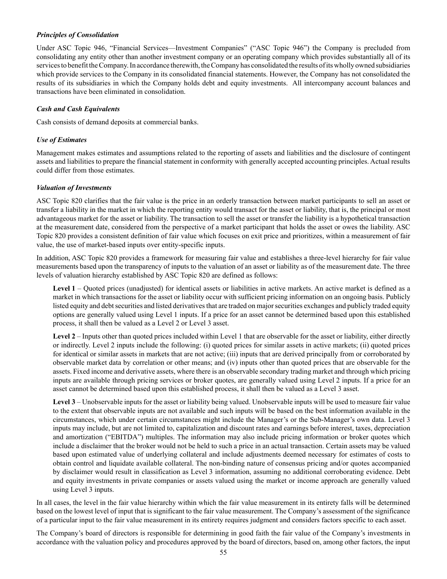### *Principles of Consolidation*

Under ASC Topic 946, "Financial Services—Investment Companies" ("ASC Topic 946") the Company is precluded from consolidating any entity other than another investment company or an operating company which provides substantially all of its services to benefit the Company. In accordance therewith, the Company has consolidated the results of its wholly owned subsidiaries which provide services to the Company in its consolidated financial statements. However, the Company has not consolidated the results of its subsidiaries in which the Company holds debt and equity investments. All intercompany account balances and transactions have been eliminated in consolidation.

#### *Cash and Cash Equivalents*

Cash consists of demand deposits at commercial banks.

#### *Use of Estimates*

Management makes estimates and assumptions related to the reporting of assets and liabilities and the disclosure of contingent assets and liabilities to prepare the financial statement in conformity with generally accepted accounting principles. Actual results could differ from those estimates.

#### *Valuation of Investments*

ASC Topic 820 clarifies that the fair value is the price in an orderly transaction between market participants to sell an asset or transfer a liability in the market in which the reporting entity would transact for the asset or liability, that is, the principal or most advantageous market for the asset or liability. The transaction to sell the asset or transfer the liability is a hypothetical transaction at the measurement date, considered from the perspective of a market participant that holds the asset or owes the liability. ASC Topic 820 provides a consistent definition of fair value which focuses on exit price and prioritizes, within a measurement of fair value, the use of market-based inputs over entity-specific inputs.

In addition, ASC Topic 820 provides a framework for measuring fair value and establishes a three-level hierarchy for fair value measurements based upon the transparency of inputs to the valuation of an asset or liability as of the measurement date. The three levels of valuation hierarchy established by ASC Topic 820 are defined as follows:

**Level 1** – Quoted prices (unadjusted) for identical assets or liabilities in active markets. An active market is defined as a market in which transactions for the asset or liability occur with sufficient pricing information on an ongoing basis. Publicly listed equity and debt securities and listed derivatives that are traded on major securities exchanges and publicly traded equity options are generally valued using Level 1 inputs. If a price for an asset cannot be determined based upon this established process, it shall then be valued as a Level 2 or Level 3 asset.

**Level 2** – Inputs other than quoted prices included within Level 1 that are observable for the asset or liability, either directly or indirectly. Level 2 inputs include the following: (i) quoted prices for similar assets in active markets; (ii) quoted prices for identical or similar assets in markets that are not active; (iii) inputs that are derived principally from or corroborated by observable market data by correlation or other means; and (iv) inputs other than quoted prices that are observable for the assets. Fixed income and derivative assets, where there is an observable secondary trading market and through which pricing inputs are available through pricing services or broker quotes, are generally valued using Level 2 inputs. If a price for an asset cannot be determined based upon this established process, it shall then be valued as a Level 3 asset.

**Level 3** – Unobservable inputs for the asset or liability being valued. Unobservable inputs will be used to measure fair value to the extent that observable inputs are not available and such inputs will be based on the best information available in the circumstances, which under certain circumstances might include the Manager's or the Sub-Manager's own data. Level 3 inputs may include, but are not limited to, capitalization and discount rates and earnings before interest, taxes, depreciation and amortization ("EBITDA") multiples. The information may also include pricing information or broker quotes which include a disclaimer that the broker would not be held to such a price in an actual transaction. Certain assets may be valued based upon estimated value of underlying collateral and include adjustments deemed necessary for estimates of costs to obtain control and liquidate available collateral. The non-binding nature of consensus pricing and/or quotes accompanied by disclaimer would result in classification as Level 3 information, assuming no additional corroborating evidence. Debt and equity investments in private companies or assets valued using the market or income approach are generally valued using Level 3 inputs.

In all cases, the level in the fair value hierarchy within which the fair value measurement in its entirety falls will be determined based on the lowest level of input that is significant to the fair value measurement. The Company's assessment of the significance of a particular input to the fair value measurement in its entirety requires judgment and considers factors specific to each asset.

The Company's board of directors is responsible for determining in good faith the fair value of the Company's investments in accordance with the valuation policy and procedures approved by the board of directors, based on, among other factors, the input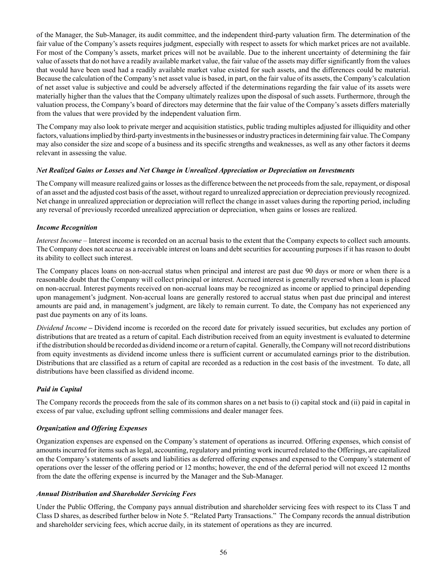of the Manager, the Sub-Manager, its audit committee, and the independent third-party valuation firm. The determination of the fair value of the Company's assets requires judgment, especially with respect to assets for which market prices are not available. For most of the Company's assets, market prices will not be available. Due to the inherent uncertainty of determining the fair value of assets that do not have a readily available market value, the fair value of the assets may differ significantly from the values that would have been used had a readily available market value existed for such assets, and the differences could be material. Because the calculation of the Company's net asset value is based, in part, on the fair value of its assets, the Company's calculation of net asset value is subjective and could be adversely affected if the determinations regarding the fair value of its assets were materially higher than the values that the Company ultimately realizes upon the disposal of such assets. Furthermore, through the valuation process, the Company's board of directors may determine that the fair value of the Company's assets differs materially from the values that were provided by the independent valuation firm.

The Company may also look to private merger and acquisition statistics, public trading multiples adjusted for illiquidity and other factors, valuations implied by third-party investments in the businesses or industry practices in determining fair value. The Company may also consider the size and scope of a business and its specific strengths and weaknesses, as well as any other factors it deems relevant in assessing the value.

## *Net Realized Gains or Losses and Net Change in Unrealized Appreciation or Depreciation on Investments*

The Company will measure realized gains or losses as the difference between the net proceeds from the sale, repayment, or disposal of an asset and the adjusted cost basis of the asset, without regard to unrealized appreciation or depreciation previously recognized. Net change in unrealized appreciation or depreciation will reflect the change in asset values during the reporting period, including any reversal of previously recorded unrealized appreciation or depreciation, when gains or losses are realized.

#### *Income Recognition*

*Interest Income* – Interest income is recorded on an accrual basis to the extent that the Company expects to collect such amounts. The Company does not accrue as a receivable interest on loans and debt securities for accounting purposes if it has reason to doubt its ability to collect such interest.

The Company places loans on non-accrual status when principal and interest are past due 90 days or more or when there is a reasonable doubt that the Company will collect principal or interest. Accrued interest is generally reversed when a loan is placed on non-accrual. Interest payments received on non-accrual loans may be recognized as income or applied to principal depending upon management's judgment. Non-accrual loans are generally restored to accrual status when past due principal and interest amounts are paid and, in management's judgment, are likely to remain current. To date, the Company has not experienced any past due payments on any of its loans.

*Dividend Income –* Dividend income is recorded on the record date for privately issued securities, but excludes any portion of distributions that are treated as a return of capital. Each distribution received from an equity investment is evaluated to determine if the distribution should be recorded as dividend income or a return of capital. Generally, the Company will not record distributions from equity investments as dividend income unless there is sufficient current or accumulated earnings prior to the distribution. Distributions that are classified as a return of capital are recorded as a reduction in the cost basis of the investment. To date, all distributions have been classified as dividend income.

## *Paid in Capital*

The Company records the proceeds from the sale of its common shares on a net basis to (i) capital stock and (ii) paid in capital in excess of par value, excluding upfront selling commissions and dealer manager fees.

## *Organization and Offering Expenses*

Organization expenses are expensed on the Company's statement of operations as incurred. Offering expenses, which consist of amounts incurred for items such as legal, accounting, regulatory and printing work incurred related to the Offerings, are capitalized on the Company's statements of assets and liabilities as deferred offering expenses and expensed to the Company's statement of operations over the lesser of the offering period or 12 months; however, the end of the deferral period will not exceed 12 months from the date the offering expense is incurred by the Manager and the Sub-Manager.

#### *Annual Distribution and Shareholder Servicing Fees*

Under the Public Offering, the Company pays annual distribution and shareholder servicing fees with respect to its Class T and Class D shares, as described further below in Note 5. "Related Party Transactions." The Company records the annual distribution and shareholder servicing fees, which accrue daily, in its statement of operations as they are incurred.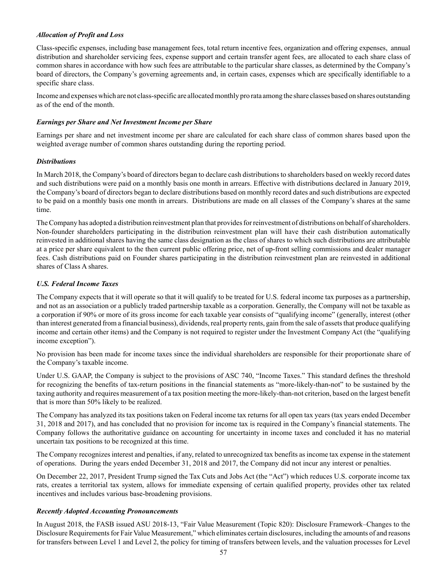## *Allocation of Profit and Loss*

Class-specific expenses, including base management fees, total return incentive fees, organization and offering expenses, annual distribution and shareholder servicing fees, expense support and certain transfer agent fees, are allocated to each share class of common shares in accordance with how such fees are attributable to the particular share classes, as determined by the Company's board of directors, the Company's governing agreements and, in certain cases, expenses which are specifically identifiable to a specific share class.

Income and expenses which are not class-specific are allocated monthly pro rata among the share classes based on shares outstanding as of the end of the month.

## *Earnings per Share and Net Investment Income per Share*

Earnings per share and net investment income per share are calculated for each share class of common shares based upon the weighted average number of common shares outstanding during the reporting period.

## *Distributions*

In March 2018, the Company's board of directors began to declare cash distributions to shareholders based on weekly record dates and such distributions were paid on a monthly basis one month in arrears. Effective with distributions declared in January 2019, the Company's board of directors began to declare distributions based on monthly record dates and such distributions are expected to be paid on a monthly basis one month in arrears. Distributions are made on all classes of the Company's shares at the same time.

The Company has adopted a distribution reinvestment plan that provides for reinvestment of distributions on behalf of shareholders. Non-founder shareholders participating in the distribution reinvestment plan will have their cash distribution automatically reinvested in additional shares having the same class designation as the class of shares to which such distributions are attributable at a price per share equivalent to the then current public offering price, net of up-front selling commissions and dealer manager fees. Cash distributions paid on Founder shares participating in the distribution reinvestment plan are reinvested in additional shares of Class A shares.

## *U.S. Federal Income Taxes*

The Company expects that it will operate so that it will qualify to be treated for U.S. federal income tax purposes as a partnership, and not as an association or a publicly traded partnership taxable as a corporation. Generally, the Company will not be taxable as a corporation if 90% or more of its gross income for each taxable year consists of "qualifying income" (generally, interest (other than interest generated from a financial business), dividends, real property rents, gain from the sale of assets that produce qualifying income and certain other items) and the Company is not required to register under the Investment Company Act (the "qualifying income exception").

No provision has been made for income taxes since the individual shareholders are responsible for their proportionate share of the Company's taxable income.

Under U.S. GAAP, the Company is subject to the provisions of ASC 740, "Income Taxes." This standard defines the threshold for recognizing the benefits of tax-return positions in the financial statements as "more-likely-than-not" to be sustained by the taxing authority and requires measurement of a tax position meeting the more-likely-than-not criterion, based on the largest benefit that is more than 50% likely to be realized.

The Company has analyzed its tax positions taken on Federal income tax returns for all open tax years (tax years ended December 31, 2018 and 2017), and has concluded that no provision for income tax is required in the Company's financial statements. The Company follows the authoritative guidance on accounting for uncertainty in income taxes and concluded it has no material uncertain tax positions to be recognized at this time.

The Company recognizes interest and penalties, if any, related to unrecognized tax benefits as income tax expense in the statement of operations. During the years ended December 31, 2018 and 2017, the Company did not incur any interest or penalties.

On December 22, 2017, President Trump signed the Tax Cuts and Jobs Act (the "Act") which reduces U.S. corporate income tax rats, creates a territorial tax system, allows for immediate expensing of certain qualified property, provides other tax related incentives and includes various base-broadening provisions.

## *Recently Adopted Accounting Pronouncements*

In August 2018, the FASB issued ASU 2018-13, "Fair Value Measurement (Topic 820): Disclosure Framework–Changes to the Disclosure Requirements for Fair Value Measurement," which eliminates certain disclosures, including the amounts of and reasons for transfers between Level 1 and Level 2, the policy for timing of transfers between levels, and the valuation processes for Level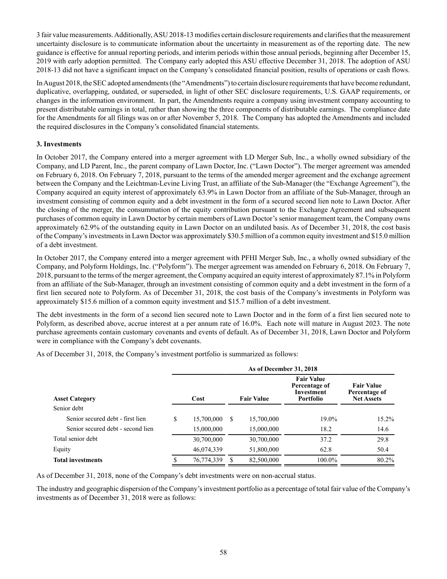3 fair value measurements. Additionally, ASU 2018-13 modifies certain disclosure requirements and clarifies that the measurement uncertainty disclosure is to communicate information about the uncertainty in measurement as of the reporting date. The new guidance is effective for annual reporting periods, and interim periods within those annual periods, beginning after December 15, 2019 with early adoption permitted. The Company early adopted this ASU effective December 31, 2018. The adoption of ASU 2018-13 did not have a significant impact on the Company's consolidated financial position, results of operations or cash flows.

In August 2018, the SEC adopted amendments (the "Amendments") to certain disclosure requirements that have become redundant, duplicative, overlapping, outdated, or superseded, in light of other SEC disclosure requirements, U.S. GAAP requirements, or changes in the information environment. In part, the Amendments require a company using investment company accounting to present distributable earnings in total, rather than showing the three components of distributable earnings. The compliance date for the Amendments for all filings was on or after November 5, 2018. The Company has adopted the Amendments and included the required disclosures in the Company's consolidated financial statements.

## **3. Investments**

In October 2017, the Company entered into a merger agreement with LD Merger Sub, Inc., a wholly owned subsidiary of the Company, and LD Parent, Inc., the parent company of Lawn Doctor, Inc. ("Lawn Doctor"). The merger agreement was amended on February 6, 2018. On February 7, 2018, pursuant to the terms of the amended merger agreement and the exchange agreement between the Company and the Leichtman-Levine Living Trust, an affiliate of the Sub-Manager (the "Exchange Agreement"), the Company acquired an equity interest of approximately 63.9% in Lawn Doctor from an affiliate of the Sub-Manager, through an investment consisting of common equity and a debt investment in the form of a secured second lien note to Lawn Doctor. After the closing of the merger, the consummation of the equity contribution pursuant to the Exchange Agreement and subsequent purchases of common equity in Lawn Doctor by certain members of Lawn Doctor's senior management team, the Company owns approximately 62.9% of the outstanding equity in Lawn Doctor on an undiluted basis. As of December 31, 2018, the cost basis of the Company's investments in Lawn Doctor was approximately \$30.5 million of a common equity investment and \$15.0 million of a debt investment.

In October 2017, the Company entered into a merger agreement with PFHI Merger Sub, Inc., a wholly owned subsidiary of the Company, and Polyform Holdings, Inc. ("Polyform"). The merger agreement was amended on February 6, 2018. On February 7, 2018, pursuant to the terms of the merger agreement, the Company acquired an equity interest of approximately 87.1% in Polyform from an affiliate of the Sub-Manager, through an investment consisting of common equity and a debt investment in the form of a first lien secured note to Polyform. As of December 31, 2018, the cost basis of the Company's investments in Polyform was approximately \$15.6 million of a common equity investment and \$15.7 million of a debt investment.

The debt investments in the form of a second lien secured note to Lawn Doctor and in the form of a first lien secured note to Polyform, as described above, accrue interest at a per annum rate of 16.0%. Each note will mature in August 2023. The note purchase agreements contain customary covenants and events of default. As of December 31, 2018, Lawn Doctor and Polyform were in compliance with the Company's debt covenants.

As of December 31, 2018, the Company's investment portfolio is summarized as follows:

|                                   |   | As of December 31, 2018 |    |                   |                                                                      |                                                         |
|-----------------------------------|---|-------------------------|----|-------------------|----------------------------------------------------------------------|---------------------------------------------------------|
| <b>Asset Category</b>             |   | Cost                    |    | <b>Fair Value</b> | <b>Fair Value</b><br>Percentage of<br><b>Investment</b><br>Portfolio | <b>Fair Value</b><br>Percentage of<br><b>Net Assets</b> |
| Senior debt                       |   |                         |    |                   |                                                                      |                                                         |
| Senior secured debt - first lien  | S | 15,700,000              | -S | 15,700,000        | 19.0%                                                                | $15.2\%$                                                |
| Senior secured debt - second lien |   | 15,000,000              |    | 15,000,000        | 18.2                                                                 | 14.6                                                    |
| Total senior debt                 |   | 30,700,000              |    | 30,700,000        | 37.2                                                                 | 29.8                                                    |
| Equity                            |   | 46,074,339              |    | 51,800,000        | 62.8                                                                 | 50.4                                                    |
| <b>Total investments</b>          |   | 76,774,339              |    | 82,500,000        | 100.0%                                                               | 80.2%                                                   |

As of December 31, 2018, none of the Company's debt investments were on non-accrual status.

The industry and geographic dispersion of the Company's investment portfolio as a percentage of total fair value of the Company's investments as of December 31, 2018 were as follows: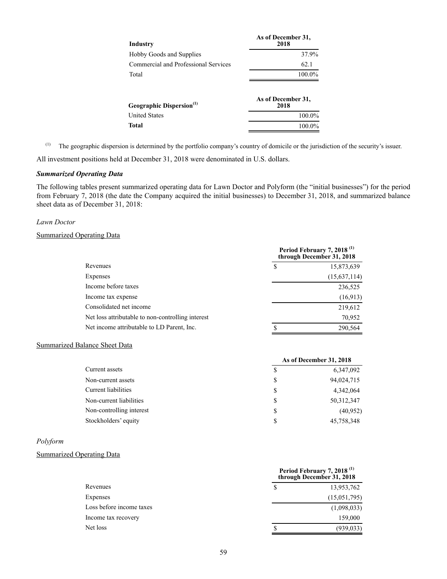| Industry                             | As of December 31,<br>2018 |  |  |
|--------------------------------------|----------------------------|--|--|
| Hobby Goods and Supplies             | 37.9%                      |  |  |
| Commercial and Professional Services | 62.1                       |  |  |
| Total                                | 100.0%                     |  |  |
| Geographic Dispersion <sup>(1)</sup> | As of December 31,<br>2018 |  |  |
| <b>United States</b>                 | 100.0%                     |  |  |
| Total                                | 100.0%                     |  |  |
|                                      |                            |  |  |

(1) The geographic dispersion is determined by the portfolio company's country of domicile or the jurisdiction of the security's issuer.

All investment positions held at December 31, 2018 were denominated in U.S. dollars.

### *Summarized Operating Data*

The following tables present summarized operating data for Lawn Doctor and Polyform (the "initial businesses") for the period from February 7, 2018 (the date the Company acquired the initial businesses) to December 31, 2018, and summarized balance sheet data as of December 31, 2018:

#### *Lawn Doctor*

# Summarized Operating Data

|                                                   | Period February 7, 2018 <sup>(1)</sup><br>through December 31, 2018 |              |  |
|---------------------------------------------------|---------------------------------------------------------------------|--------------|--|
| Revenues                                          | S                                                                   | 15,873,639   |  |
| Expenses                                          |                                                                     | (15,637,114) |  |
| Income before taxes                               |                                                                     | 236,525      |  |
| Income tax expense                                |                                                                     | (16,913)     |  |
| Consolidated net income                           |                                                                     | 219,612      |  |
| Net loss attributable to non-controlling interest |                                                                     | 70,952       |  |
| Net income attributable to LD Parent, Inc.        |                                                                     | 290.564      |  |

#### Summarized Balance Sheet Data

|                          |    | As of December 31, 2018 |
|--------------------------|----|-------------------------|
| Current assets           | S  | 6,347,092               |
| Non-current assets       | \$ | 94,024,715              |
| Current liabilities      | S  | 4,342,064               |
| Non-current liabilities  | \$ | 50,312,347              |
| Non-controlling interest | S  | (40, 952)               |
| Stockholders' equity     | S  | 45,758,348              |

#### *Polyform*

#### Summarized Operating Data

|                          | Period February 7, 2018 <sup>(1)</sup><br>through December 31, 2018 |
|--------------------------|---------------------------------------------------------------------|
| Revenues                 | 13,953,762                                                          |
| Expenses                 | (15,051,795)                                                        |
| Loss before income taxes | (1,098,033)                                                         |
| Income tax recovery      | 159,000                                                             |
| Net loss                 | (939, 033)                                                          |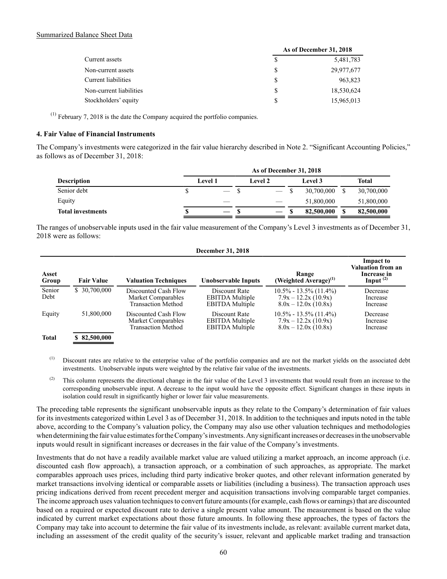### Summarized Balance Sheet Data

|                         |   | As of December 31, 2018 |
|-------------------------|---|-------------------------|
| Current assets          |   | 5,481,783               |
| Non-current assets      |   | 29,977,677              |
| Current liabilities     | S | 963,823                 |
| Non-current liabilities |   | 18,530,624              |
| Stockholders' equity    |   | 15,965,013              |

 $(1)$  February 7, 2018 is the date the Company acquired the portfolio companies.

#### **4. Fair Value of Financial Instruments**

The Company's investments were categorized in the fair value hierarchy described in Note 2. "Significant Accounting Policies," as follows as of December 31, 2018:

|                          | As of December 31, 2018  |  |                          |  |            |   |            |  |  |
|--------------------------|--------------------------|--|--------------------------|--|------------|---|------------|--|--|
| <b>Description</b>       | <b>Level 1</b>           |  | Level 2                  |  | Level 3    |   | Total      |  |  |
| Senior debt              | $\overline{\phantom{0}}$ |  | $\overline{\phantom{a}}$ |  | 30.700.000 |   | 30,700,000 |  |  |
| Equity                   |                          |  |                          |  | 51.800.000 |   | 51,800,000 |  |  |
| <b>Total investments</b> |                          |  |                          |  | 82,500,000 | S | 82,500,000 |  |  |

The ranges of unobservable inputs used in the fair value measurement of the Company's Level 3 investments as of December 31, 2018 were as follows:

**December 31, 2018**

| Asset<br>Group | <b>Fair Value</b> | <b>Valuation Techniques</b>                                             | Unobservable Inputs                                               | Range<br>(Weighted Average) $^{(1)}$                                        | <b>Impact to</b><br><b>Valuation from an</b><br>Increase in<br>Input $(2)$ |
|----------------|-------------------|-------------------------------------------------------------------------|-------------------------------------------------------------------|-----------------------------------------------------------------------------|----------------------------------------------------------------------------|
| Senior<br>Debt | \$30,700,000      | Discounted Cash Flow<br>Market Comparables<br><b>Transaction Method</b> | Discount Rate<br><b>EBITDA</b> Multiple<br><b>EBITDA Multiple</b> | $10.5\% - 13.5\%$ (11.4%)<br>$7.9x - 12.2x(10.9x)$<br>$8.0x - 12.0x(10.8x)$ | Decrease<br>Increase<br>Increase                                           |
| Equity         | 51,800,000        | Discounted Cash Flow<br>Market Comparables<br><b>Transaction Method</b> | Discount Rate<br><b>EBITDA</b> Multiple<br><b>EBITDA</b> Multiple | $10.5\% - 13.5\%$ (11.4%)<br>$7.9x - 12.2x(10.9x)$<br>$8.0x - 12.0x(10.8x)$ | Decrease<br>Increase<br>Increase                                           |
| <b>Total</b>   | \$ 82,500,000     |                                                                         |                                                                   |                                                                             |                                                                            |

(1) Discount rates are relative to the enterprise value of the portfolio companies and are not the market yields on the associated debt investments. Unobservable inputs were weighted by the relative fair value of the investments.

(2) This column represents the directional change in the fair value of the Level 3 investments that would result from an increase to the corresponding unobservable input. A decrease to the input would have the opposite effect. Significant changes in these inputs in isolation could result in significantly higher or lower fair value measurements.

The preceding table represents the significant unobservable inputs as they relate to the Company's determination of fair values for its investments categorized within Level 3 as of December 31, 2018. In addition to the techniques and inputs noted in the table above, according to the Company's valuation policy, the Company may also use other valuation techniques and methodologies when determining the fair value estimates for the Company's investments. Any significant increases or decreases in the unobservable inputs would result in significant increases or decreases in the fair value of the Company's investments.

Investments that do not have a readily available market value are valued utilizing a market approach, an income approach (i.e. discounted cash flow approach), a transaction approach, or a combination of such approaches, as appropriate. The market comparables approach uses prices, including third party indicative broker quotes, and other relevant information generated by market transactions involving identical or comparable assets or liabilities (including a business). The transaction approach uses pricing indications derived from recent precedent merger and acquisition transactions involving comparable target companies. The income approach uses valuation techniques to convert future amounts (for example, cash flows or earnings) that are discounted based on a required or expected discount rate to derive a single present value amount. The measurement is based on the value indicated by current market expectations about those future amounts. In following these approaches, the types of factors the Company may take into account to determine the fair value of its investments include, as relevant: available current market data, including an assessment of the credit quality of the security's issuer, relevant and applicable market trading and transaction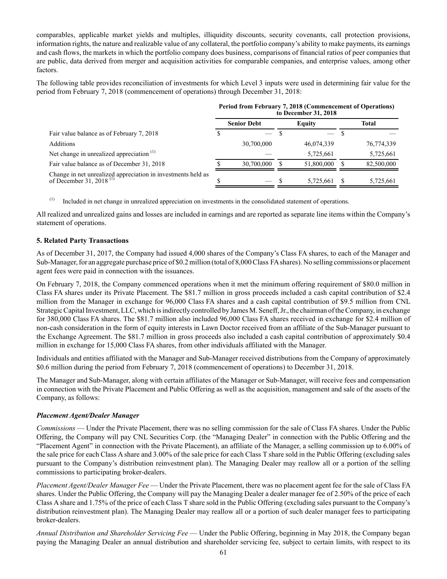comparables, applicable market yields and multiples, illiquidity discounts, security covenants, call protection provisions, information rights, the nature and realizable value of any collateral, the portfolio company's ability to make payments, its earnings and cash flows, the markets in which the portfolio company does business, comparisons of financial ratios of peer companies that are public, data derived from merger and acquisition activities for comparable companies, and enterprise values, among other factors.

The following table provides reconciliation of investments for which Level 3 inputs were used in determining fair value for the period from February 7, 2018 (commencement of operations) through December 31, 2018:

|                                                                                                     | Period from February 7, 2018 (Commencement of Operations)<br>to December 31, 2018 |                    |  |                          |  |            |  |
|-----------------------------------------------------------------------------------------------------|-----------------------------------------------------------------------------------|--------------------|--|--------------------------|--|------------|--|
|                                                                                                     |                                                                                   | <b>Senior Debt</b> |  | <b>Equity</b>            |  | Total      |  |
| Fair value balance as of February 7, 2018                                                           | Φ                                                                                 |                    |  | $\overline{\phantom{0}}$ |  |            |  |
| Additions                                                                                           |                                                                                   | 30,700,000         |  | 46,074,339               |  | 76,774,339 |  |
| Net change in unrealized appreciation <sup>(1)</sup>                                                |                                                                                   |                    |  | 5,725,661                |  | 5,725,661  |  |
| Fair value balance as of December 31, 2018                                                          |                                                                                   | 30,700,000         |  | 51,800,000               |  | 82,500,000 |  |
| Change in net unrealized appreciation in investments held as<br>of December 31, 2018 <sup>(1)</sup> |                                                                                   |                    |  | 5,725,661                |  | 5,725,661  |  |

(1) Included in net change in unrealized appreciation on investments in the consolidated statement of operations.

All realized and unrealized gains and losses are included in earnings and are reported as separate line items within the Company's statement of operations.

## **5. Related Party Transactions**

As of December 31, 2017, the Company had issued 4,000 shares of the Company's Class FA shares, to each of the Manager and Sub-Manager, for an aggregate purchase price of \$0.2 million (total of 8,000 Class FA shares). No selling commissions or placement agent fees were paid in connection with the issuances.

On February 7, 2018, the Company commenced operations when it met the minimum offering requirement of \$80.0 million in Class FA shares under its Private Placement. The \$81.7 million in gross proceeds included a cash capital contribution of \$2.4 million from the Manager in exchange for 96,000 Class FA shares and a cash capital contribution of \$9.5 million from CNL Strategic Capital Investment, LLC, which is indirectly controlled by James M. Seneff, Jr., the chairman of the Company, in exchange for 380,000 Class FA shares. The \$81.7 million also included 96,000 Class FA shares received in exchange for \$2.4 million of non-cash consideration in the form of equity interests in Lawn Doctor received from an affiliate of the Sub-Manager pursuant to the Exchange Agreement. The \$81.7 million in gross proceeds also included a cash capital contribution of approximately \$0.4 million in exchange for 15,000 Class FA shares, from other individuals affiliated with the Manager.

Individuals and entities affiliated with the Manager and Sub-Manager received distributions from the Company of approximately \$0.6 million during the period from February 7, 2018 (commencement of operations) to December 31, 2018.

The Manager and Sub-Manager, along with certain affiliates of the Manager or Sub-Manager, will receive fees and compensation in connection with the Private Placement and Public Offering as well as the acquisition, management and sale of the assets of the Company, as follows:

## *Placement Agent/Dealer Manager*

*Commissions* — Under the Private Placement, there was no selling commission for the sale of Class FA shares. Under the Public Offering, the Company will pay CNL Securities Corp. (the "Managing Dealer" in connection with the Public Offering and the "Placement Agent" in connection with the Private Placement), an affiliate of the Manager, a selling commission up to 6.00% of the sale price for each Class A share and 3.00% of the sale price for each Class T share sold in the Public Offering (excluding sales pursuant to the Company's distribution reinvestment plan). The Managing Dealer may reallow all or a portion of the selling commissions to participating broker-dealers.

*Placement Agent/Dealer Manager Fee* — Under the Private Placement, there was no placement agent fee for the sale of Class FA shares. Under the Public Offering, the Company will pay the Managing Dealer a dealer manager fee of 2.50% of the price of each Class A share and 1.75% of the price of each Class T share sold in the Public Offering (excluding sales pursuant to the Company's distribution reinvestment plan). The Managing Dealer may reallow all or a portion of such dealer manager fees to participating broker-dealers.

*Annual Distribution and Shareholder Servicing Fee* — Under the Public Offering, beginning in May 2018, the Company began paying the Managing Dealer an annual distribution and shareholder servicing fee, subject to certain limits, with respect to its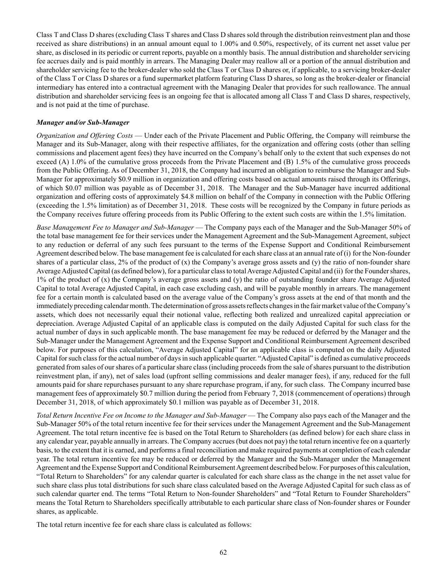Class T and Class D shares (excluding Class T shares and Class D shares sold through the distribution reinvestment plan and those received as share distributions) in an annual amount equal to 1.00% and 0.50%, respectively, of its current net asset value per share, as disclosed in its periodic or current reports, payable on a monthly basis. The annual distribution and shareholder servicing fee accrues daily and is paid monthly in arrears. The Managing Dealer may reallow all or a portion of the annual distribution and shareholder servicing fee to the broker-dealer who sold the Class T or Class D shares or, if applicable, to a servicing broker-dealer of the Class T or Class D shares or a fund supermarket platform featuring Class D shares, so long as the broker-dealer or financial intermediary has entered into a contractual agreement with the Managing Dealer that provides for such reallowance. The annual distribution and shareholder servicing fees is an ongoing fee that is allocated among all Class T and Class D shares, respectively, and is not paid at the time of purchase.

#### *Manager and/or Sub-Manager*

*Organization and Offering Costs* — Under each of the Private Placement and Public Offering, the Company will reimburse the Manager and its Sub-Manager, along with their respective affiliates, for the organization and offering costs (other than selling commissions and placement agent fees) they have incurred on the Company's behalf only to the extent that such expenses do not exceed (A) 1.0% of the cumulative gross proceeds from the Private Placement and (B) 1.5% of the cumulative gross proceeds from the Public Offering. As of December 31, 2018, the Company had incurred an obligation to reimburse the Manager and Sub-Manager for approximately \$0.9 million in organization and offering costs based on actual amounts raised through its Offerings, of which \$0.07 million was payable as of December 31, 2018. The Manager and the Sub-Manager have incurred additional organization and offering costs of approximately \$4.8 million on behalf of the Company in connection with the Public Offering (exceeding the 1.5% limitation) as of December 31, 2018. These costs will be recognized by the Company in future periods as the Company receives future offering proceeds from its Public Offering to the extent such costs are within the 1.5% limitation.

*Base Management Fee to Manager and Sub-Manager* — The Company pays each of the Manager and the Sub-Manager 50% of the total base management fee for their services under the Management Agreement and the Sub-Management Agreement, subject to any reduction or deferral of any such fees pursuant to the terms of the Expense Support and Conditional Reimbursement Agreement described below. The base management fee is calculated for each share class at an annual rate of (i) for the Non-founder shares of a particular class,  $2\%$  of the product of (x) the Company's average gross assets and (y) the ratio of non-founder share Average Adjusted Capital (as defined below), for a particular class to total Average Adjusted Capital and (ii) for the Founder shares, 1% of the product of (x) the Company's average gross assets and (y) the ratio of outstanding founder share Average Adjusted Capital to total Average Adjusted Capital, in each case excluding cash, and will be payable monthly in arrears. The management fee for a certain month is calculated based on the average value of the Company's gross assets at the end of that month and the immediately preceding calendar month. The determination of gross assets reflects changes in the fair market value of the Company's assets, which does not necessarily equal their notional value, reflecting both realized and unrealized capital appreciation or depreciation. Average Adjusted Capital of an applicable class is computed on the daily Adjusted Capital for such class for the actual number of days in such applicable month. The base management fee may be reduced or deferred by the Manager and the Sub-Manager under the Management Agreement and the Expense Support and Conditional Reimbursement Agreement described below. For purposes of this calculation, "Average Adjusted Capital" for an applicable class is computed on the daily Adjusted Capital for such class for the actual number of days in such applicable quarter. "Adjusted Capital" is defined as cumulative proceeds generated from sales of our shares of a particular share class (including proceeds from the sale of shares pursuant to the distribution reinvestment plan, if any), net of sales load (upfront selling commissions and dealer manager fees), if any, reduced for the full amounts paid for share repurchases pursuant to any share repurchase program, if any, for such class. The Company incurred base management fees of approximately \$0.7 million during the period from February 7, 2018 (commencement of operations) through December 31, 2018, of which approximately \$0.1 million was payable as of December 31, 2018.

*Total Return Incentive Fee on Income to the Manager and Sub-Manager* — The Company also pays each of the Manager and the Sub-Manager 50% of the total return incentive fee for their services under the Management Agreement and the Sub-Management Agreement. The total return incentive fee is based on the Total Return to Shareholders (as defined below) for each share class in any calendar year, payable annually in arrears. The Company accrues (but does not pay) the total return incentive fee on a quarterly basis, to the extent that it is earned, and performs a final reconciliation and make required payments at completion of each calendar year. The total return incentive fee may be reduced or deferred by the Manager and the Sub-Manager under the Management Agreement and the Expense Support and Conditional Reimbursement Agreement described below. For purposes of this calculation, "Total Return to Shareholders" for any calendar quarter is calculated for each share class as the change in the net asset value for such share class plus total distributions for such share class calculated based on the Average Adjusted Capital for such class as of such calendar quarter end. The terms "Total Return to Non-founder Shareholders" and "Total Return to Founder Shareholders" means the Total Return to Shareholders specifically attributable to each particular share class of Non-founder shares or Founder shares, as applicable.

The total return incentive fee for each share class is calculated as follows: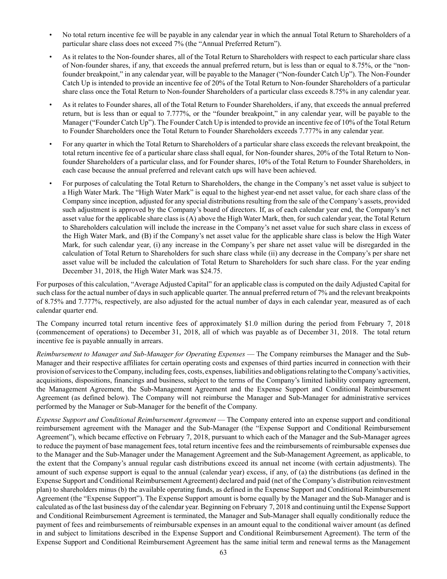- No total return incentive fee will be payable in any calendar year in which the annual Total Return to Shareholders of a particular share class does not exceed 7% (the "Annual Preferred Return").
- As it relates to the Non-founder shares, all of the Total Return to Shareholders with respect to each particular share class of Non-founder shares, if any, that exceeds the annual preferred return, but is less than or equal to 8.75%, or the "nonfounder breakpoint," in any calendar year, will be payable to the Manager ("Non-founder Catch Up"). The Non-Founder Catch Up is intended to provide an incentive fee of 20% of the Total Return to Non-founder Shareholders of a particular share class once the Total Return to Non-founder Shareholders of a particular class exceeds 8.75% in any calendar year.
- As it relates to Founder shares, all of the Total Return to Founder Shareholders, if any, that exceeds the annual preferred return, but is less than or equal to 7.777%, or the "founder breakpoint," in any calendar year, will be payable to the Manager ("Founder Catch Up"). The Founder Catch Up is intended to provide an incentive fee of 10% of the Total Return to Founder Shareholders once the Total Return to Founder Shareholders exceeds 7.777% in any calendar year.
- For any quarter in which the Total Return to Shareholders of a particular share class exceeds the relevant breakpoint, the total return incentive fee of a particular share class shall equal, for Non-founder shares, 20% of the Total Return to Nonfounder Shareholders of a particular class, and for Founder shares, 10% of the Total Return to Founder Shareholders, in each case because the annual preferred and relevant catch ups will have been achieved.
- For purposes of calculating the Total Return to Shareholders, the change in the Company's net asset value is subject to a High Water Mark. The "High Water Mark" is equal to the highest year-end net asset value, for each share class of the Company since inception, adjusted for any special distributions resulting from the sale of the Company's assets, provided such adjustment is approved by the Company's board of directors. If, as of each calendar year end, the Company's net asset value for the applicable share class is (A) above the High Water Mark, then, for such calendar year, the Total Return to Shareholders calculation will include the increase in the Company's net asset value for such share class in excess of the High Water Mark, and (B) if the Company's net asset value for the applicable share class is below the High Water Mark, for such calendar year, (i) any increase in the Company's per share net asset value will be disregarded in the calculation of Total Return to Shareholders for such share class while (ii) any decrease in the Company's per share net asset value will be included the calculation of Total Return to Shareholders for such share class. For the year ending December 31, 2018, the High Water Mark was \$24.75.

For purposes of this calculation, "Average Adjusted Capital" for an applicable class is computed on the daily Adjusted Capital for such class for the actual number of days in such applicable quarter. The annual preferred return of 7% and the relevant breakpoints of 8.75% and 7.777%, respectively, are also adjusted for the actual number of days in each calendar year, measured as of each calendar quarter end.

The Company incurred total return incentive fees of approximately \$1.0 million during the period from February 7, 2018 (commencement of operations) to December 31, 2018, all of which was payable as of December 31, 2018. The total return incentive fee is payable annually in arrears.

*Reimbursement to Manager and Sub-Manager for Operating Expenses* — The Company reimburses the Manager and the Sub-Manager and their respective affiliates for certain operating costs and expenses of third parties incurred in connection with their provision of services to the Company, including fees, costs, expenses, liabilities and obligations relating to the Company's activities, acquisitions, dispositions, financings and business, subject to the terms of the Company's limited liability company agreement, the Management Agreement, the Sub-Management Agreement and the Expense Support and Conditional Reimbursement Agreement (as defined below). The Company will not reimburse the Manager and Sub-Manager for administrative services performed by the Manager or Sub-Manager for the benefit of the Company.

*Expense Support and Conditional Reimbursement Agreement* — The Company entered into an expense support and conditional reimbursement agreement with the Manager and the Sub-Manager (the "Expense Support and Conditional Reimbursement Agreement"), which became effective on February 7, 2018, pursuant to which each of the Manager and the Sub-Manager agrees to reduce the payment of base management fees, total return incentive fees and the reimbursements of reimbursable expenses due to the Manager and the Sub-Manager under the Management Agreement and the Sub-Management Agreement, as applicable, to the extent that the Company's annual regular cash distributions exceed its annual net income (with certain adjustments). The amount of such expense support is equal to the annual (calendar year) excess, if any, of (a) the distributions (as defined in the Expense Support and Conditional Reimbursement Agreement) declared and paid (net of the Company's distribution reinvestment plan) to shareholders minus (b) the available operating funds, as defined in the Expense Support and Conditional Reimbursement Agreement (the "Expense Support"). The Expense Support amount is borne equally by the Manager and the Sub-Manager and is calculated as of the last business day of the calendar year. Beginning on February 7, 2018 and continuing until the Expense Support and Conditional Reimbursement Agreement is terminated, the Manager and Sub-Manager shall equally conditionally reduce the payment of fees and reimbursements of reimbursable expenses in an amount equal to the conditional waiver amount (as defined in and subject to limitations described in the Expense Support and Conditional Reimbursement Agreement). The term of the Expense Support and Conditional Reimbursement Agreement has the same initial term and renewal terms as the Management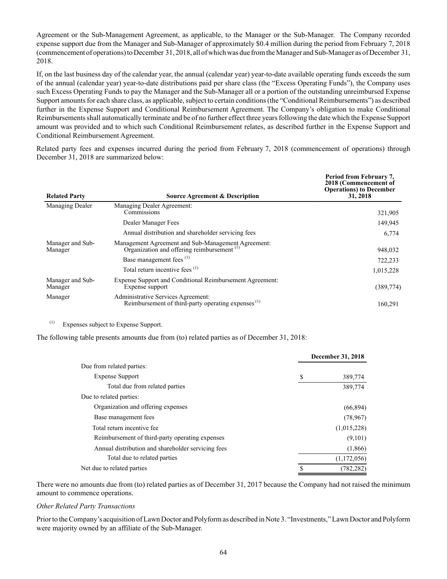Agreement or the Sub-Management Agreement, as applicable, to the Manager or the Sub-Manager. The Company recorded expense support due from the Manager and Sub-Manager of approximately \$0.4 million during the period from February 7, 2018 (commencement of operations) to December 31, 2018, all of which was due from the Manager and Sub-Manager as of December 31, 2018.

If, on the last business day of the calendar year, the annual (calendar year) year-to-date available operating funds exceeds the sum of the annual (calendar year) year-to-date distributions paid per share class (the "Excess Operating Funds"), the Company uses such Excess Operating Funds to pay the Manager and the Sub-Manager all or a portion of the outstanding unreimbursed Expense Support amounts for each share class, as applicable, subject to certain conditions (the "Conditional Reimbursements") as described further in the Expense Support and Conditional Reimbursement Agreement. The Company's obligation to make Conditional Reimbursements shall automatically terminate and be of no further effect three years following the date which the Expense Support amount was provided and to which such Conditional Reimbursement relates, as described further in the Expense Support and Conditional Reimbursement Agreement.

Related party fees and expenses incurred during the period from February 7, 2018 (commencement of operations) through December 31, 2018 are summarized below:

| <b>Related Party</b>        | <b>Source Agreement &amp; Description</b>                                                                    | Period from February 7,<br>2018 (Commencement of<br><b>Operations</b> ) to December<br>31, 2018 |
|-----------------------------|--------------------------------------------------------------------------------------------------------------|-------------------------------------------------------------------------------------------------|
| Managing Dealer             | Managing Dealer Agreement:<br>Commissions                                                                    | 321,905                                                                                         |
|                             | Dealer Manager Fees                                                                                          | 149,945                                                                                         |
|                             | Annual distribution and shareholder servicing fees                                                           | 6,774                                                                                           |
| Manager and Sub-<br>Manager | Management Agreement and Sub-Management Agreement:<br>Organization and offering reimbursement <sup>(1)</sup> | 948,032                                                                                         |
|                             | Base management fees <sup>(1)</sup>                                                                          | 722,233                                                                                         |
|                             | Total return incentive fees $(1)$                                                                            | 1,015,228                                                                                       |
| Manager and Sub-<br>Manager | <b>Expense Support and Conditional Reimbursement Agreement:</b><br>Expense support                           | (389,774)                                                                                       |
| Manager                     | Administrative Services Agreement:<br>Reimbursement of third-party operating expenses <sup>(1)</sup>         | 160,291                                                                                         |

(1) Expenses subject to Expense Support.

The following table presents amounts due from (to) related parties as of December 31, 2018:

|                                                    |   | December 31, 2018 |
|----------------------------------------------------|---|-------------------|
| Due from related parties:                          |   |                   |
| <b>Expense Support</b>                             | S | 389,774           |
| Total due from related parties                     |   | 389,774           |
| Due to related parties:                            |   |                   |
| Organization and offering expenses                 |   | (66, 894)         |
| Base management fees                               |   | (78, 967)         |
| Total return incentive fee                         |   | (1,015,228)       |
| Reimbursement of third-party operating expenses    |   | (9,101)           |
| Annual distribution and shareholder servicing fees |   | (1,866)           |
| Total due to related parties                       |   | (1,172,056)       |
| Net due to related parties                         |   | (782, 282)        |

There were no amounts due from (to) related parties as of December 31, 2017 because the Company had not raised the minimum amount to commence operations.

#### *Other Related Party Transactions*

Prior to the Company's acquisition of Lawn Doctor and Polyform as described in Note 3. "Investments," Lawn Doctor and Polyform were majority owned by an affiliate of the Sub-Manager.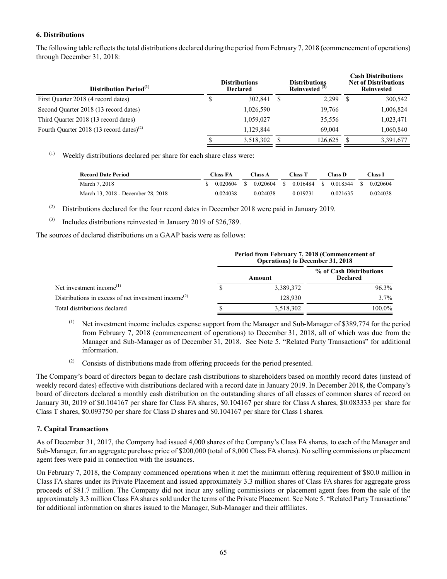#### **6. Distributions**

The following table reflects the total distributions declared during the period from February 7, 2018 (commencement of operations) through December 31, 2018:

| Distribution Period <sup>(1)</sup>                   | <b>Distributions</b><br><b>Declared</b> | <b>Distributions</b><br>Reinvested <sup>(3)</sup> | <b>Cash Distributions</b><br><b>Net of Distributions</b><br><b>Reinvested</b> |
|------------------------------------------------------|-----------------------------------------|---------------------------------------------------|-------------------------------------------------------------------------------|
| First Quarter 2018 (4 record dates)                  | 302.841                                 | 2,299                                             | 300,542                                                                       |
| Second Quarter 2018 (13 record dates)                | 1,026,590                               | 19.766                                            | 1,006,824                                                                     |
| Third Quarter 2018 (13 record dates)                 | 1,059,027                               | 35,556                                            | 1,023,471                                                                     |
| Fourth Quarter 2018 (13 record dates) <sup>(2)</sup> | 1,129,844                               | 69.004                                            | 1,060,840                                                                     |
|                                                      | 3,518,302                               | 126,625                                           | 3,391,677                                                                     |

(1) Weekly distributions declared per share for each share class were:

| <b>Record Date Period</b>          | <b>Class FA</b> |          |  | ''lass A | Class T                                         | Class D  | Class I |          |  |
|------------------------------------|-----------------|----------|--|----------|-------------------------------------------------|----------|---------|----------|--|
| March 7, 2018                      |                 |          |  |          | 0.020604 \$ 0.020604 \$ 0.016484 \$ 0.018544 \$ |          |         | 0.020604 |  |
| March 13, 2018 - December 28, 2018 |                 | 0.024038 |  | 0.024038 | 0.019231                                        | 0.021635 |         | 0.024038 |  |

(2) Distributions declared for the four record dates in December 2018 were paid in January 2019.

(3) Includes distributions reinvested in January 2019 of \$26,789.

The sources of declared distributions on a GAAP basis were as follows:

|                                                                              | <b>Operations</b> ) to December 31, 2018 | Period from February 7, 2018 (Commencement of |
|------------------------------------------------------------------------------|------------------------------------------|-----------------------------------------------|
|                                                                              | Amount                                   | % of Cash Distributions<br><b>Declared</b>    |
| Net investment income $(1)$                                                  | 3,389,372                                | 96.3%                                         |
| Distributions in excess of net investment income <sup><math>(2)</math></sup> | 128.930                                  | $3.7\%$                                       |
| Total distributions declared                                                 | 3,518,302                                | 100.0%                                        |

- (1) Net investment income includes expense support from the Manager and Sub-Manager of \$389,774 for the period from February 7, 2018 (commencement of operations) to December 31, 2018, all of which was due from the Manager and Sub-Manager as of December 31, 2018. See Note 5. "Related Party Transactions" for additional information.
- (2) Consists of distributions made from offering proceeds for the period presented.

The Company's board of directors began to declare cash distributions to shareholders based on monthly record dates (instead of weekly record dates) effective with distributions declared with a record date in January 2019. In December 2018, the Company's board of directors declared a monthly cash distribution on the outstanding shares of all classes of common shares of record on January 30, 2019 of \$0.104167 per share for Class FA shares, \$0.104167 per share for Class A shares, \$0.083333 per share for Class T shares, \$0.093750 per share for Class D shares and \$0.104167 per share for Class I shares.

#### **7. Capital Transactions**

As of December 31, 2017, the Company had issued 4,000 shares of the Company's Class FA shares, to each of the Manager and Sub-Manager, for an aggregate purchase price of \$200,000 (total of 8,000 Class FA shares). No selling commissions or placement agent fees were paid in connection with the issuances.

On February 7, 2018, the Company commenced operations when it met the minimum offering requirement of \$80.0 million in Class FA shares under its Private Placement and issued approximately 3.3 million shares of Class FA shares for aggregate gross proceeds of \$81.7 million. The Company did not incur any selling commissions or placement agent fees from the sale of the approximately 3.3 million Class FA shares sold under the terms of the Private Placement. See Note 5. "Related Party Transactions" for additional information on shares issued to the Manager, Sub-Manager and their affiliates.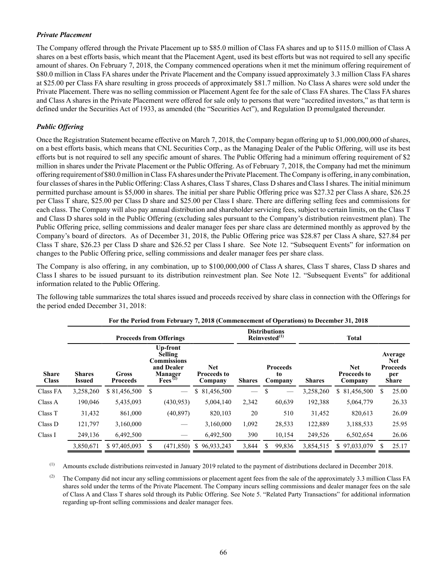### *Private Placement*

The Company offered through the Private Placement up to \$85.0 million of Class FA shares and up to \$115.0 million of Class A shares on a best efforts basis, which meant that the Placement Agent, used its best efforts but was not required to sell any specific amount of shares. On February 7, 2018, the Company commenced operations when it met the minimum offering requirement of \$80.0 million in Class FA shares under the Private Placement and the Company issued approximately 3.3 million Class FA shares at \$25.00 per Class FA share resulting in gross proceeds of approximately \$81.7 million. No Class A shares were sold under the Private Placement. There was no selling commission or Placement Agent fee for the sale of Class FA shares. The Class FA shares and Class A shares in the Private Placement were offered for sale only to persons that were "accredited investors," as that term is defined under the Securities Act of 1933, as amended (the "Securities Act"), and Regulation D promulgated thereunder.

## *Public Offering*

Once the Registration Statement became effective on March 7, 2018, the Company began offering up to \$1,000,000,000 of shares, on a best efforts basis, which means that CNL Securities Corp., as the Managing Dealer of the Public Offering, will use its best efforts but is not required to sell any specific amount of shares. The Public Offering had a minimum offering requirement of \$2 million in shares under the Private Placement or the Public Offering. As of February 7, 2018, the Company had met the minimum offering requirement of \$80.0 million in Class FA shares under the Private Placement. The Company is offering, in any combination, four classes of shares in the Public Offering: Class A shares, Class T shares, Class D shares and Class I shares. The initial minimum permitted purchase amount is \$5,000 in shares. The initial per share Public Offering price was \$27.32 per Class A share, \$26.25 per Class T share, \$25.00 per Class D share and \$25.00 per Class I share. There are differing selling fees and commissions for each class. The Company will also pay annual distribution and shareholder servicing fees, subject to certain limits, on the Class T and Class D shares sold in the Public Offering (excluding sales pursuant to the Company's distribution reinvestment plan). The Public Offering price, selling commissions and dealer manager fees per share class are determined monthly as approved by the Company's board of directors. As of December 31, 2018, the Public Offering price was \$28.87 per Class A share, \$27.84 per Class T share, \$26.23 per Class D share and \$26.52 per Class I share. See Note 12. "Subsequent Events" for information on changes to the Public Offering price, selling commissions and dealer manager fees per share class.

The Company is also offering, in any combination, up to \$100,000,000 of Class A shares, Class T shares, Class D shares and Class I shares to be issued pursuant to its distribution reinvestment plan. See Note 12. "Subsequent Events" for additional information related to the Public Offering.

The following table summarizes the total shares issued and proceeds received by share class in connection with the Offerings for the period ended December 31, 2018:

|                              |                         |                          |     | <b>Proceeds from Offerings</b>                                                                                |    |                                             |               |     |   | <b>Distributions</b><br>Reinvested <sup>(1)</sup> |               | <b>Total</b>                                |                                                                 |
|------------------------------|-------------------------|--------------------------|-----|---------------------------------------------------------------------------------------------------------------|----|---------------------------------------------|---------------|-----|---|---------------------------------------------------|---------------|---------------------------------------------|-----------------------------------------------------------------|
| <b>Share</b><br><b>Class</b> | <b>Shares</b><br>Issued | Gross<br><b>Proceeds</b> |     | <b>Up-front</b><br><b>Selling</b><br>Commissions<br>and Dealer<br>Manager<br>Fees <sup><math>(2)</math></sup> |    | <b>Net</b><br><b>Proceeds to</b><br>Company | <b>Shares</b> |     |   | <b>Proceeds</b><br>to<br>Company                  | <b>Shares</b> | <b>Net</b><br><b>Proceeds to</b><br>Company | Average<br><b>Net</b><br><b>Proceeds</b><br>per<br><b>Share</b> |
| Class FA                     | 3,258,260               | \$81,456,500             | - S |                                                                                                               | \$ | 81,456,500                                  |               |     | S |                                                   | 3,258,260     | \$ 81,456,500                               | 25.00                                                           |
| Class A                      | 190,046                 | 5,435,093                |     | (430, 953)                                                                                                    |    | 5,004,140                                   | 2,342         |     |   | 60,639                                            | 192,388       | 5,064,779                                   | 26.33                                                           |
| Class T                      | 31,432                  | 861,000                  |     | (40, 897)                                                                                                     |    | 820,103                                     |               | 20  |   | 510                                               | 31,452        | 820,613                                     | 26.09                                                           |
| Class D                      | 121,797                 | 3,160,000                |     |                                                                                                               |    | 3,160,000                                   | 1,092         |     |   | 28,533                                            | 122,889       | 3,188,533                                   | 25.95                                                           |
| Class I                      | 249,136                 | 6,492,500                |     |                                                                                                               |    | 6,492,500                                   |               | 390 |   | 10,154                                            | 249,526       | 6,502,654                                   | 26.06                                                           |
|                              | 3,850,671               | \$97,405,093             |     | (471, 850)                                                                                                    | S. | 96,933,243                                  | 3,844         |     | S | 99,836                                            | 3,854,515     | \$97,033,079                                | 25.17                                                           |

| For the Period from February 7, 2018 (Commencement of Operations) to December 31, 2018 |  |  |
|----------------------------------------------------------------------------------------|--|--|
|                                                                                        |  |  |

(1) Amounts exclude distributions reinvested in January 2019 related to the payment of distributions declared in December 2018.

(2) The Company did not incur any selling commissions or placement agent fees from the sale of the approximately 3.3 million Class FA shares sold under the terms of the Private Placement. The Company incurs selling commissions and dealer manager fees on the sale of Class A and Class T shares sold through its Public Offering. See Note 5. "Related Party Transactions" for additional information regarding up-front selling commissions and dealer manager fees.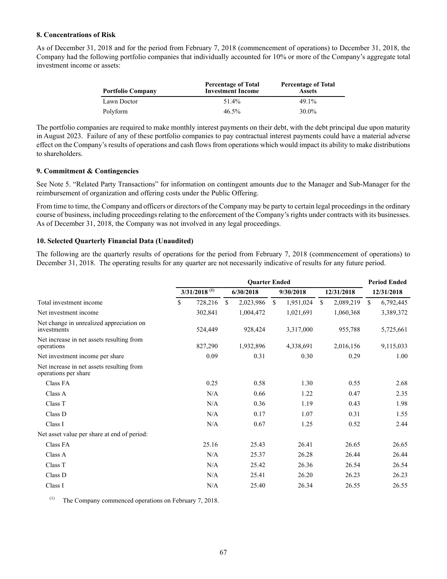#### **8. Concentrations of Risk**

As of December 31, 2018 and for the period from February 7, 2018 (commencement of operations) to December 31, 2018, the Company had the following portfolio companies that individually accounted for 10% or more of the Company's aggregate total investment income or assets:

| <b>Portfolio Company</b> | <b>Percentage of Total</b><br><b>Investment Income</b> | <b>Percentage of Total</b><br><b>Assets</b> |
|--------------------------|--------------------------------------------------------|---------------------------------------------|
| Lawn Doctor              | 51.4%                                                  | $49.1\%$                                    |
| Polyform                 | $46.5\%$                                               | 30.0%                                       |

The portfolio companies are required to make monthly interest payments on their debt, with the debt principal due upon maturity in August 2023. Failure of any of these portfolio companies to pay contractual interest payments could have a material adverse effect on the Company's results of operations and cash flows from operations which would impact its ability to make distributions to shareholders.

#### **9. Commitment & Contingencies**

See Note 5. "Related Party Transactions" for information on contingent amounts due to the Manager and Sub-Manager for the reimbursement of organization and offering costs under the Public Offering.

From time to time, the Company and officers or directors of the Company may be party to certain legal proceedings in the ordinary course of business, including proceedings relating to the enforcement of the Company's rights under contracts with its businesses. As of December 31, 2018, the Company was not involved in any legal proceedings.

#### **10. Selected Quarterly Financial Data (Unaudited)**

The following are the quarterly results of operations for the period from February 7, 2018 (commencement of operations) to December 31, 2018. The operating results for any quarter are not necessarily indicative of results for any future period.

|                                                                   | <b>Quarter Ended</b> |                   |               |           |               | <b>Period Ended</b> |               |            |    |            |
|-------------------------------------------------------------------|----------------------|-------------------|---------------|-----------|---------------|---------------------|---------------|------------|----|------------|
|                                                                   |                      | $3/31/2018^{(1)}$ |               | 6/30/2018 |               | 9/30/2018           |               | 12/31/2018 |    | 12/31/2018 |
| Total investment income                                           | \$                   | 728,216           | <sup>\$</sup> | 2,023,986 | <sup>\$</sup> | 1,951,024           | <sup>\$</sup> | 2,089,219  | \$ | 6,792,445  |
| Net investment income                                             |                      | 302,841           |               | 1,004,472 |               | 1,021,691           |               | 1,060,368  |    | 3,389,372  |
| Net change in unrealized appreciation on<br>investments           |                      | 524,449           |               | 928,424   |               | 3,317,000           |               | 955,788    |    | 5,725,661  |
| Net increase in net assets resulting from<br>operations           |                      | 827,290           |               | 1,932,896 |               | 4,338,691           |               | 2,016,156  |    | 9,115,033  |
| Net investment income per share                                   |                      | 0.09              |               | 0.31      |               | 0.30                |               | 0.29       |    | 1.00       |
| Net increase in net assets resulting from<br>operations per share |                      |                   |               |           |               |                     |               |            |    |            |
| Class FA                                                          |                      | 0.25              |               | 0.58      |               | 1.30                |               | 0.55       |    | 2.68       |
| Class A                                                           |                      | N/A               |               | 0.66      |               | 1.22                |               | 0.47       |    | 2.35       |
| Class T                                                           |                      | N/A               |               | 0.36      |               | 1.19                |               | 0.43       |    | 1.98       |
| Class D                                                           |                      | N/A               |               | 0.17      |               | 1.07                |               | 0.31       |    | 1.55       |
| Class I                                                           |                      | N/A               |               | 0.67      |               | 1.25                |               | 0.52       |    | 2.44       |
| Net asset value per share at end of period:                       |                      |                   |               |           |               |                     |               |            |    |            |
| Class FA                                                          |                      | 25.16             |               | 25.43     |               | 26.41               |               | 26.65      |    | 26.65      |
| Class A                                                           |                      | N/A               |               | 25.37     |               | 26.28               |               | 26.44      |    | 26.44      |
| Class T                                                           |                      | N/A               |               | 25.42     |               | 26.36               |               | 26.54      |    | 26.54      |
| Class D                                                           |                      | N/A               |               | 25.41     |               | 26.20               |               | 26.23      |    | 26.23      |
| Class I                                                           |                      | N/A               |               | 25.40     |               | 26.34               |               | 26.55      |    | 26.55      |

(1) The Company commenced operations on February 7, 2018.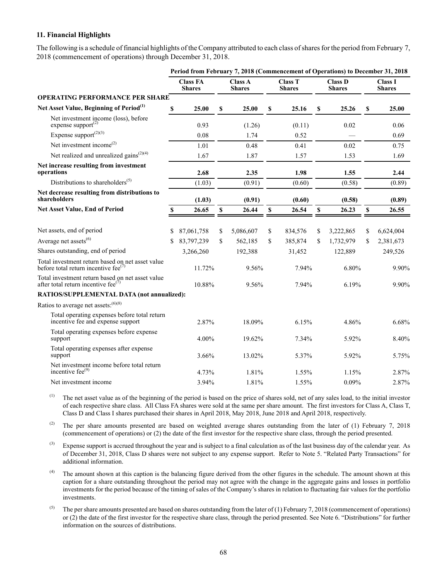#### **11. Financial Highlights**

The following is a schedule of financial highlights of the Company attributed to each class of shares for the period from February 7, 2018 (commencement of operations) through December 31, 2018.

|                                                                                             | Period from February 7, 2018 (Commencement of Operations) to December 31, 2018 |            |                                 |           |    |                                 |    |                                 |    |                                 |
|---------------------------------------------------------------------------------------------|--------------------------------------------------------------------------------|------------|---------------------------------|-----------|----|---------------------------------|----|---------------------------------|----|---------------------------------|
|                                                                                             | <b>Class FA</b><br><b>Shares</b>                                               |            | <b>Class A</b><br><b>Shares</b> |           |    | <b>Class T</b><br><b>Shares</b> |    | <b>Class D</b><br><b>Shares</b> |    | <b>Class I</b><br><b>Shares</b> |
| <b>OPERATING PERFORMANCE PER SHARE</b>                                                      |                                                                                |            |                                 |           |    |                                 |    |                                 |    |                                 |
| Net Asset Value, Beginning of Period <sup>(1)</sup>                                         | S                                                                              | 25.00      | \$                              | 25.00     | S  | 25.16                           | S  | 25.26                           | S  | 25.00                           |
| Net investment income (loss), before<br>expense support $(2)$                               |                                                                                | 0.93       |                                 | (1.26)    |    | (0.11)                          |    | 0.02                            |    | 0.06                            |
| Expense support <sup><math>(2)(3)</math></sup>                                              |                                                                                | 0.08       |                                 | 1.74      |    | 0.52                            |    |                                 |    | 0.69                            |
| Net investment income <sup><math>(2)</math></sup>                                           |                                                                                | 1.01       |                                 | 0.48      |    | 0.41                            |    | 0.02                            |    | 0.75                            |
| Net realized and unrealized gains <sup><math>(2)(4)</math></sup>                            |                                                                                | 1.67       |                                 | 1.87      |    | 1.57                            |    | 1.53                            |    | 1.69                            |
| Net increase resulting from investment<br>operations                                        |                                                                                | 2.68       |                                 | 2.35      |    | 1.98                            |    | 1.55                            |    | 2.44                            |
| Distributions to shareholders <sup><math>(5)</math></sup>                                   |                                                                                | (1.03)     |                                 | (0.91)    |    | (0.60)                          |    | (0.58)                          |    | (0.89)                          |
| Net decrease resulting from distributions to<br>shareholders                                |                                                                                | (1.03)     |                                 | (0.91)    |    | (0.60)                          |    | (0.58)                          |    | (0.89)                          |
| <b>Net Asset Value, End of Period</b>                                                       | \$                                                                             | 26.65      | \$                              | 26.44     | \$ | 26.54                           | \$ | 26.23                           | \$ | 26.55                           |
| Net assets, end of period                                                                   | S                                                                              | 87,061,758 | \$                              | 5,086,607 | \$ | 834,576                         | \$ | 3,222,865                       | \$ | 6,624,004                       |
| Average net assets <sup>(6)</sup>                                                           | S.                                                                             | 83,797,239 | \$                              | 562,185   | \$ | 385,874                         | \$ | 1,732,979                       | S. | 2,381,673                       |
| Shares outstanding, end of period                                                           |                                                                                | 3,266,260  |                                 | 192,388   |    | 31,452                          |    | 122,889                         |    | 249,526                         |
| Total investment return based on net asset value<br>before total return incentive fee $(7)$ |                                                                                | 11.72%     |                                 | 9.56%     |    | 7.94%                           |    | 6.80%                           |    | 9.90%                           |
| Total investment return based on net asset value<br>after total return incentive fee $(7)$  |                                                                                | 10.88%     |                                 | 9.56%     |    | 7.94%                           |    | 6.19%                           |    | 9.90%                           |
| RATIOS/SUPPLEMENTAL DATA (not annualized):                                                  |                                                                                |            |                                 |           |    |                                 |    |                                 |    |                                 |
| Ratios to average net assets: (6)(8)                                                        |                                                                                |            |                                 |           |    |                                 |    |                                 |    |                                 |
| Total operating expenses before total return<br>incentive fee and expense support           |                                                                                | 2.87%      |                                 | 18.09%    |    | 6.15%                           |    | 4.86%                           |    | 6.68%                           |
| Total operating expenses before expense<br>support                                          |                                                                                | 4.00%      |                                 | 19.62%    |    | 7.34%                           |    | 5.92%                           |    | 8.40%                           |
| Total operating expenses after expense<br>support                                           |                                                                                | 3.66%      |                                 | 13.02%    |    | 5.37%                           |    | 5.92%                           |    | 5.75%                           |
| Net investment income before total return<br>incentive fee $^{(9)}$                         |                                                                                | 4.73%      |                                 | 1.81%     |    | 1.55%                           |    | 1.15%                           |    | 2.87%                           |
| Net investment income                                                                       |                                                                                | 3.94%      |                                 | 1.81%     |    | 1.55%                           |    | 0.09%                           |    | 2.87%                           |

(1) The net asset value as of the beginning of the period is based on the price of shares sold, net of any sales load, to the initial investor of each respective share class. All Class FA shares were sold at the same per share amount. The first investors for Class A, Class T, Class D and Class I shares purchased their shares in April 2018, May 2018, June 2018 and April 2018, respectively.

(2) The per share amounts presented are based on weighted average shares outstanding from the later of  $(1)$  February 7, 2018 (commencement of operations) or (2) the date of the first investor for the respective share class, through the period presented.

 $^{(3)}$  Expense support is accrued throughout the year and is subject to a final calculation as of the last business day of the calendar year. As of December 31, 2018, Class D shares were not subject to any expense support. Refer to Note 5. "Related Party Transactions" for additional information.

(4) The amount shown at this caption is the balancing figure derived from the other figures in the schedule. The amount shown at this caption for a share outstanding throughout the period may not agree with the change in the aggregate gains and losses in portfolio investments for the period because of the timing of sales of the Company's shares in relation to fluctuating fair values for the portfolio investments.

<sup>(5)</sup> The per share amounts presented are based on shares outstanding from the later of (1) February 7, 2018 (commencement of operations) or (2) the date of the first investor for the respective share class, through the period presented. See Note 6. "Distributions" for further information on the sources of distributions.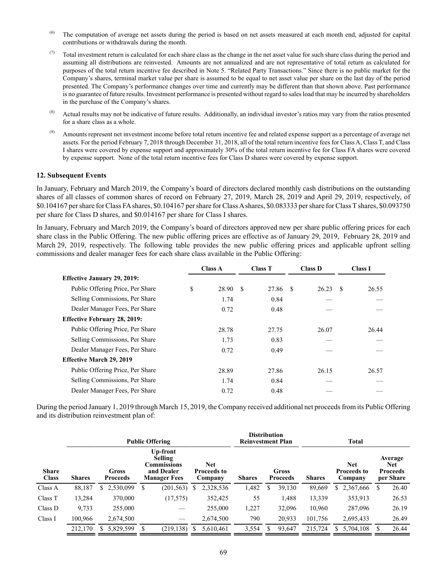- The computation of average net assets during the period is based on net assets measured at each month end, adjusted for capital contributions or withdrawals during the month.
- ( $7$ ) Total investment return is calculated for each share class as the change in the net asset value for such share class during the period and assuming all distributions are reinvested. Amounts are not annualized and are not representative of total return as calculated for purposes of the total return incentive fee described in Note 5. "Related Party Transactions." Since there is no public market for the Company's shares, terminal market value per share is assumed to be equal to net asset value per share on the last day of the period presented. The Company's performance changes over time and currently may be different than that shown above. Past performance is no guarantee of future results. Investment performance is presented without regard to sales load that may be incurred by shareholders in the purchase of the Company's shares.
- (8) Actual results may not be indicative of future results. Additionally, an individual investor's ratios may vary from the ratios presented for a share class as a whole.
- (9) Amounts represent net investment income before total return incentive fee and related expense support as a percentage of average net assets. For the period February 7, 2018 through December 31, 2018, all of the total return incentive fees for Class A, Class T, and Class I shares were covered by expense support and approximately 30% of the total return incentive fee for Class FA shares were covered by expense support. None of the total return incentive fees for Class D shares were covered by expense support.

#### **12. Subsequent Events**

In January, February and March 2019, the Company's board of directors declared monthly cash distributions on the outstanding shares of all classes of common shares of record on February 27, 2019, March 28, 2019 and April 29, 2019, respectively, of \$0.104167 per share for Class FA shares, \$0.104167 per share for Class A shares, \$0.083333 per share for Class T shares, \$0.093750 per share for Class D shares, and \$0.014167 per share for Class I shares.

In January, February and March 2019, the Company's board of directors approved new per share public offering prices for each share class in the Public Offering. The new public offering prices are effective as of January 29, 2019, February 28, 2019 and March 29, 2019, respectively. The following table provides the new public offering prices and applicable upfront selling commissions and dealer manager fees for each share class available in the Public Offering:

|                                     | <b>Class A</b> |      | <b>Class T</b> |    | <b>Class D</b> |     | <b>Class I</b> |
|-------------------------------------|----------------|------|----------------|----|----------------|-----|----------------|
| <b>Effective January 29, 2019:</b>  |                |      |                |    |                |     |                |
| Public Offering Price, Per Share    | \$<br>28.90    | - \$ | 27.86          | -S | 26.23          | - S | 26.55          |
| Selling Commissions, Per Share      | 1.74           |      | 0.84           |    |                |     |                |
| Dealer Manager Fees, Per Share      | 0.72           |      | 0.48           |    |                |     |                |
| <b>Effective February 28, 2019:</b> |                |      |                |    |                |     |                |
| Public Offering Price, Per Share    | 28.78          |      | 27.75          |    | 26.07          |     | 26.44          |
| Selling Commissions, Per Share      | 1.73           |      | 0.83           |    |                |     |                |
| Dealer Manager Fees, Per Share      | 0.72           |      | 0.49           |    |                |     |                |
| <b>Effective March 29, 2019</b>     |                |      |                |    |                |     |                |
| Public Offering Price, Per Share    | 28.89          |      | 27.86          |    | 26.15          |     | 26.57          |
| Selling Commissions, Per Share      | 1.74           |      | 0.84           |    |                |     |                |
| Dealer Manager Fees, Per Share      | 0.72           |      | 0.48           |    |                |     |                |

During the period January 1, 2019 through March 15, 2019, the Company received additional net proceeds from its Public Offering and its distribution reinvestment plan of:

|                              |               |                          | <b>Public Offering</b>                                                                       |                                             |               | <b>Distribution</b><br><b>Reinvestment Plan</b> |               | <b>Total</b>                                |                                                       |
|------------------------------|---------------|--------------------------|----------------------------------------------------------------------------------------------|---------------------------------------------|---------------|-------------------------------------------------|---------------|---------------------------------------------|-------------------------------------------------------|
| <b>Share</b><br><b>Class</b> | <b>Shares</b> | Gross<br><b>Proceeds</b> | <b>Up-front</b><br><b>Selling</b><br><b>Commissions</b><br>and Dealer<br><b>Manager Fees</b> | <b>Net</b><br><b>Proceeds to</b><br>Company | <b>Shares</b> | <b>Gross</b><br><b>Proceeds</b>                 | <b>Shares</b> | <b>Net</b><br><b>Proceeds to</b><br>Company | Average<br><b>Net</b><br><b>Proceeds</b><br>per Share |
| Class A                      | 88,187        | 2,530,099<br>\$          | (201, 563)<br>\$                                                                             | 2,328,536<br>S                              | 1,482         | 39,130<br>S                                     | 89,669        | 2,367,666<br>S.                             | 26.40<br>S                                            |
| Class T                      | 13,284        | 370,000                  | (17, 575)                                                                                    | 352,425                                     | 55            | 1,488                                           | 13,339        | 353,913                                     | 26.53                                                 |
| Class D                      | 9,733         | 255,000                  |                                                                                              | 255,000                                     | 1,227         | 32,096                                          | 10,960        | 287,096                                     | 26.19                                                 |
| Class I                      | 100,966       | 2,674,500                |                                                                                              | 2,674,500                                   | 790           | 20,933                                          | 101,756       | 2,695,433                                   | 26.49                                                 |
|                              | 212,170       | 5,829,599<br>S.          | (219, 138)<br>\$                                                                             | -S<br>5,610,461                             | 3,554         | 93,647                                          | 215,724       | 5,704,108<br>S.                             | 26.44<br>S                                            |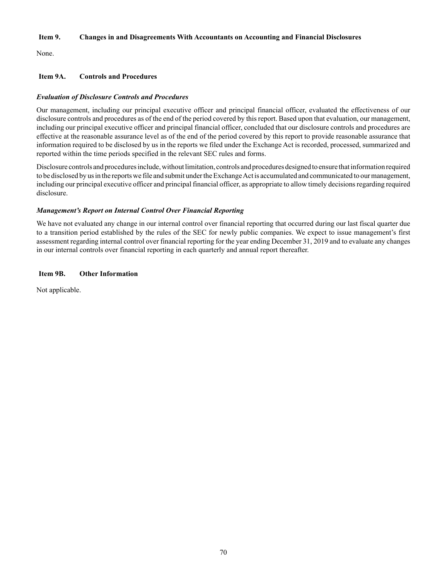#### **Item 9. Changes in and Disagreements With Accountants on Accounting and Financial Disclosures**

None.

#### **Item 9A. Controls and Procedures**

#### *Evaluation of Disclosure Controls and Procedures*

Our management, including our principal executive officer and principal financial officer, evaluated the effectiveness of our disclosure controls and procedures as of the end of the period covered by this report. Based upon that evaluation, our management, including our principal executive officer and principal financial officer, concluded that our disclosure controls and procedures are effective at the reasonable assurance level as of the end of the period covered by this report to provide reasonable assurance that information required to be disclosed by us in the reports we filed under the Exchange Act is recorded, processed, summarized and reported within the time periods specified in the relevant SEC rules and forms.

Disclosure controls and procedures include, without limitation, controls and procedures designed to ensure that information required to be disclosed by us in the reports we file and submit under the Exchange Act is accumulated and communicated to our management, including our principal executive officer and principal financial officer, as appropriate to allow timely decisions regarding required disclosure.

#### *Management's Report on Internal Control Over Financial Reporting*

We have not evaluated any change in our internal control over financial reporting that occurred during our last fiscal quarter due to a transition period established by the rules of the SEC for newly public companies. We expect to issue management's first assessment regarding internal control over financial reporting for the year ending December 31, 2019 and to evaluate any changes in our internal controls over financial reporting in each quarterly and annual report thereafter.

#### **Item 9B. Other Information**

Not applicable.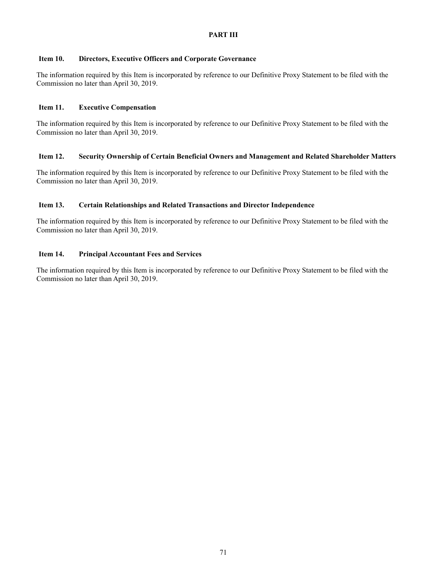#### **Item 10. Directors, Executive Officers and Corporate Governance**

The information required by this Item is incorporated by reference to our Definitive Proxy Statement to be filed with the Commission no later than April 30, 2019.

#### **Item 11. Executive Compensation**

The information required by this Item is incorporated by reference to our Definitive Proxy Statement to be filed with the Commission no later than April 30, 2019.

#### **Item 12. Security Ownership of Certain Beneficial Owners and Management and Related Shareholder Matters**

The information required by this Item is incorporated by reference to our Definitive Proxy Statement to be filed with the Commission no later than April 30, 2019.

#### **Item 13. Certain Relationships and Related Transactions and Director Independence**

The information required by this Item is incorporated by reference to our Definitive Proxy Statement to be filed with the Commission no later than April 30, 2019.

#### **Item 14. Principal Accountant Fees and Services**

The information required by this Item is incorporated by reference to our Definitive Proxy Statement to be filed with the Commission no later than April 30, 2019.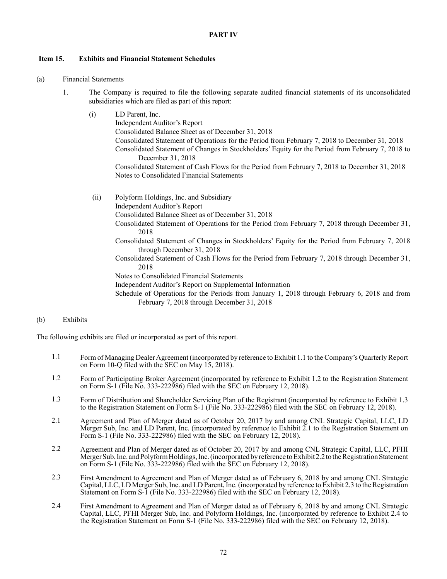#### **Item 15. Exhibits and Financial Statement Schedules**

#### (a) Financial Statements

- 1. The Company is required to file the following separate audited financial statements of its unconsolidated subsidiaries which are filed as part of this report:
	- (i) LD Parent, Inc. Independent Auditor's Report Consolidated Balance Sheet as of December 31, 2018 Consolidated Statement of Operations for the Period from February 7, 2018 to December 31, 2018 Consolidated Statement of Changes in Stockholders' Equity for the Period from February 7, 2018 to December 31, 2018 Consolidated Statement of Cash Flows for the Period from February 7, 2018 to December 31, 2018 Notes to Consolidated Financial Statements
	- (ii) Polyform Holdings, Inc. and Subsidiary Independent Auditor's Report Consolidated Balance Sheet as of December 31, 2018 Consolidated Statement of Operations for the Period from February 7, 2018 through December 31, 2018 Consolidated Statement of Changes in Stockholders' Equity for the Period from February 7, 2018 through December 31, 2018 Consolidated Statement of Cash Flows for the Period from February 7, 2018 through December 31, 2018 Notes to Consolidated Financial Statements Independent Auditor's Report on Supplemental Information Schedule of Operations for the Periods from January 1, 2018 through February 6, 2018 and from February 7, 2018 through December 31, 2018

#### (b) Exhibits

The following exhibits are filed or incorporated as part of this report.

- 1.1 Form of Managing Dealer Agreement (incorporated by reference to Exhibit 1.1 to the Company's Quarterly Report on Form 10-Q filed with the SEC on May 15, 2018).
- 1.2 Form of Participating Broker Agreement (incorporated by reference to Exhibit 1.2 to the Registration Statement on Form S-1 (File No. 333-222986) filed with the SEC on February 12, 2018).
- 1.3 Form of Distribution and Shareholder Servicing Plan of the Registrant (incorporated by reference to Exhibit 1.3 to the Registration Statement on Form S-1 (File No. 333-222986) filed with the SEC on February 12, 2018).
- 2.1 Agreement and Plan of Merger dated as of October 20, 2017 by and among CNL Strategic Capital, LLC, LD Merger Sub, Inc. and LD Parent, Inc. (incorporated by reference to Exhibit 2.1 to the Registration Statement on Form S-1 (File No. 333-222986) filed with the SEC on February 12, 2018).
- 2.2 Agreement and Plan of Merger dated as of October 20, 2017 by and among CNL Strategic Capital, LLC, PFHI Merger Sub, Inc. and Polyform Holdings, Inc. (incorporated by reference to Exhibit 2.2 to the Registration Statement on Form S-1 (File No. 333-222986) filed with the SEC on February 12, 2018).
- 2.3 First Amendment to Agreement and Plan of Merger dated as of February 6, 2018 by and among CNL Strategic Capital, LLC, LD Merger Sub, Inc. and LD Parent, Inc. (incorporated by reference to Exhibit 2.3 to the Registration Statement on Form S-1 (File No. 333-222986) filed with the SEC on February 12, 2018).
- 2.4 First Amendment to Agreement and Plan of Merger dated as of February 6, 2018 by and among CNL Strategic Capital, LLC, PFHI Merger Sub, Inc. and Polyform Holdings, Inc. (incorporated by reference to Exhibit 2.4 to the Registration Statement on Form S-1 (File No. 333-222986) filed with the SEC on February 12, 2018).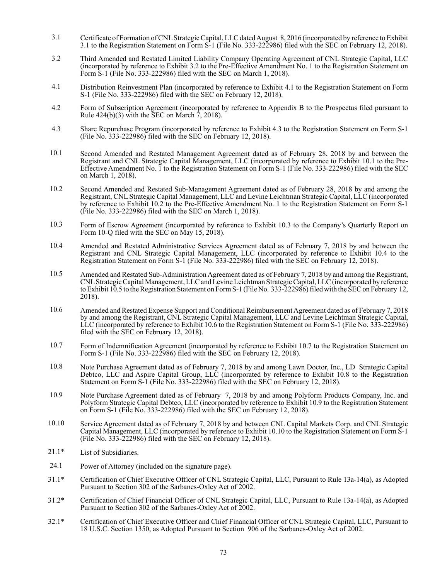- 3.1 Certificate of Formation of CNL Strategic Capital, LLC dated August 8, 2016 (incorporated by reference to Exhibit 3.1 to the Registration Statement on Form S-1 (File No. 333-222986) filed with the SEC on February 12, 2018).
- 3.2 Third Amended and Restated Limited Liability Company Operating Agreement of CNL Strategic Capital, LLC (incorporated by reference to Exhibit 3.2 to the Pre-Effective Amendment No. 1 to the Registration Statement on Form S-1 (File No. 333-222986) filed with the SEC on March 1, 2018).
- 4.1 Distribution Reinvestment Plan (incorporated by reference to Exhibit 4.1 to the Registration Statement on Form S-1 (File No. 333-222986) filed with the SEC on February 12, 2018).
- 4.2 Form of Subscription Agreement (incorporated by reference to Appendix B to the Prospectus filed pursuant to Rule  $424(b)(3)$  with the SEC on March  $\overline{7}$ , 2018).
- 4.3 Share Repurchase Program (incorporated by reference to Exhibit 4.3 to the Registration Statement on Form S-1 (File No. 333-222986) filed with the SEC on February 12, 2018).
- 10.1 Second Amended and Restated Management Agreement dated as of February 28, 2018 by and between the Registrant and CNL Strategic Capital Management, LLC (incorporated by reference to Exhibit 10.1 to the Pre-Effective Amendment No. 1 to the Registration Statement on Form S-1 (File No. 333-222986) filed with the SEC on March 1, 2018).
- 10.2 Second Amended and Restated Sub-Management Agreement dated as of February 28, 2018 by and among the Registrant, CNL Strategic Capital Management, LLC and Levine Leichtman Strategic Capital, LLC (incorporated by reference to Exhibit 10.2 to the Pre-Effective Amendment No. 1 to the Registration Statement on Form S-1 (File No. 333-222986) filed with the SEC on March 1, 2018).
- 10.3 Form of Escrow Agreement (incorporated by reference to Exhibit 10.3 to the Company's Quarterly Report on Form 10-Q filed with the SEC on May 15, 2018).
- 10.4 Amended and Restated Administrative Services Agreement dated as of February 7, 2018 by and between the Registrant and CNL Strategic Capital Management, LLC (incorporated by reference to Exhibit 10.4 to the Registration Statement on Form S-1 (File No. 333-222986) filed with the SEC on February 12, 2018).
- 10.5 Amended and Restated Sub-Administration Agreement dated as of February 7, 2018 by and among the Registrant, CNL Strategic Capital Management, LLC and Levine Leichtman Strategic Capital, LLC (incorporated by reference to Exhibit 10.5 to the Registration Statement on Form S-1 (File No. 333-222986) filed with the SEC on February 12, 2018).
- 10.6 Amended and Restated Expense Support and Conditional Reimbursement Agreement dated as of February 7, 2018 by and among the Registrant, CNL Strategic Capital Management, LLC and Levine Leichtman Strategic Capital, LLC (incorporated by reference to Exhibit 10.6 to the Registration Statement on Form S-1 (File No. 333-222986) filed with the SEC on February 12, 2018).
- 10.7 Form of Indemnification Agreement (incorporated by reference to Exhibit 10.7 to the Registration Statement on Form S-1 (File No. 333-222986) filed with the SEC on February 12, 2018).
- 10.8 Note Purchase Agreement dated as of February 7, 2018 by and among Lawn Doctor, Inc., LD Strategic Capital Debtco, LLC and Aspire Capital Group, LLC (incorporated by reference to Exhibit 10.8 to the Registration Statement on Form S-1 (File No. 333-222986) filed with the SEC on February 12, 2018).
- 10.9 Note Purchase Agreement dated as of February 7, 2018 by and among Polyform Products Company, Inc. and Polyform Strategic Capital Debtco, LLC (incorporated by reference to Exhibit 10.9 to the Registration Statement on Form S-1 (File No. 333-222986) filed with the SEC on February 12, 2018).
- 10.10 Service Agreement dated as of February 7, 2018 by and between CNL Capital Markets Corp. and CNL Strategic Capital Management, LLC (incorporated by reference to Exhibit 10.10 to the Registration Statement on Form S-1 (File No. 333-222986) filed with the SEC on February 12, 2018).
- 21.1\* List of Subsidiaries.
- 24.1 Power of Attorney (included on the signature page).
- 31.1\* Certification of Chief Executive Officer of CNL Strategic Capital, LLC, Pursuant to Rule 13a-14(a), as Adopted Pursuant to Section 302 of the Sarbanes-Oxley Act of 2002.
- 31.2\* Certification of Chief Financial Officer of CNL Strategic Capital, LLC, Pursuant to Rule 13a-14(a), as Adopted Pursuant to Section 302 of the Sarbanes-Oxley Act of 2002.
- 32.1\* Certification of Chief Executive Officer and Chief Financial Officer of CNL Strategic Capital, LLC, Pursuant to 18 U.S.C. Section 1350, as Adopted Pursuant to Section 906 of the Sarbanes-Oxley Act of 2002.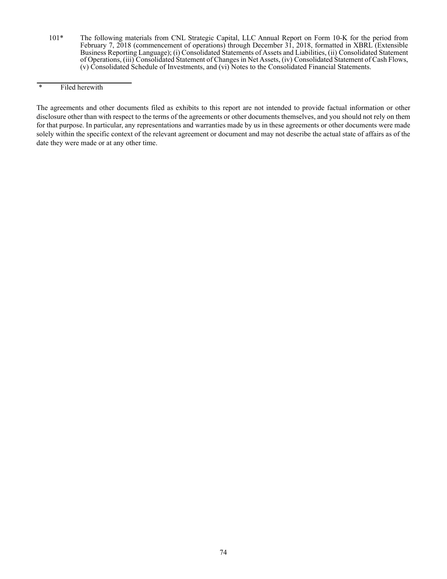101\* The following materials from CNL Strategic Capital, LLC Annual Report on Form 10-K for the period from February 7, 2018 (commencement of operations) through December 31, 2018, formatted in XBRL (Extensible Business Reporting Language); (i) Consolidated Statements of Assets and Liabilities, (ii) Consolidated Statement of Operations, (iii) Consolidated Statement of Changes in Net Assets, (iv) Consolidated Statement of Cash Flows, (v) Consolidated Schedule of Investments, and (vi) Notes to the Consolidated Financial Statements.

The agreements and other documents filed as exhibits to this report are not intended to provide factual information or other disclosure other than with respect to the terms of the agreements or other documents themselves, and you should not rely on them for that purpose. In particular, any representations and warranties made by us in these agreements or other documents were made solely within the specific context of the relevant agreement or document and may not describe the actual state of affairs as of the date they were made or at any other time.

<sup>\*</sup> Filed herewith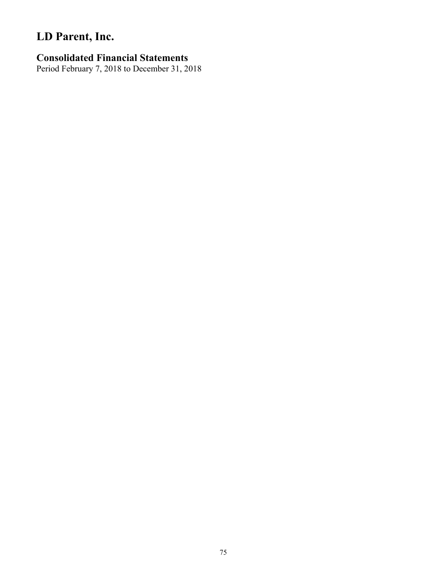# **Consolidated Financial Statements**

Period February 7, 2018 to December 31, 2018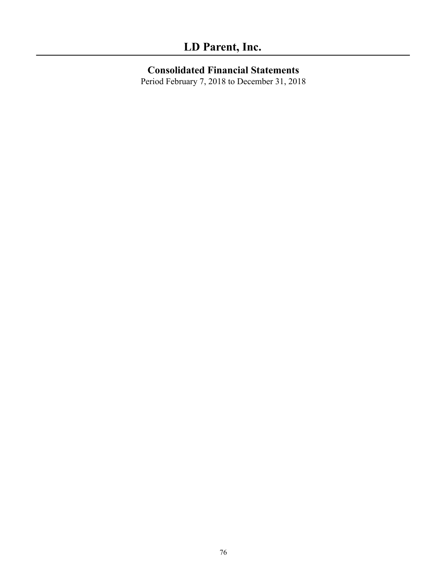# **Consolidated Financial Statements**

Period February 7, 2018 to December 31, 2018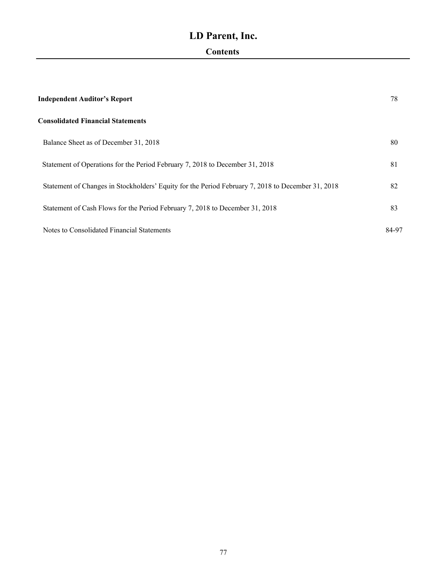# **LD Parent, Inc. Contents**

| <b>Independent Auditor's Report</b>                                                               | 78    |
|---------------------------------------------------------------------------------------------------|-------|
| <b>Consolidated Financial Statements</b>                                                          |       |
| Balance Sheet as of December 31, 2018                                                             | 80    |
| Statement of Operations for the Period February 7, 2018 to December 31, 2018                      | 81    |
| Statement of Changes in Stockholders' Equity for the Period February 7, 2018 to December 31, 2018 | 82    |
| Statement of Cash Flows for the Period February 7, 2018 to December 31, 2018                      | 83    |
| Notes to Consolidated Financial Statements                                                        | 84-97 |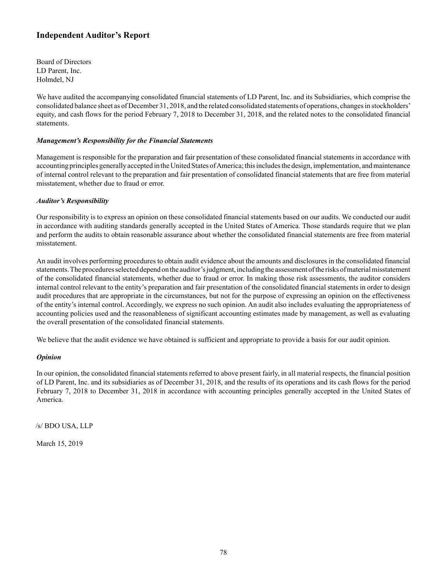# **Independent Auditor's Report**

Board of Directors LD Parent, Inc. Holmdel, NJ

We have audited the accompanying consolidated financial statements of LD Parent, Inc. and its Subsidiaries, which comprise the consolidated balance sheet as of December 31, 2018, and the related consolidated statements of operations, changes in stockholders' equity, and cash flows for the period February 7, 2018 to December 31, 2018, and the related notes to the consolidated financial statements.

#### *Management's Responsibility for the Financial Statements*

Management is responsible for the preparation and fair presentation of these consolidated financial statements in accordance with accounting principles generally accepted in the United States of America; this includes the design, implementation, and maintenance of internal control relevant to the preparation and fair presentation of consolidated financial statements that are free from material misstatement, whether due to fraud or error.

#### *Auditor's Responsibility*

Our responsibility is to express an opinion on these consolidated financial statements based on our audits. We conducted our audit in accordance with auditing standards generally accepted in the United States of America. Those standards require that we plan and perform the audits to obtain reasonable assurance about whether the consolidated financial statements are free from material misstatement.

An audit involves performing procedures to obtain audit evidence about the amounts and disclosures in the consolidated financial statements. The procedures selected depend on the auditor's judgment, including the assessment of the risks of material misstatement of the consolidated financial statements, whether due to fraud or error. In making those risk assessments, the auditor considers internal control relevant to the entity's preparation and fair presentation of the consolidated financial statements in order to design audit procedures that are appropriate in the circumstances, but not for the purpose of expressing an opinion on the effectiveness of the entity's internal control. Accordingly, we express no such opinion. An audit also includes evaluating the appropriateness of accounting policies used and the reasonableness of significant accounting estimates made by management, as well as evaluating the overall presentation of the consolidated financial statements.

We believe that the audit evidence we have obtained is sufficient and appropriate to provide a basis for our audit opinion.

#### *Opinion*

In our opinion, the consolidated financial statements referred to above present fairly, in all material respects, the financial position of LD Parent, Inc. and its subsidiaries as of December 31, 2018, and the results of its operations and its cash flows for the period February 7, 2018 to December 31, 2018 in accordance with accounting principles generally accepted in the United States of America.

/s/ BDO USA, LLP

March 15, 2019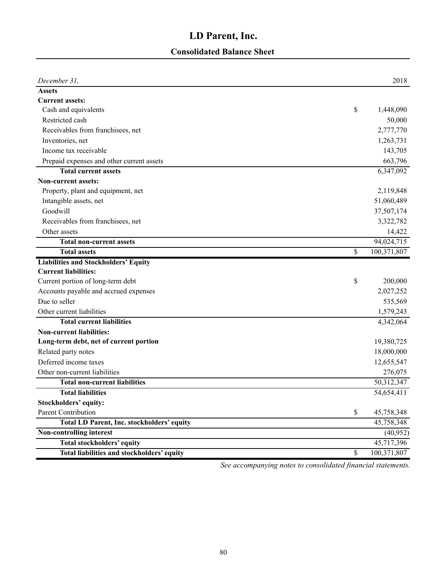# **Consolidated Balance Sheet**

| December 31,                                      | 2018              |
|---------------------------------------------------|-------------------|
| <b>Assets</b>                                     |                   |
| <b>Current assets:</b>                            |                   |
| Cash and equivalents                              | \$<br>1,448,090   |
| Restricted cash                                   | 50,000            |
| Receivables from franchisees, net                 | 2,777,770         |
| Inventories, net                                  | 1,263,731         |
| Income tax receivable                             | 143,705           |
| Prepaid expenses and other current assets         | 663,796           |
| <b>Total current assets</b>                       | 6,347,092         |
| <b>Non-current assets:</b>                        |                   |
| Property, plant and equipment, net                | 2,119,848         |
| Intangible assets, net                            | 51,060,489        |
| Goodwill                                          | 37,507,174        |
| Receivables from franchisees, net                 | 3,322,782         |
| Other assets                                      | 14,422            |
| <b>Total non-current assets</b>                   | 94,024,715        |
| <b>Total assets</b>                               | \$<br>100,371,807 |
| <b>Liabilities and Stockholders' Equity</b>       |                   |
| <b>Current liabilities:</b>                       |                   |
| Current portion of long-term debt                 | \$<br>200,000     |
| Accounts payable and accrued expenses             | 2,027,252         |
| Due to seller                                     | 535,569           |
| Other current liabilities                         | 1,579,243         |
| <b>Total current liabilities</b>                  | 4,342,064         |
| <b>Non-current liabilities:</b>                   |                   |
| Long-term debt, net of current portion            | 19,380,725        |
| Related party notes                               | 18,000,000        |
| Deferred income taxes                             | 12,655,547        |
| Other non-current liabilities                     | 276,075           |
| <b>Total non-current liabilities</b>              | 50,312,347        |
| <b>Total liabilities</b>                          | 54,654,411        |
| <b>Stockholders' equity:</b>                      |                   |
| Parent Contribution                               | \$<br>45,758,348  |
| <b>Total LD Parent, Inc. stockholders' equity</b> | 45,758,348        |
| Non-controlling interest                          | (40, 952)         |
| <b>Total stockholders' equity</b>                 | 45,717,396        |
| Total liabilities and stockholders' equity        | \$<br>100,371,807 |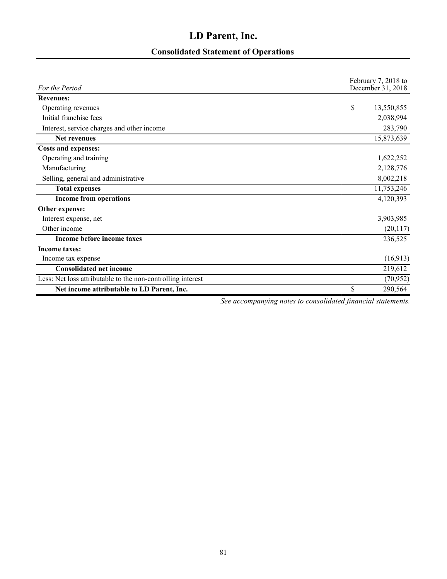# **Consolidated Statement of Operations**

| For the Period                                              | February 7, 2018 to<br>December 31, 2018 |            |  |  |
|-------------------------------------------------------------|------------------------------------------|------------|--|--|
| <b>Revenues:</b>                                            |                                          |            |  |  |
| Operating revenues                                          | \$                                       | 13,550,855 |  |  |
| Initial franchise fees                                      |                                          | 2,038,994  |  |  |
| Interest, service charges and other income                  |                                          | 283,790    |  |  |
| Net revenues                                                |                                          | 15,873,639 |  |  |
| <b>Costs and expenses:</b>                                  |                                          |            |  |  |
| Operating and training                                      |                                          | 1,622,252  |  |  |
| Manufacturing                                               |                                          | 2,128,776  |  |  |
| Selling, general and administrative                         |                                          | 8,002,218  |  |  |
| <b>Total expenses</b>                                       |                                          | 11,753,246 |  |  |
| <b>Income from operations</b>                               |                                          | 4,120,393  |  |  |
| Other expense:                                              |                                          |            |  |  |
| Interest expense, net                                       |                                          | 3,903,985  |  |  |
| Other income                                                |                                          | (20, 117)  |  |  |
| Income before income taxes                                  |                                          | 236,525    |  |  |
| <b>Income taxes:</b>                                        |                                          |            |  |  |
| Income tax expense                                          |                                          | (16, 913)  |  |  |
| <b>Consolidated net income</b>                              |                                          | 219,612    |  |  |
| Less: Net loss attributable to the non-controlling interest |                                          | (70, 952)  |  |  |
| Net income attributable to LD Parent, Inc.                  | \$                                       | 290,564    |  |  |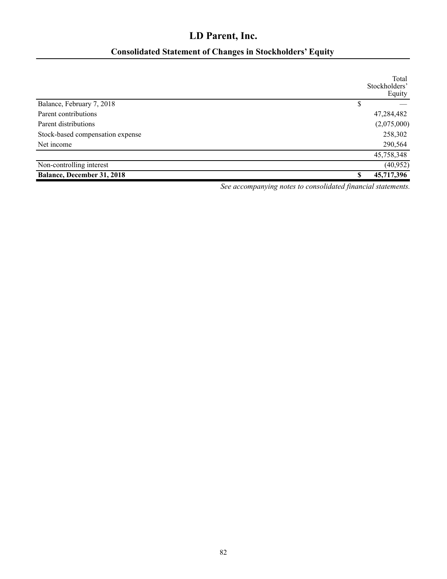# **Consolidated Statement of Changes in Stockholders' Equity**

|                                   | Total<br>Stockholders'<br>Equity |
|-----------------------------------|----------------------------------|
| Balance, February 7, 2018         |                                  |
| Parent contributions              | 47,284,482                       |
| Parent distributions              | (2,075,000)                      |
| Stock-based compensation expense  | 258,302                          |
| Net income                        | 290,564                          |
|                                   | 45,758,348                       |
| Non-controlling interest          | (40, 952)                        |
| <b>Balance, December 31, 2018</b> | 45,717,396<br>S                  |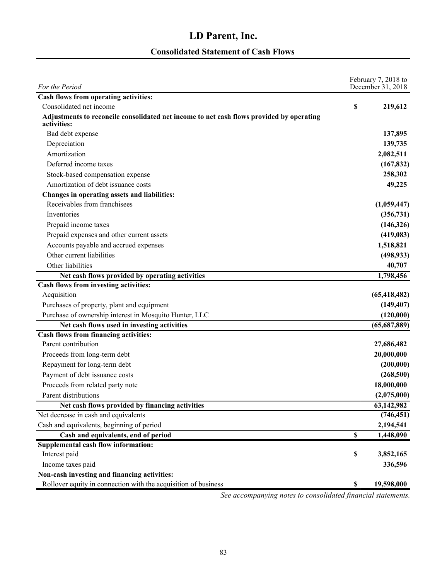# **Consolidated Statement of Cash Flows**

| For the Period                                                                                          |             | February 7, 2018 to<br>December 31, 2018 |
|---------------------------------------------------------------------------------------------------------|-------------|------------------------------------------|
| Cash flows from operating activities:                                                                   |             |                                          |
| Consolidated net income                                                                                 | \$          | 219,612                                  |
| Adjustments to reconcile consolidated net income to net cash flows provided by operating<br>activities: |             |                                          |
| Bad debt expense                                                                                        |             | 137,895                                  |
| Depreciation                                                                                            |             | 139,735                                  |
| Amortization                                                                                            |             | 2,082,511                                |
| Deferred income taxes                                                                                   |             | (167, 832)                               |
| Stock-based compensation expense                                                                        |             | 258,302                                  |
| Amortization of debt issuance costs                                                                     |             | 49,225                                   |
| Changes in operating assets and liabilities:                                                            |             |                                          |
| Receivables from franchisees                                                                            |             | (1,059,447)                              |
| Inventories                                                                                             |             | (356, 731)                               |
| Prepaid income taxes                                                                                    |             | (146, 326)                               |
| Prepaid expenses and other current assets                                                               |             | (419,083)                                |
| Accounts payable and accrued expenses                                                                   |             | 1,518,821                                |
| Other current liabilities                                                                               |             | (498, 933)                               |
| Other liabilities                                                                                       |             | 40,707                                   |
| Net cash flows provided by operating activities                                                         |             | 1,798,456                                |
| Cash flows from investing activities:                                                                   |             |                                          |
| Acquisition                                                                                             |             | (65, 418, 482)                           |
| Purchases of property, plant and equipment                                                              |             | (149, 407)                               |
| Purchase of ownership interest in Mosquito Hunter, LLC                                                  |             | (120,000)                                |
| Net cash flows used in investing activities                                                             |             | (65,687,889)                             |
| Cash flows from financing activities:                                                                   |             |                                          |
| Parent contribution                                                                                     |             | 27,686,482                               |
| Proceeds from long-term debt                                                                            |             | 20,000,000                               |
| Repayment for long-term debt                                                                            |             | (200,000)                                |
| Payment of debt issuance costs                                                                          |             | (268,500)                                |
| Proceeds from related party note                                                                        |             | 18,000,000                               |
| Parent distributions                                                                                    |             | (2,075,000)                              |
| Net cash flows provided by financing activities                                                         |             | 63,142,982                               |
| Net decrease in cash and equivalents                                                                    |             | (746, 451)                               |
| Cash and equivalents, beginning of period                                                               |             | 2,194,541                                |
| Cash and equivalents, end of period                                                                     | $\mathbf S$ | 1,448,090                                |
| Supplemental cash flow information:                                                                     |             |                                          |
| Interest paid                                                                                           | \$          | 3,852,165                                |
| Income taxes paid                                                                                       |             | 336,596                                  |
| Non-cash investing and financing activities:                                                            |             |                                          |
| Rollover equity in connection with the acquisition of business                                          | $\mathbb S$ | 19,598,000                               |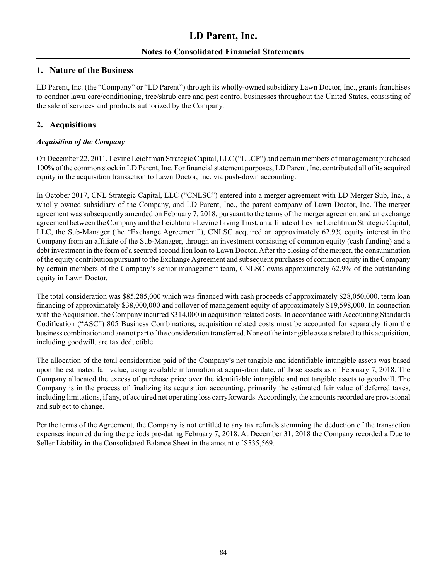# **Notes to Consolidated Financial Statements**

# **1. Nature of the Business**

LD Parent, Inc. (the "Company" or "LD Parent") through its wholly-owned subsidiary Lawn Doctor, Inc., grants franchises to conduct lawn care/conditioning, tree/shrub care and pest control businesses throughout the United States, consisting of the sale of services and products authorized by the Company.

# **2. Acquisitions**

# *Acquisition of the Company*

On December 22, 2011, Levine Leichtman Strategic Capital, LLC ("LLCP") and certain members of management purchased 100% of the common stock in LD Parent, Inc. For financial statement purposes, LD Parent, Inc. contributed all of its acquired equity in the acquisition transaction to Lawn Doctor, Inc. via push-down accounting.

In October 2017, CNL Strategic Capital, LLC ("CNLSC") entered into a merger agreement with LD Merger Sub, Inc., a wholly owned subsidiary of the Company, and LD Parent, Inc., the parent company of Lawn Doctor, Inc. The merger agreement was subsequently amended on February 7, 2018, pursuant to the terms of the merger agreement and an exchange agreement between the Company and the Leichtman-Levine Living Trust, an affiliate of Levine Leichtman Strategic Capital, LLC, the Sub-Manager (the "Exchange Agreement"), CNLSC acquired an approximately 62.9% equity interest in the Company from an affiliate of the Sub-Manager, through an investment consisting of common equity (cash funding) and a debt investment in the form of a secured second lien loan to Lawn Doctor. After the closing of the merger, the consummation of the equity contribution pursuant to the Exchange Agreement and subsequent purchases of common equity in the Company by certain members of the Company's senior management team, CNLSC owns approximately 62.9% of the outstanding equity in Lawn Doctor.

The total consideration was \$85,285,000 which was financed with cash proceeds of approximately \$28,050,000, term loan financing of approximately \$38,000,000 and rollover of management equity of approximately \$19,598,000. In connection with the Acquisition, the Company incurred \$314,000 in acquisition related costs. In accordance with Accounting Standards Codification ("ASC") 805 Business Combinations, acquisition related costs must be accounted for separately from the business combination and are not part of the consideration transferred. None of the intangible assets related to this acquisition, including goodwill, are tax deductible.

The allocation of the total consideration paid of the Company's net tangible and identifiable intangible assets was based upon the estimated fair value, using available information at acquisition date, of those assets as of February 7, 2018. The Company allocated the excess of purchase price over the identifiable intangible and net tangible assets to goodwill. The Company is in the process of finalizing its acquisition accounting, primarily the estimated fair value of deferred taxes, including limitations, if any, of acquired net operating loss carryforwards. Accordingly, the amounts recorded are provisional and subject to change.

Per the terms of the Agreement, the Company is not entitled to any tax refunds stemming the deduction of the transaction expenses incurred during the periods pre-dating February 7, 2018. At December 31, 2018 the Company recorded a Due to Seller Liability in the Consolidated Balance Sheet in the amount of \$535,569.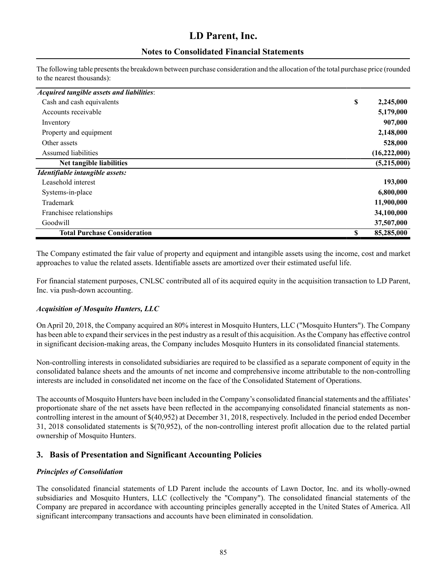#### **Notes to Consolidated Financial Statements**

The following table presents the breakdown between purchase consideration and the allocation of the total purchase price (rounded to the nearest thousands):

| Acquired tangible assets and liabilities: |                  |
|-------------------------------------------|------------------|
| Cash and cash equivalents                 | \$<br>2,245,000  |
| Accounts receivable                       | 5,179,000        |
| Inventory                                 | 907,000          |
| Property and equipment                    | 2,148,000        |
| Other assets                              | 528,000          |
| <b>Assumed liabilities</b>                | (16, 222, 000)   |
| Net tangible liabilities                  | (5,215,000)      |
| Identifiable intangible assets:           |                  |
| Leasehold interest                        | 193,000          |
| Systems-in-place                          | 6,800,000        |
| Trademark                                 | 11,900,000       |
| Franchisee relationships                  | 34,100,000       |
| Goodwill                                  | 37,507,000       |
| <b>Total Purchase Consideration</b>       | \$<br>85,285,000 |

The Company estimated the fair value of property and equipment and intangible assets using the income, cost and market approaches to value the related assets. Identifiable assets are amortized over their estimated useful life.

For financial statement purposes, CNLSC contributed all of its acquired equity in the acquisition transaction to LD Parent, Inc. via push-down accounting.

#### *Acquisition of Mosquito Hunters, LLC*

On April 20, 2018, the Company acquired an 80% interest in Mosquito Hunters, LLC ("Mosquito Hunters"). The Company has been able to expand their services in the pest industry as a result of this acquisition. As the Company has effective control in significant decision-making areas, the Company includes Mosquito Hunters in its consolidated financial statements.

Non-controlling interests in consolidated subsidiaries are required to be classified as a separate component of equity in the consolidated balance sheets and the amounts of net income and comprehensive income attributable to the non-controlling interests are included in consolidated net income on the face of the Consolidated Statement of Operations.

The accounts of Mosquito Hunters have been included in the Company's consolidated financial statements and the affiliates' proportionate share of the net assets have been reflected in the accompanying consolidated financial statements as noncontrolling interest in the amount of \$(40,952) at December 31, 2018, respectively. Included in the period ended December 31, 2018 consolidated statements is \$(70,952), of the non-controlling interest profit allocation due to the related partial ownership of Mosquito Hunters.

## **3. Basis of Presentation and Significant Accounting Policies**

#### *Principles of Consolidation*

The consolidated financial statements of LD Parent include the accounts of Lawn Doctor, Inc. and its wholly-owned subsidiaries and Mosquito Hunters, LLC (collectively the "Company"). The consolidated financial statements of the Company are prepared in accordance with accounting principles generally accepted in the United States of America. All significant intercompany transactions and accounts have been eliminated in consolidation.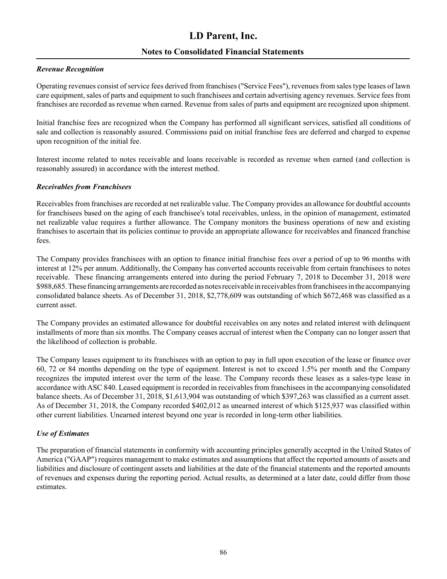## **Notes to Consolidated Financial Statements**

#### *Revenue Recognition*

Operating revenues consist of service fees derived from franchises ("Service Fees"), revenues from sales type leases of lawn care equipment, sales of parts and equipment to such franchisees and certain advertising agency revenues. Service fees from franchises are recorded as revenue when earned. Revenue from sales of parts and equipment are recognized upon shipment.

Initial franchise fees are recognized when the Company has performed all significant services, satisfied all conditions of sale and collection is reasonably assured. Commissions paid on initial franchise fees are deferred and charged to expense upon recognition of the initial fee.

Interest income related to notes receivable and loans receivable is recorded as revenue when earned (and collection is reasonably assured) in accordance with the interest method.

#### *Receivables from Franchisees*

Receivables from franchises are recorded at net realizable value. The Company provides an allowance for doubtful accounts for franchisees based on the aging of each franchisee's total receivables, unless, in the opinion of management, estimated net realizable value requires a further allowance. The Company monitors the business operations of new and existing franchises to ascertain that its policies continue to provide an appropriate allowance for receivables and financed franchise fees.

The Company provides franchisees with an option to finance initial franchise fees over a period of up to 96 months with interest at 12% per annum. Additionally, the Company has converted accounts receivable from certain franchisees to notes receivable. These financing arrangements entered into during the period February 7, 2018 to December 31, 2018 were \$988,685. These financing arrangements are recorded as notes receivable in receivables from franchisees in the accompanying consolidated balance sheets. As of December 31, 2018, \$2,778,609 was outstanding of which \$672,468 was classified as a current asset.

The Company provides an estimated allowance for doubtful receivables on any notes and related interest with delinquent installments of more than six months. The Company ceases accrual of interest when the Company can no longer assert that the likelihood of collection is probable.

The Company leases equipment to its franchisees with an option to pay in full upon execution of the lease or finance over 60, 72 or 84 months depending on the type of equipment. Interest is not to exceed 1.5% per month and the Company recognizes the imputed interest over the term of the lease. The Company records these leases as a sales-type lease in accordance with ASC 840. Leased equipment is recorded in receivables from franchisees in the accompanying consolidated balance sheets. As of December 31, 2018, \$1,613,904 was outstanding of which \$397,263 was classified as a current asset. As of December 31, 2018, the Company recorded \$402,012 as unearned interest of which \$125,937 was classified within other current liabilities. Unearned interest beyond one year is recorded in long-term other liabilities.

## *Use of Estimates*

The preparation of financial statements in conformity with accounting principles generally accepted in the United States of America ("GAAP") requires management to make estimates and assumptions that affect the reported amounts of assets and liabilities and disclosure of contingent assets and liabilities at the date of the financial statements and the reported amounts of revenues and expenses during the reporting period. Actual results, as determined at a later date, could differ from those estimates.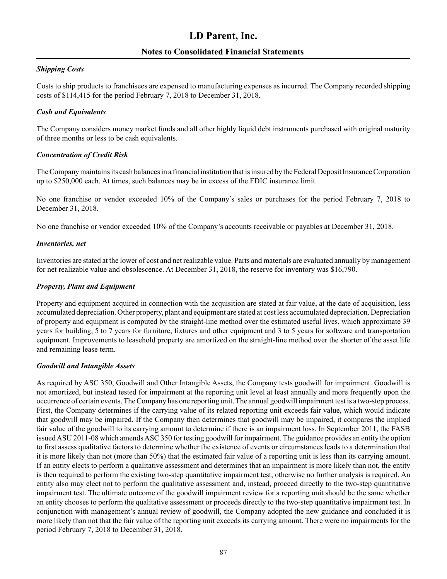#### **Notes to Consolidated Financial Statements**

#### *Shipping Costs*

Costs to ship products to franchisees are expensed to manufacturing expenses as incurred. The Company recorded shipping costs of \$114,415 for the period February 7, 2018 to December 31, 2018.

#### *Cash and Equivalents*

The Company considers money market funds and all other highly liquid debt instruments purchased with original maturity of three months or less to be cash equivalents.

#### *Concentration of Credit Risk*

The Company maintains its cash balances in a financial institution that is insured by the Federal Deposit Insurance Corporation up to \$250,000 each. At times, such balances may be in excess of the FDIC insurance limit.

No one franchise or vendor exceeded 10% of the Company's sales or purchases for the period February 7, 2018 to December 31, 2018.

No one franchise or vendor exceeded 10% of the Company's accounts receivable or payables at December 31, 2018.

#### *Inventories, net*

Inventories are stated at the lower of cost and net realizable value. Parts and materials are evaluated annually by management for net realizable value and obsolescence. At December 31, 2018, the reserve for inventory was \$16,790.

#### *Property, Plant and Equipment*

Property and equipment acquired in connection with the acquisition are stated at fair value, at the date of acquisition, less accumulated depreciation. Other property, plant and equipment are stated at cost less accumulated depreciation. Depreciation of property and equipment is computed by the straight-line method over the estimated useful lives, which approximate 39 years for building, 5 to 7 years for furniture, fixtures and other equipment and 3 to 5 years for software and transportation equipment. Improvements to leasehold property are amortized on the straight-line method over the shorter of the asset life and remaining lease term.

#### *Goodwill and Intangible Assets*

As required by ASC 350, Goodwill and Other Intangible Assets, the Company tests goodwill for impairment. Goodwill is not amortized, but instead tested for impairment at the reporting unit level at least annually and more frequently upon the occurrence of certain events. The Company has one reporting unit. The annual goodwill impairment test is a two-step process. First, the Company determines if the carrying value of its related reporting unit exceeds fair value, which would indicate that goodwill may be impaired. If the Company then determines that goodwill may be impaired, it compares the implied fair value of the goodwill to its carrying amount to determine if there is an impairment loss. In September 2011, the FASB issued ASU 2011-08 which amends ASC 350 for testing goodwill for impairment. The guidance provides an entity the option to first assess qualitative factors to determine whether the existence of events or circumstances leads to a determination that it is more likely than not (more than 50%) that the estimated fair value of a reporting unit is less than its carrying amount. If an entity elects to perform a qualitative assessment and determines that an impairment is more likely than not, the entity is then required to perform the existing two-step quantitative impairment test, otherwise no further analysis is required. An entity also may elect not to perform the qualitative assessment and, instead, proceed directly to the two-step quantitative impairment test. The ultimate outcome of the goodwill impairment review for a reporting unit should be the same whether an entity chooses to perform the qualitative assessment or proceeds directly to the two-step quantitative impairment test. In conjunction with management's annual review of goodwill, the Company adopted the new guidance and concluded it is more likely than not that the fair value of the reporting unit exceeds its carrying amount. There were no impairments for the period February 7, 2018 to December 31, 2018.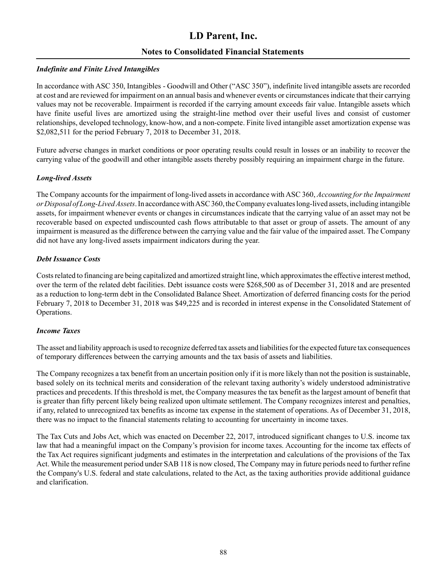# **Notes to Consolidated Financial Statements**

#### *Indefinite and Finite Lived Intangibles*

In accordance with ASC 350, Intangibles - Goodwill and Other ("ASC 350"), indefinite lived intangible assets are recorded at cost and are reviewed for impairment on an annual basis and whenever events or circumstances indicate that their carrying values may not be recoverable. Impairment is recorded if the carrying amount exceeds fair value. Intangible assets which have finite useful lives are amortized using the straight-line method over their useful lives and consist of customer relationships, developed technology, know-how, and a non-compete. Finite lived intangible asset amortization expense was \$2,082,511 for the period February 7, 2018 to December 31, 2018.

Future adverse changes in market conditions or poor operating results could result in losses or an inability to recover the carrying value of the goodwill and other intangible assets thereby possibly requiring an impairment charge in the future.

#### *Long-lived Assets*

The Company accounts for the impairment of long-lived assets in accordance with ASC 360, *Accounting for the Impairment or Disposal of Long-Lived Assets*. In accordance with ASC 360, the Company evaluates long-lived assets, including intangible assets, for impairment whenever events or changes in circumstances indicate that the carrying value of an asset may not be recoverable based on expected undiscounted cash flows attributable to that asset or group of assets. The amount of any impairment is measured as the difference between the carrying value and the fair value of the impaired asset. The Company did not have any long-lived assets impairment indicators during the year.

#### *Debt Issuance Costs*

Costs related to financing are being capitalized and amortized straight line, which approximates the effective interest method, over the term of the related debt facilities. Debt issuance costs were \$268,500 as of December 31, 2018 and are presented as a reduction to long-term debt in the Consolidated Balance Sheet. Amortization of deferred financing costs for the period February 7, 2018 to December 31, 2018 was \$49,225 and is recorded in interest expense in the Consolidated Statement of Operations.

#### *Income Taxes*

The asset and liability approach is used to recognize deferred tax assets and liabilities for the expected future tax consequences of temporary differences between the carrying amounts and the tax basis of assets and liabilities.

The Company recognizes a tax benefit from an uncertain position only if it is more likely than not the position is sustainable, based solely on its technical merits and consideration of the relevant taxing authority's widely understood administrative practices and precedents. If this threshold is met, the Company measures the tax benefit as the largest amount of benefit that is greater than fifty percent likely being realized upon ultimate settlement. The Company recognizes interest and penalties, if any, related to unrecognized tax benefits as income tax expense in the statement of operations. As of December 31, 2018, there was no impact to the financial statements relating to accounting for uncertainty in income taxes.

The Tax Cuts and Jobs Act, which was enacted on December 22, 2017, introduced significant changes to U.S. income tax law that had a meaningful impact on the Company's provision for income taxes. Accounting for the income tax effects of the Tax Act requires significant judgments and estimates in the interpretation and calculations of the provisions of the Tax Act. While the measurement period under SAB 118 is now closed, The Company may in future periods need to further refine the Company's U.S. federal and state calculations, related to the Act, as the taxing authorities provide additional guidance and clarification.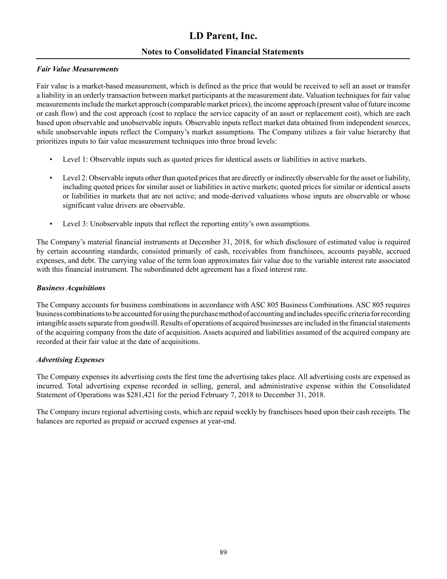# **Notes to Consolidated Financial Statements**

#### *Fair Value Measurements*

Fair value is a market-based measurement, which is defined as the price that would be received to sell an asset or transfer a liability in an orderly transaction between market participants at the measurement date. Valuation techniques for fair value measurements include the market approach (comparable market prices), the income approach (present value of future income or cash flow) and the cost approach (cost to replace the service capacity of an asset or replacement cost), which are each based upon observable and unobservable inputs. Observable inputs reflect market data obtained from independent sources, while unobservable inputs reflect the Company's market assumptions. The Company utilizes a fair value hierarchy that prioritizes inputs to fair value measurement techniques into three broad levels:

- Level 1: Observable inputs such as quoted prices for identical assets or liabilities in active markets.
- Level 2: Observable inputs other than quoted prices that are directly or indirectly observable for the asset or liability, including quoted prices for similar asset or liabilities in active markets; quoted prices for similar or identical assets or liabilities in markets that are not active; and mode-derived valuations whose inputs are observable or whose significant value drivers are observable.
- Level 3: Unobservable inputs that reflect the reporting entity's own assumptions.

The Company's material financial instruments at December 31, 2018, for which disclosure of estimated value is required by certain accounting standards, consisted primarily of cash, receivables from franchisees, accounts payable, accrued expenses, and debt. The carrying value of the term loan approximates fair value due to the variable interest rate associated with this financial instrument. The subordinated debt agreement has a fixed interest rate.

#### *Business Acquisitions*

The Company accounts for business combinations in accordance with ASC 805 Business Combinations. ASC 805 requires business combinations to be accounted for using the purchase method of accounting and includes specific criteria for recording intangible assets separate from goodwill. Results of operations of acquired businesses are included in the financial statements of the acquiring company from the date of acquisition. Assets acquired and liabilities assumed of the acquired company are recorded at their fair value at the date of acquisitions.

#### *Advertising Expenses*

The Company expenses its advertising costs the first time the advertising takes place. All advertising costs are expensed as incurred. Total advertising expense recorded in selling, general, and administrative expense within the Consolidated Statement of Operations was \$281,421 for the period February 7, 2018 to December 31, 2018.

The Company incurs regional advertising costs, which are repaid weekly by franchisees based upon their cash receipts. The balances are reported as prepaid or accrued expenses at year-end.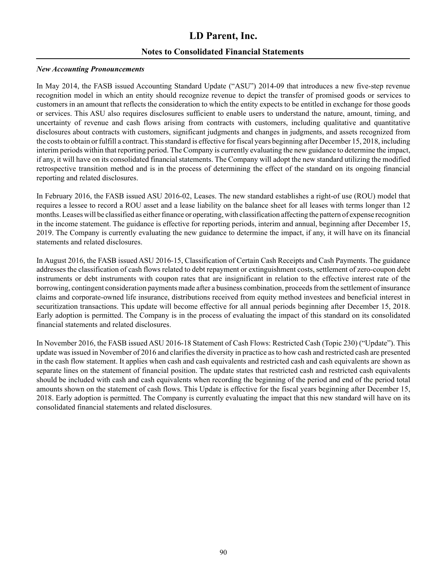## **Notes to Consolidated Financial Statements**

#### *New Accounting Pronouncements*

In May 2014, the FASB issued Accounting Standard Update ("ASU") 2014-09 that introduces a new five-step revenue recognition model in which an entity should recognize revenue to depict the transfer of promised goods or services to customers in an amount that reflects the consideration to which the entity expects to be entitled in exchange for those goods or services. This ASU also requires disclosures sufficient to enable users to understand the nature, amount, timing, and uncertainty of revenue and cash flows arising from contracts with customers, including qualitative and quantitative disclosures about contracts with customers, significant judgments and changes in judgments, and assets recognized from the costs to obtain or fulfill a contract. This standard is effective for fiscal years beginning after December 15, 2018, including interim periods within that reporting period. The Company is currently evaluating the new guidance to determine the impact, if any, it will have on its consolidated financial statements. The Company will adopt the new standard utilizing the modified retrospective transition method and is in the process of determining the effect of the standard on its ongoing financial reporting and related disclosures.

In February 2016, the FASB issued ASU 2016-02, Leases. The new standard establishes a right-of use (ROU) model that requires a lessee to record a ROU asset and a lease liability on the balance sheet for all leases with terms longer than 12 months. Leases will be classified as either finance or operating, with classification affecting the pattern of expense recognition in the income statement. The guidance is effective for reporting periods, interim and annual, beginning after December 15, 2019. The Company is currently evaluating the new guidance to determine the impact, if any, it will have on its financial statements and related disclosures.

In August 2016, the FASB issued ASU 2016-15, Classification of Certain Cash Receipts and Cash Payments. The guidance addresses the classification of cash flows related to debt repayment or extinguishment costs, settlement of zero-coupon debt instruments or debt instruments with coupon rates that are insignificant in relation to the effective interest rate of the borrowing, contingent consideration payments made after a business combination, proceeds from the settlement of insurance claims and corporate-owned life insurance, distributions received from equity method investees and beneficial interest in securitization transactions. This update will become effective for all annual periods beginning after December 15, 2018. Early adoption is permitted. The Company is in the process of evaluating the impact of this standard on its consolidated financial statements and related disclosures.

In November 2016, the FASB issued ASU 2016-18 Statement of Cash Flows: Restricted Cash (Topic 230) ("Update"). This update was issued in November of 2016 and clarifies the diversity in practice as to how cash and restricted cash are presented in the cash flow statement. It applies when cash and cash equivalents and restricted cash and cash equivalents are shown as separate lines on the statement of financial position. The update states that restricted cash and restricted cash equivalents should be included with cash and cash equivalents when recording the beginning of the period and end of the period total amounts shown on the statement of cash flows. This Update is effective for the fiscal years beginning after December 15, 2018. Early adoption is permitted. The Company is currently evaluating the impact that this new standard will have on its consolidated financial statements and related disclosures.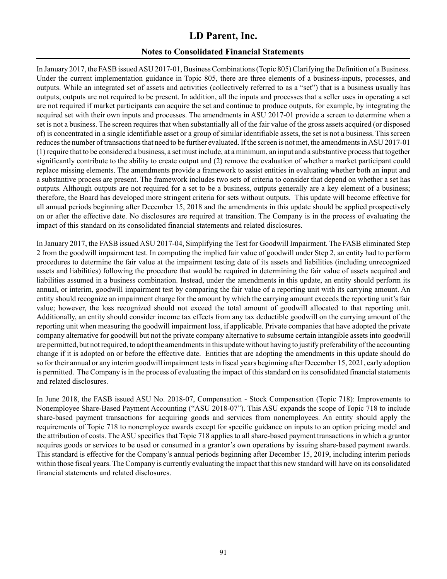# **Notes to Consolidated Financial Statements**

In January 2017, the FASB issued ASU 2017-01, Business Combinations (Topic 805) Clarifying the Definition of a Business. Under the current implementation guidance in Topic 805, there are three elements of a business-inputs, processes, and outputs. While an integrated set of assets and activities (collectively referred to as a "set") that is a business usually has outputs, outputs are not required to be present. In addition, all the inputs and processes that a seller uses in operating a set are not required if market participants can acquire the set and continue to produce outputs, for example, by integrating the acquired set with their own inputs and processes. The amendments in ASU 2017-01 provide a screen to determine when a set is not a business. The screen requires that when substantially all of the fair value of the gross assets acquired (or disposed of) is concentrated in a single identifiable asset or a group of similar identifiable assets, the set is not a business. This screen reduces the number of transactions that need to be further evaluated. If the screen is not met, the amendments in ASU 2017-01 (1) require that to be considered a business, a set must include, at a minimum, an input and a substantive process that together significantly contribute to the ability to create output and (2) remove the evaluation of whether a market participant could replace missing elements. The amendments provide a framework to assist entities in evaluating whether both an input and a substantive process are present. The framework includes two sets of criteria to consider that depend on whether a set has outputs. Although outputs are not required for a set to be a business, outputs generally are a key element of a business; therefore, the Board has developed more stringent criteria for sets without outputs. This update will become effective for all annual periods beginning after December 15, 2018 and the amendments in this update should be applied prospectively on or after the effective date. No disclosures are required at transition. The Company is in the process of evaluating the impact of this standard on its consolidated financial statements and related disclosures.

In January 2017, the FASB issued ASU 2017-04, Simplifying the Test for Goodwill Impairment. The FASB eliminated Step 2 from the goodwill impairment test. In computing the implied fair value of goodwill under Step 2, an entity had to perform procedures to determine the fair value at the impairment testing date of its assets and liabilities (including unrecognized assets and liabilities) following the procedure that would be required in determining the fair value of assets acquired and liabilities assumed in a business combination. Instead, under the amendments in this update, an entity should perform its annual, or interim, goodwill impairment test by comparing the fair value of a reporting unit with its carrying amount. An entity should recognize an impairment charge for the amount by which the carrying amount exceeds the reporting unit's fair value; however, the loss recognized should not exceed the total amount of goodwill allocated to that reporting unit. Additionally, an entity should consider income tax effects from any tax deductible goodwill on the carrying amount of the reporting unit when measuring the goodwill impairment loss, if applicable. Private companies that have adopted the private company alternative for goodwill but not the private company alternative to subsume certain intangible assets into goodwill are permitted, but not required, to adopt the amendments in this update without having to justify preferability of the accounting change if it is adopted on or before the effective date. Entities that are adopting the amendments in this update should do so for their annual or any interim goodwill impairment tests in fiscal years beginning after December 15, 2021, early adoption is permitted. The Company is in the process of evaluating the impact of this standard on its consolidated financial statements and related disclosures.

In June 2018, the FASB issued ASU No. 2018-07, Compensation - Stock Compensation (Topic 718): Improvements to Nonemployee Share-Based Payment Accounting ("ASU 2018-07"). This ASU expands the scope of Topic 718 to include share-based payment transactions for acquiring goods and services from nonemployees. An entity should apply the requirements of Topic 718 to nonemployee awards except for specific guidance on inputs to an option pricing model and the attribution of costs. The ASU specifies that Topic 718 applies to all share-based payment transactions in which a grantor acquires goods or services to be used or consumed in a grantor's own operations by issuing share-based payment awards. This standard is effective for the Company's annual periods beginning after December 15, 2019, including interim periods within those fiscal years. The Company is currently evaluating the impact that this new standard will have on its consolidated financial statements and related disclosures.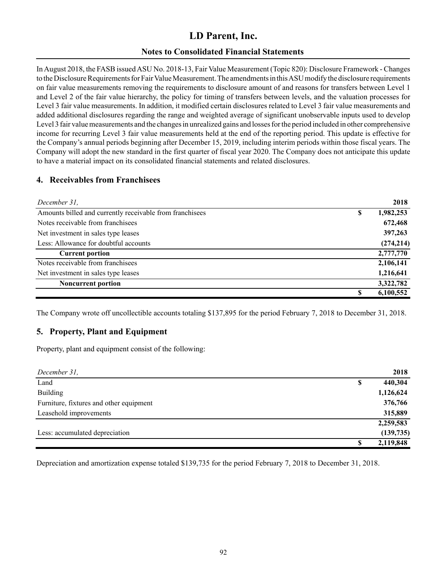# **Notes to Consolidated Financial Statements**

In August 2018, the FASB issued ASU No. 2018-13, Fair Value Measurement (Topic 820): Disclosure Framework - Changes to the Disclosure Requirements for Fair Value Measurement. The amendments in this ASU modify the disclosure requirements on fair value measurements removing the requirements to disclosure amount of and reasons for transfers between Level 1 and Level 2 of the fair value hierarchy, the policy for timing of transfers between levels, and the valuation processes for Level 3 fair value measurements. In addition, it modified certain disclosures related to Level 3 fair value measurements and added additional disclosures regarding the range and weighted average of significant unobservable inputs used to develop Level 3 fair value measurements and the changes in unrealized gains and losses for the period included in other comprehensive income for recurring Level 3 fair value measurements held at the end of the reporting period. This update is effective for the Company's annual periods beginning after December 15, 2019, including interim periods within those fiscal years. The Company will adopt the new standard in the first quarter of fiscal year 2020. The Company does not anticipate this update to have a material impact on its consolidated financial statements and related disclosures.

## **4. Receivables from Franchisees**

| December 31.                                             | 2018           |
|----------------------------------------------------------|----------------|
| Amounts billed and currently receivable from franchisees | 1,982,253<br>S |
| Notes receivable from franchisees                        | 672,468        |
| Net investment in sales type leases                      | 397,263        |
| Less: Allowance for doubtful accounts                    | (274, 214)     |
| <b>Current portion</b>                                   | 2,777,770      |
| Notes receivable from franchisees                        | 2,106,141      |
| Net investment in sales type leases                      | 1,216,641      |
| <b>Noncurrent portion</b>                                | 3,322,782      |
|                                                          | 6,100,552<br>S |

The Company wrote off uncollectible accounts totaling \$137,895 for the period February 7, 2018 to December 31, 2018.

## **5. Property, Plant and Equipment**

Property, plant and equipment consist of the following:

| December 31.                            |   | 2018       |
|-----------------------------------------|---|------------|
| Land                                    | S | 440,304    |
| <b>Building</b>                         |   | 1,126,624  |
| Furniture, fixtures and other equipment |   | 376,766    |
| Leasehold improvements                  |   | 315,889    |
|                                         |   | 2,259,583  |
| Less: accumulated depreciation          |   | (139, 735) |
|                                         | S | 2,119,848  |

Depreciation and amortization expense totaled \$139,735 for the period February 7, 2018 to December 31, 2018.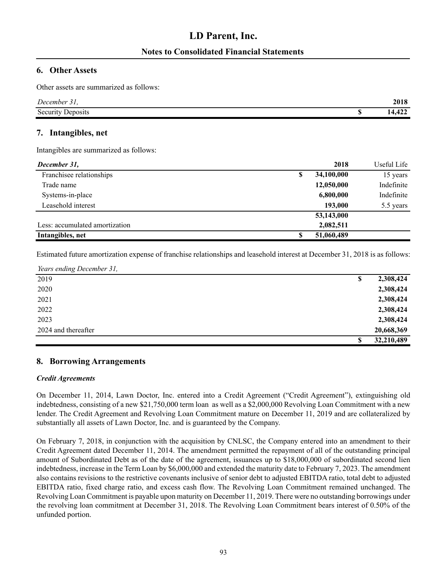# **Notes to Consolidated Financial Statements**

## **6. Other Assets**

Other assets are summarized as follows:

| December 31,         | <b>010</b><br>2018           |
|----------------------|------------------------------|
| Security<br>Jeposits | $\overline{a}$<br>4<br>7.744 |

## **7. Intangibles, net**

Intangibles are summarized as follows:

| December 31,                   | 2018            | Useful Life |
|--------------------------------|-----------------|-------------|
| Franchisee relationships       | 34,100,000<br>S | 15 years    |
| Trade name                     | 12,050,000      | Indefinite  |
| Systems-in-place               | 6,800,000       | Indefinite  |
| Leasehold interest             | 193,000         | 5.5 years   |
|                                | 53,143,000      |             |
| Less: accumulated amortization | 2,082,511       |             |
| Intangibles, net               | 51,060,489<br>0 |             |

Estimated future amortization expense of franchise relationships and leasehold interest at December 31, 2018 is as follows:

| Years ending December 31, |                  |
|---------------------------|------------------|
| 2019                      | \$<br>2,308,424  |
| 2020                      | 2,308,424        |
| 2021                      | 2,308,424        |
| 2022                      | 2,308,424        |
| 2023                      | 2,308,424        |
| 2024 and thereafter       | 20,668,369       |
|                           | \$<br>32,210,489 |

## **8. Borrowing Arrangements**

#### *Credit Agreements*

On December 11, 2014, Lawn Doctor, Inc. entered into a Credit Agreement ("Credit Agreement"), extinguishing old indebtedness, consisting of a new \$21,750,000 term loan as well as a \$2,000,000 Revolving Loan Commitment with a new lender. The Credit Agreement and Revolving Loan Commitment mature on December 11, 2019 and are collateralized by substantially all assets of Lawn Doctor, Inc. and is guaranteed by the Company.

On February 7, 2018, in conjunction with the acquisition by CNLSC, the Company entered into an amendment to their Credit Agreement dated December 11, 2014. The amendment permitted the repayment of all of the outstanding principal amount of Subordinated Debt as of the date of the agreement, issuances up to \$18,000,000 of subordinated second lien indebtedness, increase in the Term Loan by \$6,000,000 and extended the maturity date to February 7, 2023. The amendment also contains revisions to the restrictive covenants inclusive of senior debt to adjusted EBITDA ratio, total debt to adjusted EBITDA ratio, fixed charge ratio, and excess cash flow. The Revolving Loan Commitment remained unchanged. The Revolving Loan Commitment is payable upon maturity on December 11, 2019. There were no outstanding borrowings under the revolving loan commitment at December 31, 2018. The Revolving Loan Commitment bears interest of 0.50% of the unfunded portion.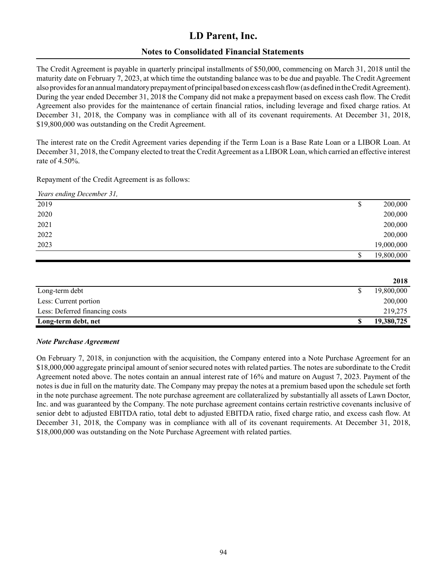## **Notes to Consolidated Financial Statements**

The Credit Agreement is payable in quarterly principal installments of \$50,000, commencing on March 31, 2018 until the maturity date on February 7, 2023, at which time the outstanding balance was to be due and payable. The Credit Agreement also provides for an annual mandatory prepayment of principal based on excess cash flow (as defined in the Credit Agreement). During the year ended December 31, 2018 the Company did not make a prepayment based on excess cash flow. The Credit Agreement also provides for the maintenance of certain financial ratios, including leverage and fixed charge ratios. At December 31, 2018, the Company was in compliance with all of its covenant requirements. At December 31, 2018, \$19,800,000 was outstanding on the Credit Agreement.

The interest rate on the Credit Agreement varies depending if the Term Loan is a Base Rate Loan or a LIBOR Loan. At December 31, 2018, the Company elected to treat the Credit Agreement as a LIBOR Loan, which carried an effective interest rate of 4.50%.

Repayment of the Credit Agreement is as follows:

| Years ending December 31, |   |            |
|---------------------------|---|------------|
| 2019                      | S | 200,000    |
| 2020                      |   | 200,000    |
| 2021                      |   | 200,000    |
| 2022                      |   | 200,000    |
| 2023                      |   | 19,000,000 |
|                           | S | 19,800,000 |

|                                | 2018       |
|--------------------------------|------------|
| Long-term debt                 | 19,800,000 |
| Less: Current portion          | 200,000    |
| Less: Deferred financing costs | 219,275    |
| Long-term debt, net            | 19,380,725 |

#### *Note Purchase Agreement*

On February 7, 2018, in conjunction with the acquisition, the Company entered into a Note Purchase Agreement for an \$18,000,000 aggregate principal amount of senior secured notes with related parties. The notes are subordinate to the Credit Agreement noted above. The notes contain an annual interest rate of 16% and mature on August 7, 2023. Payment of the notes is due in full on the maturity date. The Company may prepay the notes at a premium based upon the schedule set forth in the note purchase agreement. The note purchase agreement are collateralized by substantially all assets of Lawn Doctor, Inc. and was guaranteed by the Company. The note purchase agreement contains certain restrictive covenants inclusive of senior debt to adjusted EBITDA ratio, total debt to adjusted EBITDA ratio, fixed charge ratio, and excess cash flow. At December 31, 2018, the Company was in compliance with all of its covenant requirements. At December 31, 2018, \$18,000,000 was outstanding on the Note Purchase Agreement with related parties.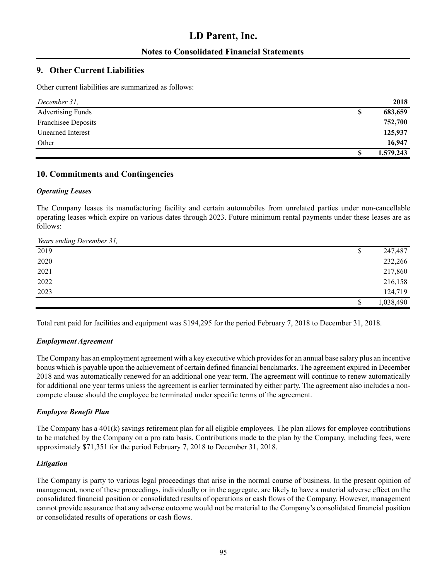# **LD Parent, Inc. Notes to Consolidated Financial Statements**

# **9. Other Current Liabilities**

Other current liabilities are summarized as follows:

| December 31.               |   | 2018      |
|----------------------------|---|-----------|
| <b>Advertising Funds</b>   | S | 683,659   |
| <b>Franchisee Deposits</b> |   | 752,700   |
| Unearned Interest          |   | 125,937   |
| Other                      |   | 16,947    |
|                            |   | 1,579,243 |

## **10. Commitments and Contingencies**

#### *Operating Leases*

The Company leases its manufacturing facility and certain automobiles from unrelated parties under non-cancellable operating leases which expire on various dates through 2023. Future minimum rental payments under these leases are as follows:

| Years ending December 31, |   |           |
|---------------------------|---|-----------|
| $\overline{2019}$         | P | 247,487   |
| 2020                      |   | 232,266   |
| 2021                      |   | 217,860   |
| 2022                      |   | 216,158   |
| 2023                      |   | 124,719   |
|                           | J | 1,038,490 |

Total rent paid for facilities and equipment was \$194,295 for the period February 7, 2018 to December 31, 2018.

#### *Employment Agreement*

The Company has an employment agreement with a key executive which provides for an annual base salary plus an incentive bonus which is payable upon the achievement of certain defined financial benchmarks. The agreement expired in December 2018 and was automatically renewed for an additional one year term. The agreement will continue to renew automatically for additional one year terms unless the agreement is earlier terminated by either party. The agreement also includes a noncompete clause should the employee be terminated under specific terms of the agreement.

#### *Employee Benefit Plan*

The Company has a 401(k) savings retirement plan for all eligible employees. The plan allows for employee contributions to be matched by the Company on a pro rata basis. Contributions made to the plan by the Company, including fees, were approximately \$71,351 for the period February 7, 2018 to December 31, 2018.

#### *Litigation*

The Company is party to various legal proceedings that arise in the normal course of business. In the present opinion of management, none of these proceedings, individually or in the aggregate, are likely to have a material adverse effect on the consolidated financial position or consolidated results of operations or cash flows of the Company. However, management cannot provide assurance that any adverse outcome would not be material to the Company's consolidated financial position or consolidated results of operations or cash flows.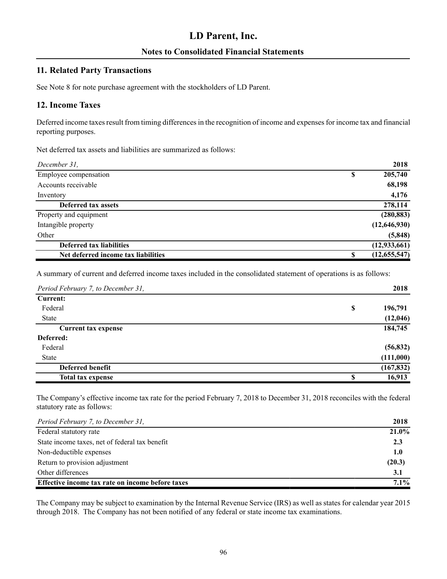# **Notes to Consolidated Financial Statements**

# **11. Related Party Transactions**

See Note 8 for note purchase agreement with the stockholders of LD Parent.

# **12. Income Taxes**

Deferred income taxes result from timing differences in the recognition of income and expenses for income tax and financial reporting purposes.

Net deferred tax assets and liabilities are summarized as follows:

| December 31.                        | 2018           |
|-------------------------------------|----------------|
| Employee compensation               | 205,740<br>S   |
| Accounts receivable                 | 68,198         |
| Inventory                           | 4,176          |
| Deferred tax assets                 | 278,114        |
| Property and equipment              | (280, 883)     |
| Intangible property                 | (12, 646, 930) |
| Other                               | (5, 848)       |
| Deferred tax liabilities            | (12, 933, 661) |
| Net deferred income tax liabilities | (12, 655, 547) |

A summary of current and deferred income taxes included in the consolidated statement of operations is as follows:

| Period February 7, to December 31, | 2018          |
|------------------------------------|---------------|
| Current:                           |               |
| Federal                            | 196,791<br>\$ |
| <b>State</b>                       | (12, 046)     |
| <b>Current tax expense</b>         | 184,745       |
| Deferred:                          |               |
| Federal                            | (56, 832)     |
| <b>State</b>                       | (111,000)     |
| Deferred benefit                   | (167, 832)    |
| Total tax expense                  | 16,913<br>ጣ   |

The Company's effective income tax rate for the period February 7, 2018 to December 31, 2018 reconciles with the federal statutory rate as follows:

| Period February 7, to December 31,               | 2018     |
|--------------------------------------------------|----------|
| Federal statutory rate                           | $21.0\%$ |
| State income taxes, net of federal tax benefit   | 2.3      |
| Non-deductible expenses                          | 1.0      |
| Return to provision adjustment                   | (20.3)   |
| Other differences                                | 3.1      |
| Effective income tax rate on income before taxes | $7.1\%$  |

The Company may be subject to examination by the Internal Revenue Service (IRS) as well as states for calendar year 2015 through 2018. The Company has not been notified of any federal or state income tax examinations.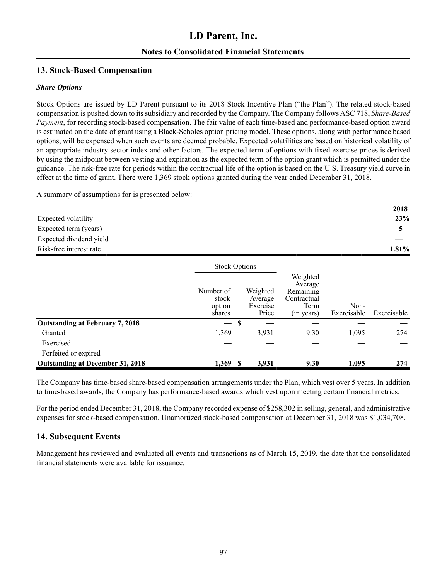# **Notes to Consolidated Financial Statements**

# **13. Stock-Based Compensation**

#### *Share Options*

Stock Options are issued by LD Parent pursuant to its 2018 Stock Incentive Plan ("the Plan"). The related stock-based compensation is pushed down to its subsidiary and recorded by the Company. The Company follows ASC 718, *Share-Based Payment*, for recording stock-based compensation. The fair value of each time-based and performance-based option award is estimated on the date of grant using a Black-Scholes option pricing model. These options, along with performance based options, will be expensed when such events are deemed probable. Expected volatilities are based on historical volatility of an appropriate industry sector index and other factors. The expected term of options with fixed exercise prices is derived by using the midpoint between vesting and expiration as the expected term of the option grant which is permitted under the guidance. The risk-free rate for periods within the contractual life of the option is based on the U.S. Treasury yield curve in effect at the time of grant. There were 1,369 stock options granted during the year ended December 31, 2018.

A summary of assumptions for is presented below:

|                                         |                                        |                                          |                                                                       |                     | 2018              |
|-----------------------------------------|----------------------------------------|------------------------------------------|-----------------------------------------------------------------------|---------------------|-------------------|
| Expected volatility                     |                                        |                                          |                                                                       |                     | $\overline{23\%}$ |
| Expected term (years)                   |                                        |                                          |                                                                       |                     | 5                 |
| Expected dividend yield                 |                                        |                                          |                                                                       |                     |                   |
| Risk-free interest rate                 |                                        |                                          |                                                                       |                     | 1.81%             |
|                                         | <b>Stock Options</b>                   |                                          |                                                                       |                     |                   |
|                                         | Number of<br>stock<br>option<br>shares | Weighted<br>Average<br>Exercise<br>Price | Weighted<br>Average<br>Remaining<br>Contractual<br>Term<br>(in years) | Non-<br>Exercisable | Exercisable       |
| Outstanding at February 7, 2018         |                                        | S                                        |                                                                       |                     |                   |
| Granted                                 | 1,369                                  | 3,931                                    | 9.30                                                                  | 1,095               | 274               |
| Exercised                               |                                        |                                          |                                                                       |                     |                   |
| Forfeited or expired                    |                                        |                                          |                                                                       |                     |                   |
| <b>Outstanding at December 31, 2018</b> | 1,369                                  | 3,931<br>S                               | 9.30                                                                  | 1,095               | 274               |

The Company has time-based share-based compensation arrangements under the Plan, which vest over 5 years. In addition to time-based awards, the Company has performance-based awards which vest upon meeting certain financial metrics.

For the period ended December 31, 2018, the Company recorded expense of \$258,302 in selling, general, and administrative expenses for stock-based compensation. Unamortized stock-based compensation at December 31, 2018 was \$1,034,708.

# **14. Subsequent Events**

Management has reviewed and evaluated all events and transactions as of March 15, 2019, the date that the consolidated financial statements were available for issuance.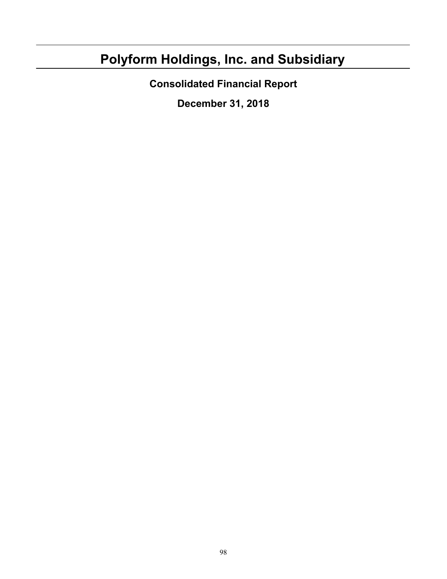# **Polyform Holdings, Inc. and Subsidiary**

**Consolidated Financial Report**

**December 31, 2018**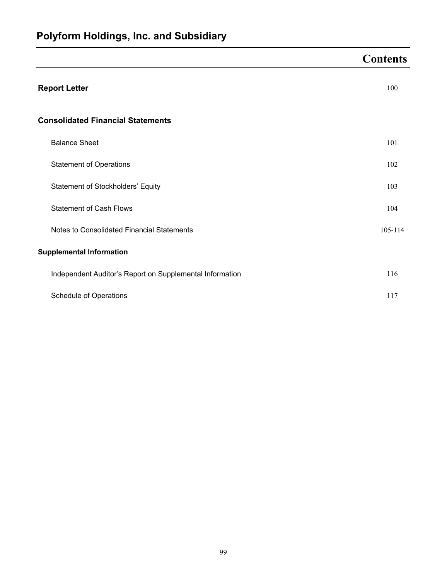|                                                          | <b>Contents</b> |
|----------------------------------------------------------|-----------------|
| <b>Report Letter</b>                                     | 100             |
| <b>Consolidated Financial Statements</b>                 |                 |
| <b>Balance Sheet</b>                                     | 101             |
| <b>Statement of Operations</b>                           | 102             |
| Statement of Stockholders' Equity                        | 103             |
| <b>Statement of Cash Flows</b>                           | 104             |
| Notes to Consolidated Financial Statements               | 105-114         |
| <b>Supplemental Information</b>                          |                 |
| Independent Auditor's Report on Supplemental Information | 116             |
| <b>Schedule of Operations</b>                            | 117             |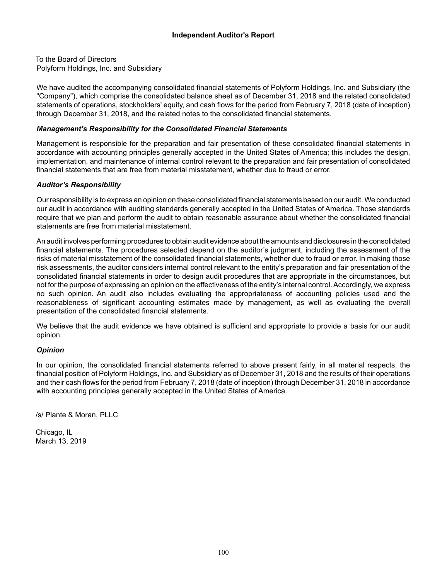To the Board of Directors Polyform Holdings, Inc. and Subsidiary

We have audited the accompanying consolidated financial statements of Polyform Holdings, Inc. and Subsidiary (the "Company"), which comprise the consolidated balance sheet as of December 31, 2018 and the related consolidated statements of operations, stockholders' equity, and cash flows for the period from February 7, 2018 (date of inception) through December 31, 2018, and the related notes to the consolidated financial statements.

#### *Management's Responsibility for the Consolidated Financial Statements*

Management is responsible for the preparation and fair presentation of these consolidated financial statements in accordance with accounting principles generally accepted in the United States of America; this includes the design, implementation, and maintenance of internal control relevant to the preparation and fair presentation of consolidated financial statements that are free from material misstatement, whether due to fraud or error.

#### *Auditor's Responsibility*

Our responsibility is to express an opinion on these consolidated financial statements based on our audit. We conducted our audit in accordance with auditing standards generally accepted in the United States of America. Those standards require that we plan and perform the audit to obtain reasonable assurance about whether the consolidated financial statements are free from material misstatement.

An audit involves performing procedures to obtain audit evidence about the amounts and disclosures in the consolidated financial statements. The procedures selected depend on the auditor's judgment, including the assessment of the risks of material misstatement of the consolidated financial statements, whether due to fraud or error. In making those risk assessments, the auditor considers internal control relevant to the entity's preparation and fair presentation of the consolidated financial statements in order to design audit procedures that are appropriate in the circumstances, but not for the purpose of expressing an opinion on the effectiveness of the entity's internal control. Accordingly, we express no such opinion. An audit also includes evaluating the appropriateness of accounting policies used and the reasonableness of significant accounting estimates made by management, as well as evaluating the overall presentation of the consolidated financial statements.

We believe that the audit evidence we have obtained is sufficient and appropriate to provide a basis for our audit opinion.

#### *Opinion*

In our opinion, the consolidated financial statements referred to above present fairly, in all material respects, the financial position of Polyform Holdings, Inc. and Subsidiary as of December 31, 2018 and the results of their operations and their cash flows for the period from February 7, 2018 (date of inception) through December 31, 2018 in accordance with accounting principles generally accepted in the United States of America.

/s/ Plante & Moran, PLLC

Chicago, IL March 13, 2019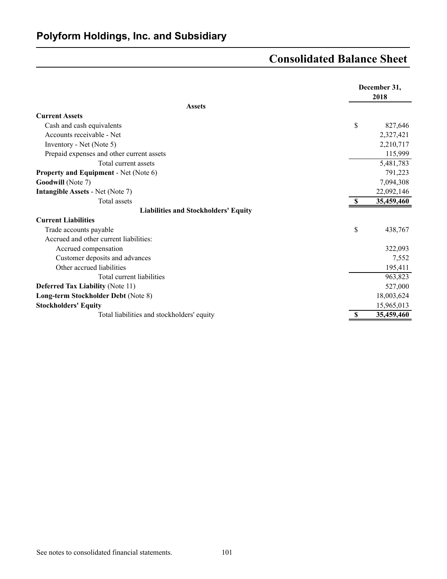|                                              |          | December 31,<br>2018 |
|----------------------------------------------|----------|----------------------|
| <b>Assets</b>                                |          |                      |
| <b>Current Assets</b>                        |          |                      |
| Cash and cash equivalents                    | \$       | 827,646              |
| Accounts receivable - Net                    |          | 2,327,421            |
| Inventory - Net (Note 5)                     |          | 2,210,717            |
| Prepaid expenses and other current assets    |          | 115,999              |
| Total current assets                         |          | 5,481,783            |
| <b>Property and Equipment - Net (Note 6)</b> |          | 791,223              |
| <b>Goodwill</b> (Note 7)                     |          | 7,094,308            |
| <b>Intangible Assets - Net (Note 7)</b>      |          | 22,092,146           |
| Total assets                                 | <b>S</b> | 35,459,460           |
| <b>Liabilities and Stockholders' Equity</b>  |          |                      |
| <b>Current Liabilities</b>                   |          |                      |
| Trade accounts payable                       | \$       | 438,767              |
| Accrued and other current liabilities:       |          |                      |
| Accrued compensation                         |          | 322,093              |
| Customer deposits and advances               |          | 7,552                |
| Other accrued liabilities                    |          | 195,411              |
| Total current liabilities                    |          | 963,823              |
| <b>Deferred Tax Liability (Note 11)</b>      |          | 527,000              |
| Long-term Stockholder Debt (Note 8)          |          | 18,003,624           |
| <b>Stockholders' Equity</b>                  |          | 15,965,013           |
| Total liabilities and stockholders' equity   | <b>S</b> | 35,459,460           |

# **Consolidated Balance Sheet**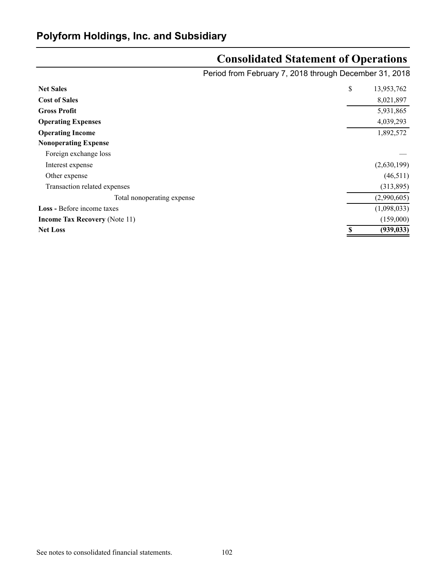|                                      | <u>I CHUU IIUIII I CDIUAIV I, ZU IU IIIUUUII DECENIDEI JT, ZU IU</u> |
|--------------------------------------|----------------------------------------------------------------------|
| <b>Net Sales</b>                     | \$<br>13,953,762                                                     |
| <b>Cost of Sales</b>                 | 8,021,897                                                            |
| <b>Gross Profit</b>                  | 5,931,865                                                            |
| <b>Operating Expenses</b>            | 4,039,293                                                            |
| <b>Operating Income</b>              | 1,892,572                                                            |
| <b>Nonoperating Expense</b>          |                                                                      |
| Foreign exchange loss                |                                                                      |
| Interest expense                     | (2,630,199)                                                          |
| Other expense                        | (46,511)                                                             |
| Transaction related expenses         | (313,895)                                                            |
| Total nonoperating expense           | (2,990,605)                                                          |
| Loss - Before income taxes           | (1,098,033)                                                          |
| <b>Income Tax Recovery (Note 11)</b> | (159,000)                                                            |
| <b>Net Loss</b>                      | (939, 033)<br>S                                                      |

# **Consolidated Statement of Operations**

Period from February 7, 2018 through December 31, 2018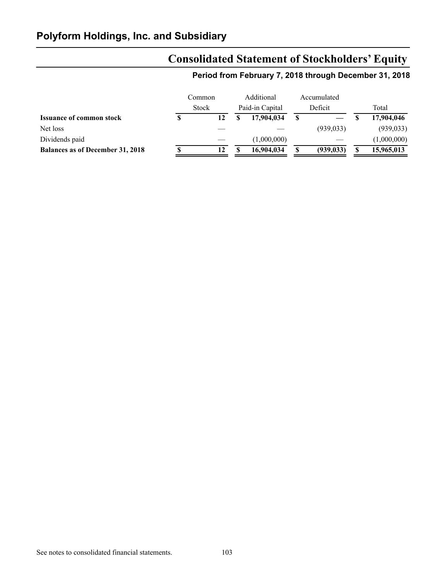# **Consolidated Statement of Stockholders' Equity**

### **Period from February 7, 2018 through December 31, 2018**

|                                         |   | Common       | Additional      |    | Accumulated |             |
|-----------------------------------------|---|--------------|-----------------|----|-------------|-------------|
|                                         |   | <b>Stock</b> | Paid-in Capital |    | Deficit     | Total       |
| <b>Issuance of common stock</b>         | S | 12           | 17,904,034      | -S |             | 17,904,046  |
| Net loss                                |   |              |                 |    | (939, 033)  | (939, 033)  |
| Dividends paid                          |   |              | (1,000,000)     |    |             | (1,000,000) |
| <b>Balances as of December 31, 2018</b> |   | 12           | 16,904,034      | \$ | (939, 033)  | 15,965,013  |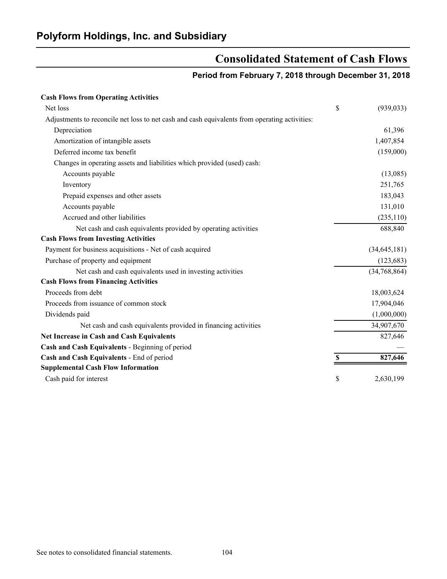# **Consolidated Statement of Cash Flows**

### **Period from February 7, 2018 through December 31, 2018**

| <b>Cash Flows from Operating Activities</b>                                                   |    |                |
|-----------------------------------------------------------------------------------------------|----|----------------|
| Net loss                                                                                      | \$ | (939, 033)     |
| Adjustments to reconcile net loss to net cash and cash equivalents from operating activities: |    |                |
| Depreciation                                                                                  |    | 61,396         |
| Amortization of intangible assets                                                             |    | 1,407,854      |
| Deferred income tax benefit                                                                   |    | (159,000)      |
| Changes in operating assets and liabilities which provided (used) cash:                       |    |                |
| Accounts payable                                                                              |    | (13,085)       |
| Inventory                                                                                     |    | 251,765        |
| Prepaid expenses and other assets                                                             |    | 183,043        |
| Accounts payable                                                                              |    | 131,010        |
| Accrued and other liabilities                                                                 |    | (235, 110)     |
| Net cash and cash equivalents provided by operating activities                                |    | 688,840        |
| <b>Cash Flows from Investing Activities</b>                                                   |    |                |
| Payment for business acquisitions - Net of cash acquired                                      |    | (34, 645, 181) |
| Purchase of property and equipment                                                            |    | (123, 683)     |
| Net cash and cash equivalents used in investing activities                                    |    | (34,768,864)   |
| <b>Cash Flows from Financing Activities</b>                                                   |    |                |
| Proceeds from debt                                                                            |    | 18,003,624     |
| Proceeds from issuance of common stock                                                        |    | 17,904,046     |
| Dividends paid                                                                                |    | (1,000,000)    |
| Net cash and cash equivalents provided in financing activities                                |    | 34,907,670     |
| <b>Net Increase in Cash and Cash Equivalents</b>                                              |    | 827,646        |
| Cash and Cash Equivalents - Beginning of period                                               |    |                |
| Cash and Cash Equivalents - End of period                                                     | S  | 827,646        |
| <b>Supplemental Cash Flow Information</b>                                                     |    |                |
| Cash paid for interest                                                                        | \$ | 2,630,199      |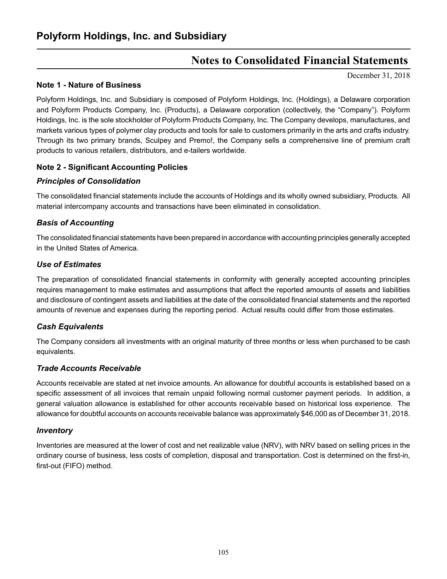December 31, 2018

### **Note 1 - Nature of Business**

Polyform Holdings, Inc. and Subsidiary is composed of Polyform Holdings, Inc. (Holdings), a Delaware corporation and Polyform Products Company, Inc. (Products), a Delaware corporation (collectively, the "Company"). Polyform Holdings, Inc. is the sole stockholder of Polyform Products Company, Inc. The Company develops, manufactures, and markets various types of polymer clay products and tools for sale to customers primarily in the arts and crafts industry. Through its two primary brands, Sculpey and Premo!, the Company sells a comprehensive line of premium craft products to various retailers, distributors, and e-tailers worldwide.

### **Note 2 - Significant Accounting Policies**

### *Principles of Consolidation*

The consolidated financial statements include the accounts of Holdings and its wholly owned subsidiary, Products. All material intercompany accounts and transactions have been eliminated in consolidation.

### *Basis of Accounting*

The consolidated financial statements have been prepared in accordance with accounting principles generally accepted in the United States of America.

### *Use of Estimates*

The preparation of consolidated financial statements in conformity with generally accepted accounting principles requires management to make estimates and assumptions that affect the reported amounts of assets and liabilities and disclosure of contingent assets and liabilities at the date of the consolidated financial statements and the reported amounts of revenue and expenses during the reporting period. Actual results could differ from those estimates.

### *Cash Equivalents*

The Company considers all investments with an original maturity of three months or less when purchased to be cash equivalents.

### *Trade Accounts Receivable*

Accounts receivable are stated at net invoice amounts. An allowance for doubtful accounts is established based on a specific assessment of all invoices that remain unpaid following normal customer payment periods. In addition, a general valuation allowance is established for other accounts receivable based on historical loss experience. The allowance for doubtful accounts on accounts receivable balance was approximately \$46,000 as of December 31, 2018.

### *Inventory*

Inventories are measured at the lower of cost and net realizable value (NRV), with NRV based on selling prices in the ordinary course of business, less costs of completion, disposal and transportation. Cost is determined on the first-in, first-out (FIFO) method.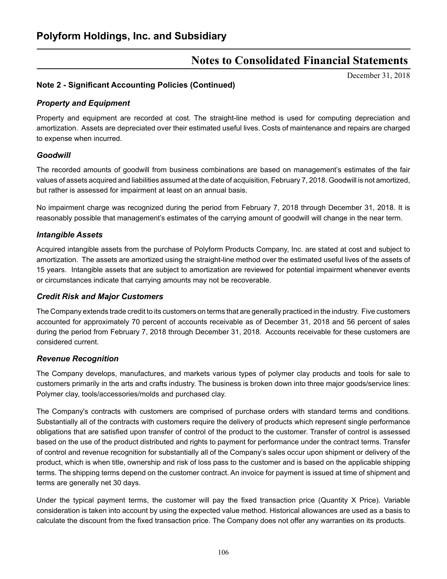December 31, 2018

### **Note 2 - Significant Accounting Policies (Continued)**

### *Property and Equipment*

Property and equipment are recorded at cost. The straight-line method is used for computing depreciation and amortization. Assets are depreciated over their estimated useful lives. Costs of maintenance and repairs are charged to expense when incurred.

### *Goodwill*

The recorded amounts of goodwill from business combinations are based on management's estimates of the fair values of assets acquired and liabilities assumed at the date of acquisition, February 7, 2018. Goodwill is not amortized, but rather is assessed for impairment at least on an annual basis.

No impairment charge was recognized during the period from February 7, 2018 through December 31, 2018. It is reasonably possible that management's estimates of the carrying amount of goodwill will change in the near term.

### *Intangible Assets*

Acquired intangible assets from the purchase of Polyform Products Company, Inc. are stated at cost and subject to amortization. The assets are amortized using the straight-line method over the estimated useful lives of the assets of 15 years. Intangible assets that are subject to amortization are reviewed for potential impairment whenever events or circumstances indicate that carrying amounts may not be recoverable.

#### *Credit Risk and Major Customers*

The Company extends trade credit to its customers on terms that are generally practiced in the industry. Five customers accounted for approximately 70 percent of accounts receivable as of December 31, 2018 and 56 percent of sales during the period from February 7, 2018 through December 31, 2018. Accounts receivable for these customers are considered current.

### *Revenue Recognition*

The Company develops, manufactures, and markets various types of polymer clay products and tools for sale to customers primarily in the arts and crafts industry. The business is broken down into three major goods/service lines: Polymer clay, tools/accessories/molds and purchased clay.

The Company's contracts with customers are comprised of purchase orders with standard terms and conditions. Substantially all of the contracts with customers require the delivery of products which represent single performance obligations that are satisfied upon transfer of control of the product to the customer. Transfer of control is assessed based on the use of the product distributed and rights to payment for performance under the contract terms. Transfer of control and revenue recognition for substantially all of the Company's sales occur upon shipment or delivery of the product, which is when title, ownership and risk of loss pass to the customer and is based on the applicable shipping terms. The shipping terms depend on the customer contract. An invoice for payment is issued at time of shipment and terms are generally net 30 days.

Under the typical payment terms, the customer will pay the fixed transaction price (Quantity X Price). Variable consideration is taken into account by using the expected value method. Historical allowances are used as a basis to calculate the discount from the fixed transaction price. The Company does not offer any warranties on its products.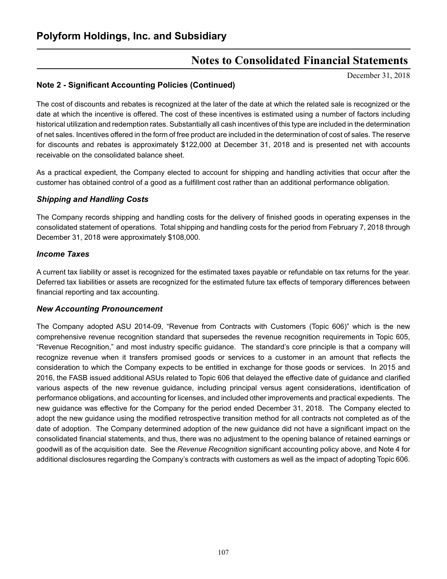December 31, 2018

### **Note 2 - Significant Accounting Policies (Continued)**

The cost of discounts and rebates is recognized at the later of the date at which the related sale is recognized or the date at which the incentive is offered. The cost of these incentives is estimated using a number of factors including historical utilization and redemption rates. Substantially all cash incentives of this type are included in the determination of net sales. Incentives offered in the form of free product are included in the determination of cost of sales. The reserve for discounts and rebates is approximately \$122,000 at December 31, 2018 and is presented net with accounts receivable on the consolidated balance sheet.

As a practical expedient, the Company elected to account for shipping and handling activities that occur after the customer has obtained control of a good as a fulfillment cost rather than an additional performance obligation.

### *Shipping and Handling Costs*

The Company records shipping and handling costs for the delivery of finished goods in operating expenses in the consolidated statement of operations. Total shipping and handling costs for the period from February 7, 2018 through December 31, 2018 were approximately \$108,000.

### *Income Taxes*

A current tax liability or asset is recognized for the estimated taxes payable or refundable on tax returns for the year. Deferred tax liabilities or assets are recognized for the estimated future tax effects of temporary differences between financial reporting and tax accounting.

### *New Accounting Pronouncement*

The Company adopted ASU 2014-09, "Revenue from Contracts with Customers (Topic 606)" which is the new comprehensive revenue recognition standard that supersedes the revenue recognition requirements in Topic 605, "Revenue Recognition," and most industry specific guidance. The standard's core principle is that a company will recognize revenue when it transfers promised goods or services to a customer in an amount that reflects the consideration to which the Company expects to be entitled in exchange for those goods or services. In 2015 and 2016, the FASB issued additional ASUs related to Topic 606 that delayed the effective date of guidance and clarified various aspects of the new revenue guidance, including principal versus agent considerations, identification of performance obligations, and accounting for licenses, and included other improvements and practical expedients. The new guidance was effective for the Company for the period ended December 31, 2018. The Company elected to adopt the new guidance using the modified retrospective transition method for all contracts not completed as of the date of adoption. The Company determined adoption of the new guidance did not have a significant impact on the consolidated financial statements, and thus, there was no adjustment to the opening balance of retained earnings or goodwill as of the acquisition date. See the *Revenue Recognition* significant accounting policy above, and Note 4 for additional disclosures regarding the Company's contracts with customers as well as the impact of adopting Topic 606.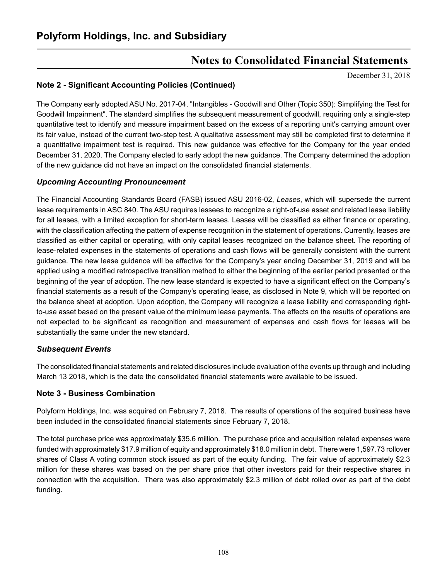December 31, 2018

### **Note 2 - Significant Accounting Policies (Continued)**

The Company early adopted ASU No. 2017-04, "Intangibles - Goodwill and Other (Topic 350): Simplifying the Test for Goodwill Impairment". The standard simplifies the subsequent measurement of goodwill, requiring only a single-step quantitative test to identify and measure impairment based on the excess of a reporting unit's carrying amount over its fair value, instead of the current two-step test. A qualitative assessment may still be completed first to determine if a quantitative impairment test is required. This new guidance was effective for the Company for the year ended December 31, 2020. The Company elected to early adopt the new guidance. The Company determined the adoption of the new guidance did not have an impact on the consolidated financial statements.

### *Upcoming Accounting Pronouncement*

The Financial Accounting Standards Board (FASB) issued ASU 2016-02, *Leases*, which will supersede the current lease requirements in ASC 840. The ASU requires lessees to recognize a right-of-use asset and related lease liability for all leases, with a limited exception for short-term leases. Leases will be classified as either finance or operating, with the classification affecting the pattern of expense recognition in the statement of operations. Currently, leases are classified as either capital or operating, with only capital leases recognized on the balance sheet. The reporting of lease-related expenses in the statements of operations and cash flows will be generally consistent with the current guidance. The new lease guidance will be effective for the Company's year ending December 31, 2019 and will be applied using a modified retrospective transition method to either the beginning of the earlier period presented or the beginning of the year of adoption. The new lease standard is expected to have a significant effect on the Company's financial statements as a result of the Company's operating lease, as disclosed in Note 9, which will be reported on the balance sheet at adoption. Upon adoption, the Company will recognize a lease liability and corresponding rightto-use asset based on the present value of the minimum lease payments. The effects on the results of operations are not expected to be significant as recognition and measurement of expenses and cash flows for leases will be substantially the same under the new standard.

### *Subsequent Events*

The consolidated financial statements and related disclosures include evaluation of the events up through and including March 13 2018, which is the date the consolidated financial statements were available to be issued.

### **Note 3 - Business Combination**

Polyform Holdings, Inc. was acquired on February 7, 2018. The results of operations of the acquired business have been included in the consolidated financial statements since February 7, 2018.

The total purchase price was approximately \$35.6 million. The purchase price and acquisition related expenses were funded with approximately \$17.9 million of equity and approximately \$18.0 million in debt. There were 1,597.73 rollover shares of Class A voting common stock issued as part of the equity funding. The fair value of approximately \$2.3 million for these shares was based on the per share price that other investors paid for their respective shares in connection with the acquisition. There was also approximately \$2.3 million of debt rolled over as part of the debt funding.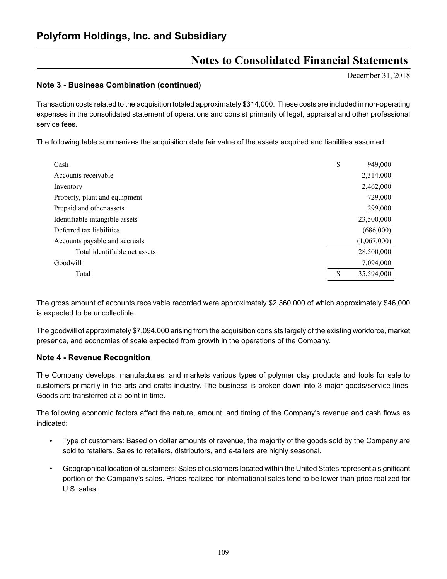December 31, 2018

### **Note 3 - Business Combination (continued)**

Transaction costs related to the acquisition totaled approximately \$314,000. These costs are included in non-operating expenses in the consolidated statement of operations and consist primarily of legal, appraisal and other professional service fees.

The following table summarizes the acquisition date fair value of the assets acquired and liabilities assumed:

| Cash                           | \$<br>949,000 |
|--------------------------------|---------------|
| Accounts receivable            | 2,314,000     |
| Inventory                      | 2,462,000     |
| Property, plant and equipment  | 729,000       |
| Prepaid and other assets       | 299,000       |
| Identifiable intangible assets | 23,500,000    |
| Deferred tax liabilities       | (686,000)     |
| Accounts payable and accruals  | (1,067,000)   |
| Total identifiable net assets  | 28,500,000    |
| Goodwill                       | 7,094,000     |
| Total                          | 35,594,000    |
|                                |               |

The gross amount of accounts receivable recorded were approximately \$2,360,000 of which approximately \$46,000 is expected to be uncollectible.

The goodwill of approximately \$7,094,000 arising from the acquisition consists largely of the existing workforce, market presence, and economies of scale expected from growth in the operations of the Company.

### **Note 4 - Revenue Recognition**

The Company develops, manufactures, and markets various types of polymer clay products and tools for sale to customers primarily in the arts and crafts industry. The business is broken down into 3 major goods/service lines. Goods are transferred at a point in time.

The following economic factors affect the nature, amount, and timing of the Company's revenue and cash flows as indicated:

- Type of customers: Based on dollar amounts of revenue, the majority of the goods sold by the Company are sold to retailers. Sales to retailers, distributors, and e-tailers are highly seasonal.
- Geographical location of customers: Sales of customers located within the United States represent a significant portion of the Company's sales. Prices realized for international sales tend to be lower than price realized for U.S. sales.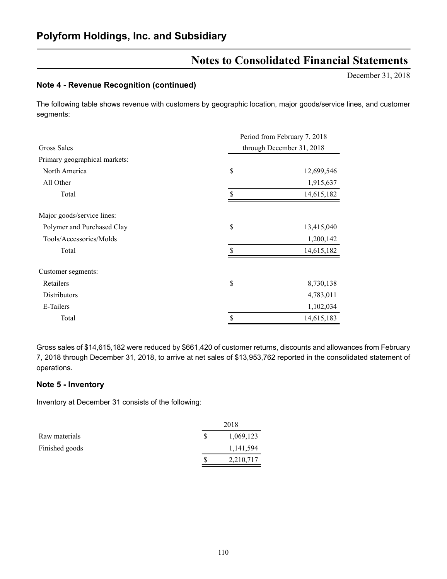December 31, 2018

### **Note 4 - Revenue Recognition (continued)**

The following table shows revenue with customers by geographic location, major goods/service lines, and customer segments:

|                               | Period from February 7, 2018 |            |  |
|-------------------------------|------------------------------|------------|--|
| Gross Sales                   | through December 31, 2018    |            |  |
| Primary geographical markets: |                              |            |  |
| North America                 | \$                           | 12,699,546 |  |
| All Other                     |                              | 1,915,637  |  |
| Total                         | \$                           | 14,615,182 |  |
| Major goods/service lines:    |                              |            |  |
| Polymer and Purchased Clay    | \$                           | 13,415,040 |  |
| Tools/Accessories/Molds       |                              | 1,200,142  |  |
| Total                         | \$                           | 14,615,182 |  |
| Customer segments:            |                              |            |  |
| Retailers                     | \$                           | 8,730,138  |  |
| <b>Distributors</b>           |                              | 4,783,011  |  |
| E-Tailers                     |                              | 1,102,034  |  |
| Total                         | \$                           | 14,615,183 |  |

Gross sales of \$14,615,182 were reduced by \$661,420 of customer returns, discounts and allowances from February 7, 2018 through December 31, 2018, to arrive at net sales of \$13,953,762 reported in the consolidated statement of operations.

### **Note 5 - Inventory**

Inventory at December 31 consists of the following:

|                |   | 2018      |
|----------------|---|-----------|
| Raw materials  | S | 1,069,123 |
| Finished goods |   | 1,141,594 |
|                | S | 2,210,717 |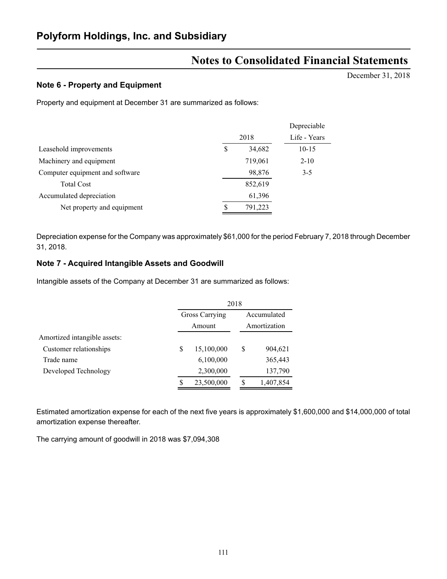December 31, 2018

### **Note 6 - Property and Equipment**

Property and equipment at December 31 are summarized as follows:

|                                 |          |         | Depreciable  |
|---------------------------------|----------|---------|--------------|
|                                 |          | 2018    | Life - Years |
| Leasehold improvements          | S        | 34,682  | $10 - 15$    |
| Machinery and equipment         |          | 719,061 | $2 - 10$     |
| Computer equipment and software |          | 98,876  | $3 - 5$      |
| <b>Total Cost</b>               |          | 852,619 |              |
| Accumulated depreciation        |          | 61,396  |              |
| Net property and equipment      | <b>S</b> | 791,223 |              |

Depreciation expense for the Company was approximately \$61,000 for the period February 7, 2018 through December 31, 2018.

#### **Note 7 - Acquired Intangible Assets and Goodwill**

Intangible assets of the Company at December 31 are summarized as follows:

|                              |        | 2018           |              |             |  |  |
|------------------------------|--------|----------------|--------------|-------------|--|--|
|                              |        | Gross Carrying |              | Accumulated |  |  |
|                              | Amount |                | Amortization |             |  |  |
| Amortized intangible assets: |        |                |              |             |  |  |
| Customer relationships       | \$     | 15,100,000     | S            | 904,621     |  |  |
| Trade name                   |        | 6,100,000      |              | 365,443     |  |  |
| Developed Technology         |        | 2,300,000      |              | 137,790     |  |  |
|                              | S      | 23,500,000     | S            | 1,407,854   |  |  |

Estimated amortization expense for each of the next five years is approximately \$1,600,000 and \$14,000,000 of total amortization expense thereafter.

The carrying amount of goodwill in 2018 was \$7,094,308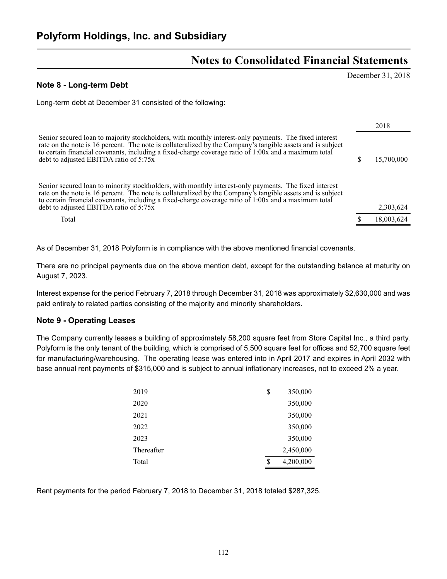December 31, 2018

#### **Note 8 - Long-term Debt**

Long-term debt at December 31 consisted of the following:

|                                                                                                                                                                                                                                                                                                                                                                       |   | 2018       |
|-----------------------------------------------------------------------------------------------------------------------------------------------------------------------------------------------------------------------------------------------------------------------------------------------------------------------------------------------------------------------|---|------------|
| Senior secured loan to majority stockholders, with monthly interest-only payments. The fixed interest<br>rate on the note is 16 percent. The note is collateralized by the Company's tangible assets and is subject<br>to certain financial covenants, including a fixed-charge coverage ratio of 1:00x and a maximum total<br>debt to adjusted EBITDA ratio of 5:75x | S | 15,700,000 |
| Senior secured loan to minority stockholders, with monthly interest-only payments. The fixed interest<br>rate on the note is 16 percent. The note is collateralized by the Company's tangible assets and is subject<br>to certain financial covenants, including a fixed-charge coverage ratio of 1:00x and a maximum total<br>debt to adjusted EBITDA ratio of 5:75x |   | 2,303,624  |
| Total                                                                                                                                                                                                                                                                                                                                                                 |   | 18,003,624 |

As of December 31, 2018 Polyform is in compliance with the above mentioned financial covenants.

There are no principal payments due on the above mention debt, except for the outstanding balance at maturity on August 7, 2023.

Interest expense for the period February 7, 2018 through December 31, 2018 was approximately \$2,630,000 and was paid entirely to related parties consisting of the majority and minority shareholders.

#### **Note 9 - Operating Leases**

The Company currently leases a building of approximately 58,200 square feet from Store Capital Inc., a third party. Polyform is the only tenant of the building, which is comprised of 5,500 square feet for offices and 52,700 square feet for manufacturing/warehousing. The operating lease was entered into in April 2017 and expires in April 2032 with base annual rent payments of \$315,000 and is subject to annual inflationary increases, not to exceed 2% a year.

| 2019       | \$<br>350,000   |
|------------|-----------------|
| 2020       | 350,000         |
| 2021       | 350,000         |
| 2022       | 350,000         |
| 2023       | 350,000         |
| Thereafter | 2,450,000       |
| Total      | \$<br>4,200,000 |

Rent payments for the period February 7, 2018 to December 31, 2018 totaled \$287,325.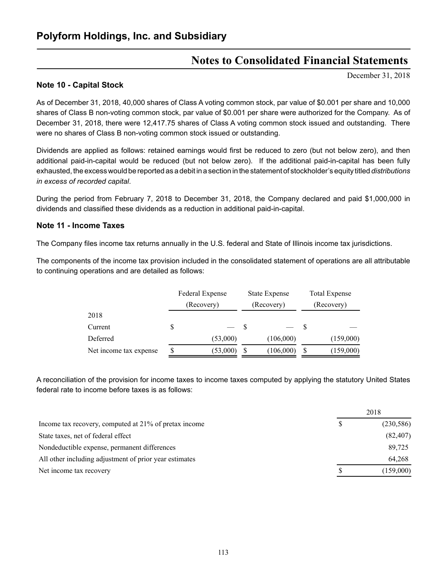December 31, 2018

#### **Note 10 - Capital Stock**

As of December 31, 2018, 40,000 shares of Class A voting common stock, par value of \$0.001 per share and 10,000 shares of Class B non-voting common stock, par value of \$0.001 per share were authorized for the Company. As of December 31, 2018, there were 12,417.75 shares of Class A voting common stock issued and outstanding. There were no shares of Class B non-voting common stock issued or outstanding.

Dividends are applied as follows: retained earnings would first be reduced to zero (but not below zero), and then additional paid-in-capital would be reduced (but not below zero). If the additional paid-in-capital has been fully exhausted, the excess would be reported as a debit in a section in the statement of stockholder's equity titled *distributions in excess of recorded capital*.

During the period from February 7, 2018 to December 31, 2018, the Company declared and paid \$1,000,000 in dividends and classified these dividends as a reduction in additional paid-in-capital.

#### **Note 11 - Income Taxes**

The Company files income tax returns annually in the U.S. federal and State of Illinois income tax jurisdictions.

The components of the income tax provision included in the consolidated statement of operations are all attributable to continuing operations and are detailed as follows:

|                        | Federal Expense |            |  | <b>State Expense</b> | <b>Total Expense</b> |           |  |            |  |
|------------------------|-----------------|------------|--|----------------------|----------------------|-----------|--|------------|--|
|                        |                 | (Recovery) |  | (Recovery)           |                      |           |  | (Recovery) |  |
| 2018                   |                 |            |  |                      |                      |           |  |            |  |
| Current                |                 |            |  |                      |                      |           |  |            |  |
| Deferred               |                 | (53,000)   |  | (106,000)            |                      | (159,000) |  |            |  |
| Net income tax expense |                 | (53,000)   |  | (106,000)            |                      | (159,000) |  |            |  |

A reconciliation of the provision for income taxes to income taxes computed by applying the statutory United States federal rate to income before taxes is as follows:

|                                                        | 2018 |            |  |
|--------------------------------------------------------|------|------------|--|
| Income tax recovery, computed at 21% of pretax income  |      | (230, 586) |  |
| State taxes, net of federal effect                     |      | (82, 407)  |  |
| Nondeductible expense, permanent differences           |      | 89.725     |  |
| All other including adjustment of prior year estimates |      | 64,268     |  |
| Net income tax recovery                                |      | (159,000)  |  |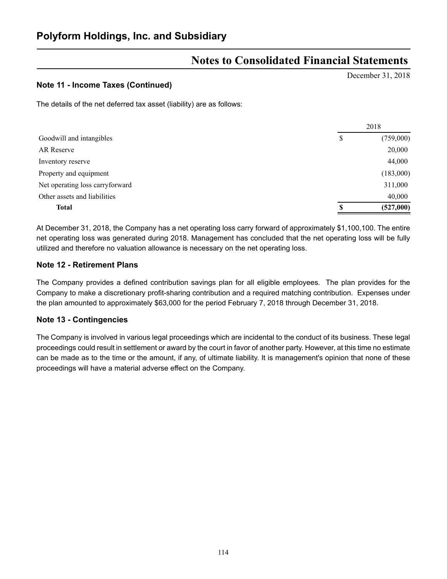December 31, 2018

### **Note 11 - Income Taxes (Continued)**

The details of the net deferred tax asset (liability) are as follows:

| Goodwill and intangibles        | \$ | (759,000) |
|---------------------------------|----|-----------|
| AR Reserve                      |    | 20,000    |
| Inventory reserve               |    | 44,000    |
| Property and equipment          |    | (183,000) |
| Net operating loss carryforward |    | 311,000   |
| Other assets and liabilities    |    | 40,000    |
| <b>Total</b>                    | S  | (527,000) |

At December 31, 2018, the Company has a net operating loss carry forward of approximately \$1,100,100. The entire net operating loss was generated during 2018. Management has concluded that the net operating loss will be fully utilized and therefore no valuation allowance is necessary on the net operating loss.

### **Note 12 - Retirement Plans**

The Company provides a defined contribution savings plan for all eligible employees. The plan provides for the Company to make a discretionary profit-sharing contribution and a required matching contribution. Expenses under the plan amounted to approximately \$63,000 for the period February 7, 2018 through December 31, 2018.

### **Note 13 - Contingencies**

The Company is involved in various legal proceedings which are incidental to the conduct of its business. These legal proceedings could result in settlement or award by the court in favor of another party. However, at this time no estimate can be made as to the time or the amount, if any, of ultimate liability. It is management's opinion that none of these proceedings will have a material adverse effect on the Company.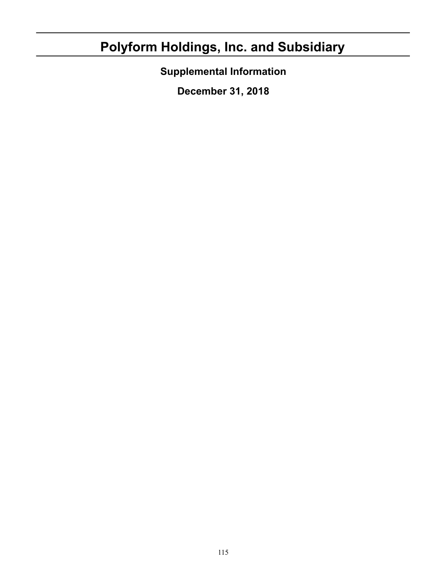# **Polyform Holdings, Inc. and Subsidiary**

**Supplemental Information**

**December 31, 2018**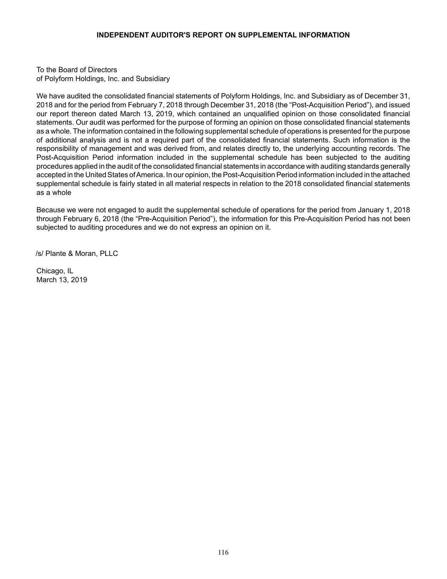#### **INDEPENDENT AUDITOR'S REPORT ON SUPPLEMENTAL INFORMATION**

To the Board of Directors of Polyform Holdings, Inc. and Subsidiary

We have audited the consolidated financial statements of Polyform Holdings, Inc. and Subsidiary as of December 31, 2018 and for the period from February 7, 2018 through December 31, 2018 (the "Post-Acquisition Period"), and issued our report thereon dated March 13, 2019, which contained an unqualified opinion on those consolidated financial statements. Our audit was performed for the purpose of forming an opinion on those consolidated financial statements as a whole. The information contained in the following supplemental schedule of operations is presented for the purpose of additional analysis and is not a required part of the consolidated financial statements. Such information is the responsibility of management and was derived from, and relates directly to, the underlying accounting records. The Post-Acquisition Period information included in the supplemental schedule has been subjected to the auditing procedures applied in the audit of the consolidated financial statements in accordance with auditing standards generally accepted in the United States of America. In our opinion, the Post-Acquisition Period information included in the attached supplemental schedule is fairly stated in all material respects in relation to the 2018 consolidated financial statements as a whole

Because we were not engaged to audit the supplemental schedule of operations for the period from January 1, 2018 through February 6, 2018 (the "Pre-Acquisition Period"), the information for this Pre-Acquisition Period has not been subjected to auditing procedures and we do not express an opinion on it.

/s/ Plante & Moran, PLLC

Chicago, IL March 13, 2019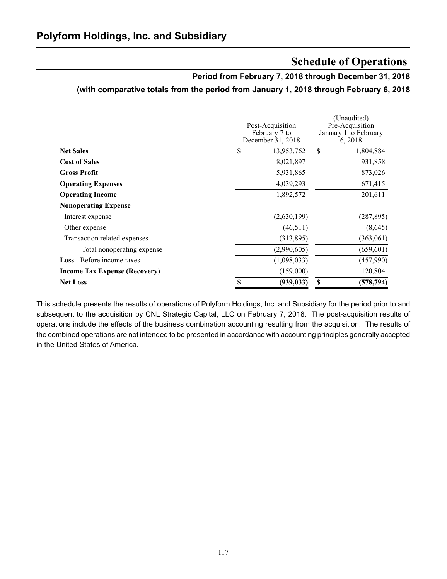# **Schedule of Operations**

### **Period from February 7, 2018 through December 31, 2018**

### **(with comparative totals from the period from January 1, 2018 through February 6, 2018**

|                                      | Post-Acquisition<br>February 7 to<br>December 31, 2018 | (Unaudited)<br>Pre-Acquisition<br>January 1 to February<br>6, 2018 |
|--------------------------------------|--------------------------------------------------------|--------------------------------------------------------------------|
| <b>Net Sales</b>                     | S<br>13,953,762                                        | $\mathbf S$<br>1,804,884                                           |
| <b>Cost of Sales</b>                 | 8,021,897                                              | 931,858                                                            |
| <b>Gross Profit</b>                  | 5,931,865                                              | 873,026                                                            |
| <b>Operating Expenses</b>            | 4,039,293                                              | 671,415                                                            |
| <b>Operating Income</b>              | 1,892,572                                              | 201,611                                                            |
| <b>Nonoperating Expense</b>          |                                                        |                                                                    |
| Interest expense                     | (2,630,199)                                            | (287, 895)                                                         |
| Other expense                        | (46, 511)                                              | (8,645)                                                            |
| Transaction related expenses         | (313, 895)                                             | (363,061)                                                          |
| Total nonoperating expense           | (2,990,605)                                            | (659, 601)                                                         |
| <b>Loss</b> - Before income taxes    | (1,098,033)                                            | (457,990)                                                          |
| <b>Income Tax Expense (Recovery)</b> | (159,000)                                              | 120,804                                                            |
| <b>Net Loss</b>                      | \$<br>(939, 033)                                       | \$<br>(578, 794)                                                   |

This schedule presents the results of operations of Polyform Holdings, Inc. and Subsidiary for the period prior to and subsequent to the acquisition by CNL Strategic Capital, LLC on February 7, 2018. The post-acquisition results of operations include the effects of the business combination accounting resulting from the acquisition. The results of the combined operations are not intended to be presented in accordance with accounting principles generally accepted in the United States of America.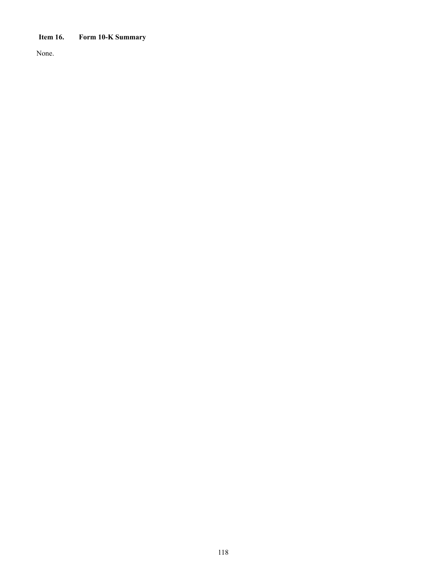### **Item 16. Form 10-K Summary**

None.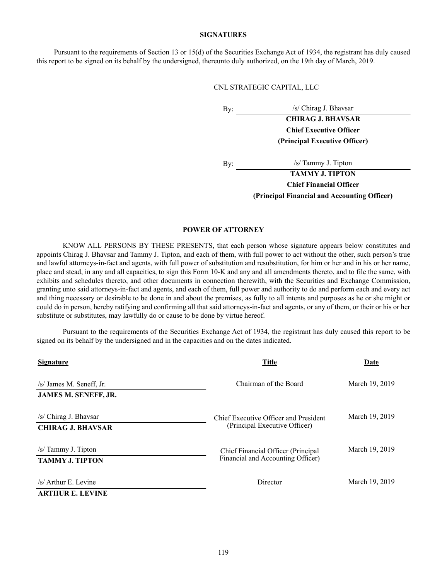#### **SIGNATURES**

Pursuant to the requirements of Section 13 or 15(d) of the Securities Exchange Act of 1934, the registrant has duly caused this report to be signed on its behalf by the undersigned, thereunto duly authorized, on the 19th day of March, 2019.

#### CNL STRATEGIC CAPITAL, LLC

| By: | /s/ Chirag J. Bhavsar                        |
|-----|----------------------------------------------|
|     | <b>CHIRAG J. BHAVSAR</b>                     |
|     | <b>Chief Executive Officer</b>               |
|     | (Principal Executive Officer)                |
|     |                                              |
| By: | /s/ Tammy J. Tipton                          |
|     | <b>TAMMY J. TIPTON</b>                       |
|     | <b>Chief Financial Officer</b>               |
|     | (Principal Financial and Accounting Officer) |

#### **POWER OF ATTORNEY**

KNOW ALL PERSONS BY THESE PRESENTS, that each person whose signature appears below constitutes and appoints Chirag J. Bhavsar and Tammy J. Tipton, and each of them, with full power to act without the other, such person's true and lawful attorneys-in-fact and agents, with full power of substitution and resubstitution, for him or her and in his or her name, place and stead, in any and all capacities, to sign this Form 10-K and any and all amendments thereto, and to file the same, with exhibits and schedules thereto, and other documents in connection therewith, with the Securities and Exchange Commission, granting unto said attorneys-in-fact and agents, and each of them, full power and authority to do and perform each and every act and thing necessary or desirable to be done in and about the premises, as fully to all intents and purposes as he or she might or could do in person, hereby ratifying and confirming all that said attorneys-in-fact and agents, or any of them, or their or his or her substitute or substitutes, may lawfully do or cause to be done by virtue hereof.

Pursuant to the requirements of the Securities Exchange Act of 1934, the registrant has duly caused this report to be signed on its behalf by the undersigned and in the capacities and on the dates indicated.

| <b>Signature</b>                                  | <b>Title</b>                                                            | Date           |
|---------------------------------------------------|-------------------------------------------------------------------------|----------------|
| /s/ James M. Seneff, Jr.                          | Chairman of the Board                                                   | March 19, 2019 |
| <b>JAMES M. SENEFF, JR.</b>                       |                                                                         |                |
| /s/ Chirag J. Bhavsar<br><b>CHIRAG J. BHAVSAR</b> | Chief Executive Officer and President<br>(Principal Executive Officer)  | March 19, 2019 |
|                                                   |                                                                         |                |
| /s/ Tammy J. Tipton<br><b>TAMMY J. TIPTON</b>     | Chief Financial Officer (Principal<br>Financial and Accounting Officer) | March 19, 2019 |
|                                                   |                                                                         |                |
| $/s/$ Arthur E. Levine                            | Director                                                                | March 19, 2019 |
| <b>ARTHUR E. LEVINE</b>                           |                                                                         |                |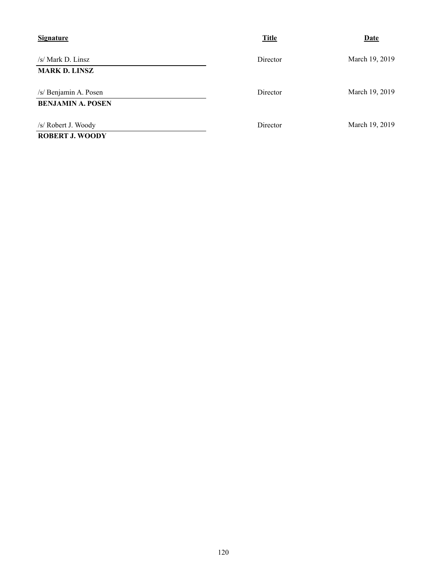| <b>Signature</b>                                  | <b>Title</b> | Date           |
|---------------------------------------------------|--------------|----------------|
| /s/ Mark D. Linsz<br><b>MARK D. LINSZ</b>         | Director     | March 19, 2019 |
| /s/ Benjamin A. Posen<br><b>BENJAMIN A. POSEN</b> | Director     | March 19, 2019 |
| /s/ Robert J. Woody<br><b>ROBERT J. WOODY</b>     | Director     | March 19, 2019 |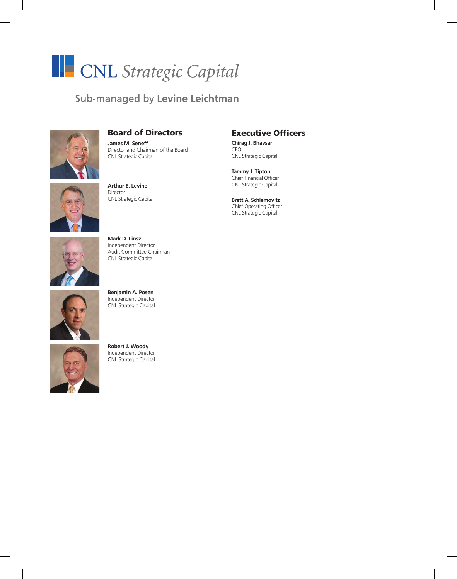

Sub-managed by Levine Leichtman



Board of Directors **James M. Seneff** Director and Chairman of the Board



Director CNL Strategic Capital

**Arthur E. Levine**

CNL Strategic Capital



**Mark D. Linsz** Independent Director Audit Committee Chairman CNL Strategic Capital



**Benjamin A. Posen** Independent Director CNL Strategic Capital

**Robert J. Woody** Independent Director CNL Strategic Capital

### Executive Officers

**Chirag J. Bhavsar** CEO CNL Strategic Capital

**Tammy J. Tipton** Chief Financial Officer CNL Strategic Capital

**Brett A. Schlemovitz** Chief Operating Officer CNL Strategic Capital